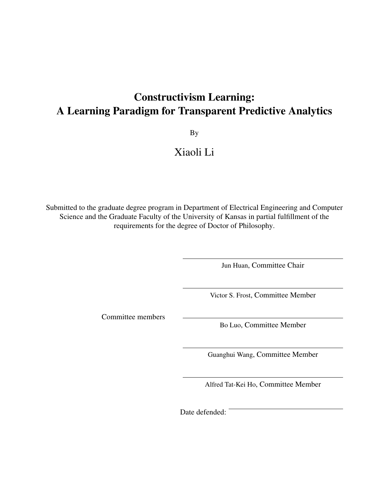# Constructivism Learning: A Learning Paradigm for Transparent Predictive Analytics

By

# Xiaoli Li

Submitted to the graduate degree program in Department of Electrical Engineering and Computer Science and the Graduate Faculty of the University of Kansas in partial fulfillment of the requirements for the degree of Doctor of Philosophy.

Jun Huan, Committee Chair

Victor S. Frost, Committee Member

Committee members

Bo Luo, Committee Member

Guanghui Wang, Committee Member

Alfred Tat-Kei Ho, Committee Member

Date defended: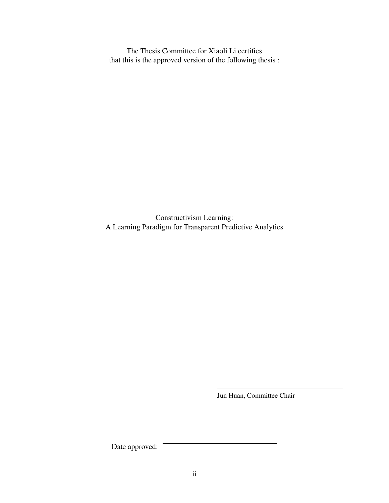The Thesis Committee for Xiaoli Li certifies that this is the approved version of the following thesis :

Constructivism Learning: A Learning Paradigm for Transparent Predictive Analytics

Jun Huan, Committee Chair

Date approved: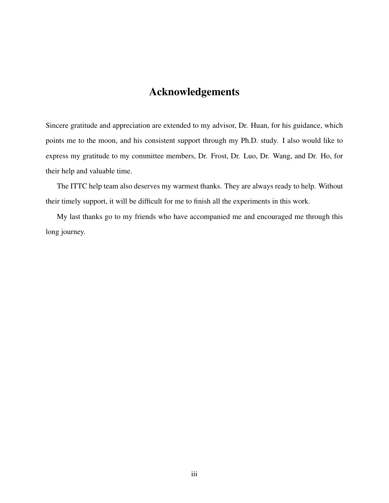# Acknowledgements

Sincere gratitude and appreciation are extended to my advisor, Dr. Huan, for his guidance, which points me to the moon, and his consistent support through my Ph.D. study. I also would like to express my gratitude to my committee members, Dr. Frost, Dr. Luo, Dr. Wang, and Dr. Ho, for their help and valuable time.

The ITTC help team also deserves my warmest thanks. They are always ready to help. Without their timely support, it will be difficult for me to finish all the experiments in this work.

My last thanks go to my friends who have accompanied me and encouraged me through this long journey.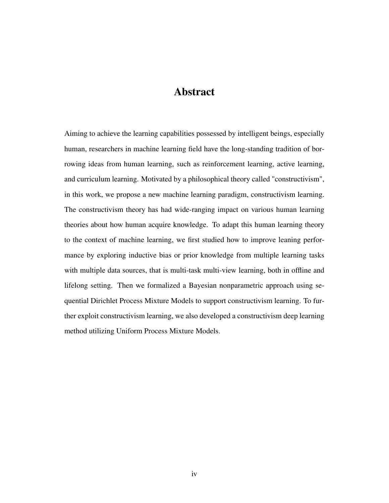# Abstract

Aiming to achieve the learning capabilities possessed by intelligent beings, especially human, researchers in machine learning field have the long-standing tradition of borrowing ideas from human learning, such as reinforcement learning, active learning, and curriculum learning. Motivated by a philosophical theory called "constructivism", in this work, we propose a new machine learning paradigm, constructivism learning. The constructivism theory has had wide-ranging impact on various human learning theories about how human acquire knowledge. To adapt this human learning theory to the context of machine learning, we first studied how to improve leaning performance by exploring inductive bias or prior knowledge from multiple learning tasks with multiple data sources, that is multi-task multi-view learning, both in offline and lifelong setting. Then we formalized a Bayesian nonparametric approach using sequential Dirichlet Process Mixture Models to support constructivism learning. To further exploit constructivism learning, we also developed a constructivism deep learning method utilizing Uniform Process Mixture Models.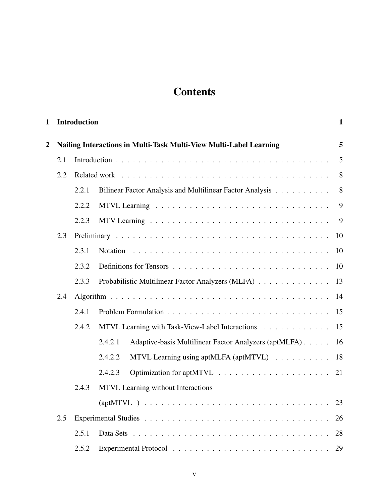# **Contents**

| $\mathbf 1$                                                                          |     | <b>Introduction</b> |                                                                  | $\mathbf{1}$ |
|--------------------------------------------------------------------------------------|-----|---------------------|------------------------------------------------------------------|--------------|
| Nailing Interactions in Multi-Task Multi-View Multi-Label Learning<br>$\overline{2}$ |     | 5                   |                                                                  |              |
|                                                                                      | 2.1 |                     |                                                                  | 5            |
|                                                                                      | 2.2 |                     |                                                                  | 8            |
|                                                                                      |     | 2.2.1               | Bilinear Factor Analysis and Multilinear Factor Analysis         | 8            |
|                                                                                      |     | 2.2.2               |                                                                  | 9            |
|                                                                                      |     | 2.2.3               |                                                                  | 9            |
|                                                                                      | 2.3 |                     |                                                                  | 10           |
|                                                                                      |     | 2.3.1               |                                                                  | 10           |
|                                                                                      |     | 2.3.2               |                                                                  | 10           |
|                                                                                      |     | 2.3.3               | Probabilistic Multilinear Factor Analyzers (MLFA)                | 13           |
|                                                                                      | 2.4 |                     |                                                                  | 14           |
|                                                                                      |     | 2.4.1               |                                                                  | 15           |
|                                                                                      |     | 2.4.2               | MTVL Learning with Task-View-Label Interactions                  | 15           |
|                                                                                      |     |                     | 2.4.2.1<br>Adaptive-basis Multilinear Factor Analyzers (aptMLFA) | 16           |
|                                                                                      |     |                     | MTVL Learning using aptMLFA (aptMTVL)<br>2.4.2.2                 | 18           |
|                                                                                      |     |                     | 2.4.2.3                                                          | 21           |
|                                                                                      |     | 2.4.3               | MTVL Learning without Interactions                               |              |
|                                                                                      |     |                     | $(aptMTVL^-)$                                                    | 23           |
|                                                                                      | 2.5 |                     |                                                                  | 26           |
|                                                                                      |     | 2.5.1               |                                                                  | 28           |
|                                                                                      |     | 2.5.2               |                                                                  | 29           |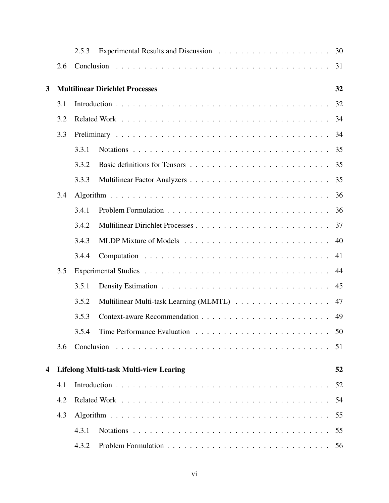|              |     | 2.5.3 |                                               | 30  |
|--------------|-----|-------|-----------------------------------------------|-----|
|              | 2.6 |       |                                               | 31  |
| $\mathbf{3}$ |     |       | <b>Multilinear Dirichlet Processes</b>        | 32  |
|              | 3.1 |       |                                               | 32  |
|              | 3.2 |       |                                               | 34  |
|              | 3.3 |       |                                               | 34  |
|              |     | 3.3.1 |                                               | 35  |
|              |     | 3.3.2 |                                               | 35  |
|              |     | 3.3.3 |                                               | 35  |
|              | 3.4 |       |                                               | 36  |
|              |     | 3.4.1 |                                               | 36  |
|              |     | 3.4.2 |                                               | 37  |
|              |     | 3.4.3 |                                               | 40  |
|              |     | 3.4.4 |                                               | 41  |
|              | 3.5 |       |                                               | 44  |
|              |     | 3.5.1 |                                               | 45  |
|              |     | 3.5.2 | Multilinear Multi-task Learning (MLMTL)       | 47  |
|              |     | 3.5.3 |                                               | 49  |
|              |     |       |                                               | 50  |
|              | 3.6 |       |                                               | 51  |
| 4            |     |       | <b>Lifelong Multi-task Multi-view Learing</b> | 52  |
|              | 4.1 |       |                                               | 52  |
|              | 4.2 |       |                                               | 54  |
|              |     |       |                                               |     |
|              | 4.3 |       |                                               | 55  |
|              |     | 4.3.1 |                                               | 55  |
|              |     | 4.3.2 |                                               | -56 |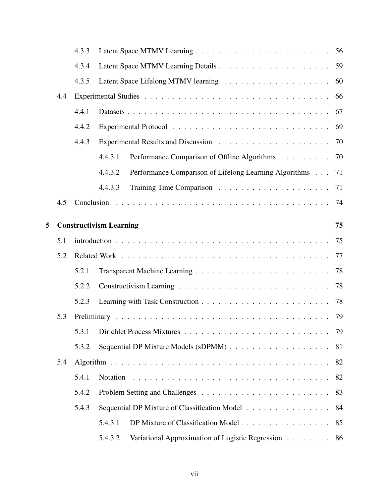|   |     | 4.3.3 |                                                                   | 56 |
|---|-----|-------|-------------------------------------------------------------------|----|
|   |     | 4.3.4 |                                                                   | 59 |
|   |     | 4.3.5 |                                                                   | 60 |
|   | 4.4 |       |                                                                   | 66 |
|   |     | 4.4.1 |                                                                   | 67 |
|   |     | 4.4.2 |                                                                   | 69 |
|   |     | 4.4.3 |                                                                   | 70 |
|   |     |       | Performance Comparison of Offline Algorithms<br>4.4.3.1           | 70 |
|   |     |       | Performance Comparison of Lifelong Learning Algorithms<br>4.4.3.2 | 71 |
|   |     |       | 4.4.3.3                                                           |    |
|   | 4.5 |       |                                                                   | 74 |
| 5 |     |       | <b>Constructivism Learning</b>                                    | 75 |
|   | 5.1 |       |                                                                   | 75 |
|   | 5.2 |       |                                                                   | 77 |
|   |     | 5.2.1 |                                                                   | 78 |
|   |     | 5.2.2 |                                                                   |    |
|   |     | 5.2.3 |                                                                   | 78 |
|   | 5.3 |       |                                                                   | 79 |
|   |     |       |                                                                   | 79 |
|   |     | 5.3.2 |                                                                   | 81 |
|   | 5.4 |       |                                                                   | 82 |
|   |     | 5.4.1 | Notation                                                          | 82 |
|   |     | 5.4.2 |                                                                   | 83 |
|   |     | 5.4.3 | Sequential DP Mixture of Classification Model                     | 84 |
|   |     |       | 5.4.3.1<br>DP Mixture of Classification Model                     | 85 |
|   |     |       | 5.4.3.2<br>Variational Approximation of Logistic Regression 86    |    |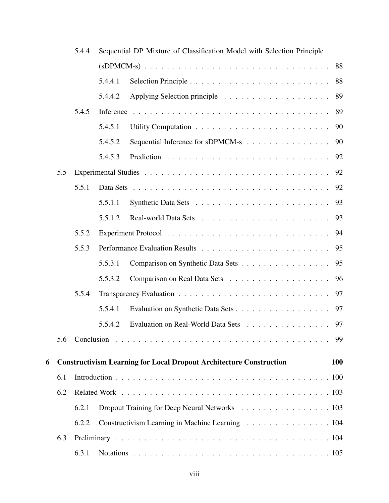|   |     | 5.4.4 | Sequential DP Mixture of Classification Model with Selection Principle     |  |
|---|-----|-------|----------------------------------------------------------------------------|--|
|   |     |       | 88                                                                         |  |
|   |     |       | 88<br>5.4.4.1                                                              |  |
|   |     |       | 89<br>5.4.4.2                                                              |  |
|   |     | 5.4.5 | 89                                                                         |  |
|   |     |       | 90<br>5.4.5.1                                                              |  |
|   |     |       | Sequential Inference for sDPMCM-s<br>5.4.5.2<br>90                         |  |
|   |     |       | 92<br>5.4.5.3                                                              |  |
|   | 5.5 |       | 92                                                                         |  |
|   |     | 5.5.1 | 92                                                                         |  |
|   |     |       | 93<br>5.5.1.1                                                              |  |
|   |     |       | 93<br>5.5.1.2                                                              |  |
|   |     | 5.5.2 | 94                                                                         |  |
|   |     | 5.5.3 | 95                                                                         |  |
|   |     |       | Comparison on Synthetic Data Sets<br>95<br>5.5.3.1                         |  |
|   |     |       | 96<br>5.5.3.2                                                              |  |
|   |     | 5.5.4 | 97                                                                         |  |
|   |     |       | 97<br>5.5.4.1                                                              |  |
|   |     |       | Evaluation on Real-World Data Sets<br>97<br>5.5.4.2                        |  |
|   | 5.6 |       | 99                                                                         |  |
| 6 |     |       | <b>100</b>                                                                 |  |
|   |     |       | <b>Constructivism Learning for Local Dropout Architecture Construction</b> |  |
|   | 6.1 |       |                                                                            |  |
|   | 6.2 |       |                                                                            |  |
|   |     | 6.2.1 | Dropout Training for Deep Neural Networks 103                              |  |
|   |     | 6.2.2 | Constructivism Learning in Machine Learning 104                            |  |
|   | 6.3 |       |                                                                            |  |
|   |     | 6.3.1 |                                                                            |  |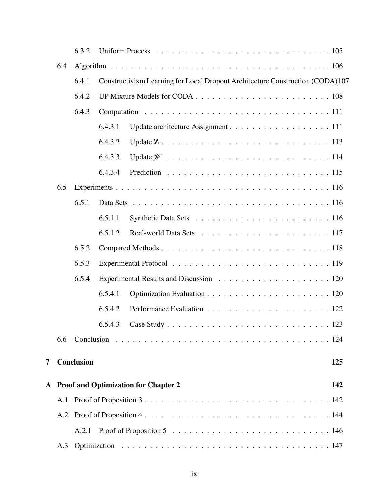|   |     | 6.3.2             |                                                                                |  |
|---|-----|-------------------|--------------------------------------------------------------------------------|--|
|   | 6.4 |                   |                                                                                |  |
|   |     | 6.4.1             | Constructivism Learning for Local Dropout Architecture Construction (CODA) 107 |  |
|   |     | 6.4.2             |                                                                                |  |
|   |     | 6.4.3             |                                                                                |  |
|   |     |                   | 6.4.3.1                                                                        |  |
|   |     |                   | 6.4.3.2                                                                        |  |
|   |     |                   | 6.4.3.3                                                                        |  |
|   |     |                   | 6.4.3.4                                                                        |  |
|   | 6.5 |                   |                                                                                |  |
|   |     | 6.5.1             |                                                                                |  |
|   |     |                   | 6.5.1.1                                                                        |  |
|   |     |                   | 6.5.1.2                                                                        |  |
|   |     | 6.5.2             |                                                                                |  |
|   |     | 6.5.3             |                                                                                |  |
|   |     | 6.5.4             |                                                                                |  |
|   |     |                   | 6.5.4.1                                                                        |  |
|   |     |                   | 6.5.4.2                                                                        |  |
|   |     |                   | 6.5.4.3                                                                        |  |
|   | 6.6 |                   |                                                                                |  |
| 7 |     | <b>Conclusion</b> | 125                                                                            |  |
|   |     |                   |                                                                                |  |
| A |     |                   | <b>Proof and Optimization for Chapter 2</b><br>142                             |  |
|   | A.1 |                   |                                                                                |  |
|   | A.2 |                   |                                                                                |  |
|   |     | A.2.1             |                                                                                |  |
|   | A.3 |                   |                                                                                |  |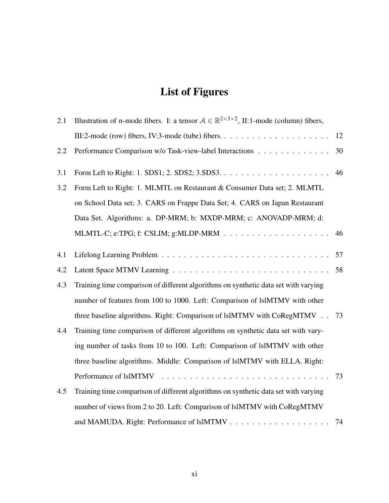# List of Figures

| 2.1 | Illustration of n-mode fibers. I: a tensor $A \in \mathbb{R}^{2 \times 3 \times 2}$ , II:1-mode (column) fibers, |    |
|-----|------------------------------------------------------------------------------------------------------------------|----|
|     |                                                                                                                  | 12 |
| 2.2 | Performance Comparison w/o Task-view-label Interactions                                                          | 30 |
| 3.1 |                                                                                                                  | 46 |
| 3.2 | Form Left to Right: 1. MLMTL on Restaurant & Consumer Data set; 2. MLMTL                                         |    |
|     | on School Data set; 3. CARS on Frappe Data Set; 4. CARS on Japan Restaurant                                      |    |
|     | Data Set. Algorithms: a. DP-MRM; b: MXDP-MRM; c: ANOVADP-MRM; d:                                                 |    |
|     |                                                                                                                  | 46 |
| 4.1 |                                                                                                                  | 57 |
| 4.2 |                                                                                                                  |    |
| 4.3 | Training time comparison of different algorithms on synthetic data set with varying                              |    |
|     | number of features from 100 to 1000. Left: Comparison of lslMTMV with other                                      |    |
|     | three baseline algorithms. Right: Comparison of IslMTMV with CoRegMTMV 73                                        |    |
| 4.4 | Training time comparison of different algorithms on synthetic data set with vary-                                |    |
|     | ing number of tasks from 10 to 100. Left: Comparison of lslMTMV with other                                       |    |
|     | three baseline algorithms. Middle: Comparison of IslMTMV with ELLA. Right:                                       |    |
|     |                                                                                                                  | 73 |
| 4.5 | Training time comparison of different algorithms on synthetic data set with varying                              |    |
|     | number of views from 2 to 20. Left: Comparison of IslMTMV with CoRegMTMV                                         |    |
|     |                                                                                                                  | 74 |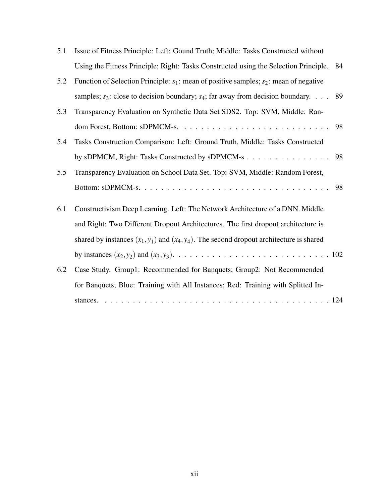| 5.1 | Issue of Fitness Principle: Left: Gound Truth; Middle: Tasks Constructed without              |    |
|-----|-----------------------------------------------------------------------------------------------|----|
|     | Using the Fitness Principle; Right: Tasks Constructed using the Selection Principle.          | 84 |
| 5.2 | Function of Selection Principle: $s_1$ : mean of positive samples; $s_2$ : mean of negative   |    |
|     | samples; $s_3$ : close to decision boundary; $s_4$ ; far away from decision boundary.         | 89 |
| 5.3 | Transparency Evaluation on Synthetic Data Set SDS2. Top: SVM, Middle: Ran-                    |    |
|     |                                                                                               |    |
| 5.4 | Tasks Construction Comparison: Left: Ground Truth, Middle: Tasks Constructed                  |    |
|     | by sDPMCM, Right: Tasks Constructed by sDPMCM-s 98                                            |    |
| 5.5 | Transparency Evaluation on School Data Set. Top: SVM, Middle: Random Forest,                  |    |
|     |                                                                                               |    |
| 6.1 | Constructivism Deep Learning. Left: The Network Architecture of a DNN. Middle                 |    |
|     | and Right: Two Different Dropout Architectures. The first dropout architecture is             |    |
|     | shared by instances $(x_1, y_1)$ and $(x_4, y_4)$ . The second dropout architecture is shared |    |
|     |                                                                                               |    |
| 6.2 | Case Study. Group1: Recommended for Banquets; Group2: Not Recommended                         |    |
|     | for Banquets; Blue: Training with All Instances; Red: Training with Splitted In-              |    |
|     |                                                                                               |    |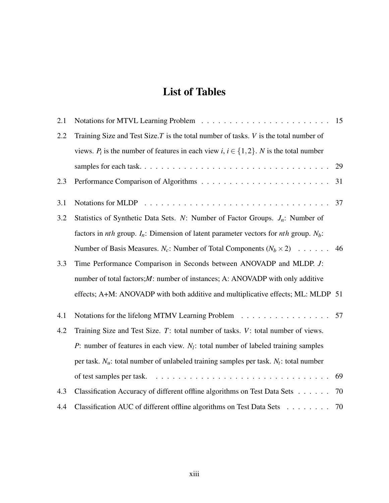# List of Tables

| 2.1 |                                                                                                          |    |
|-----|----------------------------------------------------------------------------------------------------------|----|
| 2.2 | Training Size and Test Size. $T$ is the total number of tasks. $V$ is the total number of                |    |
|     | views. $P_i$ is the number of features in each view $i, i \in \{1, 2\}$ . N is the total number          |    |
|     |                                                                                                          | 29 |
| 2.3 |                                                                                                          | 31 |
| 3.1 |                                                                                                          |    |
| 3.2 | Statistics of Synthetic Data Sets. N: Number of Factor Groups. $J_n$ : Number of                         |    |
|     | factors in <i>nth</i> group. $I_n$ : Dimension of latent parameter vectors for <i>nth</i> group. $N_b$ : |    |
|     | Number of Basis Measures. $N_c$ : Number of Total Components $(N_b \times 2)$ 46                         |    |
| 3.3 | Time Performance Comparison in Seconds between ANOVADP and MLDP. J:                                      |    |
|     | number of total factors; $M$ : number of instances; A: ANOVADP with only additive                        |    |
|     | effects; A+M: ANOVADP with both additive and multiplicative effects; ML: MLDP 51                         |    |
| 4.1 | Notations for the lifelong MTMV Learning Problem                                                         | 57 |
| 4.2 | Training Size and Test Size. $T$ : total number of tasks. $V$ : total number of views.                   |    |
|     | P: number of features in each view. $N_l$ : total number of labeled training samples                     |    |
|     | per task. $N_u$ : total number of unlabeled training samples per task. $N_t$ : total number              |    |
|     |                                                                                                          | 69 |
| 4.3 | Classification Accuracy of different offline algorithms on Test Data Sets                                | 70 |
| 4.4 | Classification AUC of different offline algorithms on Test Data Sets                                     | 70 |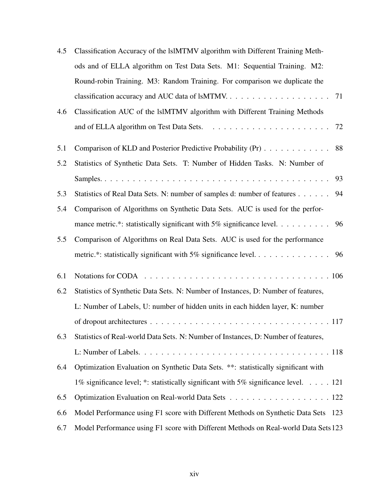| 4.5 | Classification Accuracy of the IslMTMV algorithm with Different Training Meth-      |
|-----|-------------------------------------------------------------------------------------|
|     | ods and of ELLA algorithm on Test Data Sets. M1: Sequential Training. M2:           |
|     | Round-robin Training. M3: Random Training. For comparison we duplicate the          |
|     |                                                                                     |
| 4.6 | Classification AUC of the IslMTMV algorithm with Different Training Methods         |
|     |                                                                                     |
| 5.1 | Comparison of KLD and Posterior Predictive Probability (Pr) 88                      |
| 5.2 | Statistics of Synthetic Data Sets. T: Number of Hidden Tasks. N: Number of          |
|     |                                                                                     |
| 5.3 | Statistics of Real Data Sets. N: number of samples d: number of features 94         |
| 5.4 | Comparison of Algorithms on Synthetic Data Sets. AUC is used for the perfor-        |
|     | mance metric.*: statistically significant with 5% significance level. 96            |
| 5.5 | Comparison of Algorithms on Real Data Sets. AUC is used for the performance         |
|     |                                                                                     |
| 6.1 |                                                                                     |
| 6.2 | Statistics of Synthetic Data Sets. N: Number of Instances, D: Number of features,   |
|     | L: Number of Labels, U: number of hidden units in each hidden layer, K: number      |
|     |                                                                                     |
| 6.3 | Statistics of Real-world Data Sets. N: Number of Instances, D: Number of features,  |
|     |                                                                                     |
| 6.4 | Optimization Evaluation on Synthetic Data Sets. **: statistically significant with  |
|     | 1% significance level; *: statistically significant with 5% significance level. 121 |
| 6.5 | Optimization Evaluation on Real-world Data Sets 122                                 |
| 6.6 | Model Performance using F1 score with Different Methods on Synthetic Data Sets 123  |
| 6.7 | Model Performance using F1 score with Different Methods on Real-world Data Sets 123 |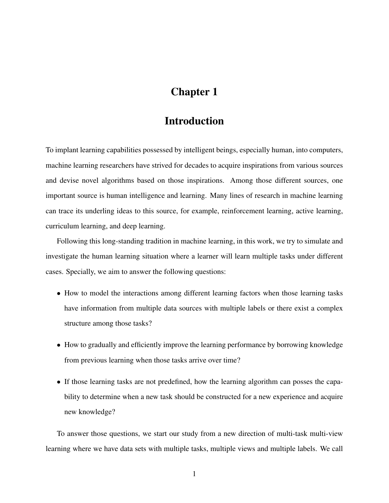# Chapter 1

# Introduction

<span id="page-14-0"></span>To implant learning capabilities possessed by intelligent beings, especially human, into computers, machine learning researchers have strived for decades to acquire inspirations from various sources and devise novel algorithms based on those inspirations. Among those different sources, one important source is human intelligence and learning. Many lines of research in machine learning can trace its underling ideas to this source, for example, reinforcement learning, active learning, curriculum learning, and deep learning.

Following this long-standing tradition in machine learning, in this work, we try to simulate and investigate the human learning situation where a learner will learn multiple tasks under different cases. Specially, we aim to answer the following questions:

- How to model the interactions among different learning factors when those learning tasks have information from multiple data sources with multiple labels or there exist a complex structure among those tasks?
- How to gradually and efficiently improve the learning performance by borrowing knowledge from previous learning when those tasks arrive over time?
- If those learning tasks are not predefined, how the learning algorithm can posses the capability to determine when a new task should be constructed for a new experience and acquire new knowledge?

To answer those questions, we start our study from a new direction of multi-task multi-view learning where we have data sets with multiple tasks, multiple views and multiple labels. We call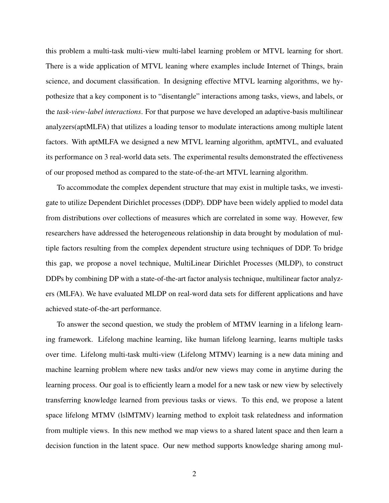this problem a multi-task multi-view multi-label learning problem or MTVL learning for short. There is a wide application of MTVL leaning where examples include Internet of Things, brain science, and document classification. In designing effective MTVL learning algorithms, we hypothesize that a key component is to "disentangle" interactions among tasks, views, and labels, or the *task-view-label interactions*. For that purpose we have developed an adaptive-basis multilinear analyzers(aptMLFA) that utilizes a loading tensor to modulate interactions among multiple latent factors. With aptMLFA we designed a new MTVL learning algorithm, aptMTVL, and evaluated its performance on 3 real-world data sets. The experimental results demonstrated the effectiveness of our proposed method as compared to the state-of-the-art MTVL learning algorithm.

To accommodate the complex dependent structure that may exist in multiple tasks, we investigate to utilize Dependent Dirichlet processes (DDP). DDP have been widely applied to model data from distributions over collections of measures which are correlated in some way. However, few researchers have addressed the heterogeneous relationship in data brought by modulation of multiple factors resulting from the complex dependent structure using techniques of DDP. To bridge this gap, we propose a novel technique, MultiLinear Dirichlet Processes (MLDP), to construct DDPs by combining DP with a state-of-the-art factor analysis technique, multilinear factor analyzers (MLFA). We have evaluated MLDP on real-word data sets for different applications and have achieved state-of-the-art performance.

To answer the second question, we study the problem of MTMV learning in a lifelong learning framework. Lifelong machine learning, like human lifelong learning, learns multiple tasks over time. Lifelong multi-task multi-view (Lifelong MTMV) learning is a new data mining and machine learning problem where new tasks and/or new views may come in anytime during the learning process. Our goal is to efficiently learn a model for a new task or new view by selectively transferring knowledge learned from previous tasks or views. To this end, we propose a latent space lifelong MTMV (lslMTMV) learning method to exploit task relatedness and information from multiple views. In this new method we map views to a shared latent space and then learn a decision function in the latent space. Our new method supports knowledge sharing among mul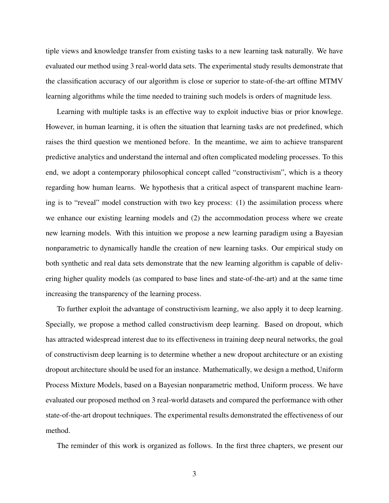tiple views and knowledge transfer from existing tasks to a new learning task naturally. We have evaluated our method using 3 real-world data sets. The experimental study results demonstrate that the classification accuracy of our algorithm is close or superior to state-of-the-art offline MTMV learning algorithms while the time needed to training such models is orders of magnitude less.

Learning with multiple tasks is an effective way to exploit inductive bias or prior knowlege. However, in human learning, it is often the situation that learning tasks are not predefined, which raises the third question we mentioned before. In the meantime, we aim to achieve transparent predictive analytics and understand the internal and often complicated modeling processes. To this end, we adopt a contemporary philosophical concept called "constructivism", which is a theory regarding how human learns. We hypothesis that a critical aspect of transparent machine learning is to "reveal" model construction with two key process: (1) the assimilation process where we enhance our existing learning models and (2) the accommodation process where we create new learning models. With this intuition we propose a new learning paradigm using a Bayesian nonparametric to dynamically handle the creation of new learning tasks. Our empirical study on both synthetic and real data sets demonstrate that the new learning algorithm is capable of delivering higher quality models (as compared to base lines and state-of-the-art) and at the same time increasing the transparency of the learning process.

To further exploit the advantage of constructivism learning, we also apply it to deep learning. Specially, we propose a method called constructivism deep learning. Based on dropout, which has attracted widespread interest due to its effectiveness in training deep neural networks, the goal of constructivism deep learning is to determine whether a new dropout architecture or an existing dropout architecture should be used for an instance. Mathematically, we design a method, Uniform Process Mixture Models, based on a Bayesian nonparametric method, Uniform process. We have evaluated our proposed method on 3 real-world datasets and compared the performance with other state-of-the-art dropout techniques. The experimental results demonstrated the effectiveness of our method.

The reminder of this work is organized as follows. In the first three chapters, we present our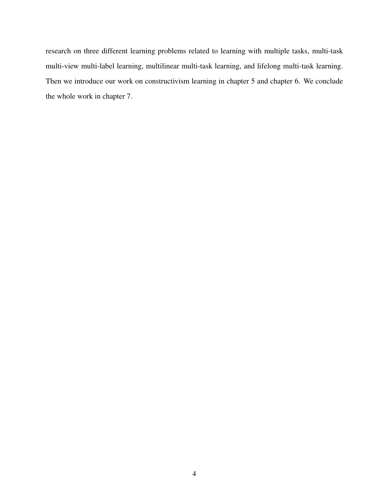research on three different learning problems related to learning with multiple tasks, multi-task multi-view multi-label learning, multilinear multi-task learning, and lifelong multi-task learning. Then we introduce our work on constructivism learning in chapter 5 and chapter 6. We conclude the whole work in chapter 7.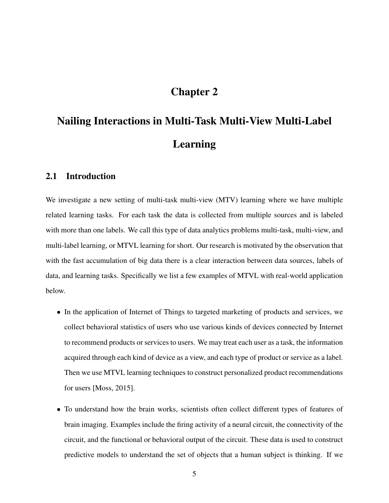# Chapter 2

# <span id="page-18-0"></span>Nailing Interactions in Multi-Task Multi-View Multi-Label Learning

#### <span id="page-18-1"></span>2.1 Introduction

We investigate a new setting of multi-task multi-view (MTV) learning where we have multiple related learning tasks. For each task the data is collected from multiple sources and is labeled with more than one labels. We call this type of data analytics problems multi-task, multi-view, and multi-label learning, or MTVL learning for short. Our research is motivated by the observation that with the fast accumulation of big data there is a clear interaction between data sources, labels of data, and learning tasks. Specifically we list a few examples of MTVL with real-world application below.

- In the application of Internet of Things to targeted marketing of products and services, we collect behavioral statistics of users who use various kinds of devices connected by Internet to recommend products or services to users. We may treat each user as a task, the information acquired through each kind of device as a view, and each type of product or service as a label. Then we use MTVL learning techniques to construct personalized product recommendations for users [\[Moss, 2015\]](#page-148-0).
- To understand how the brain works, scientists often collect different types of features of brain imaging. Examples include the firing activity of a neural circuit, the connectivity of the circuit, and the functional or behavioral output of the circuit. These data is used to construct predictive models to understand the set of objects that a human subject is thinking. If we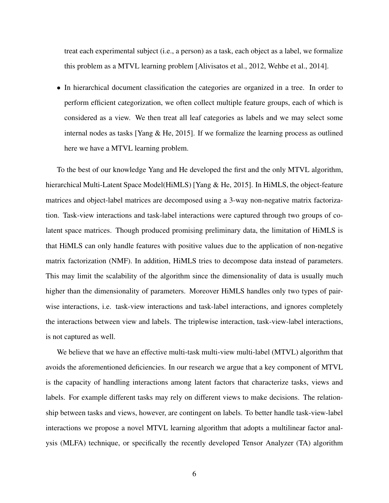treat each experimental subject (i.e., a person) as a task, each object as a label, we formalize this problem as a MTVL learning problem [\[Alivisatos et al., 2012,](#page-140-0) [Wehbe et al., 2014\]](#page-153-0).

• In hierarchical document classification the categories are organized in a tree. In order to perform efficient categorization, we often collect multiple feature groups, each of which is considered as a view. We then treat all leaf categories as labels and we may select some internal nodes as tasks [\[Yang & He, 2015\]](#page-153-1). If we formalize the learning process as outlined here we have a MTVL learning problem.

To the best of our knowledge Yang and He developed the first and the only MTVL algorithm, hierarchical Multi-Latent Space Model(HiMLS) [\[Yang & He, 2015\]](#page-153-1). In HiMLS, the object-feature matrices and object-label matrices are decomposed using a 3-way non-negative matrix factorization. Task-view interactions and task-label interactions were captured through two groups of colatent space matrices. Though produced promising preliminary data, the limitation of HiMLS is that HiMLS can only handle features with positive values due to the application of non-negative matrix factorization (NMF). In addition, HiMLS tries to decompose data instead of parameters. This may limit the scalability of the algorithm since the dimensionality of data is usually much higher than the dimensionality of parameters. Moreover HiMLS handles only two types of pairwise interactions, i.e. task-view interactions and task-label interactions, and ignores completely the interactions between view and labels. The triplewise interaction, task-view-label interactions, is not captured as well.

We believe that we have an effective multi-task multi-view multi-label (MTVL) algorithm that avoids the aforementioned deficiencies. In our research we argue that a key component of MTVL is the capacity of handling interactions among latent factors that characterize tasks, views and labels. For example different tasks may rely on different views to make decisions. The relationship between tasks and views, however, are contingent on labels. To better handle task-view-label interactions we propose a novel MTVL learning algorithm that adopts a multilinear factor analysis (MLFA) technique, or specifically the recently developed Tensor Analyzer (TA) algorithm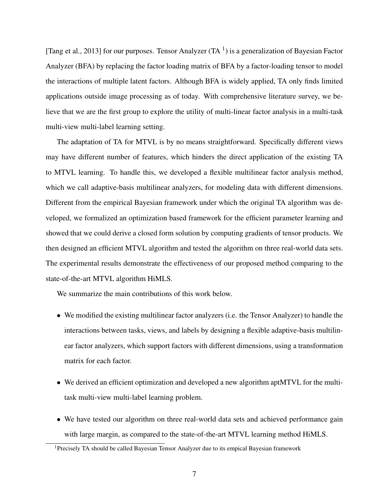[\[Tang et al., 2013\]](#page-152-0) for our purposes. Tensor Analyzer (TA $<sup>1</sup>$  $<sup>1</sup>$  $<sup>1</sup>$ ) is a generalization of Bayesian Factor</sup> Analyzer (BFA) by replacing the factor loading matrix of BFA by a factor-loading tensor to model the interactions of multiple latent factors. Although BFA is widely applied, TA only finds limited applications outside image processing as of today. With comprehensive literature survey, we believe that we are the first group to explore the utility of multi-linear factor analysis in a multi-task multi-view multi-label learning setting.

The adaptation of TA for MTVL is by no means straightforward. Specifically different views may have different number of features, which hinders the direct application of the existing TA to MTVL learning. To handle this, we developed a flexible multilinear factor analysis method, which we call adaptive-basis multilinear analyzers, for modeling data with different dimensions. Different from the empirical Bayesian framework under which the original TA algorithm was developed, we formalized an optimization based framework for the efficient parameter learning and showed that we could derive a closed form solution by computing gradients of tensor products. We then designed an efficient MTVL algorithm and tested the algorithm on three real-world data sets. The experimental results demonstrate the effectiveness of our proposed method comparing to the state-of-the-art MTVL algorithm HiMLS.

We summarize the main contributions of this work below.

- We modified the existing multilinear factor analyzers (i.e. the Tensor Analyzer) to handle the interactions between tasks, views, and labels by designing a flexible adaptive-basis multilinear factor analyzers, which support factors with different dimensions, using a transformation matrix for each factor.
- We derived an efficient optimization and developed a new algorithm aptMTVL for the multitask multi-view multi-label learning problem.
- We have tested our algorithm on three real-world data sets and achieved performance gain with large margin, as compared to the state-of-the-art MTVL learning method HiMLS.

<span id="page-20-0"></span><sup>&</sup>lt;sup>1</sup> Precisely TA should be called Bayesian Tensor Analyzer due to its empical Bayesian framework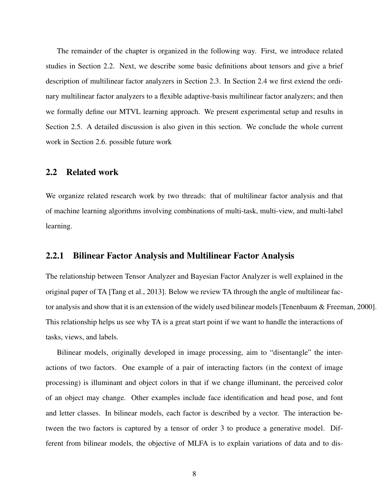The remainder of the chapter is organized in the following way. First, we introduce related studies in Section [2.2.](#page-21-0) Next, we describe some basic definitions about tensors and give a brief description of multilinear factor analyzers in Section [2.3.](#page-23-0) In Section [2.4](#page-27-0) we first extend the ordinary multilinear factor analyzers to a flexible adaptive-basis multilinear factor analyzers; and then we formally define our MTVL learning approach. We present experimental setup and results in Section [2.5.](#page-39-0) A detailed discussion is also given in this section. We conclude the whole current work in Section [2.6.](#page-44-0) possible future work

### <span id="page-21-0"></span>2.2 Related work

We organize related research work by two threads: that of multilinear factor analysis and that of machine learning algorithms involving combinations of multi-task, multi-view, and multi-label learning.

## <span id="page-21-1"></span>2.2.1 Bilinear Factor Analysis and Multilinear Factor Analysis

The relationship between Tensor Analyzer and Bayesian Factor Analyzer is well explained in the original paper of TA [\[Tang et al., 2013\]](#page-152-0). Below we review TA through the angle of multilinear factor analysis and show that it is an extension of the widely used bilinear models [\[Tenenbaum & Freeman, 2000\]](#page-152-1). This relationship helps us see why TA is a great start point if we want to handle the interactions of tasks, views, and labels.

Bilinear models, originally developed in image processing, aim to "disentangle" the interactions of two factors. One example of a pair of interacting factors (in the context of image processing) is illuminant and object colors in that if we change illuminant, the perceived color of an object may change. Other examples include face identification and head pose, and font and letter classes. In bilinear models, each factor is described by a vector. The interaction between the two factors is captured by a tensor of order 3 to produce a generative model. Different from bilinear models, the objective of MLFA is to explain variations of data and to dis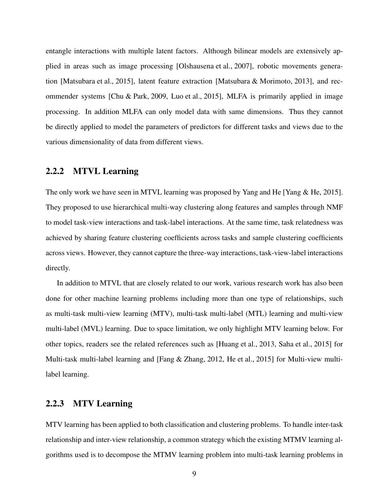entangle interactions with multiple latent factors. Although bilinear models are extensively applied in areas such as image processing [\[Olshausena et al., 2007\]](#page-149-0), robotic movements generation [\[Matsubara et al., 2015\]](#page-147-0), latent feature extraction [\[Matsubara & Morimoto, 2013\]](#page-147-1), and recommender systems [\[Chu & Park, 2009,](#page-141-0) [Luo et al., 2015\]](#page-147-2), MLFA is primarily applied in image processing. In addition MLFA can only model data with same dimensions. Thus they cannot be directly applied to model the parameters of predictors for different tasks and views due to the various dimensionality of data from different views.

## <span id="page-22-0"></span>2.2.2 MTVL Learning

The only work we have seen in MTVL learning was proposed by Yang and He [\[Yang & He, 2015\]](#page-153-1). They proposed to use hierarchical multi-way clustering along features and samples through NMF to model task-view interactions and task-label interactions. At the same time, task relatedness was achieved by sharing feature clustering coefficients across tasks and sample clustering coefficients across views. However, they cannot capture the three-way interactions, task-view-label interactions directly.

In addition to MTVL that are closely related to our work, various research work has also been done for other machine learning problems including more than one type of relationships, such as multi-task multi-view learning (MTV), multi-task multi-label (MTL) learning and multi-view multi-label (MVL) learning. Due to space limitation, we only highlight MTV learning below. For other topics, readers see the related references such as [\[Huang et al., 2013,](#page-143-0) [Saha et al., 2015\]](#page-151-0) for Multi-task multi-label learning and [\[Fang & Zhang, 2012,](#page-142-0) [He et al., 2015\]](#page-143-1) for Multi-view multilabel learning.

#### <span id="page-22-1"></span>2.2.3 MTV Learning

MTV learning has been applied to both classification and clustering problems. To handle inter-task relationship and inter-view relationship, a common strategy which the existing MTMV learning algorithms used is to decompose the MTMV learning problem into multi-task learning problems in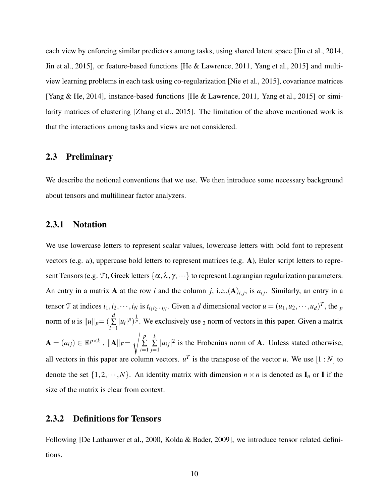each view by enforcing similar predictors among tasks, using shared latent space [\[Jin et al., 2014,](#page-144-0) [Jin et al., 2015\]](#page-144-1), or feature-based functions [\[He & Lawrence, 2011,](#page-143-2) [Yang et al., 2015\]](#page-153-2) and multiview learning problems in each task using co-regularization [\[Nie et al., 2015\]](#page-149-1), covariance matrices [\[Yang & He, 2014\]](#page-153-3), instance-based functions [\[He & Lawrence, 2011,](#page-143-2) [Yang et al., 2015\]](#page-153-2) or similarity matrices of clustering [\[Zhang et al., 2015\]](#page-154-0). The limitation of the above mentioned work is that the interactions among tasks and views are not considered.

#### <span id="page-23-0"></span>2.3 Preliminary

We describe the notional conventions that we use. We then introduce some necessary background about tensors and multilinear factor analyzers.

#### <span id="page-23-1"></span>2.3.1 Notation

We use lowercase letters to represent scalar values, lowercase letters with bold font to represent vectors (e.g. *u*), uppercase bold letters to represent matrices (e.g. A), Euler script letters to represent Tensors (e.g. T), Greek letters  $\{\alpha, \lambda, \gamma, \dots\}$  to represent Lagrangian regularization parameters. An entry in a matrix **A** at the row *i* and the column *j*, i.e., $(A)_{i,j}$ , is  $a_{ij}$ . Similarly, an entry in a tensor T at indices  $i_1, i_2, \dots, i_N$  is  $t_{i_1 i_2 \dots i_N}$ . Given a d dimensional vector  $u = (u_1, u_2, \dots, u_d)^T$ , the  $_p$ norm of *u* is  $||u||_p = (\sum_{i=1}^d$  $\sum_{i=1}$  $|u_i|^p$ <sup> $\frac{1}{p}$ . We exclusively use <sub>2</sub> norm of vectors in this paper. Given a matrix</sup>  $\mathbf{A} = (a_{ij}) \in \mathbb{R}^{p \times k}$ ,  $\|\mathbf{A}\|_F =$ s *p*  $\sum_{i=1}$ *k* ∑ *j*=1  $|a_{ij}|^2$  is the Frobenius norm of **A**. Unless stated otherwise, all vectors in this paper are column vectors.  $u^T$  is the transpose of the vector *u*. We use  $[1:N]$  to denote the set  $\{1, 2, \dots, N\}$ . An identity matrix with dimension  $n \times n$  is denoted as  $I_n$  or I if the size of the matrix is clear from context.

### <span id="page-23-2"></span>2.3.2 Definitions for Tensors

Following [\[De Lathauwer et al., 2000,](#page-142-1) [Kolda & Bader, 2009\]](#page-145-0), we introduce tensor related definitions.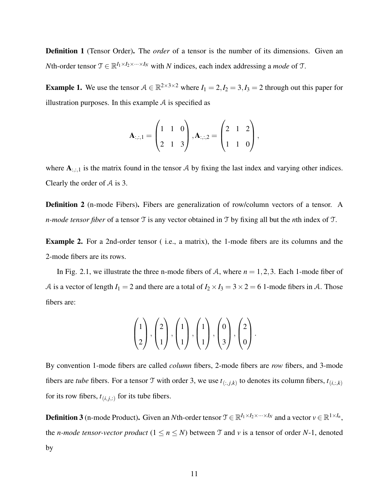Definition 1 (Tensor Order). The *order* of a tensor is the number of its dimensions. Given an *N*th-order tensor  $\mathcal{T} \in \mathbb{R}^{I_1 \times I_2 \times \cdots \times I_N}$  with *N* indices, each index addressing a *mode* of  $\mathcal{T}$ .

**Example 1.** We use the tensor  $A \in \mathbb{R}^{2 \times 3 \times 2}$  where  $I_1 = 2, I_2 = 3, I_3 = 2$  through out this paper for illustration purposes. In this example  $A$  is specified as

$$
\mathbf{A}_{:,:,1} = \begin{pmatrix} 1 & 1 & 0 \\ 2 & 1 & 3 \end{pmatrix}, \mathbf{A}_{:,:,2} = \begin{pmatrix} 2 & 1 & 2 \\ 1 & 1 & 0 \end{pmatrix},
$$

where  $A_{...1}$  is the matrix found in the tensor A by fixing the last index and varying other indices. Clearly the order of  $A$  is 3.

Definition 2 (n-mode Fibers). Fibers are generalization of row/column vectors of a tensor. A *n-mode tensor fiber* of a tensor T is any vector obtained in T by fixing all but the *n*th index of T.

Example 2. For a 2nd-order tensor ( i.e., a matrix), the 1-mode fibers are its columns and the 2-mode fibers are its rows.

In Fig. [2.1,](#page-25-0) we illustrate the three n-mode fibers of A, where  $n = 1, 2, 3$ . Each 1-mode fiber of A is a vector of length  $I_1 = 2$  and there are a total of  $I_2 \times I_3 = 3 \times 2 = 6$  1-mode fibers in A. Those fibers are:

$$
\begin{pmatrix} 1 \\ 2 \end{pmatrix}, \begin{pmatrix} 2 \\ 1 \end{pmatrix}, \begin{pmatrix} 1 \\ 1 \end{pmatrix}, \begin{pmatrix} 1 \\ 1 \end{pmatrix}, \begin{pmatrix} 0 \\ 3 \end{pmatrix}, \begin{pmatrix} 2 \\ 0 \end{pmatrix}.
$$

By convention 1-mode fibers are called *column* fibers, 2-mode fibers are *row* fibers, and 3-mode fibers are *tube* fibers. For a tensor T with order 3, we use  $t_{(:,j,k)}$  to denotes its column fibers,  $t_{(i,:k)}$ for its row fibers,  $t_{(i,j,:)}$  for its tube fibers.

<span id="page-24-0"></span>**Definition 3** (n-mode Product). Given an *N*th-order tensor  $\mathcal{T} \in \mathbb{R}^{I_1 \times I_2 \times \cdots \times I_N}$  and a vector  $v \in \mathbb{R}^{1 \times I_n}$ , the *n-mode tensor-vector product*  $(1 \le n \le N)$  between T and *v* is a tensor of order *N*-1, denoted by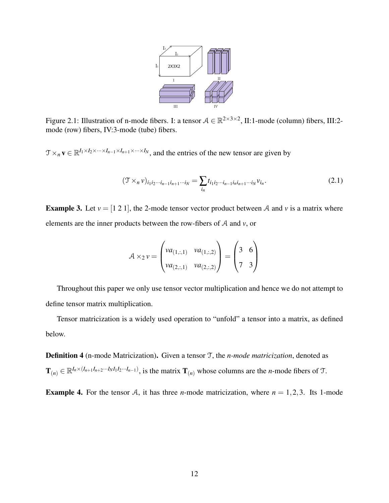

<span id="page-25-0"></span>Figure 2.1: Illustration of n-mode fibers. I: a tensor  $A \in \mathbb{R}^{2 \times 3 \times 2}$ , II:1-mode (column) fibers, III:2mode (row) fibers, IV:3-mode (tube) fibers.

 $\mathcal{T} \times_n \mathbf{v} \in \mathbb{R}^{I_1 \times I_2 \times \cdots \times I_{n-1} \times I_{n+1} \times \cdots \times I_N}$ , and the entries of the new tensor are given by

$$
(\mathcal{T} \times_n v)_{i_1 i_2 \cdots i_{n-1} i_{n+1} \cdots i_N} = \sum_{i_n} t_{i_1 i_2 \cdots i_{n-1} i_n i_{n+1} \cdots i_N} v_{i_n}.
$$
 (2.1)

**Example 3.** Let  $v = \begin{bmatrix} 1 & 2 & 1 \end{bmatrix}$ , the 2-mode tensor vector product between A and *v* is a matrix where elements are the inner products between the row-fibers of A and *v*, or

$$
\mathcal{A} \times_2 v = \begin{pmatrix} va_{(1,:,1)} & va_{(1,:,2)} \\ va_{(2,:,1)} & va_{(2,:,2)} \end{pmatrix} = \begin{pmatrix} 3 & 6 \\ 7 & 3 \end{pmatrix}
$$

Throughout this paper we only use tensor vector multiplication and hence we do not attempt to define tensor matrix multiplication.

Tensor matricization is a widely used operation to "unfold" a tensor into a matrix, as defined below.

Definition 4 (n-mode Matricization). Given a tensor T, the *n-mode matricization*, denoted as  $\mathbf{T}_{(n)} \in \mathbb{R}^{I_n \times (I_{n+1}I_{n+2}\cdots I_NI_1I_2\cdots I_{n-1})}$ , is the matrix  $\mathbf{T}_{(n)}$  whose columns are the *n*-mode fibers of T.

**Example 4.** For the tensor A, it has three *n*-mode matricization, where  $n = 1, 2, 3$ . Its 1-mode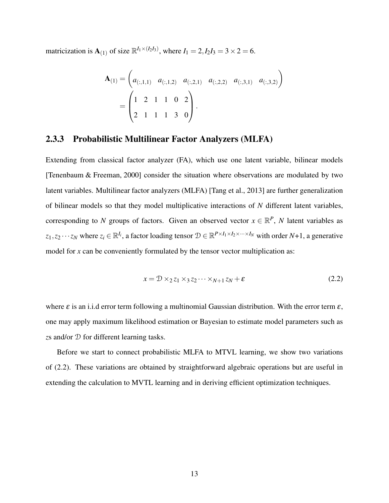matricization is  $\mathbf{A}_{(1)}$  of size  $\mathbb{R}^{I_1 \times (I_2 I_3)}$ , where  $I_1 = 2, I_2 I_3 = 3 \times 2 = 6$ .

$$
\mathbf{A}_{(1)} = \begin{pmatrix} a_{(:,1,1)} & a_{(:,1,2)} & a_{(:,2,1)} & a_{(:,2,2)} & a_{(:,3,1)} & a_{(:,3,2)} \end{pmatrix}
$$
  
= 
$$
\begin{pmatrix} 1 & 2 & 1 & 1 & 0 & 2 \\ 2 & 1 & 1 & 1 & 3 & 0 \end{pmatrix}.
$$

## <span id="page-26-0"></span>2.3.3 Probabilistic Multilinear Factor Analyzers (MLFA)

Extending from classical factor analyzer (FA), which use one latent variable, bilinear models [\[Tenenbaum & Freeman, 2000\]](#page-152-1) consider the situation where observations are modulated by two latent variables. Multilinear factor analyzers (MLFA) [\[Tang et al., 2013\]](#page-152-0) are further generalization of bilinear models so that they model multiplicative interactions of *N* different latent variables, corresponding to *N* groups of factors. Given an observed vector  $x \in \mathbb{R}^P$ , *N* latent variables as  $z_1, z_2 \cdots z_N$  where  $z_i \in \mathbb{R}^{I_i}$ , a factor loading tensor  $\mathcal{D} \in \mathbb{R}^{P \times I_1 \times I_2 \times \cdots \times I_N}$  with order  $N+1$ , a generative model for *x* can be conveniently formulated by the tensor vector multiplication as:

<span id="page-26-1"></span>
$$
x = \mathcal{D} \times_2 z_1 \times_3 z_2 \cdots \times_{N+1} z_N + \varepsilon \tag{2.2}
$$

where  $\varepsilon$  is an i.i.d error term following a multinomial Gaussian distribution. With the error term  $\varepsilon$ , one may apply maximum likelihood estimation or Bayesian to estimate model parameters such as *z*s and/or D for different learning tasks.

Before we start to connect probabilistic MLFA to MTVL learning, we show two variations of [\(2.2\)](#page-26-1). These variations are obtained by straightforward algebraic operations but are useful in extending the calculation to MVTL learning and in deriving efficient optimization techniques.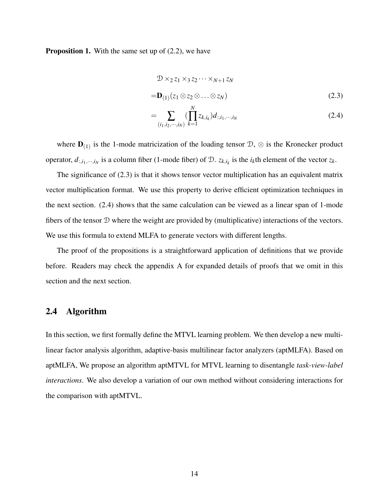**Proposition 1.** With the same set up of [\(2.2\)](#page-26-1), we have

<span id="page-27-1"></span>
$$
\mathcal{D} \times_2 z_1 \times_3 z_2 \cdots \times_{N+1} z_N
$$
  
=**D**<sub>(1)</sub>(z<sub>1</sub> \otimes z<sub>2</sub> \otimes \ldots \otimes z<sub>N</sub>) (2.3)

<span id="page-27-2"></span>
$$
= \sum_{(1, j) \in \mathbb{Z}} (\prod_{k}^{N} z_{k, i_k}) d_{:, i_1, ..., i_N}
$$
 (2.4)

$$
=\sum_{(i_1,i_2,\cdots,i_N)}\left(\prod_{k=1}^{n}z_{k,i_k}\right)d_{:,i_1,\cdots,i_N}
$$
\n(2.4)

where  $\mathbf{D}_{(1)}$  is the 1-mode matricization of the loading tensor  $\mathcal{D}, \otimes$  is the Kronecker product operator,  $d_{:,i_1,...,i_N}$  is a column fiber (1-mode fiber) of D.  $z_{k,i_k}$  is the  $i_k$ th element of the vector  $z_k$ .

The significance of [\(2.3\)](#page-27-1) is that it shows tensor vector multiplication has an equivalent matrix vector multiplication format. We use this property to derive efficient optimization techniques in the next section. [\(2.4\)](#page-27-2) shows that the same calculation can be viewed as a linear span of 1-mode fibers of the tensor D where the weight are provided by (multiplicative) interactions of the vectors. We use this formula to extend MLFA to generate vectors with different lengths.

The proof of the propositions is a straightforward application of definitions that we provide before. Readers may check the appendix [A](#page-155-0) for expanded details of proofs that we omit in this section and the next section.

## <span id="page-27-0"></span>2.4 Algorithm

In this section, we first formally define the MTVL learning problem. We then develop a new multilinear factor analysis algorithm, adaptive-basis multilinear factor analyzers (aptMLFA). Based on aptMLFA, We propose an algorithm aptMTVL for MTVL learning to disentangle *task-view-label interactions*. We also develop a variation of our own method without considering interactions for the comparison with aptMTVL.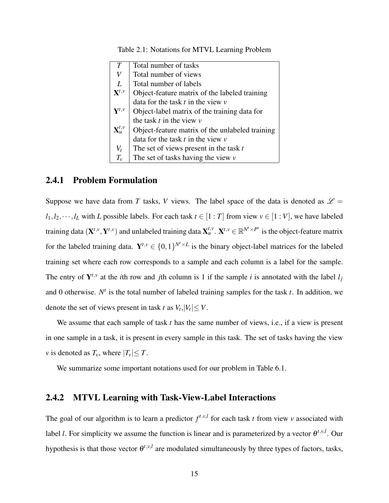| Table 2.1: Notations for MTVL Learning Problem |  |  |  |
|------------------------------------------------|--|--|--|
|------------------------------------------------|--|--|--|

<span id="page-28-2"></span>

| T                      | Total number of tasks                           |
|------------------------|-------------------------------------------------|
| V                      | Total number of views                           |
| L                      | Total number of labels                          |
| $\mathbf{X}^{t,v}$     | Object-feature matrix of the labeled training   |
|                        | data for the task $t$ in the view $v$           |
| $\mathbf{Y}^{t,v}$     | Object-label matrix of the training data for    |
|                        | the task $t$ in the view $v$                    |
| $\mathbf{X}_{u}^{t,v}$ | Object-feature matrix of the unlabeled training |
|                        | data for the task $t$ in the view $v$           |
| $V_t$                  | The set of views present in the task $t$        |
| $T_{\nu}$              | The set of tasks having the view $\nu$          |
|                        |                                                 |

### <span id="page-28-0"></span>2.4.1 Problem Formulation

Suppose we have data from *T* tasks, *V* views. The label space of the data is denoted as  $\mathcal{L} =$  $l_1, l_2, \dots, l_L$  with *L* possible labels. For each task  $t \in [1 : T]$  from view  $v \in [1 : V]$ , we have labeled training data  $(X^{t,v}, Y^{t,v})$  and unlabeled training data  $X^{t,v}_u$ .  $X^{t,v} \in \mathbb{R}^{N^t \times P^v}$  is the object-feature matrix for the labeled training data.  $Y^{t,y} \in \{0,1\}^{N^t \times L}$  is the binary object-label matrices for the labeled training set where each row corresponds to a sample and each column is a label for the sample. The entry of  $Y^{t,\nu}$  at the *i*th row and *j*th column is 1 if the sample *i* is annotated with the label  $l_j$ and 0 otherwise.  $N<sup>t</sup>$  is the total number of labeled training samples for the task  $t$ . In addition, we denote the set of views present in task *t* as  $V_t$ ,  $|V_t| \leq V$ .

We assume that each sample of task *t* has the same number of views, i.e., if a view is present in one sample in a task, it is present in every sample in this task. The set of tasks having the view *v* is denoted as  $T_v$ , where  $|T_v| \leq T$ .

We summarize some important notations used for our problem in Table [6.1.](#page-119-1)

## <span id="page-28-1"></span>2.4.2 MTVL Learning with Task-View-Label Interactions

The goal of our algorithm is to learn a predictor  $f^{t,v,l}$  for each task *t* from view *v* associated with label *l*. For simplicity we assume the function is linear and is parameterized by a vector  $\theta^{t,v,l}$ . Our hypothesis is that those vector  $\theta^{t,v,l}$  are modulated simultaneously by three types of factors, tasks,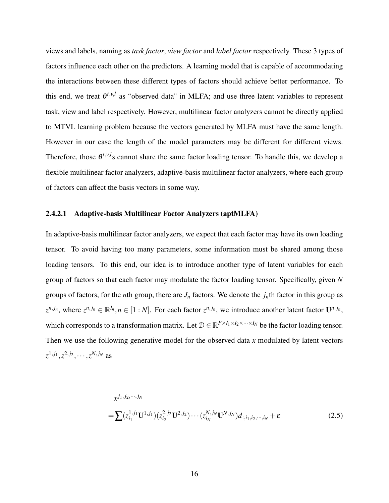views and labels, naming as *task factor*, *view factor* and *label factor* respectively. These 3 types of factors influence each other on the predictors. A learning model that is capable of accommodating the interactions between these different types of factors should achieve better performance. To this end, we treat  $\theta^{t,v,l}$  as "observed data" in MLFA; and use three latent variables to represent task, view and label respectively. However, multilinear factor analyzers cannot be directly applied to MTVL learning problem because the vectors generated by MLFA must have the same length. However in our case the length of the model parameters may be different for different views. Therefore, those  $\theta^{t,v,l}$  cannot share the same factor loading tensor. To handle this, we develop a flexible multilinear factor analyzers, adaptive-basis multilinear factor analyzers, where each group of factors can affect the basis vectors in some way.

#### <span id="page-29-0"></span>2.4.2.1 Adaptive-basis Multilinear Factor Analyzers (aptMLFA)

In adaptive-basis multilinear factor analyzers, we expect that each factor may have its own loading tensor. To avoid having too many parameters, some information must be shared among those loading tensors. To this end, our idea is to introduce another type of latent variables for each group of factors so that each factor may modulate the factor loading tensor. Specifically, given *N* groups of factors, for the *n*th group, there are  $J_n$  factors. We denote the  $j_n$ th factor in this group as  $z^{n,j_n}$ , where  $z^{n,j_n} \in \mathbb{R}^{J_n}$ ,  $n \in [1:N]$ . For each factor  $z^{n,j_n}$ , we introduce another latent factor  $\mathbf{U}^{n,j_n}$ , which corresponds to a transformation matrix. Let  $D \in \mathbb{R}^{P \times I_1 \times I_2 \times \cdots \times I_N}$  be the factor loading tensor. Then we use the following generative model for the observed data *x* modulated by latent vectors  $z^{1,j_1}, z^{2,j_2}, \cdots, z^{N,j_N}$  as

<span id="page-29-1"></span>
$$
x^{j_1, j_2, \cdots, j_N} = \sum (z_{i_1}^{1, j_1} \mathbf{U}^{1, j_1}) (z_{i_2}^{2, j_2} \mathbf{U}^{2, j_2}) \cdots (z_{i_N}^{N, j_N} \mathbf{U}^{N, j_N}) d_{:, i_1, i_2, \cdots, i_N} + \varepsilon
$$
\n(2.5)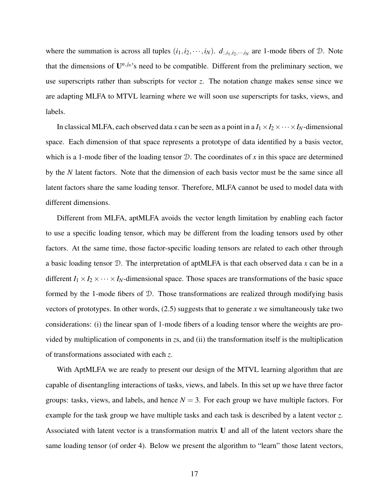where the summation is across all tuples  $(i_1, i_2, \dots, i_N)$ .  $d_{:, i_1, i_2, \dots, i_N}$  are 1-mode fibers of  $D$ . Note that the dimensions of  $U^{n,j_n}$ 's need to be compatible. Different from the preliminary section, we use superscripts rather than subscripts for vector *z*. The notation change makes sense since we are adapting MLFA to MTVL learning where we will soon use superscripts for tasks, views, and labels.

In classical MLFA, each observed data *x* can be seen as a point in a  $I_1 \times I_2 \times \cdots \times I_N$ -dimensional space. Each dimension of that space represents a prototype of data identified by a basis vector, which is a 1-mode fiber of the loading tensor D. The coordinates of *x* in this space are determined by the *N* latent factors. Note that the dimension of each basis vector must be the same since all latent factors share the same loading tensor. Therefore, MLFA cannot be used to model data with different dimensions.

Different from MLFA, aptMLFA avoids the vector length limitation by enabling each factor to use a specific loading tensor, which may be different from the loading tensors used by other factors. At the same time, those factor-specific loading tensors are related to each other through a basic loading tensor D. The interpretation of aptMLFA is that each observed data *x* can be in a different  $I_1 \times I_2 \times \cdots \times I_N$ -dimensional space. Those spaces are transformations of the basic space formed by the 1-mode fibers of D. Those transformations are realized through modifying basis vectors of prototypes. In other words, [\(2.5\)](#page-29-1) suggests that to generate *x* we simultaneously take two considerations: (i) the linear span of 1-mode fibers of a loading tensor where the weights are provided by multiplication of components in *z*s, and (ii) the transformation itself is the multiplication of transformations associated with each *z*.

With AptMLFA we are ready to present our design of the MTVL learning algorithm that are capable of disentangling interactions of tasks, views, and labels. In this set up we have three factor groups: tasks, views, and labels, and hence  $N = 3$ . For each group we have multiple factors. For example for the task group we have multiple tasks and each task is described by a latent vector *z*. Associated with latent vector is a transformation matrix U and all of the latent vectors share the same loading tensor (of order 4). Below we present the algorithm to "learn" those latent vectors,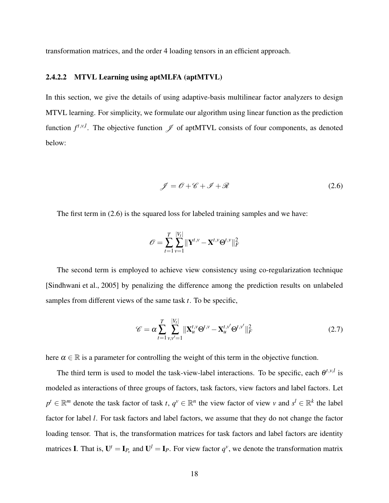transformation matrices, and the order 4 loading tensors in an efficient approach.

#### <span id="page-31-0"></span>2.4.2.2 MTVL Learning using aptMLFA (aptMTVL)

In this section, we give the details of using adaptive-basis multilinear factor analyzers to design MTVL learning. For simplicity, we formulate our algorithm using linear function as the prediction function  $f^{t,v,l}$ . The objective function  $\mathscr J$  of aptMTVL consists of four components, as denoted below:

<span id="page-31-1"></span>
$$
\mathcal{J} = \mathcal{O} + \mathcal{C} + \mathcal{I} + \mathcal{R} \tag{2.6}
$$

The first term in [\(2.6\)](#page-31-1) is the squared loss for labeled training samples and we have:

$$
\mathscr{O} = \sum_{t=1}^T \sum_{\nu=1}^{|V_t|} \|\mathbf{Y}^{t,\nu} - \mathbf{X}^{t,\nu} \Theta^{t,\nu}\|_F^2
$$

The second term is employed to achieve view consistency using co-regularization technique [\[Sindhwani et al., 2005\]](#page-151-1) by penalizing the difference among the prediction results on unlabeled samples from different views of the same task *t*. To be specific,

$$
\mathscr{C} = \alpha \sum_{t=1}^{T} \sum_{v,v'=1}^{|V_t|} \|\mathbf{X}_{u}^{t,v} \Theta^{t,v} - \mathbf{X}_{u}^{t,v'} \Theta^{t,v'}\|_{F}^{2}
$$
(2.7)

here  $\alpha \in \mathbb{R}$  is a parameter for controlling the weight of this term in the objective function.

The third term is used to model the task-view-label interactions. To be specific, each  $\theta^{t,v,l}$  is modeled as interactions of three groups of factors, task factors, view factors and label factors. Let  $p^t \in \mathbb{R}^m$  denote the task factor of task *t*,  $q^v \in \mathbb{R}^n$  the view factor of view *v* and  $s^l \in \mathbb{R}^k$  the label factor for label *l*. For task factors and label factors, we assume that they do not change the factor loading tensor. That is, the transformation matrices for task factors and label factors are identity matrices **I**. That is,  $U^t = I_{P_v}$  and  $U^l = I_P$ . For view factor  $q^v$ , we denote the transformation matrix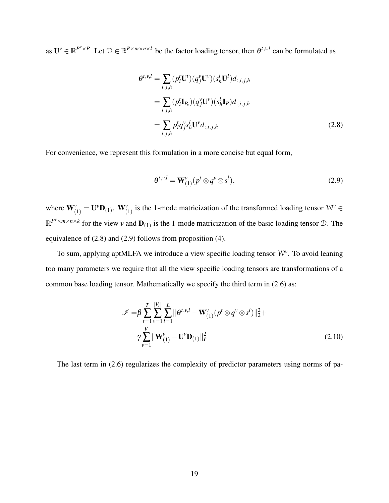as  $\mathbf{U}^{\nu} \in \mathbb{R}^{P^{\nu} \times P}$ . Let  $\mathcal{D} \in \mathbb{R}^{P \times m \times n \times k}$  be the factor loading tensor, then  $\theta^{t, v, l}$  can be formulated as

$$
\theta^{t,v,l} = \sum_{i,j,h} (p_i^t \mathbf{U}^t) (q_j^v \mathbf{U}^v) (s_h^l \mathbf{U}^l) d_{:,i,j,h}
$$
  
= 
$$
\sum_{i,j,h} (p_i^t \mathbf{I}_{P_v}) (q_j^v \mathbf{U}^v) (s_h^l \mathbf{I}_P) d_{:,i,j,h}
$$
  
= 
$$
\sum_{i,j,h} p_i^t q_j^v s_h^l \mathbf{U}^v d_{:,i,j,h}
$$
 (2.8)

For convenience, we represent this formulation in a more concise but equal form,

<span id="page-32-1"></span><span id="page-32-0"></span>
$$
\boldsymbol{\theta}^{t,v,l} = \mathbf{W}_{(1)}^v (p^t \otimes q^v \otimes s^l), \tag{2.9}
$$

where  $W^{\nu}_{(1)} = U^{\nu}D_{(1)}$ .  $W^{\nu}_{(1)}$  is the 1-mode matricization of the transformed loading tensor  $W^{\nu} \in$  $\mathbb{R}^{P^v \times m \times n \times k}$  for the view *v* and  $\mathbf{D}_{(1)}$  is the 1-mode matricization of the basic loading tensor  $\mathcal{D}$ . The equivalence of [\(2.8\)](#page-32-0) and [\(2.9\)](#page-32-1) follows from proposition [\(4\)](#page-157-1).

To sum, applying aptMLFA we introduce a view specific loading tensor W*<sup>v</sup>* . To avoid leaning too many parameters we require that all the view specific loading tensors are transformations of a common base loading tensor. Mathematically we specify the third term in [\(2.6\)](#page-31-1) as:

$$
\mathscr{I} = \beta \sum_{t=1}^{T} \sum_{v=1}^{|V_t|} \sum_{l=1}^{L} ||\boldsymbol{\theta}^{t,v,l} - \mathbf{W}_{(1)}^{v}(p^t \otimes q^v \otimes s^l)||_2^2 +
$$
  

$$
\gamma \sum_{v=1}^{V} ||\mathbf{W}_{(1)}^{v} - \mathbf{U}^{v}\mathbf{D}_{(1)}||_F^2
$$
 (2.10)

The last term in [\(2.6\)](#page-31-1) regularizes the complexity of predictor parameters using norms of pa-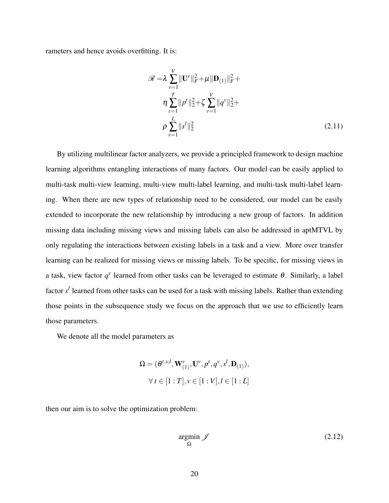rameters and hence avoids overfitting. It is:

$$
\mathcal{R} = \lambda \sum_{\nu=1}^{V} ||\mathbf{U}^{\nu}||_{F}^{2} + \mu ||\mathbf{D}_{(1)}||_{F}^{2} + \eta \sum_{t=1}^{T} ||p^{t}||_{2}^{2} + \zeta \sum_{\nu=1}^{V} ||q^{\nu}||_{2}^{2} + \rho \sum_{\nu=1}^{L} ||s^{l}||_{2}^{2}
$$
\n(2.11)

By utilizing multilinear factor analyzers, we provide a principled framework to design machine learning algorithms entangling interactions of many factors. Our model can be easily applied to multi-task multi-view learning, multi-view multi-label learning, and multi-task multi-label learning. When there are new types of relationship need to be considered, our model can be easily extended to incorporate the new relationship by introducing a new group of factors. In addition missing data including missing views and missing labels can also be addressed in aptMTVL by only regulating the interactions between existing labels in a task and a view. More over transfer learning can be realized for missing views or missing labels. To be specific, for missing views in a task, view factor  $q^v$  learned from other tasks can be leveraged to estimate  $\theta$ . Similarly, a label factor  $s^l$  learned from other tasks can be used for a task with missing labels. Rather than extending those points in the subsequence study we focus on the approach that we use to efficiently learn those parameters.

We denote all the model parameters as

$$
\Omega = (\theta^{t,v,l}, \mathbf{W}_{(1)}^v, \mathbf{U}^v, p^t, q^v, s^l, \mathbf{D}_{(1)}),
$$
  

$$
\forall t \in [1:T], v \in [1:V], l \in [1:L]
$$

then our aim is to solve the optimization problem:

$$
\underset{\Omega}{\text{argmin}} \mathcal{J} \tag{2.12}
$$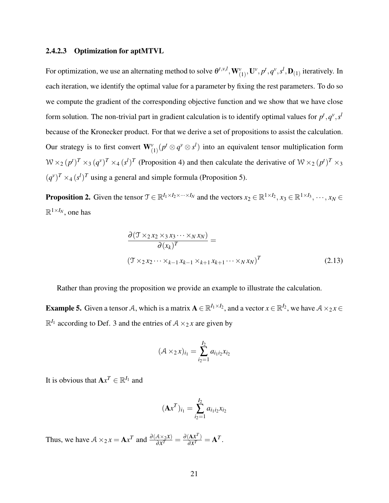#### <span id="page-34-0"></span>2.4.2.3 Optimization for aptMTVL

For optimization, we use an alternating method to solve  $\theta^{t,v,l},\mathbf{W}_{(1)}^v,\mathbf{U}^v,p^t,q^v,s^l,\mathbf{D}_{(1)}$  iteratively. In each iteration, we identify the optimal value for a parameter by fixing the rest parameters. To do so we compute the gradient of the corresponding objective function and we show that we have close form solution. The non-trivial part in gradient calculation is to identify optimal values for  $p^t, q^v, s^l$ because of the Kronecker product. For that we derive a set of propositions to assist the calculation. Our strategy is to first convert  $W^v_{(1)}(p^t \otimes q^v \otimes s^l)$  into an equivalent tensor multiplication form  $W \times_2 (p^t)^T \times_3 (q^v)^T \times_4 (s^t)^T$  (Proposition [4\)](#page-157-1) and then calculate the derivative of  $W \times_2 (p^t)^T \times_3$  $(q^v)^T \times_4 (s^l)^T$  using a general and simple formula (Proposition [5\)](#page-159-1).

**Proposition 2.** Given the tensor  $\mathcal{T} \in \mathbb{R}^{I_1 \times I_2 \times \cdots \times I_N}$  and the vectors  $x_2 \in \mathbb{R}^{1 \times I_2}$ ,  $x_3 \in \mathbb{R}^{1 \times I_3}$ ,  $\cdots$ ,  $x_N \in$  $\mathbb{R}^{1 \times I_N}$ , one has

$$
\frac{\partial (\mathcal{T} \times_2 x_2 \times_3 x_3 \cdots \times_N x_N)}{\partial (x_k)^T} =
$$
\n
$$
(\mathcal{T} \times_2 x_2 \cdots \times_{k-1} x_{k-1} \times_{k+1} x_{k+1} \cdots \times_N x_N)^T
$$
\n(2.13)

Rather than proving the proposition we provide an example to illustrate the calculation.

**Example 5.** Given a tensor A, which is a matrix  $A \in \mathbb{R}^{I_1 \times I_2}$ , and a vector  $x \in \mathbb{R}^{I_2}$ , we have  $A \times_2 x \in$  $\mathbb{R}^{I_1}$  according to Def. [3](#page-24-0) and the entries of  $A \times_2 x$  are given by

$$
(\mathcal{A} \times_2 x)_{i_1} = \sum_{i_2=1}^{I_2} a_{i_1 i_2} x_{i_2}
$$

It is obvious that  $A x^T \in \mathbb{R}^{I_1}$  and

$$
(\mathbf{A}x^T)_{i_1} = \sum_{i_2=1}^{I_2} a_{i_1 i_2} x_{i_2}
$$

Thus, we have  $A \times_2 x = Ax^T$  and  $\frac{\partial (A \times_2 x)}{\partial x^T} = \frac{\partial (Ax^T)}{\partial x^T} = A^T$ .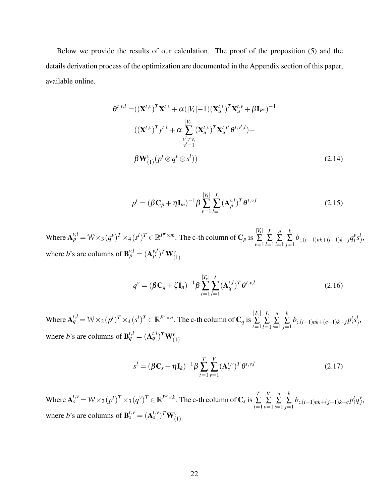Below we provide the results of our calculation. The proof of the proposition [\(5\)](#page-159-1) and the details derivation process of the optimization are documented in the Appendix section of this paper, available online.

$$
\theta^{t,v,l} = ((\mathbf{X}^{t,v})^T \mathbf{X}^{t,v} + \alpha (|V_t| - 1) (\mathbf{X}_u^{t,v})^T \mathbf{X}_u^{t,v} + \beta \mathbf{I}_{P^v})^{-1}
$$
  

$$
((\mathbf{X}^{t,v})^T y^{t,v} + \alpha \sum_{\substack{v' \neq v, \\ v' = 1}}^{|V_t|} (\mathbf{X}_u^{t,v})^T \mathbf{X}_u^{t,v'} \theta^{t,v',l}) +
$$
  

$$
\beta \mathbf{W}_{(1)}^v (p^t \otimes q^v \otimes s^l))
$$
 (2.14)

$$
p^{t} = (\beta \mathbf{C}_p + \eta \mathbf{I}_m)^{-1} \beta \sum_{\nu=1}^{|V_t|} \sum_{l=1}^{L} (\mathbf{A}_p^{\nu,l})^T \theta^{t,\nu,l}
$$
(2.15)

 $\mathbf{W}$ here  $\mathbf{A}_{p}^{v,l} = \mathcal{W} \times_3 (q^v)^T \times_4 (s^l)^T \in \mathbb{R}^{P^v \times m}$ . The c-th column of  $\mathbf{C}_p$  is  $\sum_{i=1}^{|V_t|}$ ∑ *v*=1 *L*  $\sum_{l=1}$ *n* ∑ *i*=1 *k*  $\sum_{j=1}^{k} b_{:,(c-1)nk+(i-1)k+j} q_i^{v} s_j^{l},$ where *b*'s are columns of  $\mathbf{B}_p^{\nu,l} = (\mathbf{A}_p^{\nu,l})^T \mathbf{W}_{(1)}^{\nu}$ 

$$
q^{\nu} = (\beta \mathbf{C}_q + \zeta \mathbf{I}_n)^{-1} \beta \sum_{t=1}^{|T_{\nu}|} \sum_{l=1}^{L} (\mathbf{A}_q^{t,l})^T \theta^{t,\nu,l}
$$
(2.16)

Where  $\mathbf{A}_q^{t,l} = \mathcal{W} \times_2 (p^t)^T \times_4 (s^l)^T \in \mathbb{R}^{P^v \times n}$ . The c-th column of  $\mathbf{C}_q$  is  $|T_{\nu}|$  $\sum_{t=1}$ *L* ∑ *l*=1 *n* ∑ *i*=1 *k*  $\sum_{j=1}^{k} b_{:,(i-1)nk+(c-1)k+j} p_i^t s_j^l$ where *b*'s are columns of  $\mathbf{B}_{q}^{t,l} = (\mathbf{A}_{q}^{t,l})^T \mathbf{W}_{(1)}^v$ 

$$
s^{l} = (\beta \mathbf{C}_{s} + \eta \mathbf{I}_{k})^{-1} \beta \sum_{t=1}^{T} \sum_{\nu=1}^{V} (\mathbf{A}_{s}^{t,\nu})^{T} \theta^{t,\nu,l}
$$
(2.17)

Where  $\mathbf{A}_s^{t,v} = \mathcal{W} \times_2 (p^t)^T \times_3 (q^v)^T \in \mathbb{R}^{p^v \times k}$ . The c-th column of  $\mathbf{C}_s$  is *T*  $\sum_{t=1}$ *V* ∑ *v*=1 *n*  $\sum_{i=1}$ *k*  $\sum_{j=1}^{n} b_{:,(i-1)nk+(j-1)k+c} p_i^t q_j^v,$ where *b*'s are columns of  $\mathbf{B}_{s}^{t,v} = (\mathbf{A}_{s}^{t,v})^T \mathbf{W}_{(1)}^{v}$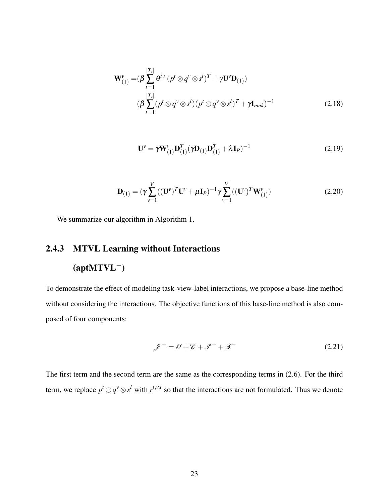$$
\mathbf{W}_{(1)}^{\nu} = (\beta \sum_{t=1}^{|T_{\nu}|} \theta^{t,\nu} (p^t \otimes q^{\nu} \otimes s^l)^T + \gamma \mathbf{U}^{\nu} \mathbf{D}_{(1)})
$$
  

$$
(\beta \sum_{t=1}^{|T_{\nu}|} (p^t \otimes q^{\nu} \otimes s^l)(p^t \otimes q^{\nu} \otimes s^l)^T + \gamma \mathbf{I}_{mnk})^{-1}
$$
(2.18)

<span id="page-36-2"></span><span id="page-36-1"></span><span id="page-36-0"></span>
$$
\mathbf{U}^{\nu} = \gamma \mathbf{W}_{(1)}^{\nu} \mathbf{D}_{(1)}^T (\gamma \mathbf{D}_{(1)} \mathbf{D}_{(1)}^T + \lambda \mathbf{I}_P)^{-1}
$$
(2.19)

$$
\mathbf{D}_{(1)} = (\gamma \sum_{\nu=1}^{V} ((\mathbf{U}^{\nu})^{T} \mathbf{U}^{\nu} + \mu \mathbf{I}_{P})^{-1} \gamma \sum_{\nu=1}^{V} ((\mathbf{U}^{\nu})^{T} \mathbf{W}_{(1)}^{\nu})
$$
(2.20)

We summarize our algorithm in Algorithm [1.](#page-37-0)

# 2.4.3 MTVL Learning without Interactions  $(\text{aptMTVL}^-)$

To demonstrate the effect of modeling task-view-label interactions, we propose a base-line method without considering the interactions. The objective functions of this base-line method is also composed of four components:

$$
\mathcal{J}^- = \mathcal{O} + \mathcal{C} + \mathcal{I}^- + \mathcal{R}^- \tag{2.21}
$$

The first term and the second term are the same as the corresponding terms in [\(2.6\)](#page-31-0). For the third term, we replace  $p^t \otimes q^v \otimes s^l$  with  $r^{t,v,l}$  so that the interactions are not formulated. Thus we denote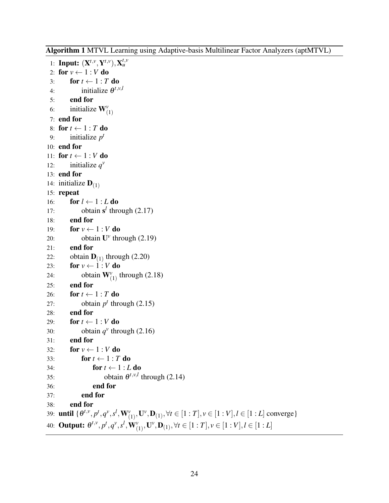<span id="page-37-0"></span>Algorithm 1 MTVL Learning using Adaptive-basis Multilinear Factor Analyzers (aptMTVL)

```
1: Input: (\mathbf{X}^{t,v}, \mathbf{Y}^{t,v}), \mathbf{X}^{t,v}_u2: for v \leftarrow 1 : V do
 3: for t \leftarrow 1 : T do
 4: initialize \theta^{t,v,l}5: end for
 6: initialize \mathbf{W}_{(1)}^{\nu}7: end for
 8: for t \leftarrow 1 : T do
 9: initialize p^t10: end for
11: for t \leftarrow 1 : V do
12: initialize q^v13: end for
14: initialize \mathbf{D}_{(1)}15: repeat
16: for l \leftarrow 1 : L do
17: obtain s^l(2.17)
18: end for
19: for v \leftarrow 1 : V do
20: obtain U^{\nu}(2.19)
21: end for
22: obtain \mathbf{D}_{(1)}(2.20)
23: for v \leftarrow 1 : V do
24: obtain \mathbf{W}_{(1)}^{\nu}(2.18)
25: end for
26: for t \leftarrow 1 : T do
27: obtain p^t(2.15)
28: end for
29: for t \leftarrow 1 : V do
30: obtain q^v(2.16)
31: end for
32: for v \leftarrow 1 : V do
33: for t \leftarrow 1 : T do
34: for t \leftarrow 1 : L do
35: obtain \theta^{t,v,l}(2.14)
36: end for
37: end for
38: end for
39: until \{\theta^{t,v}, p^t, q^v, s^l, \mathbf{W}_{(1)}^v, \mathbf{U}^v, \mathbf{D}_{(1)}, \forall t \in [1:T], v \in [1:V], l \in [1:L] \text{ converge}\}40: Output: \theta^{t,v}, p^t, q^v, s^l, \mathbf{W}_{(1)}^v, \mathbf{U}^v, \mathbf{D}_{(1)}, \forall t \in [1:T], v \in [1:V], l \in [1:L]
```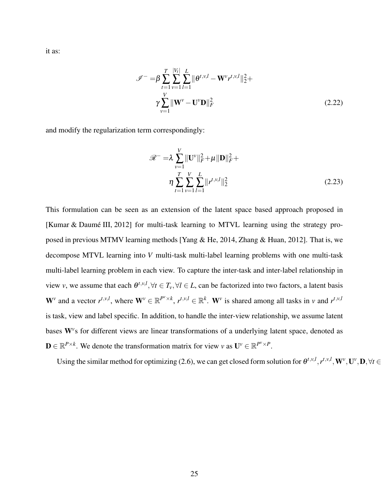it as:

$$
\mathscr{I}^{-} = \beta \sum_{t=1}^{T} \sum_{\nu=1}^{|V_t|} \sum_{l=1}^{L} ||\theta^{t,\nu,l} - \mathbf{W}^{\nu} r^{t,\nu,l}||_2^2 +
$$
  

$$
\gamma \sum_{\nu=1}^{V} ||\mathbf{W}^{\nu} - \mathbf{U}^{\nu} \mathbf{D}||_F^2
$$
 (2.22)

and modify the regularization term correspondingly:

$$
\mathcal{R}^{-} = \lambda \sum_{\nu=1}^{V} \|\mathbf{U}^{\nu}\|_{F}^{2} + \mu \|\mathbf{D}\|_{F}^{2} + \eta \sum_{t=1}^{T} \sum_{\nu=1}^{V} \sum_{l=1}^{L} \|\mathbf{r}^{t,\nu,l}\|_{2}^{2}
$$
\n(2.23)

This formulation can be seen as an extension of the latent space based approach proposed in [\[Kumar & Daumé III, 2012\]](#page-145-0) for multi-task learning to MTVL learning using the strategy proposed in previous MTMV learning methods [\[Yang & He, 2014,](#page-153-0) [Zhang & Huan, 2012\]](#page-154-0). That is, we decompose MTVL learning into *V* multi-task multi-label learning problems with one multi-task multi-label learning problem in each view. To capture the inter-task and inter-label relationship in view *v*, we assume that each  $\theta^{t,v,l}, \forall t \in T_v, \forall l \in L$ , can be factorized into two factors, a latent basis  $\mathbf{W}^{\nu}$  and a vector  $r^{t,v,l}$ , where  $\mathbf{W}^{\nu} \in \mathbb{R}^{P^{\nu} \times k}$ ,  $r^{t,v,l} \in \mathbb{R}^{k}$ .  $\mathbf{W}^{\nu}$  is shared among all tasks in v and  $r^{t,v,l}$ is task, view and label specific. In addition, to handle the inter-view relationship, we assume latent bases W*<sup>v</sup>* s for different views are linear transformations of a underlying latent space, denoted as  $\mathbf{D} \in \mathbb{R}^{P \times k}$ . We denote the transformation matrix for view *v* as  $\mathbf{U}^{\nu} \in \mathbb{R}^{P^{\nu} \times P}$ .

Using the similar method for optimizing [\(2.6\)](#page-31-0), we can get closed form solution for  $\theta^{t, v, l}, r^{t, v, l}, W^v, U^v, D, \forall t \in$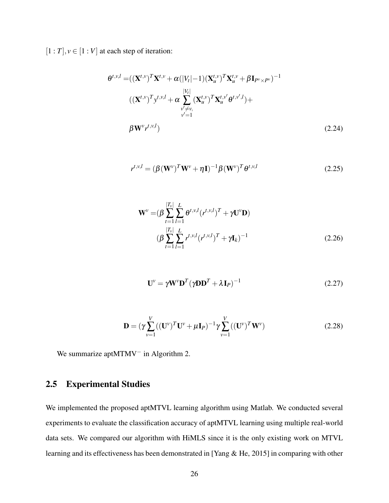$[1 : T]$ ,  $v \in [1 : V]$  at each step of iteration:

$$
\theta^{t,v,l} = ((\mathbf{X}^{t,v})^T \mathbf{X}^{t,v} + \alpha (|V_t| - 1)(\mathbf{X}_u^{t,v})^T \mathbf{X}_u^{t,v} + \beta \mathbf{I}_{P^v \times P^v})^{-1}
$$

$$
((\mathbf{X}^{t,v})^T y^{t,v,l} + \alpha \sum_{\substack{v' \neq v, \\ v'=1}}^{|V_t|} (\mathbf{X}_u^{t,v})^T \mathbf{X}_u^{t,v'} \theta^{t,v',l}) +
$$

$$
\beta \mathbf{W}^v r^{t,v,l})
$$
(2.24)

<span id="page-39-4"></span>
$$
r^{t,v,l} = (\beta(\mathbf{W}^v)^T \mathbf{W}^v + \eta \mathbf{I})^{-1} \beta(\mathbf{W}^v)^T \theta^{t,v,l}
$$
\n(2.25)

<span id="page-39-0"></span>
$$
\mathbf{W}^{\nu} = (\beta \sum_{t=1}^{|T_{\nu}|} \sum_{l=1}^{L} \theta^{t, v, l} (r^{t, v, l})^{T} + \gamma \mathbf{U}^{\nu} \mathbf{D})
$$
  
\n
$$
(\beta \sum_{t=1}^{|T_{\nu}|} \sum_{l=1}^{L} r^{t, v, l} (r^{t, v, l})^{T} + \gamma \mathbf{I}_{k})^{-1}
$$
\n(2.26)

<span id="page-39-3"></span><span id="page-39-2"></span><span id="page-39-1"></span>
$$
\mathbf{U}^{\nu} = \gamma \mathbf{W}^{\nu} \mathbf{D}^{T} (\gamma \mathbf{D} \mathbf{D}^{T} + \lambda \mathbf{I}_{P})^{-1}
$$
 (2.27)

$$
\mathbf{D} = (\gamma \sum_{v=1}^{V} ((\mathbf{U}^{v})^{T} \mathbf{U}^{v} + \mu \mathbf{I}_{P})^{-1} \gamma \sum_{v=1}^{V} ((\mathbf{U}^{v})^{T} \mathbf{W}^{v})
$$
(2.28)

We summarize aptMTMV<sup>−</sup> in Algorithm [2.](#page-40-0)

## 2.5 Experimental Studies

We implemented the proposed aptMTVL learning algorithm using Matlab. We conducted several experiments to evaluate the classification accuracy of aptMTVL learning using multiple real-world data sets. We compared our algorithm with HiMLS since it is the only existing work on MTVL learning and its effectiveness has been demonstrated in [\[Yang & He, 2015\]](#page-153-1) in comparing with other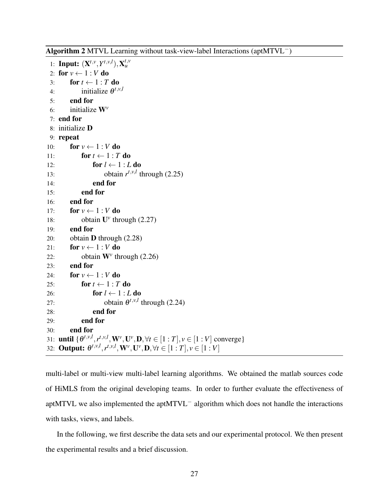<span id="page-40-0"></span>Algorithm 2 MTVL Learning without task-view-label Interactions (aptMTVL−)

```
1: Input: (X^{t,v}, Y^{t,v,l}), X^{t,v}_{u}2: for v \leftarrow 1 : V do
 3: for t \leftarrow 1 : T do
 4: initialize \theta^{t,v,l}5: end for
 6: initialize Wv
 7: end for
 8: initialize D
 9: repeat
10: for v \leftarrow 1 : V do
11: for t \leftarrow 1 : T do
12: for l \leftarrow 1 : L do
13: obtain r^{t,v,l}(2.25)
14: end for
15: end for
16: end for
17: for v \leftarrow 1 : V do
18: obtain U^{\nu}(2.27)
19: end for
20: obtain D through (2.28)
21: for v \leftarrow 1 : V do
22: obtain W^{\nu}(2.26)
23: end for
24: for v \leftarrow 1 : V do
25: for t \leftarrow 1 : T do
26: for l \leftarrow 1 : L do
27: obtain \theta^{t,v,l}(2.24)
28: end for
29: end for
30: end for
31: until \{\theta^{t,v,l}, r^{t,v,l}, \mathbf{W}^v, \mathbf{U}^v, \mathbf{D}, \forall t \in [1:T], v \in [1:V] \text{ converge}\}32: Output: \theta^{t,v,l}, r^{t,v,l}, \mathbf{W}^v, \mathbf{U}^v, \mathbf{D}, \forall t \in [1:T], v \in [1:V]
```
multi-label or multi-view multi-label learning algorithms. We obtained the matlab sources code of HiMLS from the original developing teams. In order to further evaluate the effectiveness of aptMTVL we also implemented the aptMTVL<sup>−</sup> algorithm which does not handle the interactions with tasks, views, and labels.

In the following, we first describe the data sets and our experimental protocol. We then present the experimental results and a brief discussion.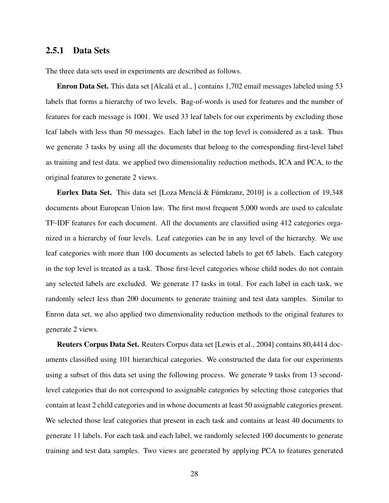### 2.5.1 Data Sets

The three data sets used in experiments are described as follows.

**Enron Data Set.** This data set [\[Alcalá et al.,](#page-140-0) ] contains 1,702 email messages labeled using 53 labels that forms a hierarchy of two levels. Bag-of-words is used for features and the number of features for each message is 1001. We used 33 leaf labels for our experiments by excluding those leaf labels with less than 50 messages. Each label in the top level is considered as a task. Thus we generate 3 tasks by using all the documents that belong to the corresponding first-level label as training and test data. we applied two dimensionality reduction methods, ICA and PCA, to the original features to generate 2 views.

Eurlex Data Set. This data set [\[Loza Mencíá & Fúrnkranz, 2010\]](#page-147-0) is a collection of 19,348 documents about European Union law. The first most frequent 5,000 words are used to calculate TF-IDF features for each document. All the documents are classified using 412 categories organized in a hierarchy of four levels. Leaf categories can be in any level of the hierarchy. We use leaf categories with more than 100 documents as selected labels to get 65 labels. Each category in the top level is treated as a task. Those first-level categories whose child nodes do not contain any selected labels are excluded. We generate 17 tasks in total. For each label in each task, we randomly select less than 200 documents to generate training and test data samples. Similar to Enron data set, we also applied two dimensionality reduction methods to the original features to generate 2 views.

Reuters Corpus Data Set. Reuters Corpus data set [\[Lewis et al., 2004\]](#page-146-0) contains 80,4414 documents classified using 101 hierarchical categories. We constructed the data for our experiments using a subset of this data set using the following process. We generate 9 tasks from 13 secondlevel categories that do not correspond to assignable categories by selecting those categories that contain at least 2 child categories and in whose documents at least 50 assignable categories present. We selected those leaf categories that present in each task and contains at least 40 documents to generate 11 labels. For each task and each label, we randomly selected 100 documents to generate training and test data samples. Two views are generated by applying PCA to features generated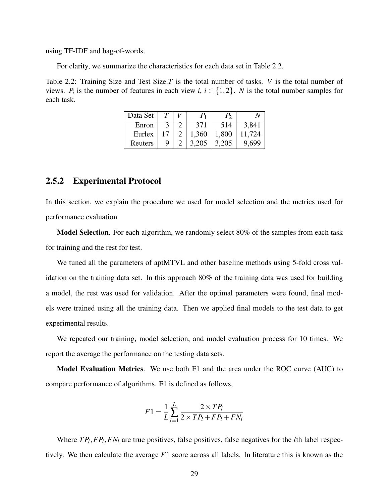using TF-IDF and bag-of-words.

For clarity, we summarize the characteristics for each data set in Table [2.2.](#page-42-0)

<span id="page-42-0"></span>Table 2.2: Training Size and Test Size.*T* is the total number of tasks. *V* is the total number of views.  $P_i$  is the number of features in each view *i*,  $i \in \{1,2\}$ . *N* is the total number samples for each task.

| Data Set |   | $P_1$ | $P_{2}$ |        |
|----------|---|-------|---------|--------|
| Enron    |   | 371   | 514     | 3,841  |
| Eurlex   |   | 1,360 | 1,800   | 11.724 |
| Reuters  | Q | 3,205 | 3,205   | 9,699  |

## 2.5.2 Experimental Protocol

In this section, we explain the procedure we used for model selection and the metrics used for performance evaluation

**Model Selection**. For each algorithm, we randomly select 80% of the samples from each task for training and the rest for test.

We tuned all the parameters of aptMTVL and other baseline methods using 5-fold cross validation on the training data set. In this approach 80% of the training data was used for building a model, the rest was used for validation. After the optimal parameters were found, final models were trained using all the training data. Then we applied final models to the test data to get experimental results.

We repeated our training, model selection, and model evaluation process for 10 times. We report the average the performance on the testing data sets.

Model Evaluation Metrics. We use both F1 and the area under the ROC curve (AUC) to compare performance of algorithms. F1 is defined as follows,

$$
F1 = \frac{1}{L} \sum_{l=1}^{L} \frac{2 \times TP_l}{2 \times TP_l + FP_l + FN_l}
$$

Where  $TP_l$ ,  $FP_l$ ,  $FN_l$  are true positives, false positives, false negatives for the *l*th label respectively. We then calculate the average *F*1 score across all labels. In literature this is known as the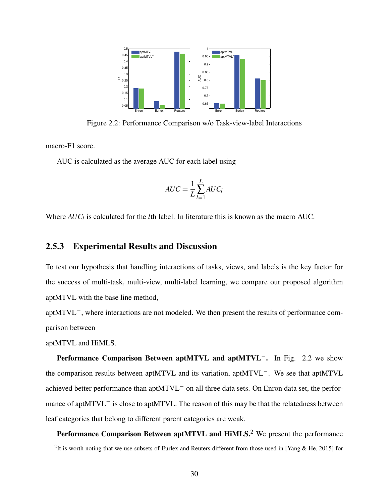<span id="page-43-0"></span>

Figure 2.2: Performance Comparison w/o Task-view-label Interactions

macro-F1 score.

AUC is calculated as the average AUC for each label using

$$
AUC = \frac{1}{L} \sum_{l=1}^{L} AUC_l
$$

Where *AUC<sup>l</sup>* is calculated for the *l*th label. In literature this is known as the macro AUC.

## 2.5.3 Experimental Results and Discussion

To test our hypothesis that handling interactions of tasks, views, and labels is the key factor for the success of multi-task, multi-view, multi-label learning, we compare our proposed algorithm aptMTVL with the base line method,

aptMTVL−, where interactions are not modeled. We then present the results of performance comparison between

aptMTVL and HiMLS.

Performance Comparison Between aptMTVL and aptMTVL<sup>-</sup>. In Fig. [2.2](#page-43-0) we show the comparison results between aptMTVL and its variation, aptMTVL−. We see that aptMTVL achieved better performance than aptMTVL<sup>−</sup> on all three data sets. On Enron data set, the performance of aptMTVL<sup>-</sup> is close to aptMTVL. The reason of this may be that the relatedness between leaf categories that belong to different parent categories are weak.

<span id="page-43-1"></span>**Performance Comparison Between aptMTVL and HiMLS.**<sup>[2](#page-43-1)</sup> We present the performance <sup>2</sup>It is worth noting that we use subsets of Eurlex and Reuters different from those used in [\[Yang & He, 2015\]](#page-153-1) for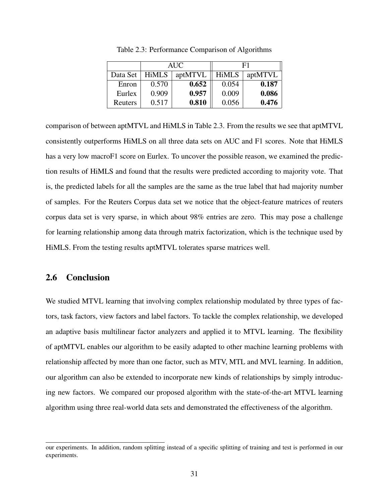<span id="page-44-0"></span>

|          | <b>AUC</b>   |         | F1           |         |  |
|----------|--------------|---------|--------------|---------|--|
| Data Set | <b>HiMLS</b> | aptMTVL | <b>HiMLS</b> | aptMTVL |  |
| Enron    | 0.570        | 0.652   | 0.054        | 0.187   |  |
| Eurlex   | 0.909        | 0.957   | 0.009        | 0.086   |  |
| Reuters  | 0.517        | 0.810   | 0.056        | 0.476   |  |

Table 2.3: Performance Comparison of Algorithms

comparison of between aptMTVL and HiMLS in Table [2.3.](#page-44-0) From the results we see that aptMTVL consistently outperforms HiMLS on all three data sets on AUC and F1 scores. Note that HiMLS has a very low macroF1 score on Eurlex. To uncover the possible reason, we examined the prediction results of HiMLS and found that the results were predicted according to majority vote. That is, the predicted labels for all the samples are the same as the true label that had majority number of samples. For the Reuters Corpus data set we notice that the object-feature matrices of reuters corpus data set is very sparse, in which about 98% entries are zero. This may pose a challenge for learning relationship among data through matrix factorization, which is the technique used by HiMLS. From the testing results aptMTVL tolerates sparse matrices well.

### 2.6 Conclusion

We studied MTVL learning that involving complex relationship modulated by three types of factors, task factors, view factors and label factors. To tackle the complex relationship, we developed an adaptive basis multilinear factor analyzers and applied it to MTVL learning. The flexibility of aptMTVL enables our algorithm to be easily adapted to other machine learning problems with relationship affected by more than one factor, such as MTV, MTL and MVL learning. In addition, our algorithm can also be extended to incorporate new kinds of relationships by simply introducing new factors. We compared our proposed algorithm with the state-of-the-art MTVL learning algorithm using three real-world data sets and demonstrated the effectiveness of the algorithm.

our experiments. In addition, random splitting instead of a specific splitting of training and test is performed in our experiments.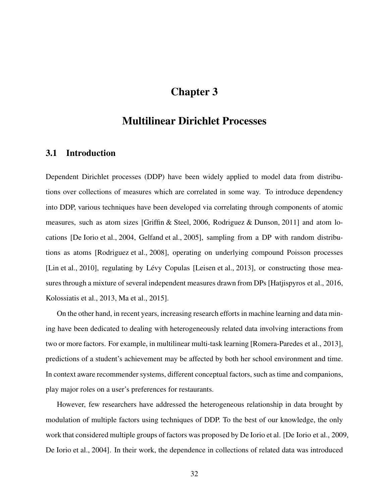## Chapter 3

## Multilinear Dirichlet Processes

#### 3.1 Introduction

Dependent Dirichlet processes (DDP) have been widely applied to model data from distributions over collections of measures which are correlated in some way. To introduce dependency into DDP, various techniques have been developed via correlating through components of atomic measures, such as atom sizes [\[Griffin & Steel, 2006,](#page-143-0) [Rodriguez & Dunson, 2011\]](#page-150-0) and atom locations [\[De Iorio et al., 2004,](#page-141-0) [Gelfand et al., 2005\]](#page-142-0), sampling from a DP with random distributions as atoms [\[Rodriguez et al., 2008\]](#page-150-1), operating on underlying compound Poisson processes [\[Lin et al., 2010\]](#page-146-1), regulating by Lévy Copulas [\[Leisen et al., 2013\]](#page-145-1), or constructing those measures through a mixture of several independent measures drawn from DPs [\[Hatjispyros et al., 2016,](#page-143-1) [Kolossiatis et al., 2013,](#page-145-2) [Ma et al., 2015\]](#page-147-1).

On the other hand, in recent years, increasing research efforts in machine learning and data mining have been dedicated to dealing with heterogeneously related data involving interactions from two or more factors. For example, in multilinear multi-task learning [\[Romera-Paredes et al., 2013\]](#page-150-2), predictions of a student's achievement may be affected by both her school environment and time. In context aware recommender systems, different conceptual factors, such as time and companions, play major roles on a user's preferences for restaurants.

However, few researchers have addressed the heterogeneous relationship in data brought by modulation of multiple factors using techniques of DDP. To the best of our knowledge, the only work that considered multiple groups of factors was proposed by De Iorio et al. [\[De Iorio et al., 2009,](#page-141-1) [De Iorio et al., 2004\]](#page-141-0). In their work, the dependence in collections of related data was introduced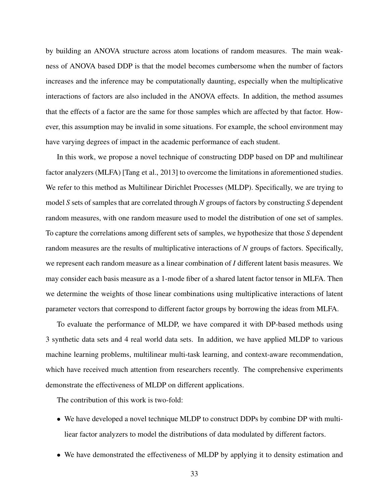by building an ANOVA structure across atom locations of random measures. The main weakness of ANOVA based DDP is that the model becomes cumbersome when the number of factors increases and the inference may be computationally daunting, especially when the multiplicative interactions of factors are also included in the ANOVA effects. In addition, the method assumes that the effects of a factor are the same for those samples which are affected by that factor. However, this assumption may be invalid in some situations. For example, the school environment may have varying degrees of impact in the academic performance of each student.

In this work, we propose a novel technique of constructing DDP based on DP and multilinear factor analyzers (MLFA) [\[Tang et al., 2013\]](#page-152-0) to overcome the limitations in aforementioned studies. We refer to this method as Multilinear Dirichlet Processes (MLDP). Specifically, we are trying to model *S* sets of samples that are correlated through *N* groups of factors by constructing *S* dependent random measures, with one random measure used to model the distribution of one set of samples. To capture the correlations among different sets of samples, we hypothesize that those *S* dependent random measures are the results of multiplicative interactions of *N* groups of factors. Specifically, we represent each random measure as a linear combination of *I* different latent basis measures. We may consider each basis measure as a 1-mode fiber of a shared latent factor tensor in MLFA. Then we determine the weights of those linear combinations using multiplicative interactions of latent parameter vectors that correspond to different factor groups by borrowing the ideas from MLFA.

To evaluate the performance of MLDP, we have compared it with DP-based methods using 3 synthetic data sets and 4 real world data sets. In addition, we have applied MLDP to various machine learning problems, multilinear multi-task learning, and context-aware recommendation, which have received much attention from researchers recently. The comprehensive experiments demonstrate the effectiveness of MLDP on different applications.

The contribution of this work is two-fold:

- We have developed a novel technique MLDP to construct DDPs by combine DP with multiliear factor analyzers to model the distributions of data modulated by different factors.
- We have demonstrated the effectiveness of MLDP by applying it to density estimation and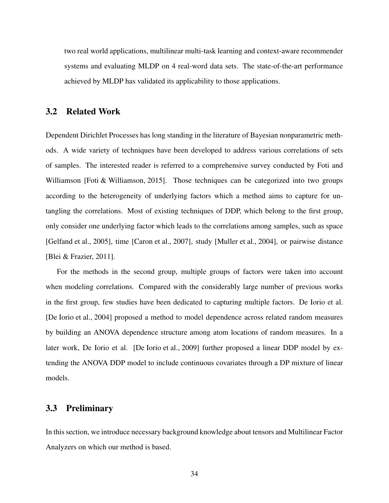two real world applications, multilinear multi-task learning and context-aware recommender systems and evaluating MLDP on 4 real-word data sets. The state-of-the-art performance achieved by MLDP has validated its applicability to those applications.

### 3.2 Related Work

Dependent Dirichlet Processes has long standing in the literature of Bayesian nonparametric methods. A wide variety of techniques have been developed to address various correlations of sets of samples. The interested reader is referred to a comprehensive survey conducted by Foti and Williamson [\[Foti & Williamson, 2015\]](#page-142-1). Those techniques can be categorized into two groups according to the heterogeneity of underlying factors which a method aims to capture for untangling the correlations. Most of existing techniques of DDP, which belong to the first group, only consider one underlying factor which leads to the correlations among samples, such as space [\[Gelfand et al., 2005\]](#page-142-0), time [\[Caron et al., 2007\]](#page-141-2), study [\[Muller et al., 2004\]](#page-148-0), or pairwise distance [\[Blei & Frazier, 2011\]](#page-141-3).

For the methods in the second group, multiple groups of factors were taken into account when modeling correlations. Compared with the considerably large number of previous works in the first group, few studies have been dedicated to capturing multiple factors. De Iorio et al. [\[De Iorio et al., 2004\]](#page-141-0) proposed a method to model dependence across related random measures by building an ANOVA dependence structure among atom locations of random measures. In a later work, De Iorio et al. [\[De Iorio et al., 2009\]](#page-141-1) further proposed a linear DDP model by extending the ANOVA DDP model to include continuous covariates through a DP mixture of linear models.

## 3.3 Preliminary

In this section, we introduce necessary background knowledge about tensors and Multilinear Factor Analyzers on which our method is based.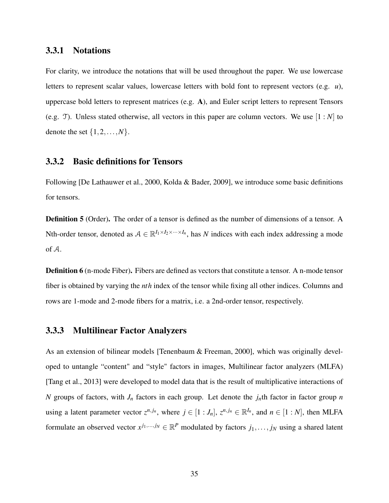## 3.3.1 Notations

For clarity, we introduce the notations that will be used throughout the paper. We use lowercase letters to represent scalar values, lowercase letters with bold font to represent vectors (e.g. *u*), uppercase bold letters to represent matrices (e.g. A), and Euler script letters to represent Tensors (e.g. T). Unless stated otherwise, all vectors in this paper are column vectors. We use [1 : *N*] to denote the set  $\{1,2,\ldots,N\}$ .

## 3.3.2 Basic definitions for Tensors

Following [\[De Lathauwer et al., 2000,](#page-142-2) [Kolda & Bader, 2009\]](#page-145-3), we introduce some basic definitions for tensors.

**Definition 5** (Order). The order of a tensor is defined as the number of dimensions of a tensor. A Nth-order tensor, denoted as  $A \in \mathbb{R}^{I_1 \times I_2 \times \cdots \times I_n}$ , has *N* indices with each index addressing a mode of A.

**Definition 6** (n-mode Fiber). Fibers are defined as vectors that constitute a tensor. A n-mode tensor fiber is obtained by varying the *nth* index of the tensor while fixing all other indices. Columns and rows are 1-mode and 2-mode fibers for a matrix, i.e. a 2nd-order tensor, respectively.

### 3.3.3 Multilinear Factor Analyzers

As an extension of bilinear models [\[Tenenbaum & Freeman, 2000\]](#page-152-1), which was originally developed to untangle "content" and "style" factors in images, Multilinear factor analyzers (MLFA) [\[Tang et al., 2013\]](#page-152-0) were developed to model data that is the result of multiplicative interactions of *N* groups of factors, with  $J_n$  factors in each group. Let denote the  $j_n$ th factor in factor group *n* using a latent parameter vector  $z^{n,j_n}$ , where  $j \in [1:J_n]$ ,  $z^{n,j_n} \in \mathbb{R}^{I_n}$ , and  $n \in [1:N]$ , then MLFA formulate an observed vector  $x^{j_1,...,j_N} \in \mathbb{R}^P$  modulated by factors  $j_1,...,j_N$  using a shared latent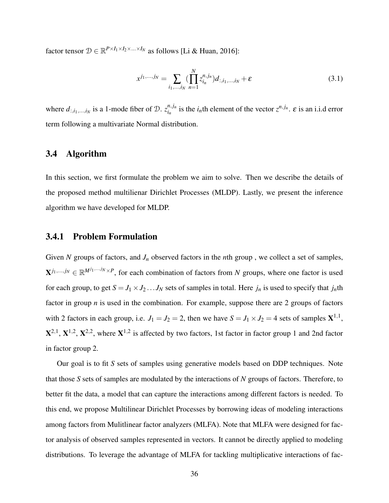factor tensor  $\mathcal{D} \in \mathbb{R}^{P \times I_1 \times I_2 \times ... \times I_N}$  as follows [\[Li & Huan, 2016\]](#page-146-2):

$$
x^{j_1,\dots,j_N} = \sum_{i_1,\dots,i_N} \left( \prod_{n=1}^N z_{i_n}^{n,j_n} \right) d_{:,i_1,\dots,i_N} + \varepsilon \tag{3.1}
$$

where  $d_{:,i_1,...,i_N}$  is a 1-mode fiber of  $\mathcal{D}.$   $z_{i_n}^{n,j_n}$  $i_n^{n}$  is the *i<sub>n</sub>*th element of the vector  $z^{n}$ ,  $\hat{i}_n$ .  $\varepsilon$  is an i.i.d error term following a multivariate Normal distribution.

## 3.4 Algorithm

In this section, we first formulate the problem we aim to solve. Then we describe the details of the proposed method multilienar Dirichlet Processes (MLDP). Lastly, we present the inference algorithm we have developed for MLDP.

#### 3.4.1 Problem Formulation

Given *N* groups of factors, and  $J_n$  observed factors in the *n*th group, we collect a set of samples,  $X^{j_1,...,j_N} \in \mathbb{R}^{M^{j_1,...,j_N} \times P}$ , for each combination of factors from *N* groups, where one factor is used for each group, to get  $S = J_1 \times J_2 \dots J_N$  sets of samples in total. Here  $j_n$  is used to specify that  $j_n$ th factor in group *n* is used in the combination. For example, suppose there are 2 groups of factors with 2 factors in each group, i.e.  $J_1 = J_2 = 2$ , then we have  $S = J_1 \times J_2 = 4$  sets of samples  $\mathbf{X}^{1,1}$ ,  $X^{2,1}, X^{1,2}, X^{2,2}$ , where  $X^{1,2}$  is affected by two factors, 1st factor in factor group 1 and 2nd factor in factor group 2.

Our goal is to fit *S* sets of samples using generative models based on DDP techniques. Note that those *S* sets of samples are modulated by the interactions of *N* groups of factors. Therefore, to better fit the data, a model that can capture the interactions among different factors is needed. To this end, we propose Multilinear Dirichlet Processes by borrowing ideas of modeling interactions among factors from Mulitlinear factor analyzers (MLFA). Note that MLFA were designed for factor analysis of observed samples represented in vectors. It cannot be directly applied to modeling distributions. To leverage the advantage of MLFA for tackling multiplicative interactions of fac-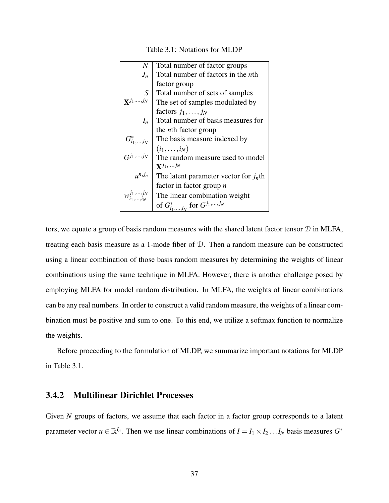Table 3.1: Notations for MLDP

<span id="page-50-0"></span>

| $\it N$                 | Total number of factor groups              |
|-------------------------|--------------------------------------------|
| $J_n$                   | Total number of factors in the <i>n</i> th |
|                         | factor group                               |
| $S_{-}$                 | Total number of sets of samples            |
| $\mathbf{X}^{j_1,,j_N}$ | The set of samples modulated by            |
|                         | factors $j_1, \ldots, j_N$                 |
| $I_n$                   | Total number of basis measures for         |
|                         | the <i>n</i> th factor group               |
| $G^*_{i_1,,i_N}$        | The basis measure indexed by               |
|                         | $(i_1,\ldots,i_N)$                         |
| $G^{j_1,,j_N}$          | The random measure used to model           |
|                         | ${\bf X}^{j_1,,j_N}$                       |
| $u^{n,j_n}$             | The latent parameter vector for $j_n$ th   |
|                         | factor in factor group $n$                 |
| $W^{J1,\dots,JN}_{i_1}$ | The linear combination weight              |
|                         | of $G^*_{i_1,,i_N}$ for $G^{j_1,,j_N}$     |
|                         |                                            |

tors, we equate a group of basis random measures with the shared latent factor tensor D in MLFA, treating each basis measure as a 1-mode fiber of D. Then a random measure can be constructed using a linear combination of those basis random measures by determining the weights of linear combinations using the same technique in MLFA. However, there is another challenge posed by employing MLFA for model random distribution. In MLFA, the weights of linear combinations can be any real numbers. In order to construct a valid random measure, the weights of a linear combination must be positive and sum to one. To this end, we utilize a softmax function to normalize the weights.

Before proceeding to the formulation of MLDP, we summarize important notations for MLDP in Table [3.1.](#page-50-0)

## 3.4.2 Multilinear Dirichlet Processes

Given *N* groups of factors, we assume that each factor in a factor group corresponds to a latent parameter vector  $u \in \mathbb{R}^{I_n}$ . Then we use linear combinations of  $I = I_1 \times I_2 \dots I_N$  basis measures  $G^*$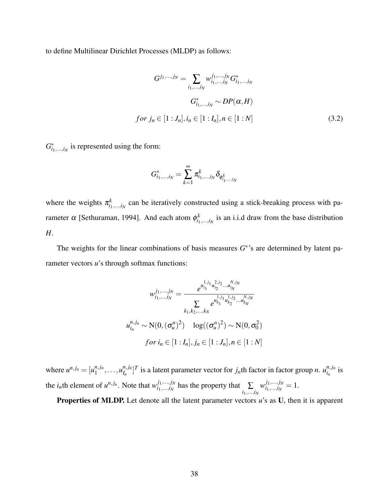to define Multilinear Dirichlet Processes (MLDP) as follows:

$$
G^{j_1,...,j_N} = \sum_{i_1,...,i_N} w^{j_1,...,j_N}_{i_1,...,i_N} G^*_{i_1,...,i_N}
$$

$$
G^*_{i_1,...,i_N} \sim DP(\alpha, H)
$$
  
for  $j_n \in [1 : J_n], i_n \in [1 : I_n], n \in [1 : N]$  (3.2)

 $G^*_{i_1,\dots,i_N}$  is represented using the form:

<span id="page-51-0"></span>
$$
G_{i_1,...,i_N}^*=\sum_{k=1}^\infty \pi_{i_1,...,i_N}^k\delta_{\phi_{i_1,...,i_N}^k}
$$

where the weights  $\pi_{i_1,\dots,i_N}^k$  can be iteratively constructed using a stick-breaking process with parameter  $\alpha$  [\[Sethuraman, 1994\]](#page-151-0). And each atom  $\phi_{i_1,...,i_N}^k$  is an i.i.d draw from the base distribution *H*.

The weights for the linear combinations of basis measures  $G^*$ 's are determined by latent parameter vectors *u*'s through softmax functions:

$$
w_{i_1,\dots,i_N}^{j_1,\dots,j_N} = \frac{e^{u_{i_1}^{1,j_1}u_{i_2}^{2,j_2}\dots u_{i_N}^{N,j_N}}}{\sum_{k_1,k_2,\dots,k_N}e^{u_{k_1}^{1,j_1}u_{k_2}^{1,j_2}\dots u_{k_N}^{N,j_N}}}
$$

$$
u_{i_n}^{n,j_n} \sim N(0, (\sigma_u^n)^2) \log((\sigma_u^n)^2) \sim N(0, \sigma_0^2)
$$

$$
for i_n \in [1: I_n], j_n \in [1: J_n], n \in [1:N]
$$

where  $u^{n,j_n} = [u_1^{n,j_n}]$  $u_1^{n,j_n}, \ldots, u_{I_n}^{n,j_n}$  $\prod_{I_n}^{n,j_n}$ <sup>*T*</sup> is a latent parameter vector for *j<sub>n</sub>*th factor in factor group *n*.  $u_{i_n}^{n,j_n}$  $\int_{i_n}^{n}$  is the *i<sub>n</sub>*th element of  $u^{n,j_n}$ . Note that  $w_i^{j_1,...,j_N}$  $\sum_{i_1,\dots,i_N}^{j_1,\dots,j_N}$  has the property that  $\sum_{i_1,\dots,i_N}$ *i*1,...,*i<sup>N</sup>*  $w_{i_1}^{j_1,...,j_N}$  $\frac{J_1,...,J_N}{i_1,...,i_N}=1.$ 

Properties of MLDP. Let denote all the latent parameter vectors *u*'s as U, then it is apparent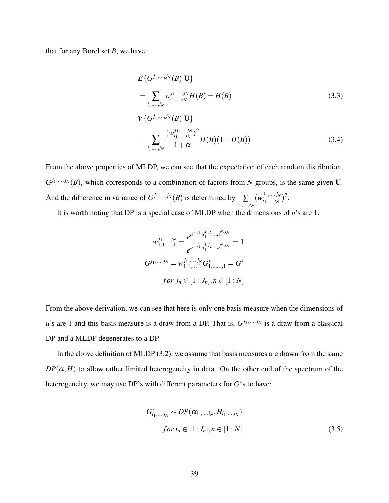that for any Borel set *B*, we have:

$$
E\{G^{j_1,...,j_N}(B)|\mathbf{U}\}\
$$
  
=  $\sum_{i_1,...,i_N} w_{i_1,...,i_N}^{j_1,...,j_N} H(B) = H(B)$  (3.3)  

$$
V\{G^{j_1,...,j_N}(B)|\mathbf{U}\}\
$$
  
=  $\sum_{i_1,...,i_N} \frac{(w_{i_1,...,i_N}^{j_1,...,j_N})^2}{1+\alpha} H(B)(1-H(B))$  (3.4)

From the above properties of MLDP, we can see that the expectation of each random distribution,  $G^{j_1,...,j_N}(B)$ , which corresponds to a combination of factors from *N* groups, is the same given **U**. And the difference in variance of  $G^{j_1,...,j_N}(B)$  is determined by  $\sum_{i=1}^{N}$ *i*1,...,*i<sup>N</sup>*  $(w_{i_1}^{j_1,...,j_N})$  $\frac{j_1,...,j_N}{i_1,...,i_N}$ <sup>2</sup>.

It is worth noting that DP is a special case of MLDP when the dimensions of *u*'s are 1.

$$
w_{1,1,\dots,1}^{j_1,\dots,j_N} = \frac{e^{u_1^{1,j_1}u_1^{2,j_2}\dots u_1^{N,j_N}}}{e^{u_1^{1,j_1}u_1^{1,j_2}\dots u_1^{N,j_N}}} = 1
$$
  

$$
G^{j_1,\dots,j_N} = w_{1,1,\dots,1}^{j_1,\dots,j_N}G_{1,1,\dots,1}^* = G^*
$$
  
*for*  $j_n \in [1:J_n], n \in [1:N]$ 

From the above derivation, we can see that here is only one basis measure when the dimensions of *u*'s are 1 and this basis measure is a draw from a DP. That is,  $G^{j_1,...,j_N}$  is a draw from a classical DP and a MLDP degenerates to a DP.

In the above definition of MLDP [\(3.2\)](#page-51-0), we assume that basis measures are drawn from the same  $DP(\alpha, H)$  to allow rather limited heterogeneity in data. On the other end of the spectrum of the heterogeneity, we may use DP's with different parameters for  $G^*$ s to have:

<span id="page-52-0"></span>
$$
G_{i_1,...,i_N}^* \sim DP(\alpha_{i_1,...,i_N}, H_{i_1,...,i_N})
$$
  
for  $i_n \in [1 : I_n], n \in [1 : N]$  (3.5)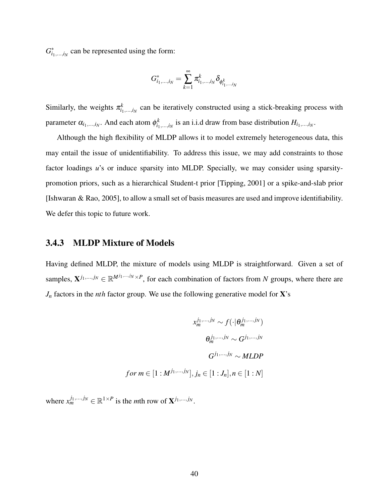$G_{i_1,\dots,i_N}^*$  can be represented using the form:

$$
G^*_{i_1,...,i_N}=\sum_{k=1}^\infty \pi^k_{i_1,...,i_N}\delta_{\phi^k_{i_1,...,i_N}}
$$

Similarly, the weights  $\pi_{i_1,\dots,i_N}^k$  can be iteratively constructed using a stick-breaking process with parameter  $\alpha_{i_1,...,i_N}$ . And each atom  $\phi^k_{i_1,...,i_N}$  is an i.i.d draw from base distribution  $H_{i_1,...,i_N}$ .

Although the high flexibility of MLDP allows it to model extremely heterogeneous data, this may entail the issue of unidentifiability. To address this issue, we may add constraints to those factor loadings *u*'s or induce sparsity into MLDP. Specially, we may consider using sparsitypromotion priors, such as a hierarchical Student-t prior [\[Tipping, 2001\]](#page-152-2) or a spike-and-slab prior [\[Ishwaran & Rao, 2005\]](#page-144-0), to allow a small set of basis measures are used and improve identifiability. We defer this topic to future work.

## 3.4.3 MLDP Mixture of Models

Having defined MLDP, the mixture of models using MLDP is straightforward. Given a set of samples,  $X^{j_1,...,j_N} \in \mathbb{R}^{M^{j_1,...,j_N} \times P}$ , for each combination of factors from *N* groups, where there are  $J_n$  factors in the *nth* factor group. We use the following generative model for **X**'s

$$
x_m^{j_1,\dots,j_N} \sim f(\cdot | \theta_m^{j_1,\dots,j_N})
$$

$$
\theta_m^{j_1,\dots,j_N} \sim G^{j_1,\dots,j_N}
$$

$$
G^{j_1,\dots,j_N} \sim MLDP
$$
  
for  $m \in [1:M^{j_1,\dots,j_N}], j_n \in [1:J_n], n \in [1:N]$ 

where  $x_m^{j_1,...,j_N} \in \mathbb{R}^{1 \times P}$  is the *m*th row of  $\mathbf{X}^{j_1,...,j_N}$ .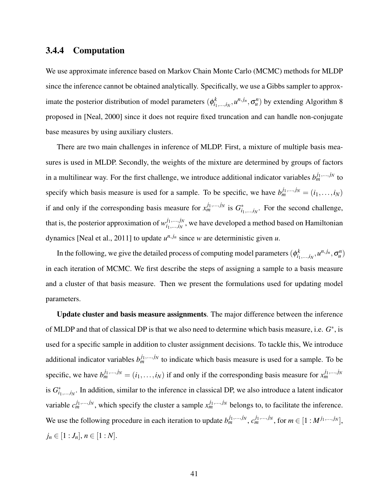## 3.4.4 Computation

We use approximate inference based on Markov Chain Monte Carlo (MCMC) methods for MLDP since the inference cannot be obtained analytically. Specifically, we use a Gibbs sampler to approximate the posterior distribution of model parameters  $(\phi_{i_1,...,i_N}^k, u^{n,j_n}, \sigma_u^n)$  by extending Algorithm 8 proposed in [\[Neal, 2000\]](#page-148-1) since it does not require fixed truncation and can handle non-conjugate base measures by using auxiliary clusters.

There are two main challenges in inference of MLDP. First, a mixture of multiple basis measures is used in MLDP. Secondly, the weights of the mixture are determined by groups of factors in a multilinear way. For the first challenge, we introduce additional indicator variables  $b_m^{j_1,...,j_N}$  to specify which basis measure is used for a sample. To be specific, we have  $b_m^{j_1,...,j_N} = (i_1,...,i_N)$ if and only if the corresponding basis measure for  $x_m^{j_1,...,j_N}$  is  $G_{i_1,...,i_N}^*$ . For the second challenge, that is, the posterior approximation of  $w_i^{j_1,...,j_N}$  $i_1, \ldots, i_N$ , we have developed a method based on Hamiltonian dynamics [\[Neal et al., 2011\]](#page-148-2) to update  $u^{n,j_n}$  since w are deterministic given u.

In the following, we give the detailed process of computing model parameters  $(\phi_{i_1,...,i_N}^k, u^{n,j_n}, \sigma_u^n)$ in each iteration of MCMC. We first describe the steps of assigning a sample to a basis measure and a cluster of that basis measure. Then we present the formulations used for updating model parameters.

Update cluster and basis measure assignments. The major difference between the inference of MLDP and that of classical DP is that we also need to determine which basis measure, i.e.  $G^*$ , is used for a specific sample in addition to cluster assignment decisions. To tackle this, We introduce additional indicator variables  $b_m^{j_1,...,j_N}$  to indicate which basis measure is used for a sample. To be specific, we have  $b_m^{j_1,...,j_N} = (i_1,...,i_N)$  if and only if the corresponding basis measure for  $x_m^{j_1,...,j_N}$ is  $G^*_{i_1,\dots,i_N}$ . In addition, similar to the inference in classical DP, we also introduce a latent indicator variable  $c_m^{j_1,...,j_N}$ , which specify the cluster a sample  $x_m^{j_1,...,j_N}$  belongs to, to facilitate the inference. We use the following procedure in each iteration to update  $b_m^{j_1,...,j_N}$ ,  $c_m^{j_1,...,j_N}$ , for  $m \in [1 : M^{j_1,...,j_N}]$ ,  $j_n \in [1:J_n], n \in [1:N].$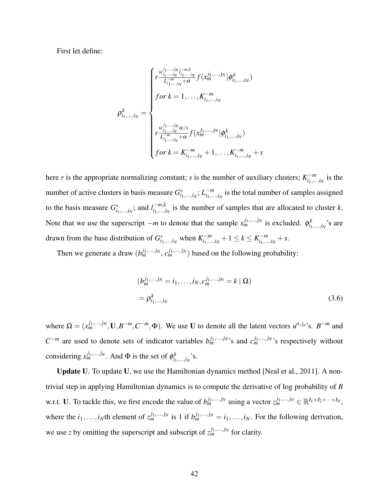First let define:

$$
\rho_{i_1,\dots,i_N}^k = \begin{cases}\nr^{\frac{w_{i_1,\dots,i_N}^{j_1,\dots,j_N} l_{i_1,\dots,i_N}^{-m,k}}{L_{i_1,\dots,i_N}^{-m}+\alpha} f(x_m^{j_1,\dots,j_N}|\phi_{i_1,\dots,i_N}^k) \\
for k = 1,\dots,K_{i_1,\dots,i_N}^{-m} \\
r^{\frac{w_{i_1,\dots,i_N}^{j_1,\dots,j_N} \alpha/s}{L_{i_1,\dots,i_N}^{-m}+\alpha}} f(x_m^{j_1,\dots,j_N}|\phi_{i_1,\dots,i_N}^k) \\
for k = K_{i_1,\dots,i_N}^{-m} + 1,\dots,K_{i_1,\dots,i_N}^{-m} + s\n\end{cases}
$$

here *r* is the appropriate normalizing constant; *s* is the number of auxiliary clusters;  $K_i^{-m}$  $\sum_{i_1,\ldots,i_N}^{-m}$  is the number of active clusters in basis measure  $G^*_{i_1,\dots,i_N}; L^{m}_{i_1,\dots,i_N}$  $\frac{-m}{i_1,\dots,i_N}$  is the total number of samples assigned to the basis measure  $G_{i_1,...,i_N}^*$ ; and  $l_{i_1,...,i_N}^{-m,k}$  $\sum_{i_1,\dots,i_N}^{-m,k}$  is the number of samples that are allocated to cluster *k*. Note that we use the superscript  $-m$  to denote that the sample  $x_m^{j_1,...,j_N}$  is excluded.  $\phi_{i_1,...,i_N}^k$ 's are drawn from the base distribution of  $G_{i_1,...,i_N}^*$  when  $K_{i_1,...}^{-m}$  $\sum_{i_1,\dots,i_N}^{n-m}+1 \leq k \leq K_{i_1,\dots}^{-m}$  $\frac{m}{i_1,...,i_N}+s$ .

Then we generate a draw  $(b_m^{j_1,...,j_N}, c_m^{j_1,...,j_N})$  based on the following probability:

$$
(b_m^{j_1,\dots,j_N} = i_1,\dots,i_N,c_m^{j_1,\dots,j_N} = k | \Omega)
$$
  
=  $\rho_{i_1,\dots,i_N}^k$  (3.6)

where  $\Omega = (x_m^{j_1,...,j_N}, \mathbf{U}, B^{-m}, C^{-m}, \Phi)$ . We use **U** to denote all the latent vectors  $u^{n,j_n}$ 's.  $B^{-m}$  and  $C^{-m}$  are used to denote sets of indicator variables  $b_m^{j_1,...,j_N}$ 's and  $c_m^{j_1,...,j_N}$ 's respectively without considering  $x_m^{j_1,...,j_N}$ . And  $\Phi$  is the set of  $\phi_{i_1,...,i_N}^k$ 's.

Update U. To update U, we use the Hamiltonian dynamics method [\[Neal et al., 2011\]](#page-148-2). A nontrivial step in applying Hamiltonian dynamics is to compute the derivative of log probability of *B* w.r.t. U. To tackle this, we first encode the value of  $b_m^{j_1,...,j_N}$  using a vector  $z_m^{j_1,...,j_N} \in \mathbb{R}^{I_1 \times I_2 \times \cdots \times I_N}$ , where the  $i_1, \ldots, i_N$ th element of  $z_m^{j_1, \ldots, j_N}$  is 1 if  $b_m^{j_1, \ldots, j_N} = i_1, \ldots, i_N$ . For the following derivation, we use *z* by omitting the superscript and subscript of  $z_m^{j_1,...,j_N}$  for clarity.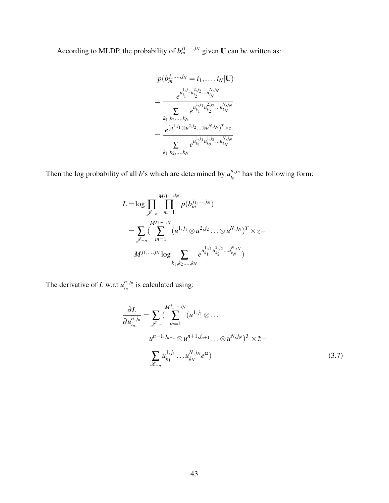According to MLDP, the probability of  $b_m^{j_1,...,j_N}$  given **U** can be written as:

$$
p(b_m^{j_1,\ldots,j_N} = i_1,\ldots,i_N|\mathbf{U})
$$
  
= 
$$
\frac{e^{u_{i_1}^{1,j_1}u_{i_2}^{2,j_2}\ldots u_{i_N}^{N,j_N}}}{\sum_{k_1,k_2,\ldots,k_N}e^{u_{k_1}^{1,j_1}u_{k_2}^{2,j_2}\ldots u_{k_N}^{N,j_N}}}
$$
  
= 
$$
\frac{e^{(u^{1,j_1}\otimes u^{2,j_2}\ldots\otimes u^{N,j_N})^T\times z}}{\sum_{k_1,k_2,\ldots,k_N}e^{u_{k_1}^{1,j_1}u_{k_2}^{1,j_2}\ldots u_{k_N}^{N,j_N}}}
$$

Then the log probability of all *b*'s which are determined by  $u_{i}^{n,j_n}$  $\int_{i_n}^{n}$  has the following form:

$$
L = \log \prod_{\substack{\mathcal{J}_{-n}}}\prod_{m=1}^{M^{j_1,\dots,j_N}} p(b_m^{j_1,\dots,j_N})
$$
  
= 
$$
\sum_{\substack{\mathcal{J}_{-n}}}\Big(\sum_{m=1}^{M^{j_1,\dots,j_N}} (u^{1,j_1} \otimes u^{2,j_2} \dots \otimes u^{N,j_N})^T \times z -
$$
  

$$
M^{j_1,\dots,j_N} \log \sum_{k_1,k_2,\dots,k_N} e^{u_{k_1}^{1,j_1} u_{k_2}^{2,j_2} \dots u_{k_N}^{N,j_N}}\Big)
$$

The derivative of *L* w.r.t  $u_{i_n}^{n,j_n}$  $\int_{i_n}^{n}$  *i*<sub>n</sub> is calculated using:

$$
\frac{\partial L}{\partial u_{i_n}^{n,j_n}} = \sum_{\mathcal{J}_{-n}} \left( \sum_{m=1}^{M^{j_1,\dots,j_N}} (u^{1,j_1} \otimes \dots \right. \n u^{n-1,j_{n-1}} \otimes u^{n+1,j_{n+1}} \dots \otimes u^{N,j_N} \right)^T \times \tilde{z} - \n \sum_{\mathcal{K}_{-n}} u_{k_1}^{1,j_1} \dots u_{k_N}^{N,j_N} e^{\alpha} \tag{3.7}
$$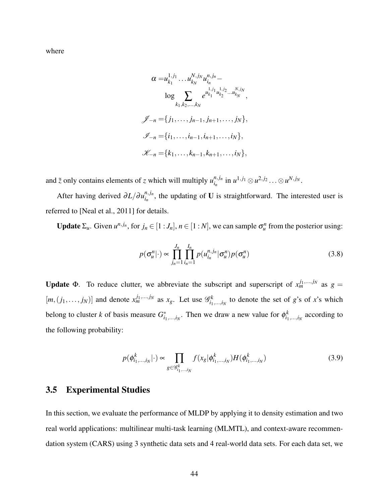where

$$
\alpha = u_{k_1}^{1,j_1} \dots u_{k_N}^{N,j_N} u_{i_n}^{n,j_n} -
$$
  
\n
$$
\log \sum_{k_1, k_2, ..., k_N} e^{u_{k_1}^{1,j_1} u_{k_2}^{1,j_2} \dots u_{k_N}^{N,j_N}},
$$
  
\n
$$
\mathscr{I}_{-n} = \{j_1, \dots, j_{n-1}, j_{n+1}, \dots, j_N\},
$$
  
\n
$$
\mathscr{I}_{-n} = \{i_1, \dots, i_{n-1}, i_{n+1}, \dots, i_N\},
$$
  
\n
$$
\mathscr{K}_{-n} = \{k_1, \dots, k_{n-1}, k_{n+1}, \dots, i_N\},
$$

and  $\tilde{z}$  only contains elements of *z* which will multiply  $u_{i}^{n,j_n}$  $a_{i_n}^{n,j_n}$  in  $u^{1,j_1} \otimes u^{2,j_2} \dots \otimes u^{N,j_N}$ .

After having derived  $\partial L / \partial u_{i_n}^{n,j_n}$  $\hat{a}_{i_n}^{n}$ , the updating of U is straightforward. The interested user is referred to [\[Neal et al., 2011\]](#page-148-2) for details.

**Update**  $\Sigma_u$ . Given  $u^{n,j_n}$ , for  $j_n \in [1 : J_n]$ ,  $n \in [1 : N]$ , we can sample  $\sigma_u^n$  from the posterior using:

$$
p(\sigma_u^n|\cdot) \propto \prod_{j_n=1}^{J_n} \prod_{i_n=1}^{I_n} p(u_{i_n}^{n,j_n}|\sigma_u^n)p(\sigma_u^n)
$$
\n(3.8)

Update  $\Phi$ . To reduce clutter, we abbreviate the subscript and superscript of  $x_m^{j_1,...,j_N}$  as  $g =$  $[m,(j_1,\ldots,j_N)]$  and denote  $x_m^{j_1,\ldots,j_N}$  as  $x_g$ . Let use  $\mathcal{G}_{i_1,\ldots,i_N}^k$  to denote the set of g's of x's which belong to cluster *k* of basis measure  $G^*_{i_1,...,i_N}$ . Then we draw a new value for  $\phi^k_{i_1,...,i_N}$  according to the following probability:

$$
p(\phi_{i_1,\dots,i_N}^k|\cdot) \propto \prod_{g \in \mathcal{G}_{i_1,\dots,i_N}^k} f(x_g|\phi_{i_1,\dots,i_N}^k) H(\phi_{i_1,\dots,i_N}^k)
$$
(3.9)

#### 3.5 Experimental Studies

In this section, we evaluate the performance of MLDP by applying it to density estimation and two real world applications: multilinear multi-task learning (MLMTL), and context-aware recommendation system (CARS) using 3 synthetic data sets and 4 real-world data sets. For each data set, we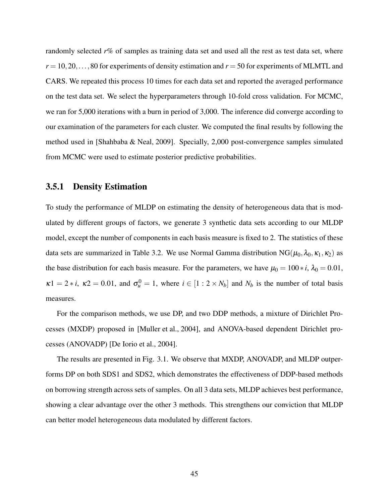randomly selected r% of samples as training data set and used all the rest as test data set, where  $r = 10, 20, \ldots, 80$  for experiments of density estimation and  $r = 50$  for experiments of MLMTL and CARS. We repeated this process 10 times for each data set and reported the averaged performance on the test data set. We select the hyperparameters through 10-fold cross validation. For MCMC, we ran for 5,000 iterations with a burn in period of 3,000. The inference did converge according to our examination of the parameters for each cluster. We computed the final results by following the method used in [\[Shahbaba & Neal, 2009\]](#page-151-1). Specially, 2,000 post-convergence samples simulated from MCMC were used to estimate posterior predictive probabilities.

#### 3.5.1 Density Estimation

To study the performance of MLDP on estimating the density of heterogeneous data that is modulated by different groups of factors, we generate 3 synthetic data sets according to our MLDP model, except the number of components in each basis measure is fixed to 2. The statistics of these data sets are summarized in Table [3.2.](#page-59-0) We use Normal Gamma distribution NG( $\mu_0, \lambda_0, \kappa_1, \kappa_2$ ) as the base distribution for each basis measure. For the parameters, we have  $\mu_0 = 100 \times i$ ,  $\lambda_0 = 0.01$ ,  $\kappa$ 1 = 2 \* *i*,  $\kappa$ 2 = 0.01, and  $\sigma_u^0$  = 1, where *i*  $\in$  [1 : 2 × *N<sub>b</sub>*] and *N<sub>b</sub>* is the number of total basis measures.

For the comparison methods, we use DP, and two DDP methods, a mixture of Dirichlet Processes (MXDP) proposed in [\[Muller et al., 2004\]](#page-148-0), and ANOVA-based dependent Dirichlet processes (ANOVADP) [\[De Iorio et al., 2004\]](#page-141-0).

The results are presented in Fig. [3.1.](#page-59-1) We observe that MXDP, ANOVADP, and MLDP outperforms DP on both SDS1 and SDS2, which demonstrates the effectiveness of DDP-based methods on borrowing strength across sets of samples. On all 3 data sets, MLDP achieves best performance, showing a clear advantage over the other 3 methods. This strengthens our conviction that MLDP can better model heterogeneous data modulated by different factors.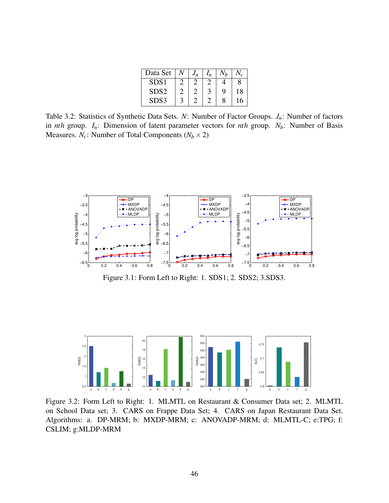| Data Set         | Jn | $\iota_n$ |   |    |
|------------------|----|-----------|---|----|
| SDS1             |    |           |   |    |
| SDS <sub>2</sub> |    |           | g | 18 |
| SDS3             |    |           | 8 | 6  |

<span id="page-59-0"></span>Table 3.2: Statistics of Synthetic Data Sets. *N*: Number of Factor Groups. *Jn*: Number of factors in *nth* group. *In*: Dimension of latent parameter vectors for *nth* group. *Nb*: Number of Basis Measures.  $N_c$ : Number of Total Components ( $N_b \times 2$ )

<span id="page-59-1"></span>

Figure 3.1: Form Left to Right: 1. SDS1; 2. SDS2; 3.SDS3.

<span id="page-59-2"></span>

Figure 3.2: Form Left to Right: 1. MLMTL on Restaurant & Consumer Data set; 2. MLMTL on School Data set; 3. CARS on Frappe Data Set; 4. CARS on Japan Restaurant Data Set. Algorithms: a. DP-MRM; b: MXDP-MRM; c: ANOVADP-MRM; d: MLMTL-C; e:TPG; f: CSLIM; g:MLDP-MRM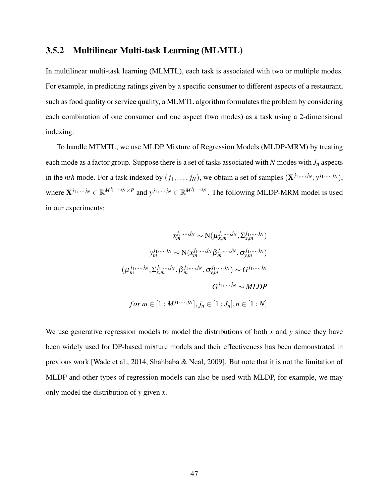## 3.5.2 Multilinear Multi-task Learning (MLMTL)

In multilinear multi-task learning (MLMTL), each task is associated with two or multiple modes. For example, in predicting ratings given by a specific consumer to different aspects of a restaurant, such as food quality or service quality, a MLMTL algorithm formulates the problem by considering each combination of one consumer and one aspect (two modes) as a task using a 2-dimensional indexing.

To handle MTMTL, we use MLDP Mixture of Regression Models (MLDP-MRM) by treating each mode as a factor group. Suppose there is a set of tasks associated with  $N$  modes with  $J_n$  aspects in the *nth* mode. For a task indexed by  $(j_1, \ldots, j_N)$ , we obtain a set of samples  $(\mathbf{X}^{j_1, \ldots, j_N}, y^{j_1, \ldots, j_N})$ , where  $\mathbf{X}^{j_1,...,j_N} \in \mathbb{R}^{M^{j_1,...,j_N} \times P}$  and  $y^{j_1,...,j_N} \in \mathbb{R}^{M^{j_1,...,j_N}}$ . The following MLDP-MRM model is used in our experiments:

$$
x_m^{j_1,...,j_N} \sim \mathcal{N}(\mu_{x,m}^{j_1,...,j_N}, \Sigma_{x,m}^{j_1,...,j_N})
$$

$$
y_m^{j_1,...,j_N} \sim \mathcal{N}(x_m^{j_1,...,j_N} \beta_m^{j_1,...,j_N}, \sigma_{y,m}^{j_1,...,j_N})
$$

$$
(\mu_m^{j_1,...,j_N}, \Sigma_{x,m}^{j_1,...,j_N}, \beta_m^{j_1,...,j_N}, \sigma_{y,m}^{j_1,...,j_N}) \sim G^{j_1,...,j_N}
$$

$$
G^{j_1,...,j_N} \sim MLDP
$$
  
for  $m \in [1:M^{j_1,...,j_N}], j_n \in [1:J_n], n \in [1:N]$ 

We use generative regression models to model the distributions of both *x* and *y* since they have been widely used for DP-based mixture models and their effectiveness has been demonstrated in previous work [\[Wade et al., 2014,](#page-153-2) [Shahbaba & Neal, 2009\]](#page-151-1). But note that it is not the limitation of MLDP and other types of regression models can also be used with MLDP, for example, we may only model the distribution of *y* given *x*.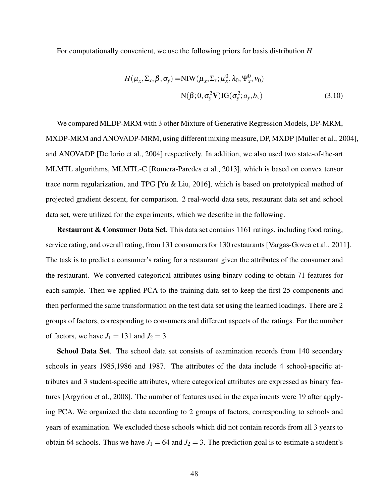For computationally convenient, we use the following priors for basis distribution *H*

$$
H(\mu_x, \Sigma_x, \beta, \sigma_y) = NIW(\mu_x, \Sigma_x; \mu_x^0, \lambda_0, \Psi_x^0, v_0)
$$
  

$$
N(\beta; 0, \sigma_y^2 V)IG(\sigma_y^2; a_y, b_y)
$$
 (3.10)

We compared MLDP-MRM with 3 other Mixture of Generative Regression Models, DP-MRM, MXDP-MRM and ANOVADP-MRM, using different mixing measure, DP, MXDP [\[Muller et al., 2004\]](#page-148-0), and ANOVADP [\[De Iorio et al., 2004\]](#page-141-0) respectively. In addition, we also used two state-of-the-art MLMTL algorithms, MLMTL-C [\[Romera-Paredes et al., 2013\]](#page-150-2), which is based on convex tensor trace norm regularization, and TPG [\[Yu & Liu, 2016\]](#page-154-1), which is based on prototypical method of projected gradient descent, for comparison. 2 real-world data sets, restaurant data set and school data set, were utilized for the experiments, which we describe in the following.

**Restaurant & Consumer Data Set.** This data set contains 1161 ratings, including food rating, service rating, and overall rating, from 131 consumers for 130 restaurants [\[Vargas-Govea et al., 2011\]](#page-152-3). The task is to predict a consumer's rating for a restaurant given the attributes of the consumer and the restaurant. We converted categorical attributes using binary coding to obtain 71 features for each sample. Then we applied PCA to the training data set to keep the first 25 components and then performed the same transformation on the test data set using the learned loadings. There are 2 groups of factors, corresponding to consumers and different aspects of the ratings. For the number of factors, we have  $J_1 = 131$  and  $J_2 = 3$ .

School Data Set. The school data set consists of examination records from 140 secondary schools in years 1985,1986 and 1987. The attributes of the data include 4 school-specific attributes and 3 student-specific attributes, where categorical attributes are expressed as binary features [\[Argyriou et al., 2008\]](#page-140-1). The number of features used in the experiments were 19 after applying PCA. We organized the data according to 2 groups of factors, corresponding to schools and years of examination. We excluded those schools which did not contain records from all 3 years to obtain 64 schools. Thus we have  $J_1 = 64$  and  $J_2 = 3$ . The prediction goal is to estimate a student's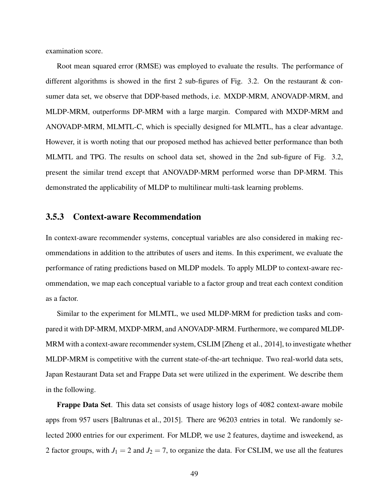examination score.

Root mean squared error (RMSE) was employed to evaluate the results. The performance of different algorithms is showed in the first 2 sub-figures of Fig. [3.2.](#page-59-2) On the restaurant  $\&{\rm con}$ sumer data set, we observe that DDP-based methods, i.e. MXDP-MRM, ANOVADP-MRM, and MLDP-MRM, outperforms DP-MRM with a large margin. Compared with MXDP-MRM and ANOVADP-MRM, MLMTL-C, which is specially designed for MLMTL, has a clear advantage. However, it is worth noting that our proposed method has achieved better performance than both MLMTL and TPG. The results on school data set, showed in the 2nd sub-figure of Fig. [3.2,](#page-59-2) present the similar trend except that ANOVADP-MRM performed worse than DP-MRM. This demonstrated the applicability of MLDP to multilinear multi-task learning problems.

## 3.5.3 Context-aware Recommendation

In context-aware recommender systems, conceptual variables are also considered in making recommendations in addition to the attributes of users and items. In this experiment, we evaluate the performance of rating predictions based on MLDP models. To apply MLDP to context-aware recommendation, we map each conceptual variable to a factor group and treat each context condition as a factor.

Similar to the experiment for MLMTL, we used MLDP-MRM for prediction tasks and compared it with DP-MRM, MXDP-MRM, and ANOVADP-MRM. Furthermore, we compared MLDP-MRM with a context-aware recommender system, CSLIM [\[Zheng et al., 2014\]](#page-154-2), to investigate whether MLDP-MRM is competitive with the current state-of-the-art technique. Two real-world data sets, Japan Restaurant Data set and Frappe Data set were utilized in the experiment. We describe them in the following.

Frappe Data Set. This data set consists of usage history logs of 4082 context-aware mobile apps from 957 users [\[Baltrunas et al., 2015\]](#page-140-2). There are 96203 entries in total. We randomly selected 2000 entries for our experiment. For MLDP, we use 2 features, daytime and isweekend, as 2 factor groups, with  $J_1 = 2$  and  $J_2 = 7$ , to organize the data. For CSLIM, we use all the features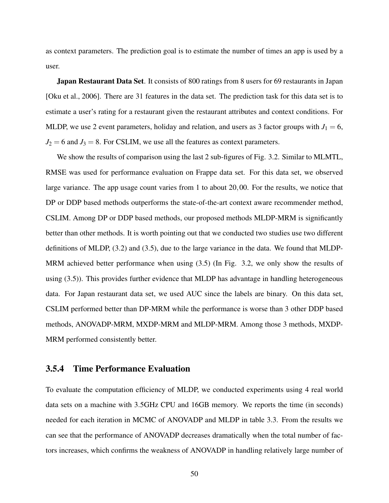as context parameters. The prediction goal is to estimate the number of times an app is used by a user.

**Japan Restaurant Data Set.** It consists of 800 ratings from 8 users for 69 restaurants in Japan [\[Oku et al., 2006\]](#page-149-0). There are 31 features in the data set. The prediction task for this data set is to estimate a user's rating for a restaurant given the restaurant attributes and context conditions. For MLDP, we use 2 event parameters, holiday and relation, and users as 3 factor groups with  $J_1 = 6$ ,  $J_2 = 6$  and  $J_3 = 8$ . For CSLIM, we use all the features as context parameters.

We show the results of comparison using the last 2 sub-figures of Fig. [3.2.](#page-59-2) Similar to MLMTL, RMSE was used for performance evaluation on Frappe data set. For this data set, we observed large variance. The app usage count varies from 1 to about 20,00. For the results, we notice that DP or DDP based methods outperforms the state-of-the-art context aware recommender method, CSLIM. Among DP or DDP based methods, our proposed methods MLDP-MRM is significantly better than other methods. It is worth pointing out that we conducted two studies use two different definitions of MLDP, [\(3.2\)](#page-51-0) and [\(3.5\)](#page-52-0), due to the large variance in the data. We found that MLDP-MRM achieved better performance when using [\(3.5\)](#page-52-0) (In Fig. [3.2,](#page-59-2) we only show the results of using [\(3.5\)](#page-52-0)). This provides further evidence that MLDP has advantage in handling heterogeneous data. For Japan restaurant data set, we used AUC since the labels are binary. On this data set, CSLIM performed better than DP-MRM while the performance is worse than 3 other DDP based methods, ANOVADP-MRM, MXDP-MRM and MLDP-MRM. Among those 3 methods, MXDP-MRM performed consistently better.

## 3.5.4 Time Performance Evaluation

To evaluate the computation efficiency of MLDP, we conducted experiments using 4 real world data sets on a machine with 3.5GHz CPU and 16GB memory. We reports the time (in seconds) needed for each iteration in MCMC of ANOVADP and MLDP in table [3.3.](#page-64-0) From the results we can see that the performance of ANOVADP decreases dramatically when the total number of factors increases, which confirms the weakness of ANOVADP in handling relatively large number of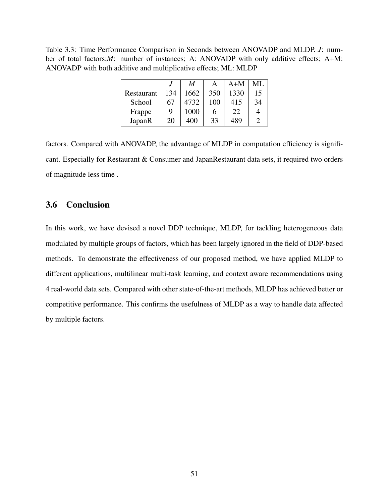<span id="page-64-0"></span>Table 3.3: Time Performance Comparison in Seconds between ANOVADP and MLDP. *J*: number of total factors;*M*: number of instances; A: ANOVADP with only additive effects; A+M: ANOVADP with both additive and multiplicative effects; ML: MLDP

|            |     | M    |     | $A+M$ | ML. |
|------------|-----|------|-----|-------|-----|
| Restaurant | 134 | 1662 | 350 | 1330  | 15  |
| School     | 67  | 4732 | 100 | 415   | 34  |
| Frappe     | 9   | 1000 | 6   | 22    |     |
| JapanR     | 20  | 400  | 33  | 489   | っ   |

factors. Compared with ANOVADP, the advantage of MLDP in computation efficiency is significant. Especially for Restaurant & Consumer and JapanRestaurant data sets, it required two orders of magnitude less time .

## 3.6 Conclusion

In this work, we have devised a novel DDP technique, MLDP, for tackling heterogeneous data modulated by multiple groups of factors, which has been largely ignored in the field of DDP-based methods. To demonstrate the effectiveness of our proposed method, we have applied MLDP to different applications, multilinear multi-task learning, and context aware recommendations using 4 real-world data sets. Compared with other state-of-the-art methods, MLDP has achieved better or competitive performance. This confirms the usefulness of MLDP as a way to handle data affected by multiple factors.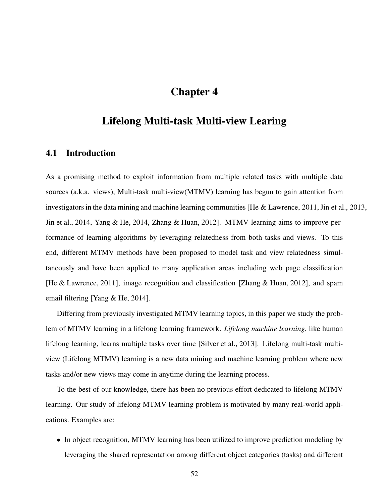## Chapter 4

## Lifelong Multi-task Multi-view Learing

#### 4.1 Introduction

As a promising method to exploit information from multiple related tasks with multiple data sources (a.k.a. views), Multi-task multi-view(MTMV) learning has begun to gain attention from investigators in the data mining and machine learning communities [\[He & Lawrence, 2011,](#page-143-2) [Jin et al., 2013,](#page-144-1) [Jin et al., 2014,](#page-144-2) [Yang & He, 2014,](#page-153-0) [Zhang & Huan, 2012\]](#page-154-0). MTMV learning aims to improve performance of learning algorithms by leveraging relatedness from both tasks and views. To this end, different MTMV methods have been proposed to model task and view relatedness simultaneously and have been applied to many application areas including web page classification [\[He & Lawrence, 2011\]](#page-143-2), image recognition and classification [\[Zhang & Huan, 2012\]](#page-154-0), and spam email filtering [\[Yang & He, 2014\]](#page-153-0).

Differing from previously investigated MTMV learning topics, in this paper we study the problem of MTMV learning in a lifelong learning framework. *Lifelong machine learning*, like human lifelong learning, learns multiple tasks over time [\[Silver et al., 2013\]](#page-151-2). Lifelong multi-task multiview (Lifelong MTMV) learning is a new data mining and machine learning problem where new tasks and/or new views may come in anytime during the learning process.

To the best of our knowledge, there has been no previous effort dedicated to lifelong MTMV learning. Our study of lifelong MTMV learning problem is motivated by many real-world applications. Examples are:

• In object recognition, MTMV learning has been utilized to improve prediction modeling by leveraging the shared representation among different object categories (tasks) and different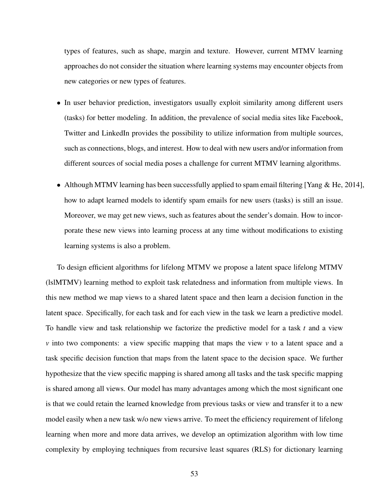types of features, such as shape, margin and texture. However, current MTMV learning approaches do not consider the situation where learning systems may encounter objects from new categories or new types of features.

- In user behavior prediction, investigators usually exploit similarity among different users (tasks) for better modeling. In addition, the prevalence of social media sites like Facebook, Twitter and LinkedIn provides the possibility to utilize information from multiple sources, such as connections, blogs, and interest. How to deal with new users and/or information from different sources of social media poses a challenge for current MTMV learning algorithms.
- Although MTMV learning has been successfully applied to spam email filtering [\[Yang & He, 2014\]](#page-153-0), how to adapt learned models to identify spam emails for new users (tasks) is still an issue. Moreover, we may get new views, such as features about the sender's domain. How to incorporate these new views into learning process at any time without modifications to existing learning systems is also a problem.

To design efficient algorithms for lifelong MTMV we propose a latent space lifelong MTMV (lslMTMV) learning method to exploit task relatedness and information from multiple views. In this new method we map views to a shared latent space and then learn a decision function in the latent space. Specifically, for each task and for each view in the task we learn a predictive model. To handle view and task relationship we factorize the predictive model for a task *t* and a view *v* into two components: a view specific mapping that maps the view *v* to a latent space and a task specific decision function that maps from the latent space to the decision space. We further hypothesize that the view specific mapping is shared among all tasks and the task specific mapping is shared among all views. Our model has many advantages among which the most significant one is that we could retain the learned knowledge from previous tasks or view and transfer it to a new model easily when a new task w/o new views arrive. To meet the efficiency requirement of lifelong learning when more and more data arrives, we develop an optimization algorithm with low time complexity by employing techniques from recursive least squares (RLS) for dictionary learning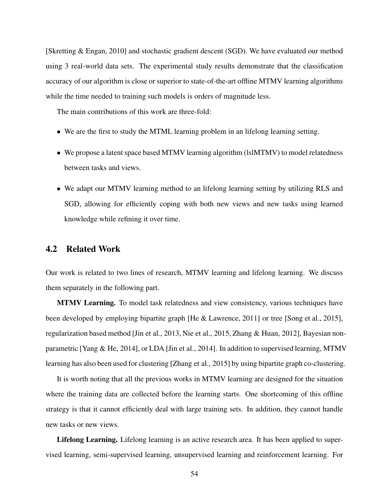[\[Skretting & Engan, 2010\]](#page-151-3) and stochastic gradient descent (SGD). We have evaluated our method using 3 real-world data sets. The experimental study results demonstrate that the classification accuracy of our algorithm is close or superior to state-of-the-art offline MTMV learning algorithms while the time needed to training such models is orders of magnitude less.

The main contributions of this work are three-fold:

- We are the first to study the MTML learning problem in an lifelong learning setting.
- We propose a latent space based MTMV learning algorithm (lslMTMV) to model relatedness between tasks and views.
- We adapt our MTMV learning method to an lifelong learning setting by utilizing RLS and SGD, allowing for efficiently coping with both new views and new tasks using learned knowledge while refining it over time.

## 4.2 Related Work

Our work is related to two lines of research, MTMV learning and lifelong learning. We discuss them separately in the following part.

**MTMV Learning.** To model task relatedness and view consistency, various techniques have been developed by employing bipartite graph [\[He & Lawrence, 2011\]](#page-143-2) or tree [\[Song et al., 2015\]](#page-151-4), regularization based method [\[Jin et al., 2013,](#page-144-1) [Nie et al., 2015,](#page-149-1) [Zhang & Huan, 2012\]](#page-154-0), Bayesian nonparametric [\[Yang & He, 2014\]](#page-153-0), or LDA [\[Jin et al., 2014\]](#page-144-2). In addition to supervised learning, MTMV learning has also been used for clustering [\[Zhang et al., 2015\]](#page-154-3) by using bipartite graph co-clustering.

It is worth noting that all the previous works in MTMV learning are designed for the situation where the training data are collected before the learning starts. One shortcoming of this offline strategy is that it cannot efficiently deal with large training sets. In addition, they cannot handle new tasks or new views.

Lifelong Learning. Lifelong learning is an active research area. It has been applied to supervised learning, semi-supervised learning, unsupervised learning and reinforcement learning. For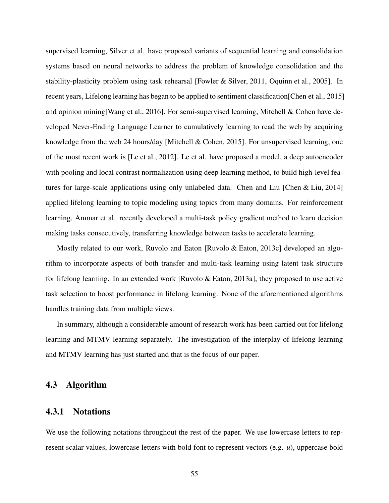supervised learning, Silver et al. have proposed variants of sequential learning and consolidation systems based on neural networks to address the problem of knowledge consolidation and the stability-plasticity problem using task rehearsal [\[Fowler & Silver, 2011,](#page-142-3) [Oquinn et al., 2005\]](#page-149-2). In recent years, Lifelong learning has began to be applied to sentiment classification[\[Chen et al., 2015\]](#page-141-4) and opinion mining[\[Wang et al., 2016\]](#page-153-3). For semi-supervised learning, Mitchell & Cohen have developed Never-Ending Language Learner to cumulatively learning to read the web by acquiring knowledge from the web 24 hours/day [\[Mitchell & Cohen, 2015\]](#page-148-3). For unsupervised learning, one of the most recent work is [\[Le et al., 2012\]](#page-145-4). Le et al. have proposed a model, a deep autoencoder with pooling and local contrast normalization using deep learning method, to build high-level features for large-scale applications using only unlabeled data. Chen and Liu [\[Chen & Liu, 2014\]](#page-141-5) applied lifelong learning to topic modeling using topics from many domains. For reinforcement learning, Ammar et al. recently developed a multi-task policy gradient method to learn decision making tasks consecutively, transferring knowledge between tasks to accelerate learning.

Mostly related to our work, Ruvolo and Eaton [\[Ruvolo & Eaton, 2013c\]](#page-150-3) developed an algorithm to incorporate aspects of both transfer and multi-task learning using latent task structure for lifelong learning. In an extended work [\[Ruvolo & Eaton, 2013a\]](#page-150-4), they proposed to use active task selection to boost performance in lifelong learning. None of the aforementioned algorithms handles training data from multiple views.

In summary, although a considerable amount of research work has been carried out for lifelong learning and MTMV learning separately. The investigation of the interplay of lifelong learning and MTMV learning has just started and that is the focus of our paper.

## 4.3 Algorithm

### 4.3.1 Notations

We use the following notations throughout the rest of the paper. We use lowercase letters to represent scalar values, lowercase letters with bold font to represent vectors (e.g. *u*), uppercase bold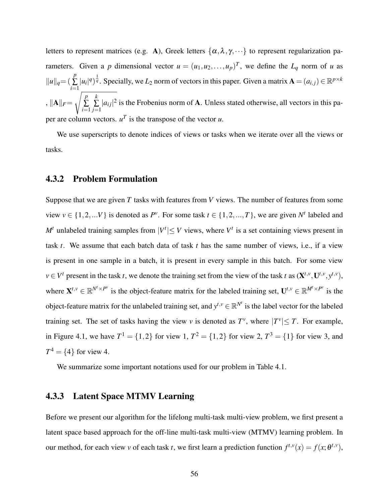letters to represent matrices (e.g. A), Greek letters  $\{\alpha, \lambda, \gamma, \dots\}$  to represent regularization parameters. Given a *p* dimensional vector  $u = (u_1, u_2, \dots, u_p)^T$ , we define the  $L_q$  norm of *u* as  $\|u\|_q = ($ *p*  $\sum_{i=1}$  $|u_i|^q$ , Specially, we  $L_2$  norm of vectors in this paper. Given a matrix  $\mathbf{A} = (a_{i,j}) \in \mathbb{R}^{p \times k}$ ,  $\Vert \mathbf{A}\Vert_F =$ s *p*  $\sum_{i=1}$ *k* ∑ *j*=1  $|a_{ij}|^2$  is the Frobenius norm of A. Unless stated otherwise, all vectors in this paper are column vectors.  $u^T$  is the transpose of the vector *u*.

We use superscripts to denote indices of views or tasks when we iterate over all the views or tasks.

## 4.3.2 Problem Formulation

Suppose that we are given *T* tasks with features from *V* views. The number of features from some view  $v \in \{1, 2, \ldots V\}$  is denoted as  $P^v$ . For some task  $t \in \{1, 2, \ldots, T\}$ , we are given  $N^t$  labeled and  $M<sup>t</sup>$  unlabeled training samples from  $|V^t| \leq V$  views, where  $V^t$  is a set containing views present in task *t*. We assume that each batch data of task *t* has the same number of views, i.e., if a view is present in one sample in a batch, it is present in every sample in this batch. For some view  $v \in V^t$  present in the task *t*, we denote the training set from the view of the task *t* as  $(\mathbf{X}^{t,v}, \mathbf{U}^{t,v}, y^{t,v})$ , where  $\mathbf{X}^{t,v} \in \mathbb{R}^{N^t \times P^v}$  is the object-feature matrix for the labeled training set,  $\mathbf{U}^{t,v} \in \mathbb{R}^{M^t \times P^v}$  is the object-feature matrix for the unlabeled training set, and  $y^{t,v} \in \mathbb{R}^{N^t}$  is the label vector for the labeled training set. The set of tasks having the view *v* is denoted as  $T^{\nu}$ , where  $|T^{\nu}| \leq T$ . For example, in Figure [4.1,](#page-70-0) we have  $T^1 = \{1, 2\}$  for view 1,  $T^2 = \{1, 2\}$  for view 2,  $T^3 = \{1\}$  for view 3, and  $T^4 = \{4\}$  for view 4.

We summarize some important notations used for our problem in Table [4.1.](#page-70-1)

## 4.3.3 Latent Space MTMV Learning

Before we present our algorithm for the lifelong multi-task multi-view problem, we first present a latent space based approach for the off-line multi-task multi-view (MTMV) learning problem. In our method, for each view *v* of each task *t*, we first learn a prediction function  $f^{t,v}(x) = f(x; \theta^{t,v})$ ,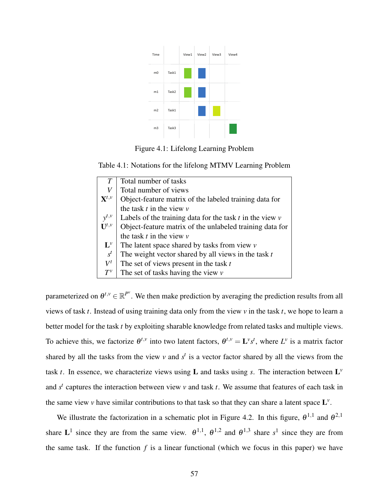<span id="page-70-0"></span>

Figure 4.1: Lifelong Learning Problem

<span id="page-70-1"></span>Table 4.1: Notations for the lifelong MTMV Learning Problem

| T                  | Total number of tasks                                        |
|--------------------|--------------------------------------------------------------|
| V                  | Total number of views                                        |
| $\mathbf{X}^{t,v}$ | Object-feature matrix of the labeled training data for       |
|                    | the task $t$ in the view $v$                                 |
| $y^{t,v}$          | Labels of the training data for the task $t$ in the view $v$ |
| $\mathbf{U}^{t,v}$ | Object-feature matrix of the unlabeled training data for     |
|                    | the task $t$ in the view $v$                                 |
| $\mathbf{L}^{\nu}$ | The latent space shared by tasks from view $\nu$             |
| $s^t$              | The weight vector shared by all views in the task $t$        |
| $V^t$              | The set of views present in the task $t$                     |
| $T^{\nu}$          | The set of tasks having the view $\nu$                       |

parameterized on  $\theta^{t,v} \in \mathbb{R}^{P^v}$ . We then make prediction by averaging the prediction results from all views of task *t*. Instead of using training data only from the view *v* in the task *t*, we hope to learn a better model for the task *t* by exploiting sharable knowledge from related tasks and multiple views. To achieve this, we factorize  $\theta^{t,v}$  into two latent factors,  $\theta^{t,v} = L^v s^t$ , where  $L^v$  is a matrix factor shared by all the tasks from the view  $v$  and  $s<sup>t</sup>$  is a vector factor shared by all the views from the task *t*. In essence, we characterize views using **L** and tasks using *s*. The interaction between  $L^{\nu}$ and  $s<sup>t</sup>$  captures the interaction between view *v* and task *t*. We assume that features of each task in the same view  $\nu$  have similar contributions to that task so that they can share a latent space  $L^{\nu}$ .

We illustrate the factorization in a schematic plot in Figure [4.2.](#page-71-0) In this figure,  $\theta^{1,1}$  and  $\theta^{2,1}$ share  $L^1$  since they are from the same view.  $\theta^{1,1}$ ,  $\theta^{1,2}$  and  $\theta^{1,3}$  share  $s^1$  since they are from the same task. If the function *f* is a linear functional (which we focus in this paper) we have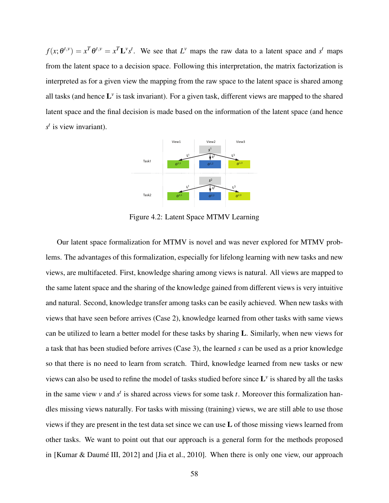$f(x; \theta^{t,v}) = x^T \theta^{t,v} = x^T L^v s^t$ . We see that  $L^v$  maps the raw data to a latent space and  $s^t$  maps from the latent space to a decision space. Following this interpretation, the matrix factorization is interpreted as for a given view the mapping from the raw space to the latent space is shared among all tasks (and hence  $L^{\nu}$  is task invariant). For a given task, different views are mapped to the shared latent space and the final decision is made based on the information of the latent space (and hence *s t* is view invariant).

<span id="page-71-0"></span>

Figure 4.2: Latent Space MTMV Learning

Our latent space formalization for MTMV is novel and was never explored for MTMV problems. The advantages of this formalization, especially for lifelong learning with new tasks and new views, are multifaceted. First, knowledge sharing among views is natural. All views are mapped to the same latent space and the sharing of the knowledge gained from different views is very intuitive and natural. Second, knowledge transfer among tasks can be easily achieved. When new tasks with views that have seen before arrives (Case 2), knowledge learned from other tasks with same views can be utilized to learn a better model for these tasks by sharing L. Similarly, when new views for a task that has been studied before arrives (Case 3), the learned *s* can be used as a prior knowledge so that there is no need to learn from scratch. Third, knowledge learned from new tasks or new views can also be used to refine the model of tasks studied before since  $L^{\nu}$  is shared by all the tasks in the same view  $v$  and  $s^t$  is shared across views for some task  $t$ . Moreover this formalization handles missing views naturally. For tasks with missing (training) views, we are still able to use those views if they are present in the test data set since we can use L of those missing views learned from other tasks. We want to point out that our approach is a general form for the methods proposed in [\[Kumar & Daumé III, 2012\]](#page-145-0) and [\[Jia et al., 2010\]](#page-144-3). When there is only one view, our approach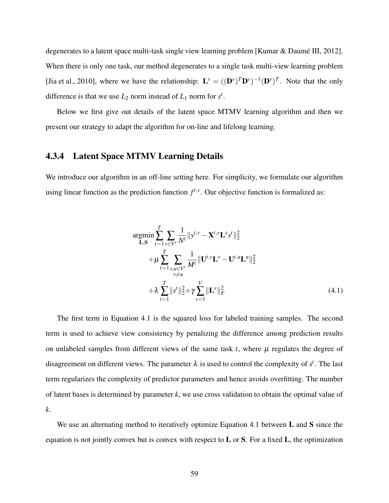degenerates to a latent space multi-task single view learning problem [\[Kumar & Daumé III, 2012\]](#page-145-0). When there is only one task, our method degenerates to a single task multi-view learning problem [\[Jia et al., 2010\]](#page-144-0), where we have the relationship:  $\mathbf{L}^{\nu} = ((\mathbf{D}^{\nu})^T \mathbf{D}^{\nu})^{-1} (\mathbf{D}^{\nu})^T$ . Note that the only difference is that we use  $L_2$  norm instead of  $L_1$  norm for  $s^t$ .

Below we first give out details of the latent space MTMV learning algorithm and then we present our strategy to adapt the algorithm for on-line and lifelong learning.

## 4.3.4 Latent Space MTMV Learning Details

We introduce our algorithm in an off-line setting here. For simplicity, we formulate our algorithm using linear function as the prediction function  $f^{t,y}$ . Our objective function is formalized as:

<span id="page-72-0"></span>
$$
\underset{\mathbf{L},\mathbf{S}}{\operatorname{argmin}} \sum_{t=1}^{T} \sum_{\mathbf{v} \in V^t} \frac{1}{N^t} ||\mathbf{y}^{t,\mathbf{v}} - \mathbf{X}^{t,\mathbf{v}} \mathbf{L}^{\mathbf{v}} s^t||_2^2
$$
  
 
$$
+ \mu \sum_{t=1}^{T} \sum_{\substack{\mathbf{v}, \mathbf{u} \in V^t \\ \mathbf{v} \neq \mathbf{u}}} \frac{1}{M^t} ||\mathbf{U}^{t,\mathbf{v}} \mathbf{L}^{\mathbf{v}} - \mathbf{U}^{t,\mathbf{u}} \mathbf{L}^{\mathbf{u}}||_2^2
$$
  
 
$$
+ \lambda \sum_{t=1}^{T} ||s^t||_2^2 + \gamma \sum_{\mathbf{v}=1}^{V} ||\mathbf{L}^{\mathbf{v}}||_F^2
$$
(4.1)

The first term in Equation [4.1](#page-72-0) is the squared loss for labeled training samples. The second term is used to achieve view consistency by penalizing the difference among prediction results on unlabeled samples from different views of the same task  $t$ , where  $\mu$  regulates the degree of disagreement on different views. The parameter  $\lambda$  is used to control the complexity of  $s^t$ . The last term regularizes the complexity of predictor parameters and hence avoids overfitting. The number of latent bases is determined by parameter *k*, we use cross validation to obtain the optimal value of *k*.

We use an alternating method to iteratively optimize Equation [4.1](#page-72-0) between **L** and **S** since the equation is not jointly convex but is convex with respect to  $L$  or  $S$ . For a fixed  $L$ , the optimization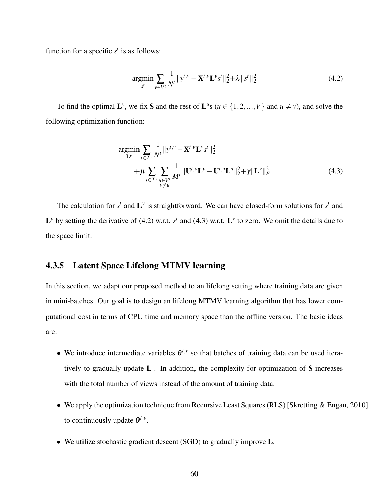function for a specific  $s^t$  is as follows:

<span id="page-73-0"></span>
$$
\underset{s^{t}}{\text{argmin}} \sum_{v \in V^{t}} \frac{1}{N^{t}} \| y^{t,v} - \mathbf{X}^{t,v} \mathbf{L}^{v} s^{t} \|_{2}^{2} + \lambda \| s^{t} \|_{2}^{2}
$$
\n(4.2)

To find the optimal  $L^{\nu}$ , we fix S and the rest of  $L^{\nu}$ s ( $u \in \{1, 2, ..., V\}$  and  $u \neq \nu$ ), and solve the following optimization function:

<span id="page-73-1"></span>
$$
\underset{\mathbf{L}^{\nu}}{\operatorname{argmin}} \sum_{t \in T^{\nu}} \frac{1}{N^{t}} \|y^{t,\nu} - \mathbf{X}^{t,\nu} \mathbf{L}^{\nu} s^{t} \|_{2}^{2} \n+ \mu \sum_{t \in T^{\nu}} \sum_{\substack{u \in V^{t} \\ v \neq u}} \frac{1}{M^{t}} \| \mathbf{U}^{t,\nu} \mathbf{L}^{\nu} - \mathbf{U}^{t,u} \mathbf{L}^{u} \|_{2}^{2} + \gamma \| \mathbf{L}^{\nu} \|_{F}^{2}
$$
\n(4.3)

The calculation for  $s^t$  and  $L^v$  is straightforward. We can have closed-form solutions for  $s^t$  and  $L^{\nu}$  by setting the derivative of [\(4.2\)](#page-73-0) w.r.t.  $s^t$  and [\(4.3\)](#page-73-1) w.r.t.  $L^{\nu}$  to zero. We omit the details due to the space limit.

## 4.3.5 Latent Space Lifelong MTMV learning

In this section, we adapt our proposed method to an lifelong setting where training data are given in mini-batches. Our goal is to design an lifelong MTMV learning algorithm that has lower computational cost in terms of CPU time and memory space than the offline version. The basic ideas are:

- We introduce intermediate variables  $\theta^{t,v}$  so that batches of training data can be used iteratively to gradually update L . In addition, the complexity for optimization of S increases with the total number of views instead of the amount of training data.
- We apply the optimization technique from Recursive Least Squares (RLS) [\[Skretting & Engan, 2010\]](#page-151-0) to continuously update  $\theta^{t,v}$ .
- We utilize stochastic gradient descent (SGD) to gradually improve L.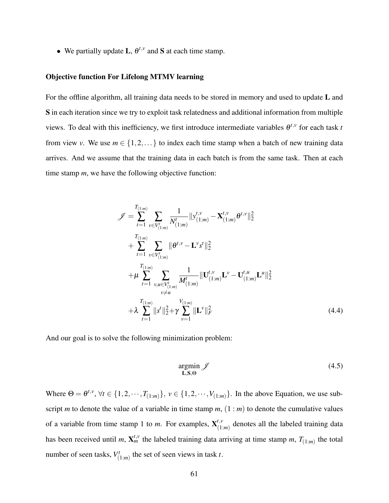• We partially update **L**,  $\theta^{t,v}$  and **S** at each time stamp.

#### Objective function For Lifelong MTMV learning

For the offline algorithm, all training data needs to be stored in memory and used to update L and S in each iteration since we try to exploit task relatedness and additional information from multiple views. To deal with this inefficiency, we first introduce intermediate variables  $\theta^{t,v}$  for each task *t* from view *v*. We use  $m \in \{1, 2, \dots\}$  to index each time stamp when a batch of new training data arrives. And we assume that the training data in each batch is from the same task. Then at each time stamp *m*, we have the following objective function:

$$
\mathscr{J} = \sum_{t=1}^{T_{(1:m)}} \sum_{v \in V_{(1:m)}^t} \frac{1}{N_{(1:m)}^t} ||y_{(1:m)}^{t,v} - \mathbf{X}_{(1:m)}^{t,v} \theta^{t,v}||_2^2
$$
  
+ 
$$
\sum_{t=1}^{T_{(1:m)}} \sum_{v \in V_{(1:m)}^t} ||\theta^{t,v} - \mathbf{L}^v s^t||_2^2
$$
  
+ 
$$
\mu \sum_{t=1}^{T_{(1:m)}} \sum_{v, u \in V_{(1:m)}^t} \frac{1}{M_{(1:m)}^t} ||\mathbf{U}_{(1:m)}^{t,v} \mathbf{L}^v - \mathbf{U}_{(1:m)}^{t,u} \mathbf{L}^u||_2^2
$$
  
+ 
$$
\lambda \sum_{t=1}^{T_{(1:m)}} ||s^t||_2^2 + \gamma \sum_{v=1}^{V_{(1:m)}} ||\mathbf{L}^v||_F^2
$$
 (4.4)

And our goal is to solve the following minimization problem:

<span id="page-74-0"></span>
$$
\underset{\mathbf{L},\mathbf{S},\Theta}{\text{argmin}}\mathscr{J} \tag{4.5}
$$

Where  $\Theta = \theta^{t,v}, \forall t \in \{1, 2, \dots, T_{(1:m)}\}, v \in \{1, 2, \dots, V_{(1:m)}\}.$  In the above Equation, we use subscript *m* to denote the value of a variable in time stamp  $m$ ,  $(1 : m)$  to denote the cumulative values of a variable from time stamp 1 to *m*. For examples,  $X_{(1)}^{t,v}$  $\binom{1, v}{1, m}$  denotes all the labeled training data has been received until *m*,  $\mathbf{X}_m^{t,v}$  the labeled training data arriving at time stamp *m*,  $T_{(1:m)}$  the total number of seen tasks, *V t*  $t'_{(1:m)}$  the set of seen views in task *t*.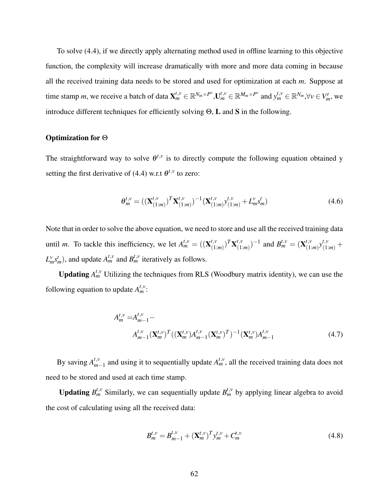To solve [\(4.4\)](#page-74-0), if we directly apply alternating method used in offline learning to this objective function, the complexity will increase dramatically with more and more data coming in because all the received training data needs to be stored and used for optimization at each *m*. Suppose at time stamp m, we receive a batch of data  $\mathbf{X}_{m}^{t,v} \in \mathbb{R}^{N_m \times P^v}, \mathbf{U}_{m}^{t,v} \in \mathbb{R}^{M_m \times P^v}$  and  $y_{m}^{t,v} \in \mathbb{R}^{N_m}, \forall v \in V_m^t$ , we introduce different techniques for efficiently solving  $\Theta$ , **L** and **S** in the following.

#### Optimization for Θ

The straightforward way to solve  $\theta^{t,v}$  is to directly compute the following equation obtained y setting the first derivative of [\(4.4\)](#page-74-0) w.r.t  $\theta^{t,v}$  to zero:

$$
\theta_m^{t,v} = ((\mathbf{X}_{(1:m)}^{t,v})^T \mathbf{X}_{(1:m)}^{t,v})^{-1} (\mathbf{X}_{(1:m)}^{t,v} y_{(1:m)}^{t,v} + L_m^v s_m^t)
$$
(4.6)

Note that in order to solve the above equation, we need to store and use all the received training data until *m*. To tackle this inefficiency, we let  $A_m^{t,v} = \left(\left(\mathbf{X}_{m}^{t,v}\right)\right)$  $(\binom{t,v}{1:m})^T \mathbf{X}_{(1)}^{t,v}$  $\sum_{(1:m)}^{(t,v)}$ <sup>-1</sup> and  $B_m^{t,v} = (\mathbf{X}_{(1:n)}^{t,v})$  $y^{t,v}_{(1:m)}$  $y^{t,v}_{(1:m)}$  +  $L_m^{\nu} s_m^t$ ), and update  $A_m^{t,\nu}$  and  $B_m^{t,\nu}$  iteratively as follows.

Updating  $A_m^{t,\nu}$  Utilizing the techniques from RLS (Woodbury matrix identity), we can use the following equation to update  $A_m^{t,v}$ :

$$
A_m^{t,v} = A_{m-1}^{t,v} - A_{m-1}^{t,v} (X_m^{t,v})^T ((X_m^{t,v}) A_{m-1}^{t,v} (X_m^{t,v})^T)^{-1} (X_m^{t,v}) A_{m-1}^{t,v}
$$
\n
$$
(4.7)
$$

By saving  $A^{t,v}_{m}$  $t, v$ <sub>*m*−1</sub> and using it to sequentially update  $A_m^{t,v}$ , all the received training data does not need to be stored and used at each time stamp.

Updating  $B_m^{t,\nu}$  Similarly, we can sequentially update  $B_m^{t,\nu}$  by applying linear algebra to avoid the cost of calculating using all the received data:

<span id="page-75-1"></span><span id="page-75-0"></span>
$$
B_m^{t,v} = B_{m-1}^{t,v} + (\mathbf{X}_m^{t,v})^T y_m^{t,v} + C_m^{t,v}
$$
\n(4.8)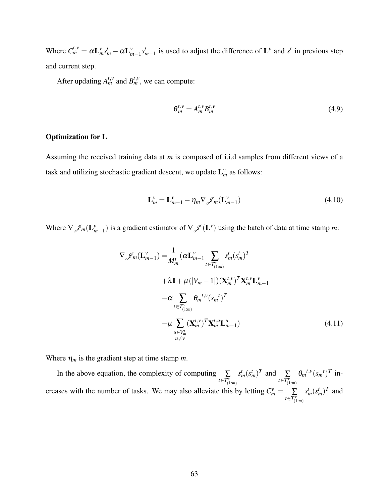Where  $C_m^{t,v} = \alpha L_m^v s_m^t - \alpha L_{m-1}^v s_{m-1}^t$  is used to adjust the difference of  $L^v$  and  $s^t$  in previous step and current step.

After updating  $A_m^{t,v}$  and  $B_m^{t,v}$ , we can compute:

<span id="page-76-2"></span><span id="page-76-0"></span>
$$
\theta_m^{t,v} = A_m^{t,v} B_m^{t,v} \tag{4.9}
$$

## Optimization for L

Assuming the received training data at *m* is composed of i.i.d samples from different views of a task and utilizing stochastic gradient descent, we update  $\mathbf{L}_m^v$  as follows:

<span id="page-76-1"></span>
$$
\mathbf{L}_m^{\nu} = \mathbf{L}_{m-1}^{\nu} - \eta_m \nabla \mathcal{J}_m(\mathbf{L}_{m-1}^{\nu})
$$
(4.10)

Where  $\nabla \mathscr{J}_m(\mathbf{L}_{m-1}^v)$  is a gradient estimator of  $\nabla \mathscr{J}(\mathbf{L}^v)$  using the batch of data at time stamp *m*:

$$
\nabla \mathscr{J}_{m}(\mathbf{L}_{m-1}^{v}) = \frac{1}{M_{m}^{t}} (\alpha \mathbf{L}_{m-1}^{v} \sum_{t \in T_{(1:m)}^{v}} s_{m}^{t} (s_{m}^{t})^{T} \n+ \lambda \mathbf{I} + \mu (|V_{m} - 1|) (\mathbf{X}_{m}^{t,v})^{T} \mathbf{X}_{m}^{t,v} \mathbf{L}_{m-1}^{v} \n- \alpha \sum_{t \in T_{(1:m)}^{v}} \theta_{m}^{t,v} (s_{m}^{t})^{T} \n- \mu \sum_{\substack{u \in V_{m}^{t} \\ u \neq v}} (\mathbf{X}_{m}^{t,v})^{T} \mathbf{X}_{m}^{t,u} \mathbf{L}_{m-1}^{u})
$$
\n(4.11)

Where  $\eta_m$  is the gradient step at time stamp *m*.

In the above equation, the complexity of computing  $\sum_{t \in T^{\nu}_{(1:m)}}$ *s*<sup>*t<sub>m</sub>*</sub>(*s<sup>t</sup><sub><i>n*</sub>)</sub><sup>*T*</sup> and <sub>*t*∈*T*<sup>*v*</sup><sub>(1:*m*)</sub></sup></sub>  $\theta_m^{t,v}(s_m^t)^T$  increases with the number of tasks. We may also alleviate this by letting  $C_m^v = \sum_{t \in T_{(1:m)}^v}$  $s_m^t (s_m^t)^T$  and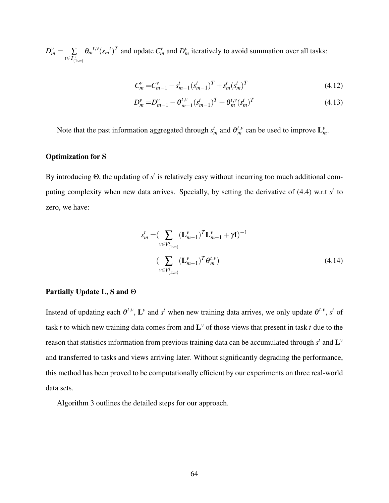$D_m^{\nu} = \sum_{t \in T_{(1:m)}^{\nu}}$  $\theta_m^{t,v}(s_m^t)^T$  and update  $C_m^v$  and  $D_m^v$  iteratively to avoid summation over all tasks:

$$
C_m^{\nu} = C_{m-1}^{\nu} - s_{m-1}^t (s_{m-1}^t)^T + s_m^t (s_m^t)^T
$$
\n(4.12)

$$
D_m^{\nu} = D_{m-1}^{\nu} - \theta_{m-1}^{t,\nu} (s_{m-1}^t)^T + \theta_m^{t,\nu} (s_m^t)^T
$$
\n(4.13)

Note that the past information aggregated through  $s_m^t$  and  $\theta_m^{t,v}$  can be used to improve  $\mathbf{L}_m^v$ .

#### Optimization for S

By introducing Θ, the updating of *s t* is relatively easy without incurring too much additional computing complexity when new data arrives. Specially, by setting the derivative of [\(4.4\)](#page-74-0) w.r.t *s t* to zero, we have:

<span id="page-77-0"></span>
$$
s_m^t = \left(\sum_{v \in V_{(1:m)}^t} (\mathbf{L}_{m-1}^v)^T \mathbf{L}_{m-1}^v + \gamma \mathbf{I}\right)^{-1}
$$
  

$$
\left(\sum_{v \in V_{(1:m)}^t} (\mathbf{L}_{m-1}^v)^T \boldsymbol{\theta}_m^{t,v}\right)
$$
(4.14)

#### Partially Update L, S and Θ

Instead of updating each  $\theta^{t,v}$ ,  $\mathbf{L}^v$  and  $s^t$  when new training data arrives, we only update  $\theta^{t,v}$ ,  $s^t$  of task *t* to which new training data comes from and L *<sup>v</sup>* of those views that present in task *t* due to the reason that statistics information from previous training data can be accumulated through  $s<sup>t</sup>$  and  $L<sup>v</sup>$ and transferred to tasks and views arriving later. Without significantly degrading the performance, this method has been proved to be computationally efficient by our experiments on three real-world data sets.

Algorithm [3](#page-78-0) outlines the detailed steps for our approach.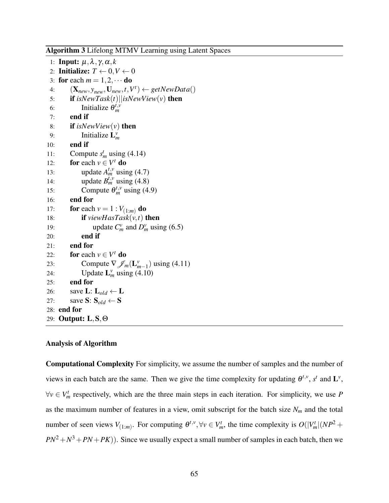<span id="page-78-0"></span>Algorithm 3 Lifelong MTMV Learning using Latent Spaces

```
1: Input: \mu, \lambda, \gamma, \alpha, k2: Initialize: T \leftarrow 0, V \leftarrow 03: for each m = 1, 2, \cdots do
 4: (X_{new}, y_{new}, U_{new}, t, V^t) \leftarrow getNewData()5: if isNewTask(t)||isNewView(v) then
 6: Initialize \theta_m^{t,v}7: end if
8: if isNewView(v) then
 9: Initialize \mathbf{L}_m^v10: end if
11: Compute s_m^t(4.14)
12: for each v \in V^t do
13: update A_m^{t,v}(4.7)
14: update B_n^{t,\nu}(4.8)
15: Compute \theta_m^{t,v}(4.9)
16: end for
17: for each v = 1 : V_{(1:m)} do
18: if viewHasTask(v,t) then
19: update C_m^v and D_m^v(6.5)
20: end if
21: end for
22: for each v \in V^t do
23: Compute \nabla \mathscr{J}_m(\mathbf{L}_{m-1}^{\nu})(4.11)
24: Update L_m^v using (4.10)25: end for
26: save L: L_{old} \leftarrow L27: save S: S_{old} \leftarrow S28: end for
29: Output: L,S,Θ
```
#### Analysis of Algorithm

Computational Complexity For simplicity, we assume the number of samples and the number of views in each batch are the same. Then we give the time complexity for updating  $\theta^{t,v}$ ,  $s^t$  and  $\mathbf{L}^v$ ,  $\forall v \in V_m^t$  respectively, which are the three main steps in each iteration. For simplicity, we use *P* as the maximum number of features in a view, omit subscript for the batch size *N<sup>m</sup>* and the total number of seen views  $V_{(1:m)}$ . For computing  $\theta^{t,v}, \forall v \in V_m^t$ , the time complexity is  $O(|V_m^t|(NP^2 + \theta^2))$  $PN^2 + N^3 + PN + PK)$ ). Since we usually expect a small number of samples in each batch, then we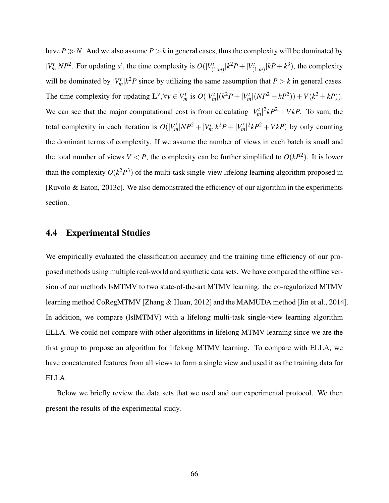have  $P \gg N$ . And we also assume  $P > k$  in general cases, thus the complexity will be dominated by  $|V_m^t|NP^2$ . For updating  $s^t$ , the time complexity is  $O(|V_l^t|)$  $\binom{r}{1:m}$   $\frac{k^2P+|V|^t}{|V|^t}$  $\binom{t}{1:m}$   $\left| k + k^3 \right\rangle$ , the complexity will be dominated by  $|V_m^t|k^2P$  since by utilizing the same assumption that  $P > k$  in general cases. The time complexity for updating  $\mathbf{L}^{\nu}, \forall \nu \in V_m^t$  is  $O(|V_m^t| (k^2 P + |V_m^t| (NP^2 + kP^2)) + V(k^2 + kP)).$ We can see that the major computational cost is from calculating  $|V_m^t|^2 kP^2 + VkP$ . To sum, the total complexity in each iteration is  $O(|V_m^t|NP^2 + |V_m^t|k^2P + |V_m^t|^2kP^2 + VkP)$  by only counting the dominant terms of complexity. If we assume the number of views in each batch is small and the total number of views  $V < P$ , the complexity can be further simplified to  $O(kP^2)$ . It is lower than the complexity  $O(k^2P^3)$  of the multi-task single-view lifelong learning algorithm proposed in [\[Ruvolo & Eaton, 2013c\]](#page-150-0). We also demonstrated the efficiency of our algorithm in the experiments section.

## 4.4 Experimental Studies

We empirically evaluated the classification accuracy and the training time efficiency of our proposed methods using multiple real-world and synthetic data sets. We have compared the offline version of our methods lsMTMV to two state-of-the-art MTMV learning: the co-regularized MTMV learning method CoRegMTMV [\[Zhang & Huan, 2012\]](#page-154-0) and the MAMUDA method [\[Jin et al., 2014\]](#page-144-1). In addition, we compare (lslMTMV) with a lifelong multi-task single-view learning algorithm ELLA. We could not compare with other algorithms in lifelong MTMV learning since we are the first group to propose an algorithm for lifelong MTMV learning. To compare with ELLA, we have concatenated features from all views to form a single view and used it as the training data for ELLA.

Below we briefly review the data sets that we used and our experimental protocol. We then present the results of the experimental study.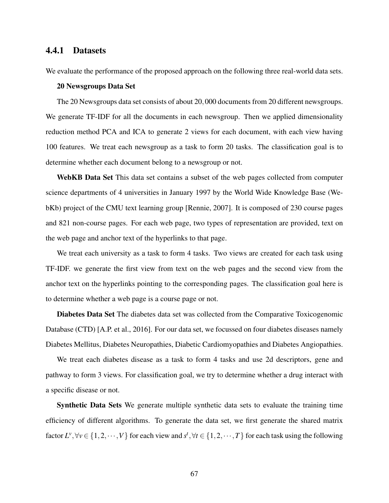## 4.4.1 Datasets

We evaluate the performance of the proposed approach on the following three real-world data sets.

#### 20 Newsgroups Data Set

The 20 Newsgroups data set consists of about 20,000 documents from 20 different newsgroups. We generate TF-IDF for all the documents in each newsgroup. Then we applied dimensionality reduction method PCA and ICA to generate 2 views for each document, with each view having 100 features. We treat each newsgroup as a task to form 20 tasks. The classification goal is to determine whether each document belong to a newsgroup or not.

WebKB Data Set This data set contains a subset of the web pages collected from computer science departments of 4 universities in January 1997 by the World Wide Knowledge Base (WebKb) project of the CMU text learning group [\[Rennie, 2007\]](#page-149-0). It is composed of 230 course pages and 821 non-course pages. For each web page, two types of representation are provided, text on the web page and anchor text of the hyperlinks to that page.

We treat each university as a task to form 4 tasks. Two views are created for each task using TF-IDF. we generate the first view from text on the web pages and the second view from the anchor text on the hyperlinks pointing to the corresponding pages. The classification goal here is to determine whether a web page is a course page or not.

Diabetes Data Set The diabetes data set was collected from the Comparative Toxicogenomic Database (CTD) [\[A.P. et al., 2016\]](#page-140-0). For our data set, we focussed on four diabetes diseases namely Diabetes Mellitus, Diabetes Neuropathies, Diabetic Cardiomyopathies and Diabetes Angiopathies.

We treat each diabetes disease as a task to form 4 tasks and use 2d descriptors, gene and pathway to form 3 views. For classification goal, we try to determine whether a drug interact with a specific disease or not.

Synthetic Data Sets We generate multiple synthetic data sets to evaluate the training time efficiency of different algorithms. To generate the data set, we first generate the shared matrix factor  $L^{\nu}$ ,  $\forall \nu \in \{1, 2, \dots, V\}$  for each view and  $s^t$ ,  $\forall t \in \{1, 2, \dots, T\}$  for each task using the following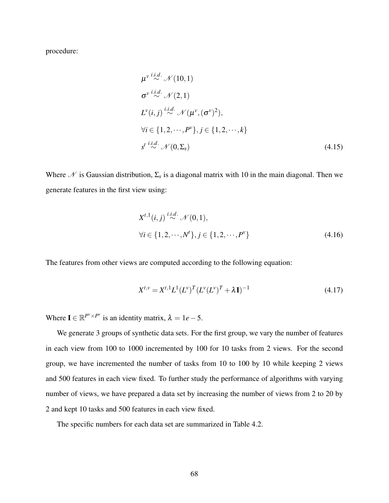procedure:

$$
\mu^{\nu} \stackrel{i.i.d.}{\sim} \mathcal{N}(10,1)
$$
  
\n
$$
\sigma^{\nu} \stackrel{i.i.d.}{\sim} \mathcal{N}(2,1)
$$
  
\n
$$
L^{\nu}(i,j) \stackrel{i.i.d.}{\sim} \mathcal{N}(\mu^{\nu}, (\sigma^{\nu})^2),
$$
  
\n
$$
\forall i \in \{1, 2, \cdots, P^{\nu}\}, j \in \{1, 2, \cdots, k\}
$$
  
\n
$$
s^{t} \stackrel{i.i.d.}{\sim} \mathcal{N}(0, \Sigma_s)
$$
\n(4.15)

Where  $\mathscr N$  is Gaussian distribution,  $\Sigma_s$  is a diagonal matrix with 10 in the main diagonal. Then we generate features in the first view using:

$$
X^{t,1}(i,j) \stackrel{i.i.d.}{\sim} \mathcal{N}(0,1),
$$
  
\n
$$
\forall i \in \{1,2,\cdots,N^t\}, j \in \{1,2,\cdots,P^v\}
$$
\n(4.16)

The features from other views are computed according to the following equation:

$$
X^{t,v} = X^{t,1}L^1(L^v)^T(L^v(L^v)^T + \lambda I)^{-1}
$$
\n(4.17)

Where  $I \in \mathbb{R}^{P^v \times P^v}$  is an identity matrix,  $\lambda = 1e - 5$ .

We generate 3 groups of synthetic data sets. For the first group, we vary the number of features in each view from 100 to 1000 incremented by 100 for 10 tasks from 2 views. For the second group, we have incremented the number of tasks from 10 to 100 by 10 while keeping 2 views and 500 features in each view fixed. To further study the performance of algorithms with varying number of views, we have prepared a data set by increasing the number of views from 2 to 20 by 2 and kept 10 tasks and 500 features in each view fixed.

The specific numbers for each data set are summarized in Table [4.2.](#page-82-0)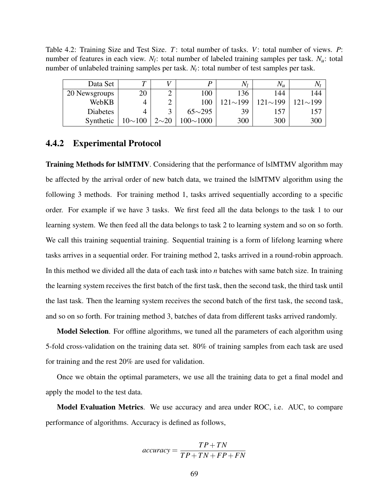<span id="page-82-0"></span>Table 4.2: Training Size and Test Size. *T*: total number of tasks. *V*: total number of views. *P*: number of features in each view. *N<sup>l</sup>* : total number of labeled training samples per task. *Nu*: total number of unlabeled training samples per task.  $N_t$ : total number of test samples per task.

| Data Set        |               |             |                 | $N_I$          | $N_u$          | 4Vf            |
|-----------------|---------------|-------------|-----------------|----------------|----------------|----------------|
| 20 Newsgroups   | 20            | ⌒           | 100             | 136            | 144            | 144            |
| WebKB           | 4             | ⌒<br>∠      | 100             | $121 \sim 199$ | $121{\sim}199$ | $121{\sim}199$ |
| <b>Diabetes</b> | 4             | 2           | $65{\sim}295$   | 39             | 157            | 157            |
| Synthetic       | $10 \sim 100$ | $2 \sim 20$ | $100 \sim 1000$ | 300            | 300            | 300            |

## 4.4.2 Experimental Protocol

Training Methods for lslMTMV. Considering that the performance of lslMTMV algorithm may be affected by the arrival order of new batch data, we trained the lslMTMV algorithm using the following 3 methods. For training method 1, tasks arrived sequentially according to a specific order. For example if we have 3 tasks. We first feed all the data belongs to the task 1 to our learning system. We then feed all the data belongs to task 2 to learning system and so on so forth. We call this training sequential training. Sequential training is a form of lifelong learning where tasks arrives in a sequential order. For training method 2, tasks arrived in a round-robin approach. In this method we divided all the data of each task into *n* batches with same batch size. In training the learning system receives the first batch of the first task, then the second task, the third task until the last task. Then the learning system receives the second batch of the first task, the second task, and so on so forth. For training method 3, batches of data from different tasks arrived randomly.

Model Selection. For offline algorithms, we tuned all the parameters of each algorithm using 5-fold cross-validation on the training data set. 80% of training samples from each task are used for training and the rest 20% are used for validation.

Once we obtain the optimal parameters, we use all the training data to get a final model and apply the model to the test data.

**Model Evaluation Metrics.** We use accuracy and area under ROC, i.e. AUC, to compare performance of algorithms. Accuracy is defined as follows,

$$
accuracy = \frac{TP + TN}{TP + TN + FP + FN}
$$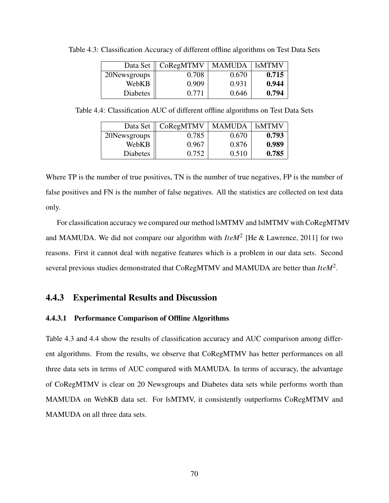| Data Set     | CoRegMTMV | <b>MAMUDA</b> | <b>IsMTMV</b> |
|--------------|-----------|---------------|---------------|
| 20Newsgroups | 0.708     | 0.670         | 0.715         |
| WebKB        | 0.909     | 0.931         | 0.944         |
| Diabetes     | 0.771     | 0.646         | 0.794         |

<span id="page-83-0"></span>Table 4.3: Classification Accuracy of different offline algorithms on Test Data Sets

<span id="page-83-1"></span>Table 4.4: Classification AUC of different offline algorithms on Test Data Sets

| Data Set     | CoRegMTMV | <b>MAMUDA</b> | <b>1sMTMV</b> |
|--------------|-----------|---------------|---------------|
| 20Newsgroups | 0.785     | 0.670         | 0.793         |
| WebKB        | 0.967     | 0.876         | 0.989         |
| Diabetes     | 0.752     | 0.510         | 0.785         |

Where TP is the number of true positives, TN is the number of true negatives, FP is the number of false positives and FN is the number of false negatives. All the statistics are collected on test data only.

For classification accuracy we compared our method lsMTMV and lslMTMV with CoRegMTMV and MAMUDA. We did not compare our algorithm with *IteM*<sup>2</sup> [\[He & Lawrence, 2011\]](#page-143-0) for two reasons. First it cannot deal with negative features which is a problem in our data sets. Second several previous studies demonstrated that CoRegMTMV and MAMUDA are better than *IteM*<sup>2</sup> .

## 4.4.3 Experimental Results and Discussion

#### 4.4.3.1 Performance Comparison of Offline Algorithms

Table [4.3](#page-83-0) and [4.4](#page-83-1) show the results of classification accuracy and AUC comparison among different algorithms. From the results, we observe that CoRegMTMV has better performances on all three data sets in terms of AUC compared with MAMUDA. In terms of accuracy, the advantage of CoRegMTMV is clear on 20 Newsgroups and Diabetes data sets while performs worth than MAMUDA on WebKB data set. For lsMTMV, it consistently outperforms CoRegMTMV and MAMUDA on all three data sets.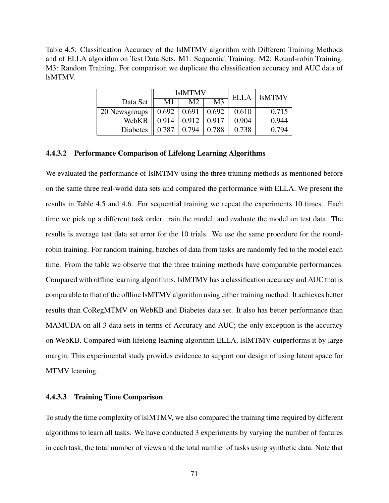<span id="page-84-0"></span>Table 4.5: Classification Accuracy of the lslMTMV algorithm with Different Training Methods and of ELLA algorithm on Test Data Sets. M1: Sequential Training. M2: Round-robin Training. M3: Random Training. For comparison we duplicate the classification accuracy and AUC data of lsMTMV.

|               | <b>IslMTMV</b> |                               |                | ELLA  | lsMTMV |
|---------------|----------------|-------------------------------|----------------|-------|--------|
| Data Set      | M1             | M <sub>2</sub>                | M <sub>3</sub> |       |        |
| 20 Newsgroups |                | $0.692 \mid 0.691 \mid 0.692$ |                | 0.610 | 0.715  |
| WebKB         | 0.914          | $0.912 \mid 0.917$            |                | 0.904 | 0.944  |
| Diabetes      | 0.787          | $0.794 \pm 0.788$             |                | 0.738 | 0.794  |

#### 4.4.3.2 Performance Comparison of Lifelong Learning Algorithms

We evaluated the performance of lslMTMV using the three training methods as mentioned before on the same three real-world data sets and compared the performance with ELLA. We present the results in Table [4.5](#page-84-0) and [4.6.](#page-85-0) For sequential training we repeat the experiments 10 times. Each time we pick up a different task order, train the model, and evaluate the model on test data. The results is average test data set error for the 10 trials. We use the same procedure for the roundrobin training. For random training, batches of data from tasks are randomly fed to the model each time. From the table we observe that the three training methods have comparable performances. Compared with offline learning algorithms, lslMTMV has a classification accuracy and AUC that is comparable to that of the offline lsMTMV algorithm using either training method. It achieves better results than CoRegMTMV on WebKB and Diabetes data set. It also has better performance than MAMUDA on all 3 data sets in terms of Accuracy and AUC; the only exception is the accuracy on WebKB. Compared with lifelong learning algorithm ELLA, lslMTMV outperforms it by large margin. This experimental study provides evidence to support our design of using latent space for MTMV learning.

#### 4.4.3.3 Training Time Comparison

To study the time complexity of lslMTMV, we also compared the training time required by different algorithms to learn all tasks. We have conducted 3 experiments by varying the number of features in each task, the total number of views and the total number of tasks using synthetic data. Note that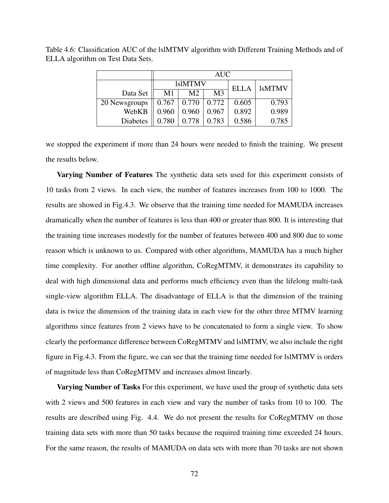|               | <b>AUC</b>     |                |                |       |               |
|---------------|----------------|----------------|----------------|-------|---------------|
|               | <b>lslMTMV</b> |                |                | ELLA  | <b>lsMTMV</b> |
| Data Set      | M <sub>1</sub> | M <sub>2</sub> | M <sub>3</sub> |       |               |
| 20 Newsgroups | 0.767          | 0.770          | 0.772          | 0.605 | 0.793         |
| WebKB         | 0.960          | 0.960          | 0.967          | 0.892 | 0.989         |
| Diabetes      | 0.780          | 0.778          | 0.783          | 0.586 | 0.785         |

<span id="page-85-0"></span>Table 4.6: Classification AUC of the lslMTMV algorithm with Different Training Methods and of ELLA algorithm on Test Data Sets.

we stopped the experiment if more than 24 hours were needed to finish the training. We present the results below.

Varying Number of Features The synthetic data sets used for this experiment consists of 10 tasks from 2 views. In each view, the number of features increases from 100 to 1000. The results are showed in Fig[.4.3.](#page-86-0) We observe that the training time needed for MAMUDA increases dramatically when the number of features is less than 400 or greater than 800. It is interesting that the training time increases modestly for the number of features between 400 and 800 due to some reason which is unknown to us. Compared with other algorithms, MAMUDA has a much higher time complexity. For another offline algorithm, CoRegMTMV, it demonstrates its capability to deal with high dimensional data and performs much efficiency even than the lifelong multi-task single-view algorithm ELLA. The disadvantage of ELLA is that the dimension of the training data is twice the dimension of the training data in each view for the other three MTMV learning algorithms since features from 2 views have to be concatenated to form a single view. To show clearly the performance difference between CoRegMTMV and lslMTMV, we also include the right figure in Fig[.4.3.](#page-86-0) From the figure, we can see that the training time needed for lslMTMV is orders of magnitude less than CoRegMTMV and increases almost linearly.

Varying Number of Tasks For this experiment, we have used the group of synthetic data sets with 2 views and 500 features in each view and vary the number of tasks from 10 to 100. The results are described using Fig. [4.4.](#page-86-1) We do not present the results for CoRegMTMV on those training data sets with more than 50 tasks because the required training time exceeded 24 hours. For the same reason, the results of MAMUDA on data sets with more than 70 tasks are not shown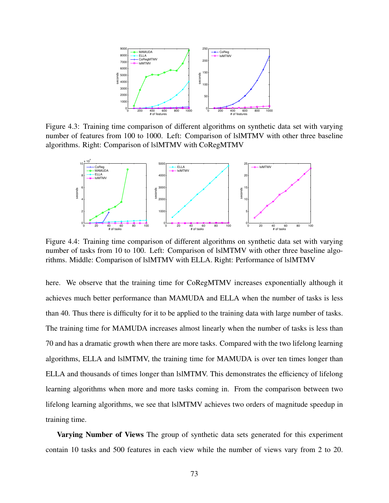<span id="page-86-0"></span>

Figure 4.3: Training time comparison of different algorithms on synthetic data set with varying number of features from 100 to 1000. Left: Comparison of lslMTMV with other three baseline algorithms. Right: Comparison of lslMTMV with CoRegMTMV

<span id="page-86-1"></span>

Figure 4.4: Training time comparison of different algorithms on synthetic data set with varying number of tasks from 10 to 100. Left: Comparison of lslMTMV with other three baseline algorithms. Middle: Comparison of lslMTMV with ELLA. Right: Performance of lslMTMV

here. We observe that the training time for CoRegMTMV increases exponentially although it achieves much better performance than MAMUDA and ELLA when the number of tasks is less than 40. Thus there is difficulty for it to be applied to the training data with large number of tasks. The training time for MAMUDA increases almost linearly when the number of tasks is less than 70 and has a dramatic growth when there are more tasks. Compared with the two lifelong learning algorithms, ELLA and lslMTMV, the training time for MAMUDA is over ten times longer than ELLA and thousands of times longer than lslMTMV. This demonstrates the efficiency of lifelong learning algorithms when more and more tasks coming in. From the comparison between two lifelong learning algorithms, we see that lslMTMV achieves two orders of magnitude speedup in training time.

Varying Number of Views The group of synthetic data sets generated for this experiment contain 10 tasks and 500 features in each view while the number of views vary from 2 to 20.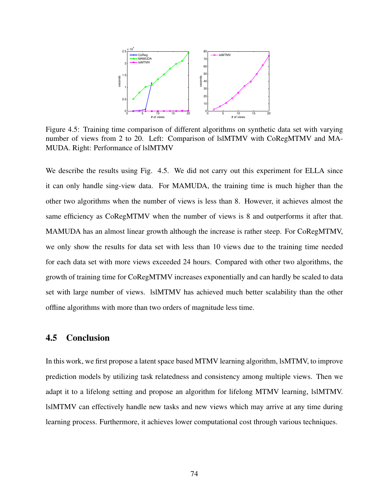<span id="page-87-0"></span>

Figure 4.5: Training time comparison of different algorithms on synthetic data set with varying number of views from 2 to 20. Left: Comparison of lslMTMV with CoRegMTMV and MA-MUDA. Right: Performance of lslMTMV

We describe the results using Fig. [4.5.](#page-87-0) We did not carry out this experiment for ELLA since it can only handle sing-view data. For MAMUDA, the training time is much higher than the other two algorithms when the number of views is less than 8. However, it achieves almost the same efficiency as CoRegMTMV when the number of views is 8 and outperforms it after that. MAMUDA has an almost linear growth although the increase is rather steep. For CoRegMTMV, we only show the results for data set with less than 10 views due to the training time needed for each data set with more views exceeded 24 hours. Compared with other two algorithms, the growth of training time for CoRegMTMV increases exponentially and can hardly be scaled to data set with large number of views. lslMTMV has achieved much better scalability than the other offline algorithms with more than two orders of magnitude less time.

## 4.5 Conclusion

In this work, we first propose a latent space based MTMV learning algorithm, lsMTMV, to improve prediction models by utilizing task relatedness and consistency among multiple views. Then we adapt it to a lifelong setting and propose an algorithm for lifelong MTMV learning, lslMTMV. lslMTMV can effectively handle new tasks and new views which may arrive at any time during learning process. Furthermore, it achieves lower computational cost through various techniques.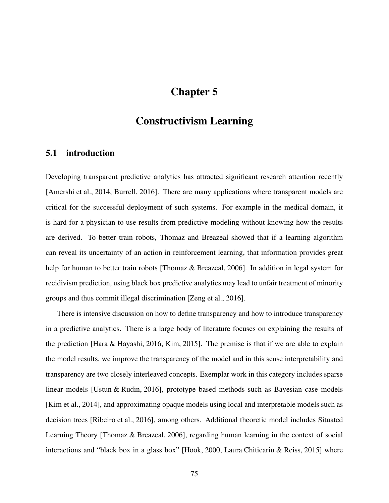# Chapter 5

## Constructivism Learning

### 5.1 introduction

Developing transparent predictive analytics has attracted significant research attention recently [\[Amershi et al., 2014,](#page-140-1) [Burrell, 2016\]](#page-141-0). There are many applications where transparent models are critical for the successful deployment of such systems. For example in the medical domain, it is hard for a physician to use results from predictive modeling without knowing how the results are derived. To better train robots, Thomaz and Breazeal showed that if a learning algorithm can reveal its uncertainty of an action in reinforcement learning, that information provides great help for human to better train robots [\[Thomaz & Breazeal, 2006\]](#page-152-0). In addition in legal system for recidivism prediction, using black box predictive analytics may lead to unfair treatment of minority groups and thus commit illegal discrimination [\[Zeng et al., 2016\]](#page-154-1).

There is intensive discussion on how to define transparency and how to introduce transparency in a predictive analytics. There is a large body of literature focuses on explaining the results of the prediction [\[Hara & Hayashi, 2016,](#page-143-1) [Kim, 2015\]](#page-144-2). The premise is that if we are able to explain the model results, we improve the transparency of the model and in this sense interpretability and transparency are two closely interleaved concepts. Exemplar work in this category includes sparse linear models [\[Ustun & Rudin, 2016\]](#page-152-1), prototype based methods such as Bayesian case models [\[Kim et al., 2014\]](#page-145-1), and approximating opaque models using local and interpretable models such as decision trees [\[Ribeiro et al., 2016\]](#page-150-1), among others. Additional theoretic model includes Situated Learning Theory [\[Thomaz & Breazeal, 2006\]](#page-152-0), regarding human learning in the context of social interactions and "black box in a glass box" [\[Höök, 2000,](#page-143-2) [Laura Chiticariu & Reiss, 2015\]](#page-145-2) where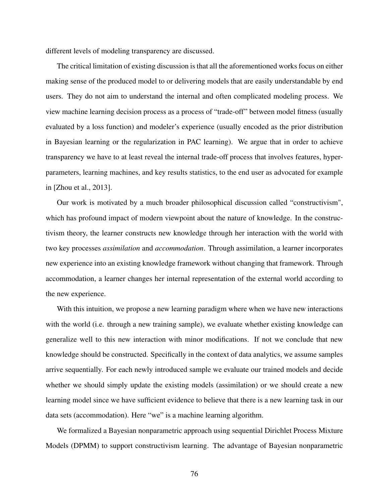different levels of modeling transparency are discussed.

The critical limitation of existing discussion is that all the aforementioned works focus on either making sense of the produced model to or delivering models that are easily understandable by end users. They do not aim to understand the internal and often complicated modeling process. We view machine learning decision process as a process of "trade-off" between model fitness (usually evaluated by a loss function) and modeler's experience (usually encoded as the prior distribution in Bayesian learning or the regularization in PAC learning). We argue that in order to achieve transparency we have to at least reveal the internal trade-off process that involves features, hyperparameters, learning machines, and key results statistics, to the end user as advocated for example in [\[Zhou et al., 2013\]](#page-154-2).

Our work is motivated by a much broader philosophical discussion called "constructivism", which has profound impact of modern viewpoint about the nature of knowledge. In the constructivism theory, the learner constructs new knowledge through her interaction with the world with two key processes *assimilation* and *accommodation*. Through assimilation, a learner incorporates new experience into an existing knowledge framework without changing that framework. Through accommodation, a learner changes her internal representation of the external world according to the new experience.

With this intuition, we propose a new learning paradigm where when we have new interactions with the world (i.e. through a new training sample), we evaluate whether existing knowledge can generalize well to this new interaction with minor modifications. If not we conclude that new knowledge should be constructed. Specifically in the context of data analytics, we assume samples arrive sequentially. For each newly introduced sample we evaluate our trained models and decide whether we should simply update the existing models (assimilation) or we should create a new learning model since we have sufficient evidence to believe that there is a new learning task in our data sets (accommodation). Here "we" is a machine learning algorithm.

We formalized a Bayesian nonparametric approach using sequential Dirichlet Process Mixture Models (DPMM) to support constructivism learning. The advantage of Bayesian nonparametric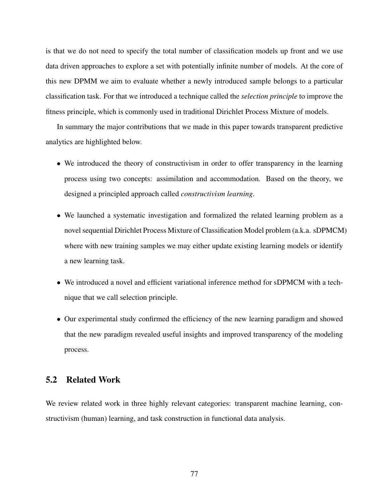is that we do not need to specify the total number of classification models up front and we use data driven approaches to explore a set with potentially infinite number of models. At the core of this new DPMM we aim to evaluate whether a newly introduced sample belongs to a particular classification task. For that we introduced a technique called the *selection principle* to improve the fitness principle, which is commonly used in traditional Dirichlet Process Mixture of models.

In summary the major contributions that we made in this paper towards transparent predictive analytics are highlighted below.

- We introduced the theory of constructivism in order to offer transparency in the learning process using two concepts: assimilation and accommodation. Based on the theory, we designed a principled approach called *constructivism learning*.
- We launched a systematic investigation and formalized the related learning problem as a novel sequential Dirichlet Process Mixture of Classification Model problem (a.k.a. sDPMCM) where with new training samples we may either update existing learning models or identify a new learning task.
- We introduced a novel and efficient variational inference method for sDPMCM with a technique that we call selection principle.
- Our experimental study confirmed the efficiency of the new learning paradigm and showed that the new paradigm revealed useful insights and improved transparency of the modeling process.

## 5.2 Related Work

We review related work in three highly relevant categories: transparent machine learning, constructivism (human) learning, and task construction in functional data analysis.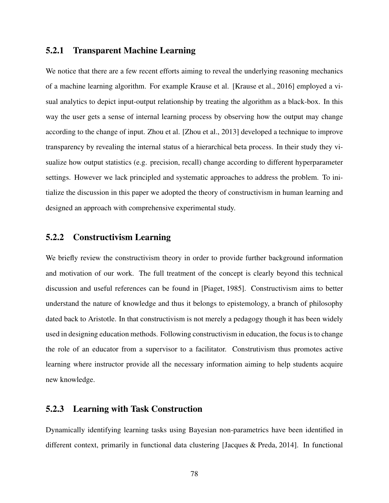## 5.2.1 Transparent Machine Learning

We notice that there are a few recent efforts aiming to reveal the underlying reasoning mechanics of a machine learning algorithm. For example Krause et al. [\[Krause et al., 2016\]](#page-145-3) employed a visual analytics to depict input-output relationship by treating the algorithm as a black-box. In this way the user gets a sense of internal learning process by observing how the output may change according to the change of input. Zhou et al. [\[Zhou et al., 2013\]](#page-154-2) developed a technique to improve transparency by revealing the internal status of a hierarchical beta process. In their study they visualize how output statistics (e.g. precision, recall) change according to different hyperparameter settings. However we lack principled and systematic approaches to address the problem. To initialize the discussion in this paper we adopted the theory of constructivism in human learning and designed an approach with comprehensive experimental study.

## 5.2.2 Constructivism Learning

We briefly review the constructivism theory in order to provide further background information and motivation of our work. The full treatment of the concept is clearly beyond this technical discussion and useful references can be found in [\[Piaget, 1985\]](#page-149-1). Constructivism aims to better understand the nature of knowledge and thus it belongs to epistemology, a branch of philosophy dated back to Aristotle. In that constructivism is not merely a pedagogy though it has been widely used in designing education methods. Following constructivism in education, the focus is to change the role of an educator from a supervisor to a facilitator. Construtivism thus promotes active learning where instructor provide all the necessary information aiming to help students acquire new knowledge.

## 5.2.3 Learning with Task Construction

Dynamically identifying learning tasks using Bayesian non-parametrics have been identified in different context, primarily in functional data clustering [\[Jacques & Preda, 2014\]](#page-144-3). In functional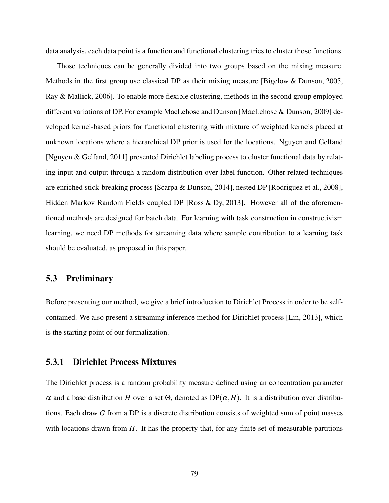data analysis, each data point is a function and functional clustering tries to cluster those functions.

Those techniques can be generally divided into two groups based on the mixing measure. Methods in the first group use classical DP as their mixing measure [\[Bigelow & Dunson, 2005,](#page-141-1) [Ray & Mallick, 2006\]](#page-149-2). To enable more flexible clustering, methods in the second group employed different variations of DP. For example MacLehose and Dunson [\[MacLehose & Dunson, 2009\]](#page-147-0) developed kernel-based priors for functional clustering with mixture of weighted kernels placed at unknown locations where a hierarchical DP prior is used for the locations. Nguyen and Gelfand [\[Nguyen & Gelfand, 2011\]](#page-149-3) presented Dirichlet labeling process to cluster functional data by relating input and output through a random distribution over label function. Other related techniques are enriched stick-breaking process [\[Scarpa & Dunson, 2014\]](#page-151-1), nested DP [\[Rodriguez et al., 2008\]](#page-150-2), Hidden Markov Random Fields coupled DP [\[Ross & Dy, 2013\]](#page-150-3). However all of the aforementioned methods are designed for batch data. For learning with task construction in constructivism learning, we need DP methods for streaming data where sample contribution to a learning task should be evaluated, as proposed in this paper.

#### 5.3 Preliminary

Before presenting our method, we give a brief introduction to Dirichlet Process in order to be selfcontained. We also present a streaming inference method for Dirichlet process [\[Lin, 2013\]](#page-146-0), which is the starting point of our formalization.

## 5.3.1 Dirichlet Process Mixtures

The Dirichlet process is a random probability measure defined using an concentration parameter α and a base distribution *H* over a set Θ, denoted as DP(α,*H*). It is a distribution over distributions. Each draw *G* from a DP is a discrete distribution consists of weighted sum of point masses with locations drawn from *H*. It has the property that, for any finite set of measurable partitions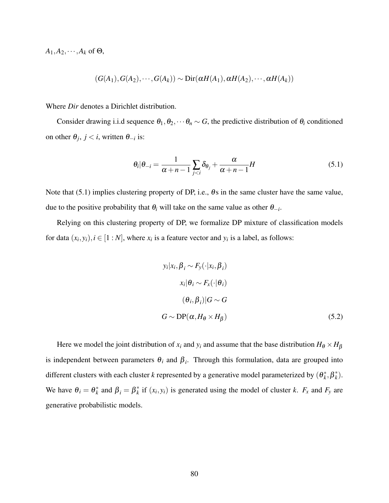$A_1, A_2, \cdots, A_k$  of  $\Theta$ ,

$$
(G(A_1), G(A_2), \cdots, G(A_k)) \sim \text{Dir}(\alpha H(A_1), \alpha H(A_2), \cdots, \alpha H(A_k))
$$

Where *Dir* denotes a Dirichlet distribution.

Consider drawing i.i.d sequence  $\theta_1, \theta_2, \dots, \theta_n \sim G$ , the predictive distribution of  $\theta_i$  conditioned on other  $\theta_j$ ,  $j < i$ , written  $\theta_{-i}$  is:

<span id="page-93-0"></span>
$$
\theta_i|\theta_{-i} = \frac{1}{\alpha + n - 1} \sum_{j < i} \delta_{\theta_j} + \frac{\alpha}{\alpha + n - 1} H \tag{5.1}
$$

Note that [\(5.1\)](#page-93-0) implies clustering property of DP, i.e., θs in the same cluster have the same value, due to the positive probability that  $\theta_i$  will take on the same value as other  $\theta_{-i}$ .

Relying on this clustering property of DP, we formalize DP mixture of classification models for data  $(x_i, y_i)$ ,  $i \in [1:N]$ , where  $x_i$  is a feature vector and  $y_i$  is a label, as follows:

<span id="page-93-1"></span>
$$
y_i | x_i, \beta_i \sim F_y(\cdot | x_i, \beta_i)
$$
  

$$
x_i | \theta_i \sim F_x(\cdot | \theta_i)
$$
  

$$
(\theta_i, \beta_i) | G \sim G
$$
  

$$
G \sim DP(\alpha, H_\theta \times H_\beta)
$$
 (5.2)

Here we model the joint distribution of  $x_i$  and  $y_i$  and assume that the base distribution  $H_\theta \times H_\beta$ is independent between parameters  $\theta_i$  and  $\beta_i$ . Through this formulation, data are grouped into different clusters with each cluster *k* represented by a generative model parameterized by  $(\theta_k^*)$  $_k^*, \beta_k^*$  $_{k}^{\ast}$ . We have  $\theta_i = \theta_k^*$  $\hat{\beta}_k^*$  and  $\beta_i = \beta_k^*$  $\int_{k}^{*}$  if  $(x_i, y_i)$  is generated using the model of cluster *k*.  $F_x$  and  $F_y$  are generative probabilistic models.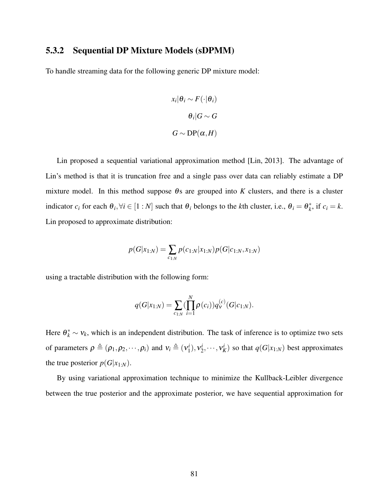## 5.3.2 Sequential DP Mixture Models (sDPMM)

To handle streaming data for the following generic DP mixture model:

$$
x_i | \theta_i \sim F(\cdot | \theta_i)
$$

$$
\theta_i | G \sim G
$$

$$
G \sim DP(\alpha, H)
$$

Lin proposed a sequential variational approximation method [\[Lin, 2013\]](#page-146-0). The advantage of Lin's method is that it is truncation free and a single pass over data can reliably estimate a DP mixture model. In this method suppose θs are grouped into *K* clusters, and there is a cluster indicator  $c_i$  for each  $\theta_i$ ,  $\forall i \in [1:N]$  such that  $\theta_i$  belongs to the *k*th cluster, i.e.,  $\theta_i = \theta_k^*$  $_{k}^{*}$ , if  $c_{i} = k$ . Lin proposed to approximate distribution:

$$
p(G|x_{1:N}) = \sum_{c_{1:N}} p(c_{1:N}|x_{1:N}) p(G|c_{1:N},x_{1:N})
$$

using a tractable distribution with the following form:

$$
q(G|x_{1:N}) = \sum_{c_{1:N}} \left(\prod_{i=1}^{N} \rho(c_i)\right) q_{V}^{(c)}(G|c_{1:N}).
$$

Here  $\theta_k^* \sim v_k$ , which is an independent distribution. The task of inference is to optimize two sets of parameters  $\rho \triangleq (\rho_1, \rho_2, \dots, \rho_i)$  and  $v_i \triangleq (v_1^i)$  $j^{i}$ <sub>1</sub>),  $v_{2}^{i}$  $\mathbf{z}_2^{i}, \dots, \mathbf{v}_K^{i}$  so that  $q(G|x_{1:N})$  best approximates the true posterior  $p(G|x_{1:N})$ .

By using variational approximation technique to minimize the Kullback-Leibler divergence between the true posterior and the approximate posterior, we have sequential approximation for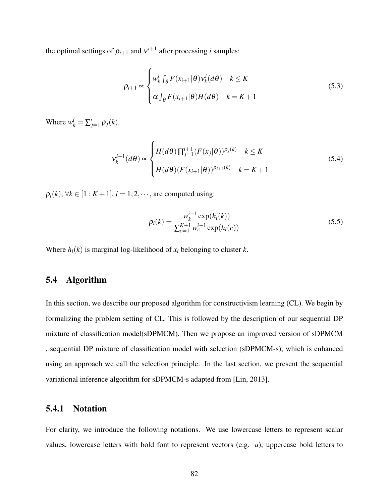the optimal settings of  $\rho_{i+1}$  and  $v^{i+1}$  after processing *i* samples:

$$
\rho_{i+1} \propto \begin{cases} w_k^i \int_{\theta} F(x_{i+1} | \theta) v_k^i(d\theta) & k \le K \\ \alpha \int_{\theta} F(x_{i+1} | \theta) H(d\theta) & k = K+1 \end{cases}
$$
(5.3)

Where  $w_k^i = \sum_{j=1}^i \rho_j(k)$ .

$$
v_k^{i+1}(d\theta) \propto \begin{cases} H(d\theta) \prod_{j=1}^{i+1} (F(x_j|\theta))^{\rho_j(k)} & k \le K \\ H(d\theta) (F(x_{i+1}|\theta))^{\rho_{i+1}(k)} & k = K+1 \end{cases} \tag{5.4}
$$

 $\rho_i(k)$ ,  $\forall k \in [1:K+1], i = 1, 2, \dots$ , are computed using:

$$
\rho_i(k) = \frac{w_k^{i-1} \exp(h_i(k))}{\sum_{c=1}^{K+1} w_c^{i-1} \exp(h_i(c))}
$$
\n(5.5)

Where  $h_i(k)$  is marginal log-likelihood of  $x_i$  belonging to cluster  $k$ .

## 5.4 Algorithm

In this section, we describe our proposed algorithm for constructivism learning (CL). We begin by formalizing the problem setting of CL. This is followed by the description of our sequential DP mixture of classification model(sDPMCM). Then we propose an improved version of sDPMCM , sequential DP mixture of classification model with selection (sDPMCM-s), which is enhanced using an approach we call the selection principle. In the last section, we present the sequential variational inference algorithm for sDPMCM-s adapted from [\[Lin, 2013\]](#page-146-0).

## 5.4.1 Notation

For clarity, we introduce the following notations. We use lowercase letters to represent scalar values, lowercase letters with bold font to represent vectors (e.g. *u*), uppercase bold letters to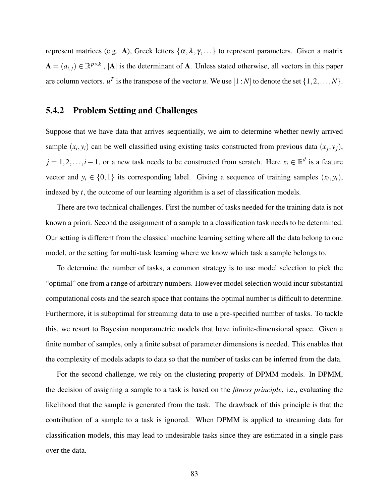represent matrices (e.g. A), Greek letters  $\{\alpha, \lambda, \gamma, \dots\}$  to represent parameters. Given a matrix  $A = (a_{i,j}) \in \mathbb{R}^{p \times k}$ , |A| is the determinant of A. Unless stated otherwise, all vectors in this paper are column vectors.  $u^T$  is the transpose of the vector *u*. We use  $[1:N]$  to denote the set  $\{1,2,\ldots,N\}$ .

## 5.4.2 Problem Setting and Challenges

Suppose that we have data that arrives sequentially, we aim to determine whether newly arrived sample  $(x_i, y_i)$  can be well classified using existing tasks constructed from previous data  $(x_j, y_j)$ ,  $j = 1, 2, \ldots, i - 1$ , or a new task needs to be constructed from scratch. Here  $x_i \in \mathbb{R}^d$  is a feature vector and  $y_i \in \{0,1\}$  its corresponding label. Giving a sequence of training samples  $(x_t, y_t)$ , indexed by *t*, the outcome of our learning algorithm is a set of classification models.

There are two technical challenges. First the number of tasks needed for the training data is not known a priori. Second the assignment of a sample to a classification task needs to be determined. Our setting is different from the classical machine learning setting where all the data belong to one model, or the setting for multi-task learning where we know which task a sample belongs to.

To determine the number of tasks, a common strategy is to use model selection to pick the "optimal" one from a range of arbitrary numbers. However model selection would incur substantial computational costs and the search space that contains the optimal number is difficult to determine. Furthermore, it is suboptimal for streaming data to use a pre-specified number of tasks. To tackle this, we resort to Bayesian nonparametric models that have infinite-dimensional space. Given a finite number of samples, only a finite subset of parameter dimensions is needed. This enables that the complexity of models adapts to data so that the number of tasks can be inferred from the data.

For the second challenge, we rely on the clustering property of DPMM models. In DPMM, the decision of assigning a sample to a task is based on the *fitness principle*, i.e., evaluating the likelihood that the sample is generated from the task. The drawback of this principle is that the contribution of a sample to a task is ignored. When DPMM is applied to streaming data for classification models, this may lead to undesirable tasks since they are estimated in a single pass over the data.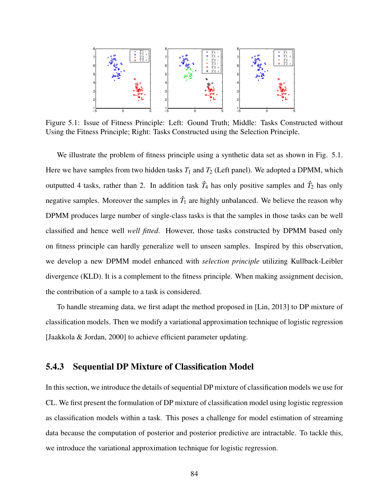<span id="page-97-0"></span>

Figure 5.1: Issue of Fitness Principle: Left: Gound Truth; Middle: Tasks Constructed without Using the Fitness Principle; Right: Tasks Constructed using the Selection Principle.

We illustrate the problem of fitness principle using a synthetic data set as shown in Fig. [5.1.](#page-97-0) Here we have samples from two hidden tasks  $T_1$  and  $T_2$  (Left panel). We adopted a DPMM, which outputted 4 tasks, rather than 2. In addition task  $\hat{T}_4$  has only positive samples and  $\hat{T}_2$  has only negative samples. Moreover the samples in  $\hat{T}_1$  are highly unbalanced. We believe the reason why DPMM produces large number of single-class tasks is that the samples in those tasks can be well classified and hence well *well fitted*. However, those tasks constructed by DPMM based only on fitness principle can hardly generalize well to unseen samples. Inspired by this observation, we develop a new DPMM model enhanced with *selection principle* utilizing Kullback-Leibler divergence (KLD). It is a complement to the fitness principle. When making assignment decision, the contribution of a sample to a task is considered.

To handle streaming data, we first adapt the method proposed in [\[Lin, 2013\]](#page-146-0) to DP mixture of classification models. Then we modify a variational approximation technique of logistic regression [\[Jaakkola & Jordan, 2000\]](#page-144-4) to achieve efficient parameter updating.

## 5.4.3 Sequential DP Mixture of Classification Model

In this section, we introduce the details of sequential DP mixture of classification models we use for CL. We first present the formulation of DP mixture of classification model using logistic regression as classification models within a task. This poses a challenge for model estimation of streaming data because the computation of posterior and posterior predictive are intractable. To tackle this, we introduce the variational approximation technique for logistic regression.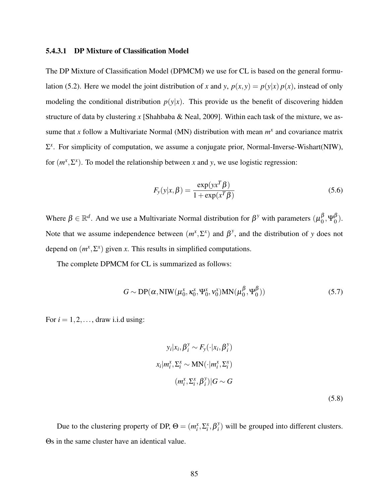#### 5.4.3.1 DP Mixture of Classification Model

The DP Mixture of Classification Model (DPMCM) we use for CL is based on the general formu-lation [\(5.2\)](#page-93-1). Here we model the joint distribution of *x* and *y*,  $p(x,y) = p(y|x) p(x)$ , instead of only modeling the conditional distribution  $p(y|x)$ . This provide us the benefit of discovering hidden structure of data by clustering *x* [\[Shahbaba & Neal, 2009\]](#page-151-2). Within each task of the mixture, we assume that x follow a Multivariate Normal (MN) distribution with mean  $m^x$  and covariance matrix  $\Sigma^x$ . For simplicity of computation, we assume a conjugate prior, Normal-Inverse-Wishart(NIW), for  $(m^x, \Sigma^x)$ . To model the relationship between *x* and *y*, we use logistic regression:

$$
F_{y}(y|x,\beta) = \frac{\exp(yx^T\beta)}{1 + \exp(x^T\beta)}
$$
\n(5.6)

Where  $\beta \in \mathbb{R}^d$ . And we use a Multivariate Normal distribution for  $\beta^y$  with parameters  $(\mu_0^{\beta})$  $_{0}^{\beta },\mathbf{\Psi }_{0}^{\beta }$  $\binom{p}{0}$ . Note that we assume independence between  $(m^x, \Sigma^x)$  and  $\beta^y$ , and the distribution of *y* does not depend on  $(m^x, \Sigma^x)$  given *x*. This results in simplified computations.

The complete DPMCM for CL is summarized as follows:

$$
G \sim \text{DP}(\alpha, \text{NIW}(\mu_0^x, \kappa_0^x, \Psi_0^x, \nu_0^x) \text{MN}(\mu_0^\beta, \Psi_0^\beta))
$$
\n(5.7)

For  $i = 1, 2, \ldots$ , draw i.i.d using:

$$
y_i | x_i, \beta_i^y \sim F_y(\cdot | x_i, \beta_i^y)
$$
  

$$
x_i | m_i^x, \Sigma_i^x \sim \text{MN}(\cdot | m_i^x, \Sigma_i^x)
$$
  

$$
(m_i^x, \Sigma_i^x, \beta_i^y) | G \sim G
$$
  
(5.8)

Due to the clustering property of DP,  $\Theta = (m_i^x, \Sigma_i^x, \beta_i^y)$  $\binom{y}{i}$  will be grouped into different clusters. Θs in the same cluster have an identical value.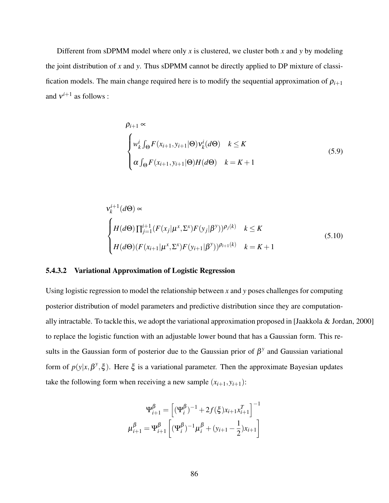Different from sDPMM model where only *x* is clustered, we cluster both *x* and *y* by modeling the joint distribution of *x* and *y*. Thus sDPMM cannot be directly applied to DP mixture of classification models. The main change required here is to modify the sequential approximation of  $\rho_{i+1}$ and  $v^{i+1}$  as follows :

<span id="page-99-0"></span>
$$
\rho_{i+1} \propto
$$
\n
$$
\begin{cases}\n w_k^i \int_{\Theta} F(x_{i+1}, y_{i+1} | \Theta) v_k^i(d\Theta) & k \le K \\
 \alpha \int_{\Theta} F(x_{i+1}, y_{i+1} | \Theta) H(d\Theta) & k = K + 1\n\end{cases}
$$
\n(5.9)

<span id="page-99-1"></span>
$$
V_k^{i+1}(d\Theta) \propto
$$
  
\n
$$
\begin{cases}\nH(d\Theta) \prod_{j=1}^{i+1} (F(x_j|\mu^x, \Sigma^x) F(y_j|\beta^y))^{\rho_j(k)} & k \le K \\
H(d\Theta) (F(x_{i+1}|\mu^x, \Sigma^x) F(y_{i+1}|\beta^y))^{\rho_{i+1}(k)} & k = K+1\n\end{cases}
$$
\n(5.10)

## 5.4.3.2 Variational Approximation of Logistic Regression

Using logistic regression to model the relationship between *x* and *y* poses challenges for computing posterior distribution of model parameters and predictive distribution since they are computationally intractable. To tackle this, we adopt the variational approximation proposed in [\[Jaakkola & Jordan, 2000\]](#page-144-4) to replace the logistic function with an adjustable lower bound that has a Gaussian form. This results in the Gaussian form of posterior due to the Gaussian prior of  $\beta^y$  and Gaussian variational form of  $p(y|x, \beta^y, \xi)$ . Here  $\xi$  is a variational parameter. Then the approximate Bayesian updates take the following form when receiving a new sample  $(x_{i+1}, y_{i+1})$ :

$$
\Psi_{i+1}^{\beta} = \left[ (\Psi_i^{\beta})^{-1} + 2f(\xi)x_{i+1}x_{i+1}^T \right]^{-1}
$$

$$
\mu_{i+1}^{\beta} = \Psi_{i+1}^{\beta} \left[ (\Psi_i^{\beta})^{-1} \mu_i^{\beta} + (y_{i+1} - \frac{1}{2})x_{i+1} \right]
$$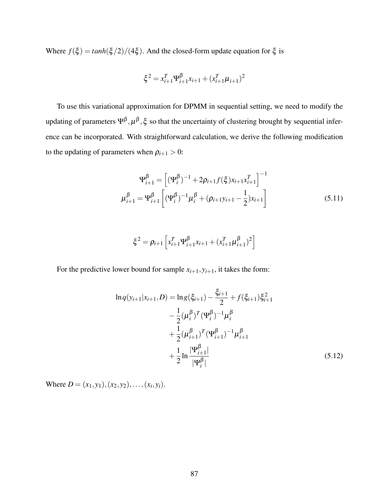Where  $f(\xi) = \tanh(\xi/2)/(4\xi)$ . And the closed-form update equation for  $\xi$  is

$$
\xi^{2} = x_{i+1}^{T} \Psi_{i+1}^{\beta} x_{i+1} + (x_{i+1}^{T} \mu_{i+1})^{2}
$$

To use this variational approximation for DPMM in sequential setting, we need to modify the updating of parameters  $\Psi^{\beta}, \mu^{\beta}, \xi$  so that the uncertainty of clustering brought by sequential inference can be incorporated. With straightforward calculation, we derive the following modification to the updating of parameters when  $\rho_{i+1} > 0$ :

$$
\Psi_{i+1}^{\beta} = \left[ (\Psi_i^{\beta})^{-1} + 2\rho_{i+1} f(\xi) x_{i+1} x_{i+1}^T \right]^{-1}
$$
  

$$
\mu_{i+1}^{\beta} = \Psi_{i+1}^{\beta} \left[ (\Psi_i^{\beta})^{-1} \mu_i^{\beta} + (\rho_{i+1} y_{i+1} - \frac{1}{2}) x_{i+1} \right]
$$
(5.11)

<span id="page-100-1"></span>
$$
\xi^2 = \rho_{i+1} \left[ x_{i+1}^T \Psi_{i+1}^\beta x_{i+1} + (x_{i+1}^T \mu_{i+1}^\beta)^2 \right]
$$

For the predictive lower bound for sample  $x_{i+1}, y_{i+1}$ , it takes the form:

<span id="page-100-0"></span>
$$
\ln q(y_{i+1}|x_{i+1}, D) = \ln g(\xi_{i+1}) - \frac{\xi_{i+1}}{2} + f(\xi_{i+1})\xi_{i+1}^{2}
$$
  

$$
- \frac{1}{2}(\mu_{i}^{\beta})^{T}(\Psi_{i}^{\beta})^{-1}\mu_{i}^{\beta}
$$
  

$$
+ \frac{1}{2}(\mu_{i+1}^{\beta})^{T}(\Psi_{i+1}^{\beta})^{-1}\mu_{i+1}^{\beta}
$$
  

$$
+ \frac{1}{2}\ln \frac{|\Psi_{i+1}^{\beta}|}{|\Psi_{i}^{\beta}|}
$$
 (5.12)

Where  $D = (x_1, y_1), (x_2, y_2), \ldots, (x_i, y_i)$ .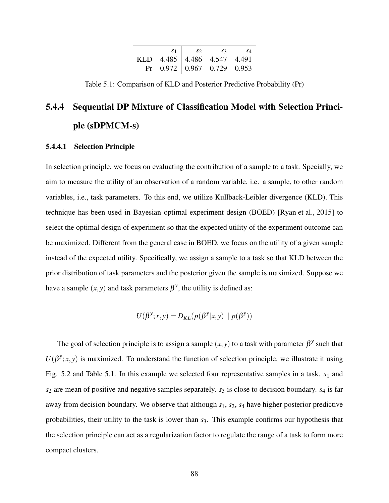|  | S2                                               | S3 | SΔ |
|--|--------------------------------------------------|----|----|
|  | KLD   $4.485$   $4.486$   $4.547$   $4.491$      |    |    |
|  | $Pr \mid 0.972 \mid 0.967 \mid 0.729 \mid 0.953$ |    |    |

<span id="page-101-0"></span>Table 5.1: Comparison of KLD and Posterior Predictive Probability (Pr)

# 5.4.4 Sequential DP Mixture of Classification Model with Selection Principle (sDPMCM-s)

#### 5.4.4.1 Selection Principle

In selection principle, we focus on evaluating the contribution of a sample to a task. Specially, we aim to measure the utility of an observation of a random variable, i.e. a sample, to other random variables, i.e., task parameters. To this end, we utilize Kullback-Leibler divergence (KLD). This technique has been used in Bayesian optimal experiment design (BOED) [\[Ryan et al., 2015\]](#page-150-4) to select the optimal design of experiment so that the expected utility of the experiment outcome can be maximized. Different from the general case in BOED, we focus on the utility of a given sample instead of the expected utility. Specifically, we assign a sample to a task so that KLD between the prior distribution of task parameters and the posterior given the sample is maximized. Suppose we have a sample  $(x, y)$  and task parameters  $\beta^y$ , the utility is defined as:

$$
U(\beta^{y}; x, y) = D_{KL}(p(\beta^{y}|x, y) \| p(\beta^{y}))
$$

The goal of selection principle is to assign a sample  $(x, y)$  to a task with parameter  $\beta^y$  such that  $U(\beta^{y};x,y)$  is maximized. To understand the function of selection principle, we illustrate it using Fig. [5.2](#page-102-0) and Table [5.1.](#page-101-0) In this example we selected four representative samples in a task.  $s_1$  and *s*<sup>2</sup> are mean of positive and negative samples separately. *s*<sup>3</sup> is close to decision boundary. *s*<sup>4</sup> is far away from decision boundary. We observe that although *s*1, *s*2, *s*<sup>4</sup> have higher posterior predictive probabilities, their utility to the task is lower than *s*3. This example confirms our hypothesis that the selection principle can act as a regularization factor to regulate the range of a task to form more compact clusters.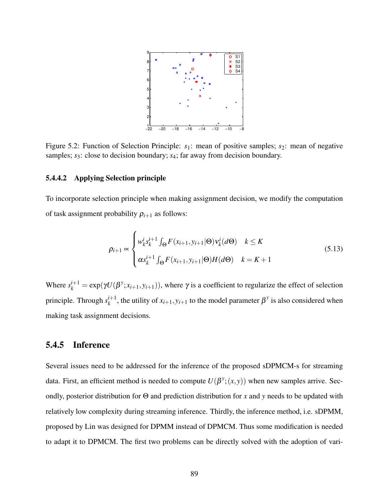<span id="page-102-0"></span>

Figure 5.2: Function of Selection Principle: *s*<sub>1</sub>: mean of positive samples; *s*<sub>2</sub>: mean of negative samples; *s*3: close to decision boundary; *s*4; far away from decision boundary.

### 5.4.4.2 Applying Selection principle

To incorporate selection principle when making assignment decision, we modify the computation of task assignment probability  $\rho_{i+1}$  as follows:

$$
\rho_{i+1} \propto \begin{cases} w_k^i s_k^{i+1} \int_{\Theta} F(x_{i+1}, y_{i+1} | \Theta) v_k^i(d\Theta) & k \le K \\ \alpha s_k^{i+1} \int_{\Theta} F(x_{i+1}, y_{i+1} | \Theta) H(d\Theta) & k = K+1 \end{cases}
$$
(5.13)

Where  $s_k^{i+1} = \exp(\gamma U(\beta^y; x_{i+1}, y_{i+1}))$ , where  $\gamma$  is a coefficient to regularize the effect of selection principle. Through  $s_k^{i+1}$  $k^{i+1}$ , the utility of  $x_{i+1}, y_{i+1}$  to the model parameter  $\beta^y$  is also considered when making task assignment decisions.

## 5.4.5 Inference

Several issues need to be addressed for the inference of the proposed sDPMCM-s for streaming data. First, an efficient method is needed to compute  $U(\beta^y; (x, y))$  when new samples arrive. Secondly, posterior distribution for Θ and prediction distribution for *x* and *y* needs to be updated with relatively low complexity during streaming inference. Thirdly, the inference method, i.e. sDPMM, proposed by Lin was designed for DPMM instead of DPMCM. Thus some modification is needed to adapt it to DPMCM. The first two problems can be directly solved with the adoption of vari-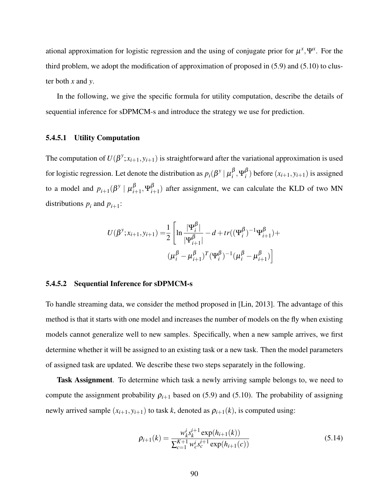ational approximation for logistic regression and the using of conjugate prior for  $\mu^x$ ,  $\Psi^x$ . For the third problem, we adopt the modification of approximation of proposed in [\(5.9\)](#page-99-0) and [\(5.10\)](#page-99-1) to cluster both *x* and *y*.

In the following, we give the specific formula for utility computation, describe the details of sequential inference for sDPMCM-s and introduce the strategy we use for prediction.

#### 5.4.5.1 Utility Computation

The computation of  $U(\beta^y; x_{i+1}, y_{i+1})$  is straightforward after the variational approximation is used for logistic regression. Let denote the distribution as  $p_i(\beta^y \mid \mu_i^{\beta})$  $<sup>β</sup><sub>i</sub>$ , Ψ $<sup>β</sup><sub>i</sub>$ </sup></sup>  $\binom{p}{i}$  before  $(x_{i+1}, y_{i+1})$  is assigned to a model and  $p_{i+1}(\beta^y \mid \mu_i^{\beta})$  $^{\beta}_{i+1},\Psi^{\beta}_{i}$  $_{i+1}^{p}$ ) after assignment, we can calculate the KLD of two MN distributions  $p_i$  and  $p_{i+1}$ :

$$
U(\beta^{y}; x_{i+1}, y_{i+1}) = \frac{1}{2} \left[ \ln \frac{|\Psi_i^{\beta}|}{|\Psi_{i+1}^{\beta}|} - d + tr((\Psi_i^{\beta})^{-1} \Psi_{i+1}^{\beta}) + (\mu_i^{\beta} - \mu_{i+1}^{\beta})^{T} (\Psi_i^{\beta})^{-1} (\mu_i^{\beta} - \mu_{i+1}^{\beta}) \right]
$$

#### 5.4.5.2 Sequential Inference for sDPMCM-s

To handle streaming data, we consider the method proposed in [\[Lin, 2013\]](#page-146-0). The advantage of this method is that it starts with one model and increases the number of models on the fly when existing models cannot generalize well to new samples. Specifically, when a new sample arrives, we first determine whether it will be assigned to an existing task or a new task. Then the model parameters of assigned task are updated. We describe these two steps separately in the following.

**Task Assignment**. To determine which task a newly arriving sample belongs to, we need to compute the assignment probability  $\rho_{i+1}$  based on [\(5.9\)](#page-99-0) and [\(5.10\)](#page-99-1). The probability of assigning newly arrived sample  $(x_{i+1}, y_{i+1})$  to task *k*, denoted as  $\rho_{i+1}(k)$ , is computed using:

$$
\rho_{i+1}(k) = \frac{w_k^i s_k^{i+1} \exp(h_{i+1}(k))}{\sum_{c=1}^{K+1} w_c^i s_c^{i+1} \exp(h_{i+1}(c))}
$$
(5.14)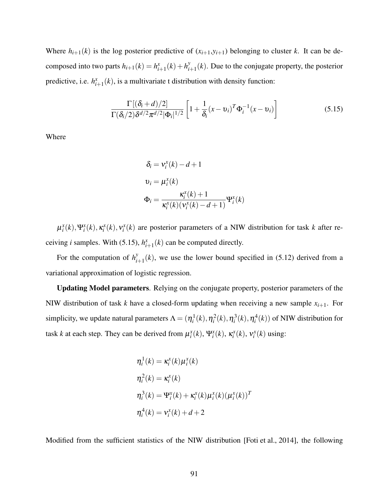Where  $h_{i+1}(k)$  is the log posterior predictive of  $(x_{i+1}, y_{i+1})$  belonging to cluster *k*. It can be decomposed into two parts  $h_{i+1}(k) = h_{i+1}^x(k) + h_i^y$  $i_{i+1}(k)$ . Due to the conjugate property, the posterior predictive, i.e.  $h_{i+1}^x(k)$ , is a multivariate t distribution with density function:

$$
\frac{\Gamma[(\delta_i+d)/2]}{\Gamma(\delta_i/2)\delta^{d/2}\pi^{d/2}|\Phi_i|^{1/2}}\left[1+\frac{1}{\delta_i}(x-\nu_i)^T\Phi_i^{-1}(x-\nu_i)\right]
$$
(5.15)

Where

<span id="page-104-0"></span>
$$
\delta_i = v_i^x(k) - d + 1
$$
  
\n
$$
v_i = \mu_i^x(k)
$$
  
\n
$$
\Phi_i = \frac{\kappa_i^x(k) + 1}{\kappa_i^x(k)(v_i^x(k) - d + 1)} \Psi_i^x(k)
$$

 $\mu_i^x(k), \Psi_i^x(k), \kappa_i^x(k), \nu_i^x(k)$  are posterior parameters of a NIW distribution for task *k* after receiving *i* samples. With [\(5.15\)](#page-104-0),  $h_{i+1}^x(k)$  can be computed directly.

For the computation of  $h_i^y$  $i_{i+1}(k)$ , we use the lower bound specified in [\(5.12\)](#page-100-0) derived from a variational approximation of logistic regression.

Updating Model parameters. Relying on the conjugate property, posterior parameters of the NIW distribution of task *k* have a closed-form updating when receiving a new sample  $x_{i+1}$ . For simplicity, we update natural parameters  $\Lambda = (\eta_i^1(k), \eta_i^2(k), \eta_i^3(k), \eta_i^4(k))$  of NIW distribution for task *k* at each step. They can be derived from  $\mu_i^x(k)$ ,  $\Psi_i^x(k)$ ,  $\kappa_i^x(k)$ ,  $\nu_i^x(k)$  using:

$$
\eta_i^1(k) = \kappa_i^x(k)\mu_i^x(k)
$$
  
\n
$$
\eta_i^2(k) = \kappa_i^x(k)
$$
  
\n
$$
\eta_i^3(k) = \Psi_i^x(k) + \kappa_i^x(k)\mu_i^x(k)(\mu_i^x(k))^T
$$
  
\n
$$
\eta_i^4(k) = \nu_i^x(k) + d + 2
$$

Modified from the sufficient statistics of the NIW distribution [\[Foti et al., 2014\]](#page-142-0), the following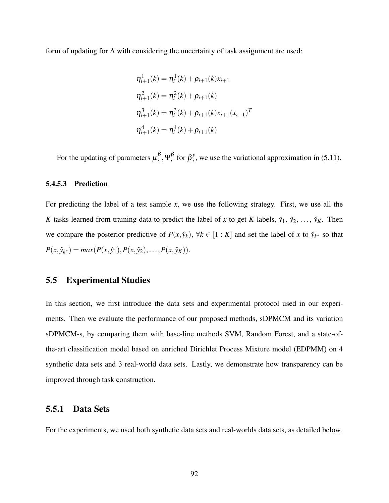form of updating for Λ with considering the uncertainty of task assignment are used:

$$
\eta_{i+1}^1(k) = \eta_i^1(k) + \rho_{i+1}(k)x_{i+1}
$$
  
\n
$$
\eta_{i+1}^2(k) = \eta_i^2(k) + \rho_{i+1}(k)
$$
  
\n
$$
\eta_{i+1}^3(k) = \eta_i^3(k) + \rho_{i+1}(k)x_{i+1}(x_{i+1})^T
$$
  
\n
$$
\eta_{i+1}^4(k) = \eta_i^4(k) + \rho_{i+1}(k)
$$

For the updating of parameters  $\mu_i^{\beta}$  $<sup>β</sup><sub>i</sub>$ , Ψ $<sup>β</sup><sub>i</sub>$ </sup></sup>  *for*  $β<sup>y</sup><sub>i</sub>$  $i<sub>i</sub>$ , we use the variational approximation in [\(5.11\)](#page-100-1).

#### 5.4.5.3 Prediction

For predicting the label of a test sample *x*, we use the following strategy. First, we use all the *K* tasks learned from training data to predict the label of *x* to get *K* labels,  $\hat{y}_1, \hat{y}_2, \ldots, \hat{y}_K$ . Then we compare the posterior predictive of  $P(x, \hat{y}_k)$ ,  $\forall k \in [1:K]$  and set the label of *x* to  $\hat{y}_{k^*}$  so that  $P(x, \hat{y}_{k^*}) = max(P(x, \hat{y}_1), P(x, \hat{y}_2), \ldots, P(x, \hat{y}_K)).$ 

## 5.5 Experimental Studies

In this section, we first introduce the data sets and experimental protocol used in our experiments. Then we evaluate the performance of our proposed methods, sDPMCM and its variation sDPMCM-s, by comparing them with base-line methods SVM, Random Forest, and a state-ofthe-art classification model based on enriched Dirichlet Process Mixture model (EDPMM) on 4 synthetic data sets and 3 real-world data sets. Lastly, we demonstrate how transparency can be improved through task construction.

## 5.5.1 Data Sets

For the experiments, we used both synthetic data sets and real-worlds data sets, as detailed below.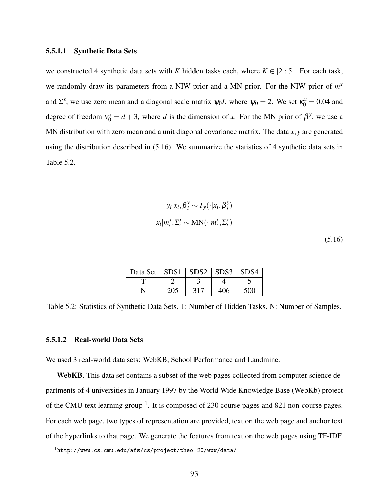#### 5.5.1.1 Synthetic Data Sets

we constructed 4 synthetic data sets with *K* hidden tasks each, where  $K \in [2:5]$ . For each task, we randomly draw its parameters from a NIW prior and a MN prior. For the NIW prior of  $m<sup>x</sup>$ and  $\Sigma^x$ , we use zero mean and a diagonal scale matrix  $\psi_0 I$ , where  $\psi_0 = 2$ . We set  $\kappa_0^x = 0.04$  and degree of freedom  $v_0^x = d + 3$ , where *d* is the dimension of *x*. For the MN prior of  $\beta^y$ , we use a MN distribution with zero mean and a unit diagonal covariance matrix. The data *x*, *y* are generated using the distribution described in [\(5.16\)](#page-106-0). We summarize the statistics of 4 synthetic data sets in Table [5.2.](#page-106-1)

<span id="page-106-0"></span>
$$
y_i | x_i, \beta_i^y \sim F_y(\cdot | x_i, \beta_i^y)
$$
  

$$
x_i | m_i^x, \Sigma_i^x \sim \text{MN}(\cdot | m_i^x, \Sigma_i^x)
$$
  
(5.16)

| Data Set   SDS1   SDS2   SDS3   SDS4 |     |     |     |     |
|--------------------------------------|-----|-----|-----|-----|
|                                      |     |     |     |     |
|                                      | 205 | 317 | 406 | 500 |

<span id="page-106-1"></span>Table 5.2: Statistics of Synthetic Data Sets. T: Number of Hidden Tasks. N: Number of Samples.

#### 5.5.1.2 Real-world Data Sets

We used 3 real-world data sets: WebKB, School Performance and Landmine.

WebKB. This data set contains a subset of the web pages collected from computer science departments of 4 universities in January 1997 by the World Wide Knowledge Base (WebKb) project of the CMU text learning group <sup>[1](#page-106-2)</sup>. It is composed of 230 course pages and 821 non-course pages. For each web page, two types of representation are provided, text on the web page and anchor text of the hyperlinks to that page. We generate the features from text on the web pages using TF-IDF.

<span id="page-106-2"></span><sup>1</sup><http://www.cs.cmu.edu/afs/cs/project/theo-20/www/data/>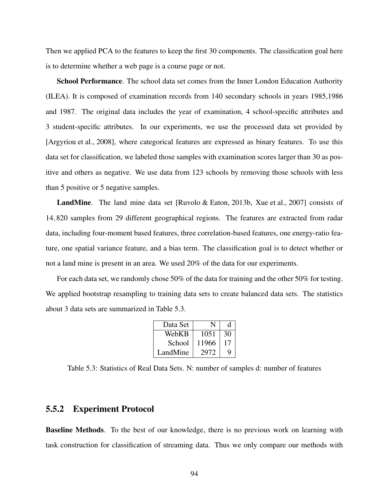Then we applied PCA to the features to keep the first 30 components. The classification goal here is to determine whether a web page is a course page or not.

**School Performance**. The school data set comes from the Inner London Education Authority (ILEA). It is composed of examination records from 140 secondary schools in years 1985,1986 and 1987. The original data includes the year of examination, 4 school-specific attributes and 3 student-specific attributes. In our experiments, we use the processed data set provided by [\[Argyriou et al., 2008\]](#page-140-2), where categorical features are expressed as binary features. To use this data set for classification, we labeled those samples with examination scores larger than 30 as positive and others as negative. We use data from 123 schools by removing those schools with less than 5 positive or 5 negative samples.

**LandMine.** The land mine data set [\[Ruvolo & Eaton, 2013b,](#page-150-5) [Xue et al., 2007\]](#page-153-0) consists of 14,820 samples from 29 different geographical regions. The features are extracted from radar data, including four-moment based features, three correlation-based features, one energy-ratio feature, one spatial variance feature, and a bias term. The classification goal is to detect whether or not a land mine is present in an area. We used 20% of the data for our experiments.

<span id="page-107-0"></span>For each data set, we randomly chose 50% of the data for training and the other 50% for testing. We applied bootstrap resampling to training data sets to create balanced data sets. The statistics about 3 data sets are summarized in Table [5.3.](#page-107-0)

| Data Set |       | d  |
|----------|-------|----|
| WebKB    | 1051  | 30 |
| School   | 11966 | 17 |
| LandMine | 2972  | 9  |

Table 5.3: Statistics of Real Data Sets. N: number of samples d: number of features

## 5.5.2 Experiment Protocol

Baseline Methods. To the best of our knowledge, there is no previous work on learning with task construction for classification of streaming data. Thus we only compare our methods with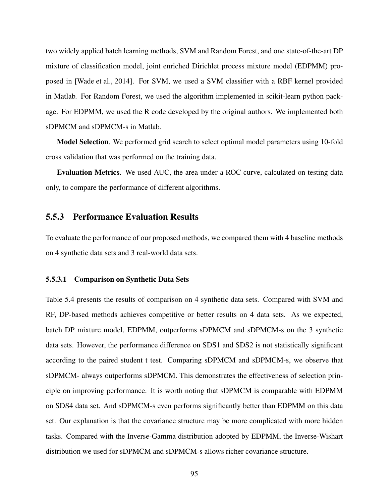two widely applied batch learning methods, SVM and Random Forest, and one state-of-the-art DP mixture of classification model, joint enriched Dirichlet process mixture model (EDPMM) proposed in [\[Wade et al., 2014\]](#page-153-0). For SVM, we used a SVM classifier with a RBF kernel provided in Matlab. For Random Forest, we used the algorithm implemented in scikit-learn python package. For EDPMM, we used the R code developed by the original authors. We implemented both sDPMCM and sDPMCM-s in Matlab.

Model Selection. We performed grid search to select optimal model parameters using 10-fold cross validation that was performed on the training data.

**Evaluation Metrics.** We used AUC, the area under a ROC curve, calculated on testing data only, to compare the performance of different algorithms.

#### 5.5.3 Performance Evaluation Results

To evaluate the performance of our proposed methods, we compared them with 4 baseline methods on 4 synthetic data sets and 3 real-world data sets.

#### 5.5.3.1 Comparison on Synthetic Data Sets

Table [5.4](#page-109-0) presents the results of comparison on 4 synthetic data sets. Compared with SVM and RF, DP-based methods achieves competitive or better results on 4 data sets. As we expected, batch DP mixture model, EDPMM, outperforms sDPMCM and sDPMCM-s on the 3 synthetic data sets. However, the performance difference on SDS1 and SDS2 is not statistically significant according to the paired student t test. Comparing sDPMCM and sDPMCM-s, we observe that sDPMCM- always outperforms sDPMCM. This demonstrates the effectiveness of selection principle on improving performance. It is worth noting that sDPMCM is comparable with EDPMM on SDS4 data set. And sDPMCM-s even performs significantly better than EDPMM on this data set. Our explanation is that the covariance structure may be more complicated with more hidden tasks. Compared with the Inverse-Gamma distribution adopted by EDPMM, the Inverse-Wishart distribution we used for sDPMCM and sDPMCM-s allows richer covariance structure.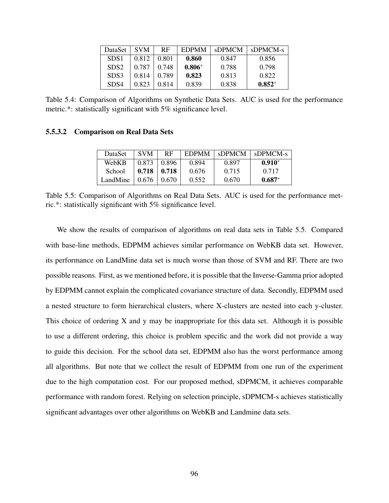<span id="page-109-0"></span>

| <b>DataSet</b>   | <b>SVM</b> | <b>RF</b> | <b>EDPMM</b> | <b>sDPMCM</b> | sDPMCM-s |
|------------------|------------|-----------|--------------|---------------|----------|
| SDS <sub>1</sub> | 0.812      | 0.801     | 0.860        | 0.847         | 0.856    |
| SDS <sub>2</sub> | 0.787      | 0.748     | $0.806*$     | 0.788         | 0.798    |
| SDS3             | 0.814      | 0.789     | 0.823        | 0.813         | 0.822    |
| SDS4             | 0.823      | 0.814     | 0.839        | 0.838         | $0.852*$ |

Table 5.4: Comparison of Algorithms on Synthetic Data Sets. AUC is used for the performance metric.\*: statistically significant with 5% significance level.

#### <span id="page-109-1"></span>5.5.3.2 Comparison on Real Data Sets

| <b>DataSet</b> | <b>SVM</b> | <b>RF</b> | <b>EDPMM</b> | <b>sDPMCM</b> | sDPMCM-s |
|----------------|------------|-----------|--------------|---------------|----------|
| WebKB          | 0.873      | 0.896     | 0.894        | 0.897         | $0.910*$ |
| School         | 0.718      | 0.718     | 0.676        | 0.715         | 0.717    |
| LandMine       | 0.676      | 0.670     | 0.552        | 0.670         | $0.687*$ |

Table 5.5: Comparison of Algorithms on Real Data Sets. AUC is used for the performance metric.\*: statistically significant with 5% significance level.

We show the results of comparison of algorithms on real data sets in Table [5.5.](#page-109-1) Compared with base-line methods, EDPMM achieves similar performance on WebKB data set. However, its performance on LandMine data set is much worse than those of SVM and RF. There are two possible reasons. First, as we mentioned before, it is possible that the Inverse-Gamma prior adopted by EDPMM cannot explain the complicated covariance structure of data. Secondly, EDPMM used a nested structure to form hierarchical clusters, where X-clusters are nested into each y-cluster. This choice of ordering X and y may be inappropriate for this data set. Although it is possible to use a different ordering, this choice is problem specific and the work did not provide a way to guide this decision. For the school data set, EDPMM also has the worst performance among all algorithms. But note that we collect the result of EDPMM from one run of the experiment due to the high computation cost. For our proposed method, sDPMCM, it achieves comparable performance with random forest. Relying on selection principle, sDPMCM-s achieves statistically significant advantages over other algorithms on WebKB and Landmine data sets.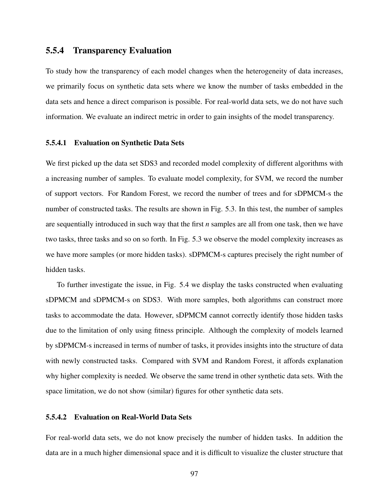#### 5.5.4 Transparency Evaluation

To study how the transparency of each model changes when the heterogeneity of data increases, we primarily focus on synthetic data sets where we know the number of tasks embedded in the data sets and hence a direct comparison is possible. For real-world data sets, we do not have such information. We evaluate an indirect metric in order to gain insights of the model transparency.

#### 5.5.4.1 Evaluation on Synthetic Data Sets

We first picked up the data set SDS3 and recorded model complexity of different algorithms with a increasing number of samples. To evaluate model complexity, for SVM, we record the number of support vectors. For Random Forest, we record the number of trees and for sDPMCM-s the number of constructed tasks. The results are shown in Fig. [5.3.](#page-111-0) In this test, the number of samples are sequentially introduced in such way that the first *n* samples are all from one task, then we have two tasks, three tasks and so on so forth. In Fig. [5.3](#page-111-0) we observe the model complexity increases as we have more samples (or more hidden tasks). sDPMCM-s captures precisely the right number of hidden tasks.

To further investigate the issue, in Fig. [5.4](#page-111-1) we display the tasks constructed when evaluating sDPMCM and sDPMCM-s on SDS3. With more samples, both algorithms can construct more tasks to accommodate the data. However, sDPMCM cannot correctly identify those hidden tasks due to the limitation of only using fitness principle. Although the complexity of models learned by sDPMCM-s increased in terms of number of tasks, it provides insights into the structure of data with newly constructed tasks. Compared with SVM and Random Forest, it affords explanation why higher complexity is needed. We observe the same trend in other synthetic data sets. With the space limitation, we do not show (similar) figures for other synthetic data sets.

#### 5.5.4.2 Evaluation on Real-World Data Sets

For real-world data sets, we do not know precisely the number of hidden tasks. In addition the data are in a much higher dimensional space and it is difficult to visualize the cluster structure that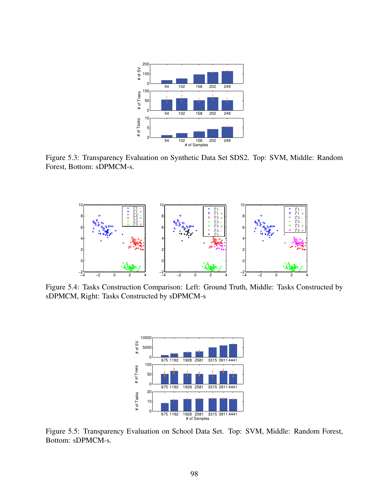<span id="page-111-0"></span>

Figure 5.3: Transparency Evaluation on Synthetic Data Set SDS2. Top: SVM, Middle: Random Forest, Bottom: sDPMCM-s.

<span id="page-111-1"></span>

<span id="page-111-2"></span>Figure 5.4: Tasks Construction Comparison: Left: Ground Truth, Middle: Tasks Constructed by sDPMCM, Right: Tasks Constructed by sDPMCM-s



Figure 5.5: Transparency Evaluation on School Data Set. Top: SVM, Middle: Random Forest, Bottom: sDPMCM-s.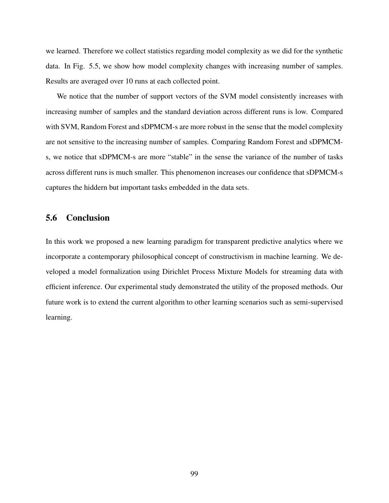we learned. Therefore we collect statistics regarding model complexity as we did for the synthetic data. In Fig. [5.5,](#page-111-2) we show how model complexity changes with increasing number of samples. Results are averaged over 10 runs at each collected point.

We notice that the number of support vectors of the SVM model consistently increases with increasing number of samples and the standard deviation across different runs is low. Compared with SVM, Random Forest and sDPMCM-s are more robust in the sense that the model complexity are not sensitive to the increasing number of samples. Comparing Random Forest and sDPMCMs, we notice that sDPMCM-s are more "stable" in the sense the variance of the number of tasks across different runs is much smaller. This phenomenon increases our confidence that sDPMCM-s captures the hiddern but important tasks embedded in the data sets.

## 5.6 Conclusion

In this work we proposed a new learning paradigm for transparent predictive analytics where we incorporate a contemporary philosophical concept of constructivism in machine learning. We developed a model formalization using Dirichlet Process Mixture Models for streaming data with efficient inference. Our experimental study demonstrated the utility of the proposed methods. Our future work is to extend the current algorithm to other learning scenarios such as semi-supervised learning.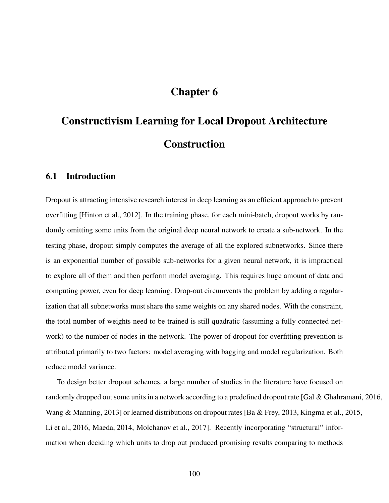## Chapter 6

# Constructivism Learning for Local Dropout Architecture **Construction**

#### 6.1 Introduction

Dropout is attracting intensive research interest in deep learning as an efficient approach to prevent overfitting [\[Hinton et al., 2012\]](#page-143-0). In the training phase, for each mini-batch, dropout works by randomly omitting some units from the original deep neural network to create a sub-network. In the testing phase, dropout simply computes the average of all the explored subnetworks. Since there is an exponential number of possible sub-networks for a given neural network, it is impractical to explore all of them and then perform model averaging. This requires huge amount of data and computing power, even for deep learning. Drop-out circumvents the problem by adding a regularization that all subnetworks must share the same weights on any shared nodes. With the constraint, the total number of weights need to be trained is still quadratic (assuming a fully connected network) to the number of nodes in the network. The power of dropout for overfitting prevention is attributed primarily to two factors: model averaging with bagging and model regularization. Both reduce model variance.

To design better dropout schemes, a large number of studies in the literature have focused on randomly dropped out some units in a network according to a predefined dropout rate [\[Gal & Ghahramani, 2016,](#page-142-0) [Wang & Manning, 2013\]](#page-153-1) or learned distributions on dropout rates [\[Ba & Frey, 2013,](#page-140-0) [Kingma et al., 2015,](#page-145-0) [Li et al., 2016,](#page-146-0) [Maeda, 2014,](#page-147-0) [Molchanov et al., 2017\]](#page-148-0). Recently incorporating "structural" information when deciding which units to drop out produced promising results comparing to methods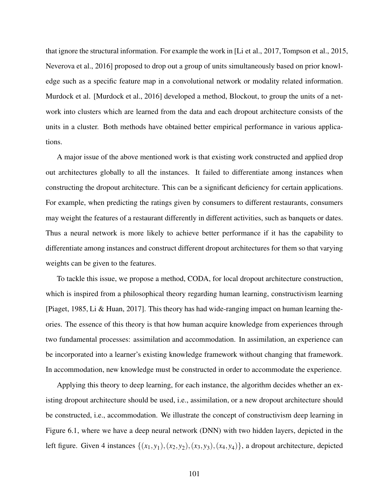that ignore the structural information. For example the work in [\[Li et al., 2017,](#page-146-1) [Tompson et al., 2015,](#page-152-0) [Neverova et al., 2016\]](#page-148-1) proposed to drop out a group of units simultaneously based on prior knowledge such as a specific feature map in a convolutional network or modality related information. Murdock et al. [\[Murdock et al., 2016\]](#page-148-2) developed a method, Blockout, to group the units of a network into clusters which are learned from the data and each dropout architecture consists of the units in a cluster. Both methods have obtained better empirical performance in various applications.

A major issue of the above mentioned work is that existing work constructed and applied drop out architectures globally to all the instances. It failed to differentiate among instances when constructing the dropout architecture. This can be a significant deficiency for certain applications. For example, when predicting the ratings given by consumers to different restaurants, consumers may weight the features of a restaurant differently in different activities, such as banquets or dates. Thus a neural network is more likely to achieve better performance if it has the capability to differentiate among instances and construct different dropout architectures for them so that varying weights can be given to the features.

To tackle this issue, we propose a method, CODA, for local dropout architecture construction, which is inspired from a philosophical theory regarding human learning, constructivism learning [\[Piaget, 1985,](#page-149-0) [Li & Huan, 2017\]](#page-146-2). This theory has had wide-ranging impact on human learning theories. The essence of this theory is that how human acquire knowledge from experiences through two fundamental processes: assimilation and accommodation. In assimilation, an experience can be incorporated into a learner's existing knowledge framework without changing that framework. In accommodation, new knowledge must be constructed in order to accommodate the experience.

Applying this theory to deep learning, for each instance, the algorithm decides whether an existing dropout architecture should be used, i.e., assimilation, or a new dropout architecture should be constructed, i.e., accommodation. We illustrate the concept of constructivism deep learning in Figure [6.1,](#page-115-0) where we have a deep neural network (DNN) with two hidden layers, depicted in the left figure. Given 4 instances  $\{(x_1, y_1), (x_2, y_2), (x_3, y_3), (x_4, y_4)\}$ , a dropout architecture, depicted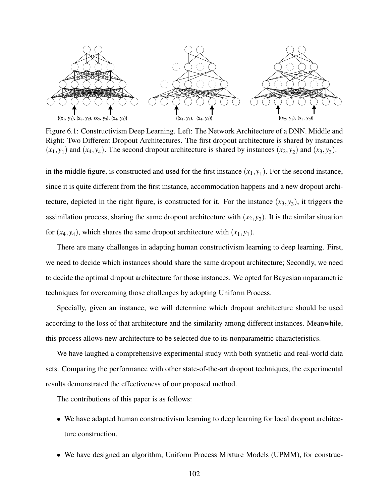<span id="page-115-0"></span>

Figure 6.1: Constructivism Deep Learning. Left: The Network Architecture of a DNN. Middle and Right: Two Different Dropout Architectures. The first dropout architecture is shared by instances  $(x_1, y_1)$  and  $(x_4, y_4)$ . The second dropout architecture is shared by instances  $(x_2, y_2)$  and  $(x_3, y_3)$ .

in the middle figure, is constructed and used for the first instance  $(x_1, y_1)$ . For the second instance, since it is quite different from the first instance, accommodation happens and a new dropout architecture, depicted in the right figure, is constructed for it. For the instance  $(x_3, y_3)$ , it triggers the assimilation process, sharing the same dropout architecture with  $(x_2, y_2)$ . It is the similar situation for  $(x_4, y_4)$ , which shares the same dropout architecture with  $(x_1, y_1)$ .

There are many challenges in adapting human constructivism learning to deep learning. First, we need to decide which instances should share the same dropout architecture; Secondly, we need to decide the optimal dropout architecture for those instances. We opted for Bayesian noparametric techniques for overcoming those challenges by adopting Uniform Process.

Specially, given an instance, we will determine which dropout architecture should be used according to the loss of that architecture and the similarity among different instances. Meanwhile, this process allows new architecture to be selected due to its nonparametric characteristics.

We have laughed a comprehensive experimental study with both synthetic and real-world data sets. Comparing the performance with other state-of-the-art dropout techniques, the experimental results demonstrated the effectiveness of our proposed method.

The contributions of this paper is as follows:

- We have adapted human constructivism learning to deep learning for local dropout architecture construction.
- We have designed an algorithm, Uniform Process Mixture Models (UPMM), for construc-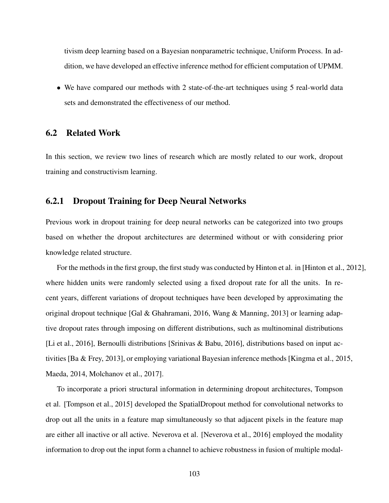tivism deep learning based on a Bayesian nonparametric technique, Uniform Process. In addition, we have developed an effective inference method for efficient computation of UPMM.

• We have compared our methods with 2 state-of-the-art techniques using 5 real-world data sets and demonstrated the effectiveness of our method.

#### 6.2 Related Work

In this section, we review two lines of research which are mostly related to our work, dropout training and constructivism learning.

#### 6.2.1 Dropout Training for Deep Neural Networks

Previous work in dropout training for deep neural networks can be categorized into two groups based on whether the dropout architectures are determined without or with considering prior knowledge related structure.

For the methods in the first group, the first study was conducted by Hinton et al. in [\[Hinton et al., 2012\]](#page-143-0), where hidden units were randomly selected using a fixed dropout rate for all the units. In recent years, different variations of dropout techniques have been developed by approximating the original dropout technique [\[Gal & Ghahramani, 2016,](#page-142-0) [Wang & Manning, 2013\]](#page-153-1) or learning adaptive dropout rates through imposing on different distributions, such as multinominal distributions [\[Li et al., 2016\]](#page-146-0), Bernoulli distributions [\[Srinivas & Babu, 2016\]](#page-152-1), distributions based on input activities [\[Ba & Frey, 2013\]](#page-140-0), or employing variational Bayesian inference methods [\[Kingma et al., 2015,](#page-145-0) [Maeda, 2014,](#page-147-0) [Molchanov et al., 2017\]](#page-148-0).

To incorporate a priori structural information in determining dropout architectures, Tompson et al. [\[Tompson et al., 2015\]](#page-152-0) developed the SpatialDropout method for convolutional networks to drop out all the units in a feature map simultaneously so that adjacent pixels in the feature map are either all inactive or all active. Neverova et al. [\[Neverova et al., 2016\]](#page-148-1) employed the modality information to drop out the input form a channel to achieve robustness in fusion of multiple modal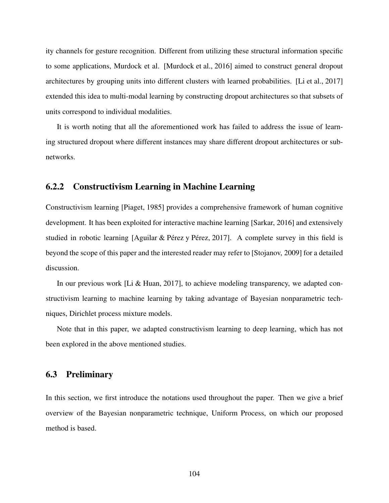ity channels for gesture recognition. Different from utilizing these structural information specific to some applications, Murdock et al. [\[Murdock et al., 2016\]](#page-148-2) aimed to construct general dropout architectures by grouping units into different clusters with learned probabilities. [\[Li et al., 2017\]](#page-146-1) extended this idea to multi-modal learning by constructing dropout architectures so that subsets of units correspond to individual modalities.

It is worth noting that all the aforementioned work has failed to address the issue of learning structured dropout where different instances may share different dropout architectures or subnetworks.

#### 6.2.2 Constructivism Learning in Machine Learning

Constructivism learning [\[Piaget, 1985\]](#page-149-0) provides a comprehensive framework of human cognitive development. It has been exploited for interactive machine learning [\[Sarkar, 2016\]](#page-151-0) and extensively studied in robotic learning [\[Aguilar & Pérez y Pérez, 2017\]](#page-140-1). A complete survey in this field is beyond the scope of this paper and the interested reader may refer to [\[Stojanov, 2009\]](#page-152-2) for a detailed discussion.

In our previous work [\[Li & Huan, 2017\]](#page-146-2), to achieve modeling transparency, we adapted constructivism learning to machine learning by taking advantage of Bayesian nonparametric techniques, Dirichlet process mixture models.

Note that in this paper, we adapted constructivism learning to deep learning, which has not been explored in the above mentioned studies.

#### 6.3 Preliminary

In this section, we first introduce the notations used throughout the paper. Then we give a brief overview of the Bayesian nonparametric technique, Uniform Process, on which our proposed method is based.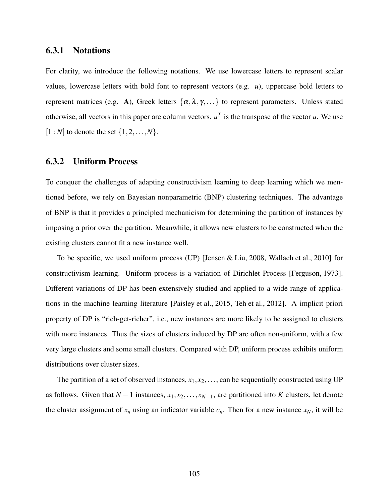#### 6.3.1 Notations

For clarity, we introduce the following notations. We use lowercase letters to represent scalar values, lowercase letters with bold font to represent vectors (e.g. *u*), uppercase bold letters to represent matrices (e.g. A), Greek letters  $\{\alpha, \lambda, \gamma, \dots\}$  to represent parameters. Unless stated otherwise, all vectors in this paper are column vectors.  $u^T$  is the transpose of the vector *u*. We use  $[1 : N]$  to denote the set  $\{1, 2, ..., N\}.$ 

#### 6.3.2 Uniform Process

To conquer the challenges of adapting constructivism learning to deep learning which we mentioned before, we rely on Bayesian nonparametric (BNP) clustering techniques. The advantage of BNP is that it provides a principled mechanicism for determining the partition of instances by imposing a prior over the partition. Meanwhile, it allows new clusters to be constructed when the existing clusters cannot fit a new instance well.

To be specific, we used uniform process (UP) [\[Jensen & Liu, 2008,](#page-144-0) [Wallach et al., 2010\]](#page-153-2) for constructivism learning. Uniform process is a variation of Dirichlet Process [\[Ferguson, 1973\]](#page-142-1). Different variations of DP has been extensively studied and applied to a wide range of applications in the machine learning literature [\[Paisley et al., 2015,](#page-149-1) [Teh et al., 2012\]](#page-152-3). A implicit priori property of DP is "rich-get-richer", i.e., new instances are more likely to be assigned to clusters with more instances. Thus the sizes of clusters induced by DP are often non-uniform, with a few very large clusters and some small clusters. Compared with DP, uniform process exhibits uniform distributions over cluster sizes.

The partition of a set of observed instances,  $x_1, x_2, \ldots$ , can be sequentially constructed using UP as follows. Given that  $N-1$  instances,  $x_1, x_2, \ldots, x_{N-1}$ , are partitioned into *K* clusters, let denote the cluster assignment of  $x_n$  using an indicator variable  $c_n$ . Then for a new instance  $x_N$ , it will be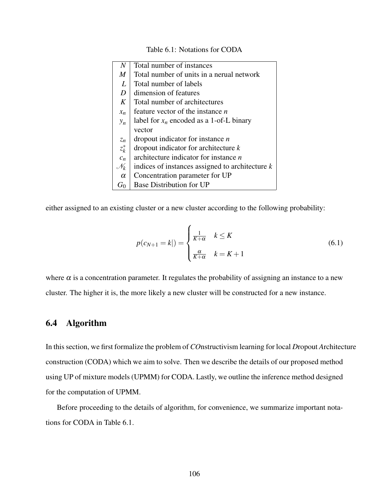<span id="page-119-0"></span>

| N               | Total number of instances                         |
|-----------------|---------------------------------------------------|
| M               | Total number of units in a nerual network         |
| L               | Total number of labels                            |
| D               | dimension of features                             |
| K               | Total number of architectures                     |
| $x_n$           | feature vector of the instance $n$                |
| $y_n$           | label for $x_n$ encoded as a 1-of-L binary        |
|                 | vector                                            |
| $z_n$           | dropout indicator for instance <i>n</i>           |
| $z_k^*$         | dropout indicator for architecture $k$            |
| $c_n$           | architecture indicator for instance $n$           |
| $\mathscr{N}_k$ | indices of instances assigned to architecture $k$ |
| $\alpha$        | Concentration parameter for UP                    |
| G0              | <b>Base Distribution for UP</b>                   |
|                 |                                                   |

either assigned to an existing cluster or a new cluster according to the following probability:

<span id="page-119-1"></span>
$$
p(c_{N+1} = k|) = \begin{cases} \frac{1}{K+\alpha} & k \le K \\ \frac{\alpha}{K+\alpha} & k = K+1 \end{cases}
$$
 (6.1)

where  $\alpha$  is a concentration parameter. It regulates the probability of assigning an instance to a new cluster. The higher it is, the more likely a new cluster will be constructed for a new instance.

## 6.4 Algorithm

In this section, we first formalize the problem of *CO*nstructivism learning for local *D*ropout *A*rchitecture construction (CODA) which we aim to solve. Then we describe the details of our proposed method using UP of mixture models (UPMM) for CODA. Lastly, we outline the inference method designed for the computation of UPMM.

Before proceeding to the details of algorithm, for convenience, we summarize important notations for CODA in Table [6.1.](#page-119-0)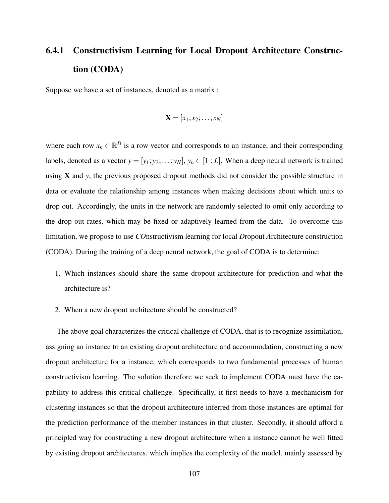## 6.4.1 Constructivism Learning for Local Dropout Architecture Construction (CODA)

Suppose we have a set of instances, denoted as a matrix :

$$
\mathbf{X}=[x_1;x_2;\ldots;x_N]
$$

where each row  $x_n \in \mathbb{R}^D$  is a row vector and corresponds to an instance, and their corresponding labels, denoted as a vector  $y = [y_1; y_2; \dots; y_N]$ ,  $y_n \in [1:L]$ . When a deep neural network is trained using X and *y*, the previous proposed dropout methods did not consider the possible structure in data or evaluate the relationship among instances when making decisions about which units to drop out. Accordingly, the units in the network are randomly selected to omit only according to the drop out rates, which may be fixed or adaptively learned from the data. To overcome this limitation, we propose to use *CO*nstructivism learning for local *D*ropout *A*rchitecture construction (CODA). During the training of a deep neural network, the goal of CODA is to determine:

- 1. Which instances should share the same dropout architecture for prediction and what the architecture is?
- 2. When a new dropout architecture should be constructed?

The above goal characterizes the critical challenge of CODA, that is to recognize assimilation, assigning an instance to an existing dropout architecture and accommodation, constructing a new dropout architecture for a instance, which corresponds to two fundamental processes of human constructivism learning. The solution therefore we seek to implement CODA must have the capability to address this critical challenge. Specifically, it first needs to have a mechanicism for clustering instances so that the dropout architecture inferred from those instances are optimal for the prediction performance of the member instances in that cluster. Secondly, it should afford a principled way for constructing a new dropout architecture when a instance cannot be well fitted by existing dropout architectures, which implies the complexity of the model, mainly assessed by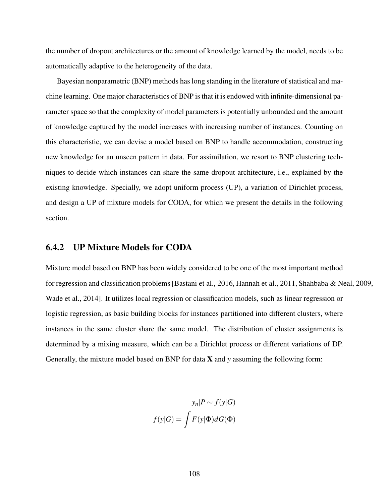the number of dropout architectures or the amount of knowledge learned by the model, needs to be automatically adaptive to the heterogeneity of the data.

Bayesian nonparametric (BNP) methods has long standing in the literature of statistical and machine learning. One major characteristics of BNP is that it is endowed with infinite-dimensional parameter space so that the complexity of model parameters is potentially unbounded and the amount of knowledge captured by the model increases with increasing number of instances. Counting on this characteristic, we can devise a model based on BNP to handle accommodation, constructing new knowledge for an unseen pattern in data. For assimilation, we resort to BNP clustering techniques to decide which instances can share the same dropout architecture, i.e., explained by the existing knowledge. Specially, we adopt uniform process (UP), a variation of Dirichlet process, and design a UP of mixture models for CODA, for which we present the details in the following section.

#### 6.4.2 UP Mixture Models for CODA

Mixture model based on BNP has been widely considered to be one of the most important method for regression and classification problems [\[Bastani et al., 2016,](#page-141-0) [Hannah et al., 2011,](#page-143-1) [Shahbaba & Neal, 2009,](#page-151-1) [Wade et al., 2014\]](#page-153-0). It utilizes local regression or classification models, such as linear regression or logistic regression, as basic building blocks for instances partitioned into different clusters, where instances in the same cluster share the same model. The distribution of cluster assignments is determined by a mixing measure, which can be a Dirichlet process or different variations of DP. Generally, the mixture model based on BNP for data X and *y* assuming the following form:

$$
y_n|P \sim f(y|G)
$$

$$
f(y|G) = \int F(y|\Phi) dG(\Phi)
$$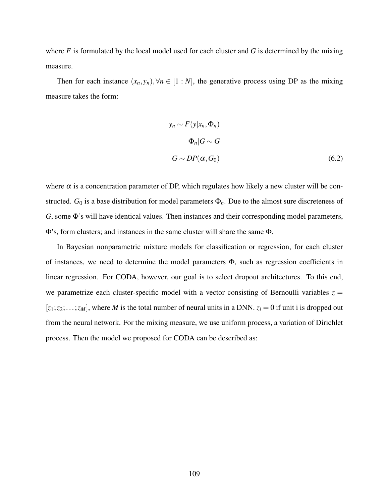where *F* is formulated by the local model used for each cluster and *G* is determined by the mixing measure.

Then for each instance  $(x_n, y_n)$ ,  $\forall n \in [1:N]$ , the generative process using DP as the mixing measure takes the form:

$$
y_n \sim F(y|x_n, \Phi_n)
$$
  
\n
$$
\Phi_n | G \sim G
$$
  
\n
$$
G \sim DP(\alpha, G_0)
$$
\n(6.2)

where  $\alpha$  is a concentration parameter of DP, which regulates how likely a new cluster will be constructed.  $G_0$  is a base distribution for model parameters  $\Phi_n$ . Due to the almost sure discreteness of *G*, some Φ's will have identical values. Then instances and their corresponding model parameters, Φ's, form clusters; and instances in the same cluster will share the same Φ.

In Bayesian nonparametric mixture models for classification or regression, for each cluster of instances, we need to determine the model parameters Φ, such as regression coefficients in linear regression. For CODA, however, our goal is to select dropout architectures. To this end, we parametrize each cluster-specific model with a vector consisting of Bernoulli variables  $z =$  $[z_1; z_2; \ldots; z_M]$ , where *M* is the total number of neural units in a DNN.  $z_i = 0$  if unit i is dropped out from the neural network. For the mixing measure, we use uniform process, a variation of Dirichlet process. Then the model we proposed for CODA can be described as: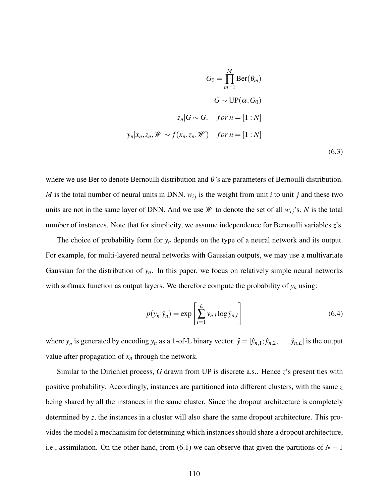<span id="page-123-0"></span>
$$
G_0 = \prod_{m=1}^{M} \text{Ber}(\theta_m)
$$
  
\n
$$
G \sim \text{UP}(\alpha, G_0)
$$
  
\n
$$
z_n | G \sim G, \quad \text{for } n = [1:N]
$$
  
\n
$$
y_n | x_n, z_n, \mathcal{W} \sim f(x_n, z_n, \mathcal{W}) \quad \text{for } n = [1:N]
$$
  
\n(6.3)

where we use Ber to denote Bernoulli distribution and  $\theta$ 's are parameters of Bernoulli distribution. *M* is the total number of neural units in DNN.  $w_{ij}$  is the weight from unit *i* to unit *j* and these two units are not in the same layer of DNN. And we use  $\mathcal W$  to denote the set of all  $w_{ij}$ 's. *N* is the total number of instances. Note that for simplicity, we assume independence for Bernoulli variables *z*'s.

The choice of probability form for *y<sup>n</sup>* depends on the type of a neural network and its output. For example, for multi-layered neural networks with Gaussian outputs, we may use a multivariate Gaussian for the distribution of  $y_n$ . In this paper, we focus on relatively simple neural networks with softmax function as output layers. We therefore compute the probability of  $y_n$  using:

$$
p(y_n|\hat{y}_n) = \exp\left[\sum_{l=1}^{L} y_{n,l} \log \hat{y}_{n,l}\right]
$$
 (6.4)

where  $y_n$  is generated by encoding  $y_n$  as a 1-of-L binary vector.  $\hat{y} = [\hat{y}_{n,1}; \hat{y}_{n,2}, \dots, \hat{y}_{n,L}]$  is the output value after propagation of  $x_n$  through the network.

Similar to the Dirichlet process, *G* drawn from UP is discrete a.s.. Hence *z*'s present ties with positive probability. Accordingly, instances are partitioned into different clusters, with the same *z* being shared by all the instances in the same cluster. Since the dropout architecture is completely determined by *z*, the instances in a cluster will also share the same dropout architecture. This provides the model a mechanisim for determining which instances should share a dropout architecture, i.e., assimilation. On the other hand, from  $(6.1)$  we can observe that given the partitions of  $N-1$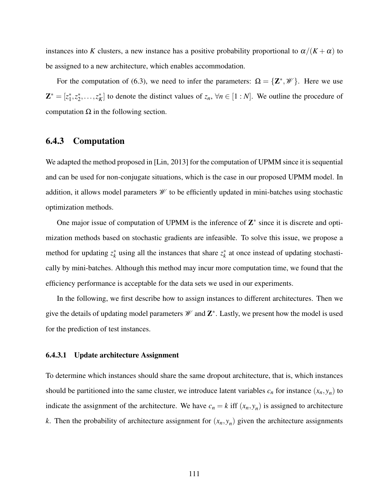instances into *K* clusters, a new instance has a positive probability proportional to  $\alpha/(K+\alpha)$  to be assigned to a new architecture, which enables accommodation.

For the computation of [\(6.3\)](#page-123-0), we need to infer the parameters:  $\Omega = {\mathbf{Z}^*, \mathcal{W}}$ . Here we use  $Z^* = [z_1^*]$  $_1^*, z_2^*$  $\{x_2, \ldots, x_K\}$  to denote the distinct values of  $z_n$ ,  $\forall n \in [1:N]$ . We outline the procedure of computation  $\Omega$  in the following section.

## 6.4.3 Computation

We adapted the method proposed in [\[Lin, 2013\]](#page-146-3) for the computation of UPMM since it is sequential and can be used for non-conjugate situations, which is the case in our proposed UPMM model. In addition, it allows model parameters  $\mathcal W$  to be efficiently updated in mini-batches using stochastic optimization methods.

One major issue of computation of UPMM is the inference of  $\mathbb{Z}^*$  since it is discrete and optimization methods based on stochastic gradients are infeasible. To solve this issue, we propose a method for updating *z* ∗ *k* using all the instances that share *z* ∗ *k* at once instead of updating stochastically by mini-batches. Although this method may incur more computation time, we found that the efficiency performance is acceptable for the data sets we used in our experiments.

In the following, we first describe how to assign instances to different architectures. Then we give the details of updating model parameters  $\mathscr W$  and  $\mathbb Z^*$ . Lastly, we present how the model is used for the prediction of test instances.

#### 6.4.3.1 Update architecture Assignment

To determine which instances should share the same dropout architecture, that is, which instances should be partitioned into the same cluster, we introduce latent variables  $c_n$  for instance  $(x_n, y_n)$  to indicate the assignment of the architecture. We have  $c_n = k$  iff  $(x_n, y_n)$  is assigned to architecture *k*. Then the probability of architecture assignment for  $(x_n, y_n)$  given the architecture assignments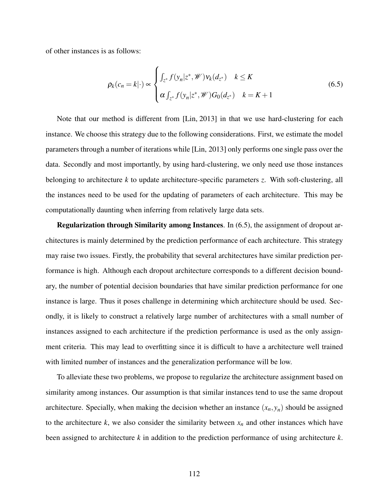of other instances is as follows:

<span id="page-125-0"></span>
$$
\rho_k(c_n = k | \cdot) \propto \begin{cases} \int_{z^*} f(y_n | z^*, \mathcal{W}) v_k(d_{z^*}) & k \le K \\ \alpha \int_{z^*} f(y_n | z^*, \mathcal{W}) G_0(d_{z^*}) & k = K + 1 \end{cases} \tag{6.5}
$$

Note that our method is different from [\[Lin, 2013\]](#page-146-3) in that we use hard-clustering for each instance. We choose this strategy due to the following considerations. First, we estimate the model parameters through a number of iterations while [\[Lin, 2013\]](#page-146-3) only performs one single pass over the data. Secondly and most importantly, by using hard-clustering, we only need use those instances belonging to architecture *k* to update architecture-specific parameters *z*. With soft-clustering, all the instances need to be used for the updating of parameters of each architecture. This may be computationally daunting when inferring from relatively large data sets.

**Regularization through Similarity among Instances.** In [\(6.5\)](#page-125-0), the assignment of dropout architectures is mainly determined by the prediction performance of each architecture. This strategy may raise two issues. Firstly, the probability that several architectures have similar prediction performance is high. Although each dropout architecture corresponds to a different decision boundary, the number of potential decision boundaries that have similar prediction performance for one instance is large. Thus it poses challenge in determining which architecture should be used. Secondly, it is likely to construct a relatively large number of architectures with a small number of instances assigned to each architecture if the prediction performance is used as the only assignment criteria. This may lead to overfitting since it is difficult to have a architecture well trained with limited number of instances and the generalization performance will be low.

To alleviate these two problems, we propose to regularize the architecture assignment based on similarity among instances. Our assumption is that similar instances tend to use the same dropout architecture. Specially, when making the decision whether an instance  $(x_n, y_n)$  should be assigned to the architecture  $k$ , we also consider the similarity between  $x_n$  and other instances which have been assigned to architecture *k* in addition to the prediction performance of using architecture *k*.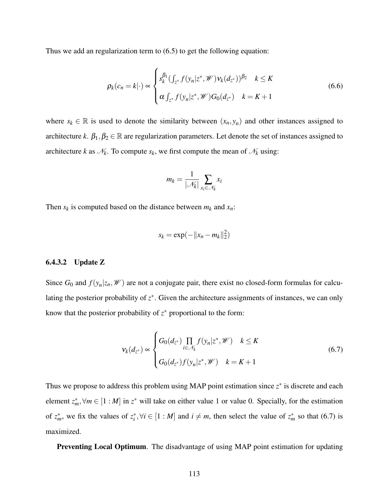Thus we add an regularization term to [\(6.5\)](#page-125-0) to get the following equation:

$$
\rho_k(c_n = k | \cdot) \propto \begin{cases} s_k^{\beta_1} (\int_{z^*} f(y_n | z^*, \mathcal{W}) \nu_k(d_{z^*}))^{\beta_2} & k \le K \\ \alpha \int_{z^*} f(y_n | z^*, \mathcal{W}) G_0(d_{z^*}) & k = K + 1 \end{cases} \tag{6.6}
$$

where  $s_k \in \mathbb{R}$  is used to denote the similarity between  $(x_n, y_n)$  and other instances assigned to architecture *k*.  $\beta_1, \beta_2 \in \mathbb{R}$  are regularization parameters. Let denote the set of instances assigned to architecture *k* as  $\mathcal{N}_k$ . To compute  $s_k$ , we first compute the mean of  $\mathcal{N}_k$  using:

<span id="page-126-1"></span>
$$
m_k = \frac{1}{|\mathcal{N}_k|} \sum_{x_i \in \mathcal{N}_k} x_i
$$

Then  $s_k$  is computed based on the distance between  $m_k$  and  $x_n$ :

<span id="page-126-0"></span>
$$
s_k = \exp(-\|x_n - m_k\|_2^2)
$$

#### 6.4.3.2 Update Z

Since  $G_0$  and  $f(y_n|z_n, W)$  are not a conjugate pair, there exist no closed-form formulas for calculating the posterior probability of  $z^*$ . Given the architecture assignments of instances, we can only know that the posterior probability of  $z^*$  proportional to the form:

$$
v_k(d_{z^*}) \propto \begin{cases} G_0(d_{z^*}) \prod_{i \in \mathcal{N}_k} f(y_n | z^*, \mathcal{W}) & k \le K \\ G_0(d_{z^*}) f(y_n | z^*, \mathcal{W}) & k = K + 1 \end{cases}
$$
 (6.7)

Thus we propose to address this problem using MAP point estimation since  $z^*$  is discrete and each element  $z_m^*$ ,  $\forall m \in [1 : M]$  in  $z^*$  will take on either value 1 or value 0. Specially, for the estimation of  $z_m^*$ , we fix the values of  $z_i^*$ ,  $\forall i \in [1 : M]$  and  $i \neq m$ , then select the value of  $z_m^*$  so that [\(6.7\)](#page-126-0) is maximized.

Preventing Local Optimum. The disadvantage of using MAP point estimation for updating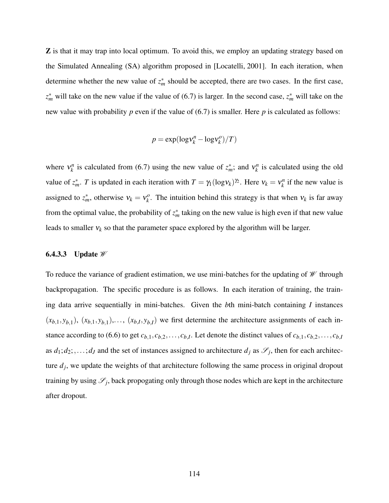**Z** is that it may trap into local optimum. To avoid this, we employ an updating strategy based on the Simulated Annealing (SA) algorithm proposed in [\[Locatelli, 2001\]](#page-147-1). In each iteration, when determine whether the new value of  $z_m^*$  should be accepted, there are two cases. In the first case,  $z_m^*$  will take on the new value if the value of [\(6.7\)](#page-126-0) is larger. In the second case,  $z_m^*$  will take on the new value with probability *p* even if the value of [\(6.7\)](#page-126-0) is smaller. Here *p* is calculated as follows:

$$
p = \exp(\log v_k^n - \log v_k^o)/T)
$$

where  $v_k^n$ *n*<sup>*n*</sup> is calculated from [\(6.7\)](#page-126-0) using the new value of  $z_m^*$ ; and  $v_k^n$  $\binom{n}{k}$  is calculated using the old value of  $z_m^*$ . *T* is updated in each iteration with  $T = \gamma_1(\log v_k)^{\gamma_2}$ . Here  $v_k = v_k^n$  $\binom{n}{k}$  if the new value is assigned to  $z_m^*$ , otherwise  $v_k = v_k^o$  $\mathcal{L}_{k}^{\circ}$ . The intuition behind this strategy is that when  $v_{k}$  is far away from the optimal value, the probability of  $z_m^*$  taking on the new value is high even if that new value leads to smaller  $v_k$  so that the parameter space explored by the algorithm will be larger.

#### 6.4.3.3 Update W

To reduce the variance of gradient estimation, we use mini-batches for the updating of  $W$  through backpropagation. The specific procedure is as follows. In each iteration of training, the training data arrive sequentially in mini-batches. Given the *b*th mini-batch containing *I* instances  $(x_{b,1}, y_{b,1}), (x_{b,1}, y_{b,1}), \ldots, (x_{b,I}, y_{b,I})$  we first determine the architecture assignments of each in-stance according to [\(6.6\)](#page-126-1) to get  $c_{b,1}, c_{b,2}, \ldots, c_{b,I}$ . Let denote the distinct values of  $c_{b,1}, c_{b,2}, \ldots, c_{b,I}$ as  $d_1; d_2; \ldots; d_J$  and the set of instances assigned to architecture  $d_j$  as  $\mathscr{S}_j$ , then for each architecture *d<sup>j</sup>* , we update the weights of that architecture following the same process in original dropout training by using  $\mathscr{S}_j$ , back propogating only through those nodes which are kept in the architecture after dropout.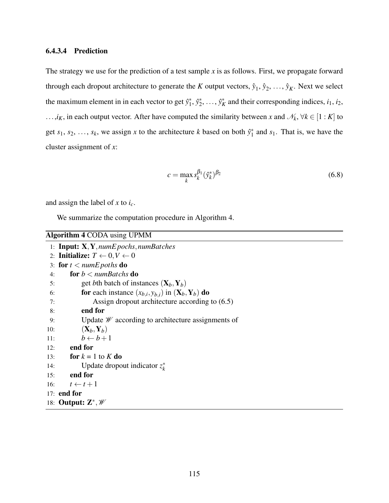#### 6.4.3.4 Prediction

The strategy we use for the prediction of a test sample *x* is as follows. First, we propagate forward through each dropout architecture to generate the *K* output vectors,  $\hat{y}_1, \hat{y}_2, \ldots, \hat{y}_K$ . Next we select the maximum element in in each vector to get  $\hat{y}_1^*$ 1 , ˆ*y* ∗  $\hat{y}_1^*, \ldots, \hat{y}_K^*$  and their corresponding indices,  $i_1, i_2$ , ..., $i_K$ , in each output vector. After have computed the similarity between *x* and  $\mathcal{N}_k$ ,  $\forall k \in [1:K]$  to get  $s_1, s_2, \ldots, s_k$ , we assign *x* to the architecture *k* based on both  $\hat{y}_1^*$  $j<sub>1</sub>$  and  $s<sub>1</sub>$ . That is, we have the cluster assignment of *x*:

$$
c = \max_{k} s_k^{\beta_1} (\hat{y}_k^*)^{\beta_2} \tag{6.8}
$$

and assign the label of *x* to *ic*.

We summarize the computation procedure in Algorithm [4.](#page-128-0)

#### <span id="page-128-0"></span>Algorithm 4 CODA using UPMM

```
1: Input: X,Y,numE pochs,numBatches
2: Initialize: T \leftarrow 0, V \leftarrow 03: for t < numE poths do
4: for b < numBatchs do
5: get bth batch of instances (X_b, Y_b)6: for each instance (x_{b,i}, y_{b,i}) in (X_b, Y_b) do
7: Assign dropout architecture according to (6.5)
8: end for
9: Update W according to architecture assignments of
10: (\mathbf{X}_b, \mathbf{Y}_b)11: b \leftarrow b+112: end for
13: for k = 1 to K do
14: Update dropout indicator z_k^*k
15: end for
16: t \leftarrow t+117: end for
18: Output: \mathbf{Z}^*, \mathcal{W}
```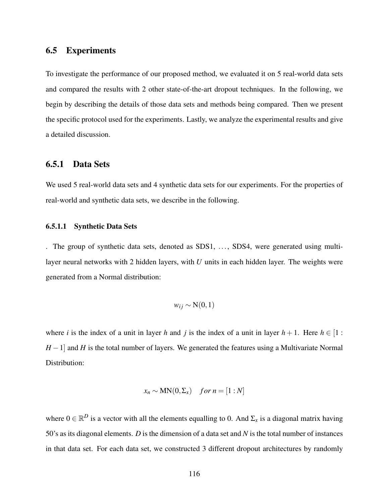## 6.5 Experiments

To investigate the performance of our proposed method, we evaluated it on 5 real-world data sets and compared the results with 2 other state-of-the-art dropout techniques. In the following, we begin by describing the details of those data sets and methods being compared. Then we present the specific protocol used for the experiments. Lastly, we analyze the experimental results and give a detailed discussion.

#### 6.5.1 Data Sets

We used 5 real-world data sets and 4 synthetic data sets for our experiments. For the properties of real-world and synthetic data sets, we describe in the following.

#### 6.5.1.1 Synthetic Data Sets

. The group of synthetic data sets, denoted as SDS1, ..., SDS4, were generated using multilayer neural networks with 2 hidden layers, with *U* units in each hidden layer. The weights were generated from a Normal distribution:

$$
w_{ij} \sim N(0,1)
$$

where *i* is the index of a unit in layer *h* and *j* is the index of a unit in layer  $h + 1$ . Here  $h \in [1 : 1]$ *H* − 1] and *H* is the total number of layers. We generated the features using a Multivariate Normal Distribution:

$$
x_n \sim \text{MN}(0, \Sigma_x) \quad \text{for } n = [1:N]
$$

where  $0 \in \mathbb{R}^D$  is a vector with all the elements equalling to 0. And  $\Sigma_x$  is a diagonal matrix having 50's as its diagonal elements. *D* is the dimension of a data set and *N* is the total number of instances in that data set. For each data set, we constructed 3 different dropout architectures by randomly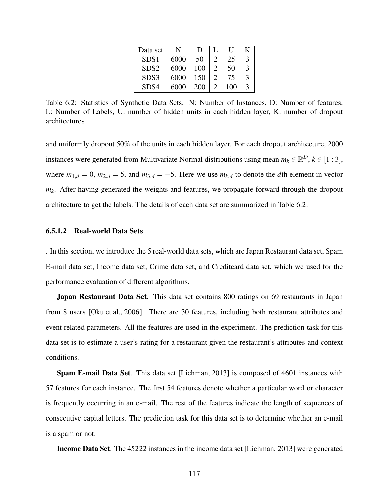| Data set         | N    | D   | $\mathbf{L}$ | $\Box$ | K                           |
|------------------|------|-----|--------------|--------|-----------------------------|
| SDS1             | 6000 | 50  | 2            | 25     | $\mathcal{R}_{\mathcal{A}}$ |
| SDS <sub>2</sub> | 6000 | 100 | 2            | 50     | $\mathcal{R}$               |
| SDS3             | 6000 | 150 | 2            | 75     | 3                           |
| SDS4             | 6000 | 200 |              | 100    | 3                           |

<span id="page-130-0"></span>Table 6.2: Statistics of Synthetic Data Sets. N: Number of Instances, D: Number of features, L: Number of Labels, U: number of hidden units in each hidden layer, K: number of dropout architectures

and uniformly dropout 50% of the units in each hidden layer. For each dropout architecture, 2000 instances were generated from Multivariate Normal distributions using mean  $m_k \in \mathbb{R}^D$ ,  $k \in [1:3]$ , where  $m_{1,d} = 0$ ,  $m_{2,d} = 5$ , and  $m_{3,d} = -5$ . Here we use  $m_{k,d}$  to denote the *d*th element in vector *mk* . After having generated the weights and features, we propagate forward through the dropout architecture to get the labels. The details of each data set are summarized in Table [6.2.](#page-130-0)

#### 6.5.1.2 Real-world Data Sets

. In this section, we introduce the 5 real-world data sets, which are Japan Restaurant data set, Spam E-mail data set, Income data set, Crime data set, and Creditcard data set, which we used for the performance evaluation of different algorithms.

Japan Restaurant Data Set. This data set contains 800 ratings on 69 restaurants in Japan from 8 users [\[Oku et al., 2006\]](#page-149-2). There are 30 features, including both restaurant attributes and event related parameters. All the features are used in the experiment. The prediction task for this data set is to estimate a user's rating for a restaurant given the restaurant's attributes and context conditions.

**Spam E-mail Data Set.** This data set [\[Lichman, 2013\]](#page-146-4) is composed of 4601 instances with 57 features for each instance. The first 54 features denote whether a particular word or character is frequently occurring in an e-mail. The rest of the features indicate the length of sequences of consecutive capital letters. The prediction task for this data set is to determine whether an e-mail is a spam or not.

Income Data Set. The 45222 instances in the income data set [\[Lichman, 2013\]](#page-146-4) were generated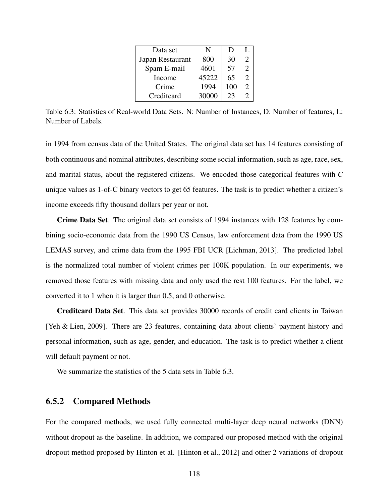| Data set         | N     | D   |                             |
|------------------|-------|-----|-----------------------------|
| Japan Restaurant | 800   | 30  | $\mathcal{D}_{\mathcal{A}}$ |
| Spam E-mail      | 4601  | 57  | $\mathfrak{D}$              |
| Income           | 45222 | 65  | $\mathcal{D}_{\mathcal{L}}$ |
| Crime            | 1994  | 100 | $\mathfrak{D}$              |
| Creditcard       | 30000 | 23  | っ                           |

<span id="page-131-0"></span>Table 6.3: Statistics of Real-world Data Sets. N: Number of Instances, D: Number of features, L: Number of Labels.

in 1994 from census data of the United States. The original data set has 14 features consisting of both continuous and nominal attributes, describing some social information, such as age, race, sex, and marital status, about the registered citizens. We encoded those categorical features with *C* unique values as 1-of-C binary vectors to get 65 features. The task is to predict whether a citizen's income exceeds fifty thousand dollars per year or not.

Crime Data Set. The original data set consists of 1994 instances with 128 features by combining socio-economic data from the 1990 US Census, law enforcement data from the 1990 US LEMAS survey, and crime data from the 1995 FBI UCR [\[Lichman, 2013\]](#page-146-4). The predicted label is the normalized total number of violent crimes per 100K population. In our experiments, we removed those features with missing data and only used the rest 100 features. For the label, we converted it to 1 when it is larger than 0.5, and 0 otherwise.

Creditcard Data Set. This data set provides 30000 records of credit card clients in Taiwan [\[Yeh & Lien, 2009\]](#page-154-0). There are 23 features, containing data about clients' payment history and personal information, such as age, gender, and education. The task is to predict whether a client will default payment or not.

We summarize the statistics of the 5 data sets in Table [6.3.](#page-131-0)

## 6.5.2 Compared Methods

For the compared methods, we used fully connected multi-layer deep neural networks (DNN) without dropout as the baseline. In addition, we compared our proposed method with the original dropout method proposed by Hinton et al. [\[Hinton et al., 2012\]](#page-143-0) and other 2 variations of dropout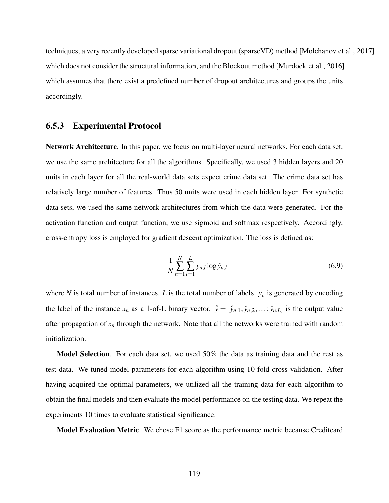techniques, a very recently developed sparse variational dropout (sparseVD) method [\[Molchanov et al., 2017\]](#page-148-0) which does not consider the structural information, and the Blockout method [\[Murdock et al., 2016\]](#page-148-2) which assumes that there exist a predefined number of dropout architectures and groups the units accordingly.

#### 6.5.3 Experimental Protocol

Network Architecture. In this paper, we focus on multi-layer neural networks. For each data set, we use the same architecture for all the algorithms. Specifically, we used 3 hidden layers and 20 units in each layer for all the real-world data sets expect crime data set. The crime data set has relatively large number of features. Thus 50 units were used in each hidden layer. For synthetic data sets, we used the same network architectures from which the data were generated. For the activation function and output function, we use sigmoid and softmax respectively. Accordingly, cross-entropy loss is employed for gradient descent optimization. The loss is defined as:

$$
-\frac{1}{N} \sum_{n=1}^{N} \sum_{l=1}^{L} y_{n,l} \log \hat{y}_{n,l}
$$
 (6.9)

where  $N$  is total number of instances.  $L$  is the total number of labels.  $y_n$  is generated by encoding the label of the instance  $x_n$  as a 1-of-L binary vector.  $\hat{y} = [\hat{y}_{n,1}; \hat{y}_{n,2}; \dots; \hat{y}_{n,L}]$  is the output value after propagation of *x<sup>n</sup>* through the network. Note that all the networks were trained with random initialization.

Model Selection. For each data set, we used 50% the data as training data and the rest as test data. We tuned model parameters for each algorithm using 10-fold cross validation. After having acquired the optimal parameters, we utilized all the training data for each algorithm to obtain the final models and then evaluate the model performance on the testing data. We repeat the experiments 10 times to evaluate statistical significance.

Model Evaluation Metric. We chose F1 score as the performance metric because Creditcard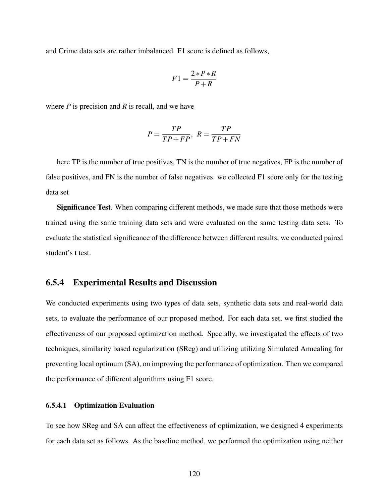and Crime data sets are rather imbalanced. F1 score is defined as follows,

$$
F1 = \frac{2 * P * R}{P + R}
$$

where *P* is precision and *R* is recall, and we have

$$
P = \frac{TP}{TP + FP}, \ R = \frac{TP}{TP + FN}
$$

here TP is the number of true positives, TN is the number of true negatives, FP is the number of false positives, and FN is the number of false negatives. we collected F1 score only for the testing data set

Significance Test. When comparing different methods, we made sure that those methods were trained using the same training data sets and were evaluated on the same testing data sets. To evaluate the statistical significance of the difference between different results, we conducted paired student's t test.

#### 6.5.4 Experimental Results and Discussion

We conducted experiments using two types of data sets, synthetic data sets and real-world data sets, to evaluate the performance of our proposed method. For each data set, we first studied the effectiveness of our proposed optimization method. Specially, we investigated the effects of two techniques, similarity based regularization (SReg) and utilizing utilizing Simulated Annealing for preventing local optimum (SA), on improving the performance of optimization. Then we compared the performance of different algorithms using F1 score.

#### 6.5.4.1 Optimization Evaluation

To see how SReg and SA can affect the effectiveness of optimization, we designed 4 experiments for each data set as follows. As the baseline method, we performed the optimization using neither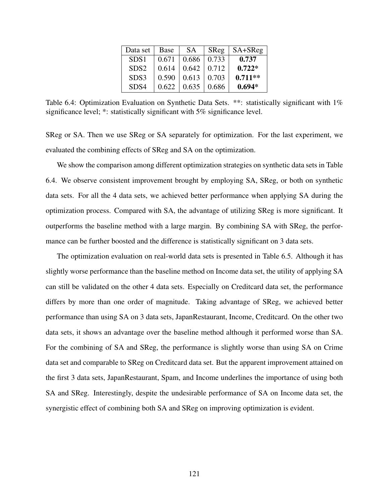| Data set         | <b>Base</b> | <b>SA</b> | SReg  | SA+SReg   |
|------------------|-------------|-----------|-------|-----------|
| SDS <sub>1</sub> | 0.671       | 0.686     | 0.733 | 0.737     |
| SDS <sub>2</sub> | 0.614       | 0.642     | 0.712 | $0.722*$  |
| SDS3             | 0.590       | 0.613     | 0.703 | $0.711**$ |
| SDS4             | 0.622       | 0.635     | 0.686 | $0.694*$  |

<span id="page-134-0"></span>Table 6.4: Optimization Evaluation on Synthetic Data Sets. \*\*: statistically significant with 1% significance level; \*: statistically significant with 5% significance level.

SReg or SA. Then we use SReg or SA separately for optimization. For the last experiment, we evaluated the combining effects of SReg and SA on the optimization.

We show the comparison among different optimization strategies on synthetic data sets in Table [6.4.](#page-134-0) We observe consistent improvement brought by employing SA, SReg, or both on synthetic data sets. For all the 4 data sets, we achieved better performance when applying SA during the optimization process. Compared with SA, the advantage of utilizing SReg is more significant. It outperforms the baseline method with a large margin. By combining SA with SReg, the performance can be further boosted and the difference is statistically significant on 3 data sets.

The optimization evaluation on real-world data sets is presented in Table [6.5.](#page-135-0) Although it has slightly worse performance than the baseline method on Income data set, the utility of applying SA can still be validated on the other 4 data sets. Especially on Creditcard data set, the performance differs by more than one order of magnitude. Taking advantage of SReg, we achieved better performance than using SA on 3 data sets, JapanRestaurant, Income, Creditcard. On the other two data sets, it shows an advantage over the baseline method although it performed worse than SA. For the combining of SA and SReg, the performance is slightly worse than using SA on Crime data set and comparable to SReg on Creditcard data set. But the apparent improvement attained on the first 3 data sets, JapanRestaurant, Spam, and Income underlines the importance of using both SA and SReg. Interestingly, despite the undesirable performance of SA on Income data set, the synergistic effect of combining both SA and SReg on improving optimization is evident.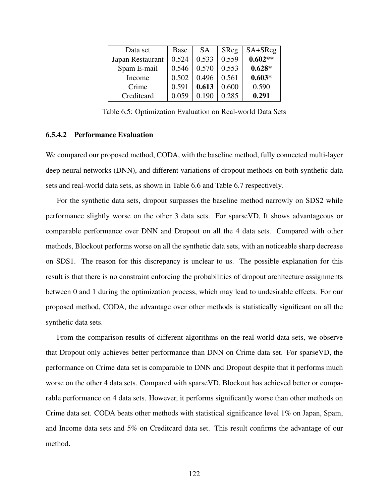<span id="page-135-0"></span>

| Data set         | Base  | <b>SA</b> | SReg  | SA+SReg   |
|------------------|-------|-----------|-------|-----------|
| Japan Restaurant | 0.524 | 0.533     | 0.559 | $0.602**$ |
| Spam E-mail      | 0.546 | 0.570     | 0.553 | $0.628*$  |
| Income           | 0.502 | 0.496     | 0.561 | $0.603*$  |
| Crime            | 0.591 | 0.613     | 0.600 | 0.590     |
| Creditcard       |       | 0.190     | 0.285 | 0.291     |

Table 6.5: Optimization Evaluation on Real-world Data Sets

#### 6.5.4.2 Performance Evaluation

We compared our proposed method, CODA, with the baseline method, fully connected multi-layer deep neural networks (DNN), and different variations of dropout methods on both synthetic data sets and real-world data sets, as shown in Table [6.6](#page-136-0) and Table [6.7](#page-136-1) respectively.

For the synthetic data sets, dropout surpasses the baseline method narrowly on SDS2 while performance slightly worse on the other 3 data sets. For sparseVD, It shows advantageous or comparable performance over DNN and Dropout on all the 4 data sets. Compared with other methods, Blockout performs worse on all the synthetic data sets, with an noticeable sharp decrease on SDS1. The reason for this discrepancy is unclear to us. The possible explanation for this result is that there is no constraint enforcing the probabilities of dropout architecture assignments between 0 and 1 during the optimization process, which may lead to undesirable effects. For our proposed method, CODA, the advantage over other methods is statistically significant on all the synthetic data sets.

From the comparison results of different algorithms on the real-world data sets, we observe that Dropout only achieves better performance than DNN on Crime data set. For sparseVD, the performance on Crime data set is comparable to DNN and Dropout despite that it performs much worse on the other 4 data sets. Compared with sparseVD, Blockout has achieved better or comparable performance on 4 data sets. However, it performs significantly worse than other methods on Crime data set. CODA beats other methods with statistical significance level 1% on Japan, Spam, and Income data sets and 5% on Creditcard data set. This result confirms the advantage of our method.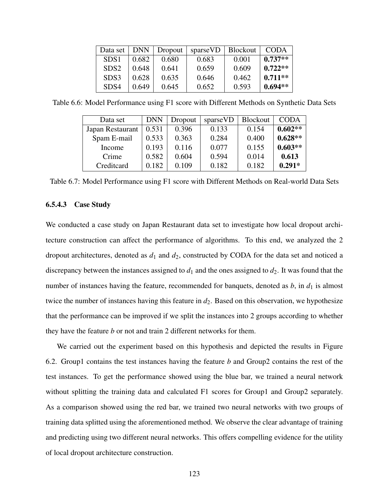<span id="page-136-0"></span>

| Data set         | <b>DNN</b> | Dropout | sparseVD | <b>Blockout</b> | <b>CODA</b> |
|------------------|------------|---------|----------|-----------------|-------------|
| SDS <sub>1</sub> | 0.682      | 0.680   | 0.683    | 0.001           | $0.737**$   |
| SDS <sub>2</sub> | 0.648      | 0.641   | 0.659    | 0.609           | $0.722**$   |
| SDS3             | 0.628      | 0.635   | 0.646    | 0.462           | $0.711**$   |
| SDS4             | 0.649      | 0.645   | 0.652    | 0.593           | $0.694**$   |

<span id="page-136-1"></span>Table 6.6: Model Performance using F1 score with Different Methods on Synthetic Data Sets

| Data set         | <b>DNN</b> | Dropout | sparseVD | <b>Blockout</b> | <b>CODA</b> |
|------------------|------------|---------|----------|-----------------|-------------|
| Japan Restaurant | 0.531      | 0.396   | 0.133    | 0.154           | $0.602**$   |
| Spam E-mail      | 0.533      | 0.363   | 0.284    | 0.400           | $0.628**$   |
| Income           | 0.193      | 0.116   | 0.077    | 0.155           | $0.603**$   |
| Crime            | 0.582      | 0.604   | 0.594    | 0.014           | 0.613       |
| Creditcard       | 0.182      | 0.109   | 0.182    | 0.182           | $0.291*$    |

Table 6.7: Model Performance using F1 score with Different Methods on Real-world Data Sets

#### 6.5.4.3 Case Study

We conducted a case study on Japan Restaurant data set to investigate how local dropout architecture construction can affect the performance of algorithms. To this end, we analyzed the 2 dropout architectures, denoted as  $d_1$  and  $d_2$ , constructed by CODA for the data set and noticed a discrepancy between the instances assigned to  $d_1$  and the ones assigned to  $d_2$ . It was found that the number of instances having the feature, recommended for banquets, denoted as  $b$ , in  $d_1$  is almost twice the number of instances having this feature in  $d_2$ . Based on this observation, we hypothesize that the performance can be improved if we split the instances into 2 groups according to whether they have the feature *b* or not and train 2 different networks for them.

We carried out the experiment based on this hypothesis and depicted the results in Figure [6.2.](#page-137-0) Group1 contains the test instances having the feature *b* and Group2 contains the rest of the test instances. To get the performance showed using the blue bar, we trained a neural network without splitting the training data and calculated F1 scores for Group1 and Group2 separately. As a comparison showed using the red bar, we trained two neural networks with two groups of training data splitted using the aforementioned method. We observe the clear advantage of training and predicting using two different neural networks. This offers compelling evidence for the utility of local dropout architecture construction.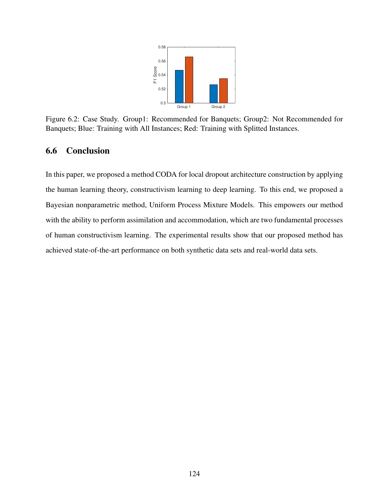

<span id="page-137-0"></span>Figure 6.2: Case Study. Group1: Recommended for Banquets; Group2: Not Recommended for Banquets; Blue: Training with All Instances; Red: Training with Splitted Instances.

## 6.6 Conclusion

In this paper, we proposed a method CODA for local dropout architecture construction by applying the human learning theory, constructivism learning to deep learning. To this end, we proposed a Bayesian nonparametric method, Uniform Process Mixture Models. This empowers our method with the ability to perform assimilation and accommodation, which are two fundamental processes of human constructivism learning. The experimental results show that our proposed method has achieved state-of-the-art performance on both synthetic data sets and real-world data sets.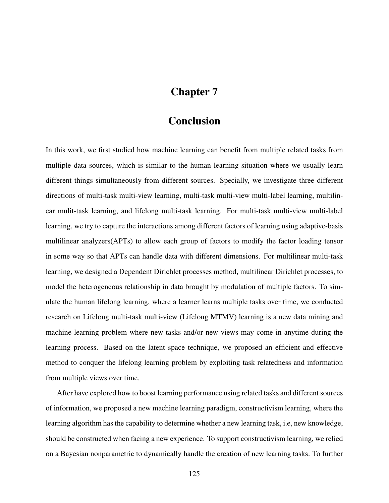## Chapter 7

## Conclusion

In this work, we first studied how machine learning can benefit from multiple related tasks from multiple data sources, which is similar to the human learning situation where we usually learn different things simultaneously from different sources. Specially, we investigate three different directions of multi-task multi-view learning, multi-task multi-view multi-label learning, multilinear mulit-task learning, and lifelong multi-task learning. For multi-task multi-view multi-label learning, we try to capture the interactions among different factors of learning using adaptive-basis multilinear analyzers(APTs) to allow each group of factors to modify the factor loading tensor in some way so that APTs can handle data with different dimensions. For multilinear multi-task learning, we designed a Dependent Dirichlet processes method, multilinear Dirichlet processes, to model the heterogeneous relationship in data brought by modulation of multiple factors. To simulate the human lifelong learning, where a learner learns multiple tasks over time, we conducted research on Lifelong multi-task multi-view (Lifelong MTMV) learning is a new data mining and machine learning problem where new tasks and/or new views may come in anytime during the learning process. Based on the latent space technique, we proposed an efficient and effective method to conquer the lifelong learning problem by exploiting task relatedness and information from multiple views over time.

After have explored how to boost learning performance using related tasks and different sources of information, we proposed a new machine learning paradigm, constructivism learning, where the learning algorithm has the capability to determine whether a new learning task, i.e, new knowledge, should be constructed when facing a new experience. To support constructivism learning, we relied on a Bayesian nonparametric to dynamically handle the creation of new learning tasks. To further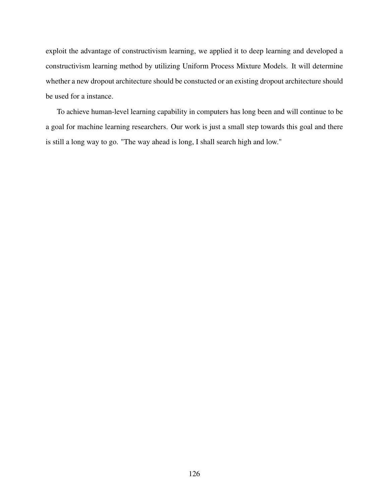exploit the advantage of constructivism learning, we applied it to deep learning and developed a constructivism learning method by utilizing Uniform Process Mixture Models. It will determine whether a new dropout architecture should be constucted or an existing dropout architecture should be used for a instance.

To achieve human-level learning capability in computers has long been and will continue to be a goal for machine learning researchers. Our work is just a small step towards this goal and there is still a long way to go. "The way ahead is long, I shall search high and low."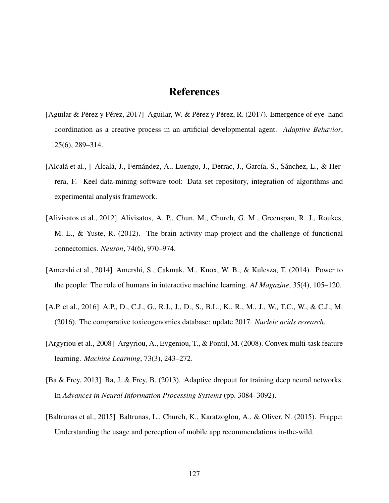## References

- <span id="page-140-1"></span>[Aguilar & Pérez y Pérez, 2017] Aguilar, W. & Pérez y Pérez, R. (2017). Emergence of eye–hand coordination as a creative process in an artificial developmental agent. *Adaptive Behavior*, 25(6), 289–314.
- [Alcalá et al., ] Alcalá, J., Fernández, A., Luengo, J., Derrac, J., García, S., Sánchez, L., & Herrera, F. Keel data-mining software tool: Data set repository, integration of algorithms and experimental analysis framework.
- [Alivisatos et al., 2012] Alivisatos, A. P., Chun, M., Church, G. M., Greenspan, R. J., Roukes, M. L., & Yuste, R. (2012). The brain activity map project and the challenge of functional connectomics. *Neuron*, 74(6), 970–974.
- [Amershi et al., 2014] Amershi, S., Cakmak, M., Knox, W. B., & Kulesza, T. (2014). Power to the people: The role of humans in interactive machine learning. *AI Magazine*, 35(4), 105–120.
- [A.P. et al., 2016] A.P., D., C.J., G., R.J., J., D., S., B.L., K., R., M., J., W., T.C., W., & C.J., M. (2016). The comparative toxicogenomics database: update 2017. *Nucleic acids research*.
- [Argyriou et al., 2008] Argyriou, A., Evgeniou, T., & Pontil, M. (2008). Convex multi-task feature learning. *Machine Learning*, 73(3), 243–272.
- <span id="page-140-0"></span>[Ba & Frey, 2013] Ba, J. & Frey, B. (2013). Adaptive dropout for training deep neural networks. In *Advances in Neural Information Processing Systems* (pp. 3084–3092).
- [Baltrunas et al., 2015] Baltrunas, L., Church, K., Karatzoglou, A., & Oliver, N. (2015). Frappe: Understanding the usage and perception of mobile app recommendations in-the-wild.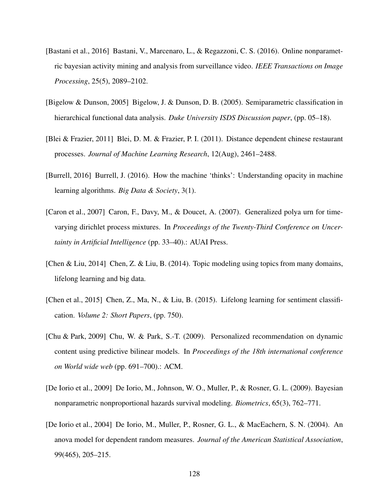- <span id="page-141-0"></span>[Bastani et al., 2016] Bastani, V., Marcenaro, L., & Regazzoni, C. S. (2016). Online nonparametric bayesian activity mining and analysis from surveillance video. *IEEE Transactions on Image Processing*, 25(5), 2089–2102.
- [Bigelow & Dunson, 2005] Bigelow, J. & Dunson, D. B. (2005). Semiparametric classification in hierarchical functional data analysis. *Duke University ISDS Discussion paper*, (pp. 05–18).
- [Blei & Frazier, 2011] Blei, D. M. & Frazier, P. I. (2011). Distance dependent chinese restaurant processes. *Journal of Machine Learning Research*, 12(Aug), 2461–2488.
- [Burrell, 2016] Burrell, J. (2016). How the machine 'thinks': Understanding opacity in machine learning algorithms. *Big Data & Society*, 3(1).
- [Caron et al., 2007] Caron, F., Davy, M., & Doucet, A. (2007). Generalized polya urn for timevarying dirichlet process mixtures. In *Proceedings of the Twenty-Third Conference on Uncertainty in Artificial Intelligence* (pp. 33–40).: AUAI Press.
- [Chen & Liu, 2014] Chen, Z. & Liu, B. (2014). Topic modeling using topics from many domains, lifelong learning and big data.
- [Chen et al., 2015] Chen, Z., Ma, N., & Liu, B. (2015). Lifelong learning for sentiment classification. *Volume 2: Short Papers*, (pp. 750).
- [Chu & Park, 2009] Chu, W. & Park, S.-T. (2009). Personalized recommendation on dynamic content using predictive bilinear models. In *Proceedings of the 18th international conference on World wide web* (pp. 691–700).: ACM.
- [De Iorio et al., 2009] De Iorio, M., Johnson, W. O., Muller, P., & Rosner, G. L. (2009). Bayesian nonparametric nonproportional hazards survival modeling. *Biometrics*, 65(3), 762–771.
- [De Iorio et al., 2004] De Iorio, M., Muller, P., Rosner, G. L., & MacEachern, S. N. (2004). An anova model for dependent random measures. *Journal of the American Statistical Association*, 99(465), 205–215.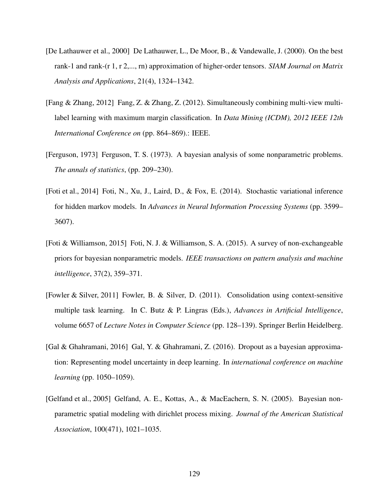- [De Lathauwer et al., 2000] De Lathauwer, L., De Moor, B., & Vandewalle, J. (2000). On the best rank-1 and rank-(r 1, r 2,..., rn) approximation of higher-order tensors. *SIAM Journal on Matrix Analysis and Applications*, 21(4), 1324–1342.
- [Fang & Zhang, 2012] Fang, Z. & Zhang, Z. (2012). Simultaneously combining multi-view multilabel learning with maximum margin classification. In *Data Mining (ICDM), 2012 IEEE 12th International Conference on* (pp. 864–869).: IEEE.
- <span id="page-142-1"></span>[Ferguson, 1973] Ferguson, T. S. (1973). A bayesian analysis of some nonparametric problems. *The annals of statistics*, (pp. 209–230).
- [Foti et al., 2014] Foti, N., Xu, J., Laird, D., & Fox, E. (2014). Stochastic variational inference for hidden markov models. In *Advances in Neural Information Processing Systems* (pp. 3599– 3607).
- [Foti & Williamson, 2015] Foti, N. J. & Williamson, S. A. (2015). A survey of non-exchangeable priors for bayesian nonparametric models. *IEEE transactions on pattern analysis and machine intelligence*, 37(2), 359–371.
- [Fowler & Silver, 2011] Fowler, B. & Silver, D. (2011). Consolidation using context-sensitive multiple task learning. In C. Butz & P. Lingras (Eds.), *Advances in Artificial Intelligence*, volume 6657 of *Lecture Notes in Computer Science* (pp. 128–139). Springer Berlin Heidelberg.
- <span id="page-142-0"></span>[Gal & Ghahramani, 2016] Gal, Y. & Ghahramani, Z. (2016). Dropout as a bayesian approximation: Representing model uncertainty in deep learning. In *international conference on machine learning* (pp. 1050–1059).
- [Gelfand et al., 2005] Gelfand, A. E., Kottas, A., & MacEachern, S. N. (2005). Bayesian nonparametric spatial modeling with dirichlet process mixing. *Journal of the American Statistical Association*, 100(471), 1021–1035.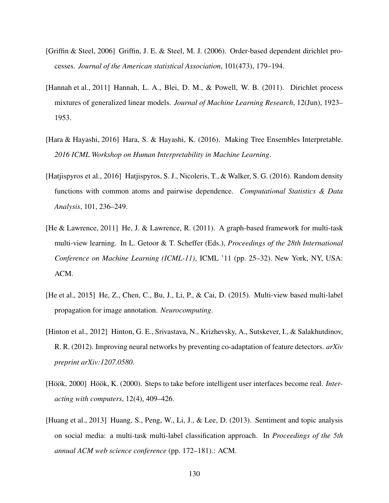- [Griffin & Steel, 2006] Griffin, J. E. & Steel, M. J. (2006). Order-based dependent dirichlet processes. *Journal of the American statistical Association*, 101(473), 179–194.
- <span id="page-143-1"></span>[Hannah et al., 2011] Hannah, L. A., Blei, D. M., & Powell, W. B. (2011). Dirichlet process mixtures of generalized linear models. *Journal of Machine Learning Research*, 12(Jun), 1923– 1953.
- [Hara & Hayashi, 2016] Hara, S. & Hayashi, K. (2016). Making Tree Ensembles Interpretable. *2016 ICML Workshop on Human Interpretability in Machine Learning*.
- [Hatjispyros et al., 2016] Hatjispyros, S. J., Nicoleris, T., & Walker, S. G. (2016). Random density functions with common atoms and pairwise dependence. *Computational Statistics & Data Analysis*, 101, 236–249.
- [He & Lawrence, 2011] He, J. & Lawrence, R. (2011). A graph-based framework for multi-task multi-view learning. In L. Getoor & T. Scheffer (Eds.), *Proceedings of the 28th International Conference on Machine Learning (ICML-11)*, ICML '11 (pp. 25–32). New York, NY, USA: ACM.
- [He et al., 2015] He, Z., Chen, C., Bu, J., Li, P., & Cai, D. (2015). Multi-view based multi-label propagation for image annotation. *Neurocomputing*.
- <span id="page-143-0"></span>[Hinton et al., 2012] Hinton, G. E., Srivastava, N., Krizhevsky, A., Sutskever, I., & Salakhutdinov, R. R. (2012). Improving neural networks by preventing co-adaptation of feature detectors. *arXiv preprint arXiv:1207.0580*.
- [Höök, 2000] Höök, K. (2000). Steps to take before intelligent user interfaces become real. *Interacting with computers*, 12(4), 409–426.
- [Huang et al., 2013] Huang, S., Peng, W., Li, J., & Lee, D. (2013). Sentiment and topic analysis on social media: a multi-task multi-label classification approach. In *Proceedings of the 5th annual ACM web science conference* (pp. 172–181).: ACM.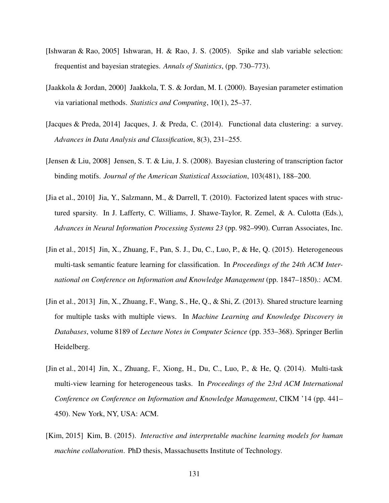- [Ishwaran & Rao, 2005] Ishwaran, H. & Rao, J. S. (2005). Spike and slab variable selection: frequentist and bayesian strategies. *Annals of Statistics*, (pp. 730–773).
- [Jaakkola & Jordan, 2000] Jaakkola, T. S. & Jordan, M. I. (2000). Bayesian parameter estimation via variational methods. *Statistics and Computing*, 10(1), 25–37.
- [Jacques & Preda, 2014] Jacques, J. & Preda, C. (2014). Functional data clustering: a survey. *Advances in Data Analysis and Classification*, 8(3), 231–255.
- [Jensen & Liu, 2008] Jensen, S. T. & Liu, J. S. (2008). Bayesian clustering of transcription factor binding motifs. *Journal of the American Statistical Association*, 103(481), 188–200.
- [Jia et al., 2010] Jia, Y., Salzmann, M., & Darrell, T. (2010). Factorized latent spaces with structured sparsity. In J. Lafferty, C. Williams, J. Shawe-Taylor, R. Zemel, & A. Culotta (Eds.), *Advances in Neural Information Processing Systems 23* (pp. 982–990). Curran Associates, Inc.
- [Jin et al., 2015] Jin, X., Zhuang, F., Pan, S. J., Du, C., Luo, P., & He, Q. (2015). Heterogeneous multi-task semantic feature learning for classification. In *Proceedings of the 24th ACM International on Conference on Information and Knowledge Management* (pp. 1847–1850).: ACM.
- [Jin et al., 2013] Jin, X., Zhuang, F., Wang, S., He, Q., & Shi, Z. (2013). Shared structure learning for multiple tasks with multiple views. In *Machine Learning and Knowledge Discovery in Databases*, volume 8189 of *Lecture Notes in Computer Science* (pp. 353–368). Springer Berlin Heidelberg.
- [Jin et al., 2014] Jin, X., Zhuang, F., Xiong, H., Du, C., Luo, P., & He, Q. (2014). Multi-task multi-view learning for heterogeneous tasks. In *Proceedings of the 23rd ACM International Conference on Conference on Information and Knowledge Management*, CIKM '14 (pp. 441– 450). New York, NY, USA: ACM.
- [Kim, 2015] Kim, B. (2015). *Interactive and interpretable machine learning models for human machine collaboration*. PhD thesis, Massachusetts Institute of Technology.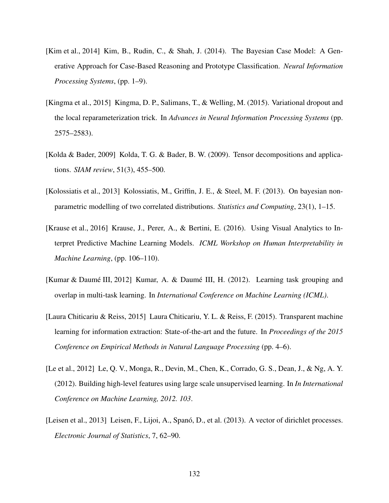- [Kim et al., 2014] Kim, B., Rudin, C., & Shah, J. (2014). The Bayesian Case Model: A Generative Approach for Case-Based Reasoning and Prototype Classification. *Neural Information Processing Systems*, (pp. 1–9).
- [Kingma et al., 2015] Kingma, D. P., Salimans, T., & Welling, M. (2015). Variational dropout and the local reparameterization trick. In *Advances in Neural Information Processing Systems* (pp. 2575–2583).
- [Kolda & Bader, 2009] Kolda, T. G. & Bader, B. W. (2009). Tensor decompositions and applications. *SIAM review*, 51(3), 455–500.
- [Kolossiatis et al., 2013] Kolossiatis, M., Griffin, J. E., & Steel, M. F. (2013). On bayesian nonparametric modelling of two correlated distributions. *Statistics and Computing*, 23(1), 1–15.
- [Krause et al., 2016] Krause, J., Perer, A., & Bertini, E. (2016). Using Visual Analytics to Interpret Predictive Machine Learning Models. *ICML Workshop on Human Interpretability in Machine Learning*, (pp. 106–110).
- [Kumar & Daumé III, 2012] Kumar, A. & Daumé III, H. (2012). Learning task grouping and overlap in multi-task learning. In *International Conference on Machine Learning (ICML)*.
- [Laura Chiticariu & Reiss, 2015] Laura Chiticariu, Y. L. & Reiss, F. (2015). Transparent machine learning for information extraction: State-of-the-art and the future. In *Proceedings of the 2015 Conference on Empirical Methods in Natural Language Processing* (pp. 4–6).
- [Le et al., 2012] Le, Q. V., Monga, R., Devin, M., Chen, K., Corrado, G. S., Dean, J., & Ng, A. Y. (2012). Building high-level features using large scale unsupervised learning. In *In International Conference on Machine Learning, 2012. 103*.
- [Leisen et al., 2013] Leisen, F., Lijoi, A., Spanó, D., et al. (2013). A vector of dirichlet processes. *Electronic Journal of Statistics*, 7, 62–90.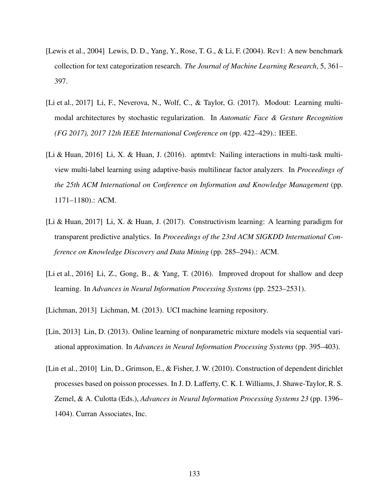- [Lewis et al., 2004] Lewis, D. D., Yang, Y., Rose, T. G., & Li, F. (2004). Rcv1: A new benchmark collection for text categorization research. *The Journal of Machine Learning Research*, 5, 361– 397.
- [Li et al., 2017] Li, F., Neverova, N., Wolf, C., & Taylor, G. (2017). Modout: Learning multimodal architectures by stochastic regularization. In *Automatic Face & Gesture Recognition (FG 2017), 2017 12th IEEE International Conference on* (pp. 422–429).: IEEE.
- [Li & Huan, 2016] Li, X. & Huan, J. (2016). aptmtvl: Nailing interactions in multi-task multiview multi-label learning using adaptive-basis multilinear factor analyzers. In *Proceedings of the 25th ACM International on Conference on Information and Knowledge Management* (pp. 1171–1180).: ACM.
- [Li & Huan, 2017] Li, X. & Huan, J. (2017). Constructivism learning: A learning paradigm for transparent predictive analytics. In *Proceedings of the 23rd ACM SIGKDD International Conference on Knowledge Discovery and Data Mining* (pp. 285–294).: ACM.
- [Li et al., 2016] Li, Z., Gong, B., & Yang, T. (2016). Improved dropout for shallow and deep learning. In *Advances in Neural Information Processing Systems* (pp. 2523–2531).
- [Lichman, 2013] Lichman, M. (2013). UCI machine learning repository.
- [Lin, 2013] Lin, D. (2013). Online learning of nonparametric mixture models via sequential variational approximation. In *Advances in Neural Information Processing Systems* (pp. 395–403).
- [Lin et al., 2010] Lin, D., Grimson, E., & Fisher, J. W. (2010). Construction of dependent dirichlet processes based on poisson processes. In J. D. Lafferty, C. K. I. Williams, J. Shawe-Taylor, R. S. Zemel, & A. Culotta (Eds.), *Advances in Neural Information Processing Systems 23* (pp. 1396– 1404). Curran Associates, Inc.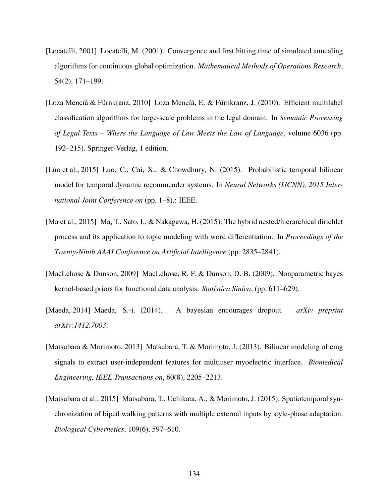- [Locatelli, 2001] Locatelli, M. (2001). Convergence and first hitting time of simulated annealing algorithms for continuous global optimization. *Mathematical Methods of Operations Research*, 54(2), 171–199.
- [Loza Mencíá & Fúrnkranz, 2010] Loza Mencíá, E. & Fúrnkranz, J. (2010). Efficient multilabel classification algorithms for large-scale problems in the legal domain. In *Semantic Processing of Legal Texts – Where the Language of Law Meets the Law of Language*, volume 6036 (pp. 192–215). Springer-Verlag, 1 edition.
- [Luo et al., 2015] Luo, C., Cai, X., & Chowdhury, N. (2015). Probabilistic temporal bilinear model for temporal dynamic recommender systems. In *Neural Networks (IJCNN), 2015 International Joint Conference on* (pp. 1–8).: IEEE.
- [Ma et al., 2015] Ma, T., Sato, I., & Nakagawa, H. (2015). The hybrid nested/hierarchical dirichlet process and its application to topic modeling with word differentiation. In *Proceedings of the Twenty-Ninth AAAI Conference on Artificial Intelligence* (pp. 2835–2841).
- [MacLehose & Dunson, 2009] MacLehose, R. F. & Dunson, D. B. (2009). Nonparametric bayes kernel-based priors for functional data analysis. *Statistica Sinica*, (pp. 611–629).
- [Maeda, 2014] Maeda, S.-i. (2014). A bayesian encourages dropout. *arXiv preprint arXiv:1412.7003*.
- [Matsubara & Morimoto, 2013] Matsubara, T. & Morimoto, J. (2013). Bilinear modeling of emg signals to extract user-independent features for multiuser myoelectric interface. *Biomedical Engineering, IEEE Transactions on*, 60(8), 2205–2213.
- [Matsubara et al., 2015] Matsubara, T., Uchikata, A., & Morimoto, J. (2015). Spatiotemporal synchronization of biped walking patterns with multiple external inputs by style-phase adaptation. *Biological Cybernetics*, 109(6), 597–610.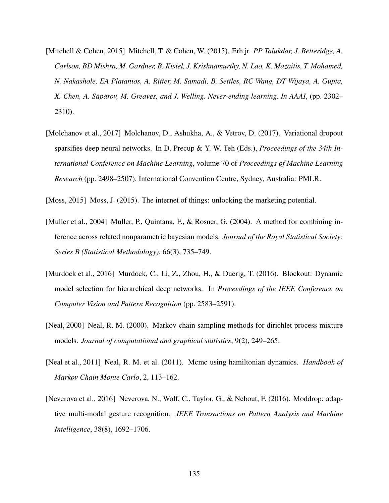- [Mitchell & Cohen, 2015] Mitchell, T. & Cohen, W. (2015). Erh jr. *PP Talukdar, J. Betteridge, A. Carlson, BD Mishra, M. Gardner, B. Kisiel, J. Krishnamurthy, N. Lao, K. Mazaitis, T. Mohamed, N. Nakashole, EA Platanios, A. Ritter, M. Samadi, B. Settles, RC Wang, DT Wijaya, A. Gupta, X. Chen, A. Saparov, M. Greaves, and J. Welling. Never-ending learning. In AAAI*, (pp. 2302– 2310).
- [Molchanov et al., 2017] Molchanov, D., Ashukha, A., & Vetrov, D. (2017). Variational dropout sparsifies deep neural networks. In D. Precup & Y. W. Teh (Eds.), *Proceedings of the 34th International Conference on Machine Learning*, volume 70 of *Proceedings of Machine Learning Research* (pp. 2498–2507). International Convention Centre, Sydney, Australia: PMLR.
- [Moss, 2015] Moss, J. (2015). The internet of things: unlocking the marketing potential.
- [Muller et al., 2004] Muller, P., Quintana, F., & Rosner, G. (2004). A method for combining inference across related nonparametric bayesian models. *Journal of the Royal Statistical Society: Series B (Statistical Methodology)*, 66(3), 735–749.
- [Murdock et al., 2016] Murdock, C., Li, Z., Zhou, H., & Duerig, T. (2016). Blockout: Dynamic model selection for hierarchical deep networks. In *Proceedings of the IEEE Conference on Computer Vision and Pattern Recognition* (pp. 2583–2591).
- [Neal, 2000] Neal, R. M. (2000). Markov chain sampling methods for dirichlet process mixture models. *Journal of computational and graphical statistics*, 9(2), 249–265.
- [Neal et al., 2011] Neal, R. M. et al. (2011). Mcmc using hamiltonian dynamics. *Handbook of Markov Chain Monte Carlo*, 2, 113–162.
- [Neverova et al., 2016] Neverova, N., Wolf, C., Taylor, G., & Nebout, F. (2016). Moddrop: adaptive multi-modal gesture recognition. *IEEE Transactions on Pattern Analysis and Machine Intelligence*, 38(8), 1692–1706.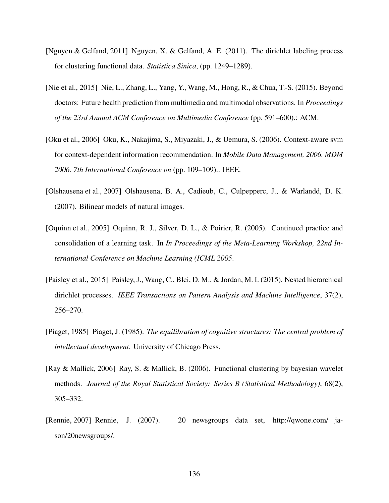- [Nguyen & Gelfand, 2011] Nguyen, X. & Gelfand, A. E. (2011). The dirichlet labeling process for clustering functional data. *Statistica Sinica*, (pp. 1249–1289).
- [Nie et al., 2015] Nie, L., Zhang, L., Yang, Y., Wang, M., Hong, R., & Chua, T.-S. (2015). Beyond doctors: Future health prediction from multimedia and multimodal observations. In *Proceedings of the 23rd Annual ACM Conference on Multimedia Conference* (pp. 591–600).: ACM.
- [Oku et al., 2006] Oku, K., Nakajima, S., Miyazaki, J., & Uemura, S. (2006). Context-aware svm for context-dependent information recommendation. In *Mobile Data Management, 2006. MDM 2006. 7th International Conference on* (pp. 109–109).: IEEE.
- [Olshausena et al., 2007] Olshausena, B. A., Cadieub, C., Culpepperc, J., & Warlandd, D. K. (2007). Bilinear models of natural images.
- [Oquinn et al., 2005] Oquinn, R. J., Silver, D. L., & Poirier, R. (2005). Continued practice and consolidation of a learning task. In *In Proceedings of the Meta-Learning Workshop, 22nd International Conference on Machine Learning (ICML 2005*.
- [Paisley et al., 2015] Paisley, J., Wang, C., Blei, D. M., & Jordan, M. I. (2015). Nested hierarchical dirichlet processes. *IEEE Transactions on Pattern Analysis and Machine Intelligence*, 37(2), 256–270.
- [Piaget, 1985] Piaget, J. (1985). *The equilibration of cognitive structures: The central problem of intellectual development*. University of Chicago Press.
- [Ray & Mallick, 2006] Ray, S. & Mallick, B. (2006). Functional clustering by bayesian wavelet methods. *Journal of the Royal Statistical Society: Series B (Statistical Methodology)*, 68(2), 305–332.
- [Rennie, 2007] Rennie, J. (2007). 20 newsgroups data set, http://qwone.com/ jason/20newsgroups/.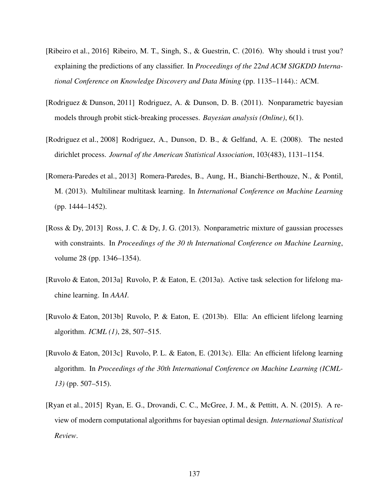- [Ribeiro et al., 2016] Ribeiro, M. T., Singh, S., & Guestrin, C. (2016). Why should i trust you? explaining the predictions of any classifier. In *Proceedings of the 22nd ACM SIGKDD International Conference on Knowledge Discovery and Data Mining* (pp. 1135–1144).: ACM.
- [Rodriguez & Dunson, 2011] Rodriguez, A. & Dunson, D. B. (2011). Nonparametric bayesian models through probit stick-breaking processes. *Bayesian analysis (Online)*, 6(1).
- [Rodriguez et al., 2008] Rodriguez, A., Dunson, D. B., & Gelfand, A. E. (2008). The nested dirichlet process. *Journal of the American Statistical Association*, 103(483), 1131–1154.
- [Romera-Paredes et al., 2013] Romera-Paredes, B., Aung, H., Bianchi-Berthouze, N., & Pontil, M. (2013). Multilinear multitask learning. In *International Conference on Machine Learning* (pp. 1444–1452).
- [Ross & Dy, 2013] Ross, J. C. & Dy, J. G. (2013). Nonparametric mixture of gaussian processes with constraints. In *Proceedings of the 30 th International Conference on Machine Learning*, volume 28 (pp. 1346–1354).
- [Ruvolo & Eaton, 2013a] Ruvolo, P. & Eaton, E. (2013a). Active task selection for lifelong machine learning. In *AAAI*.
- [Ruvolo & Eaton, 2013b] Ruvolo, P. & Eaton, E. (2013b). Ella: An efficient lifelong learning algorithm. *ICML (1)*, 28, 507–515.
- [Ruvolo & Eaton, 2013c] Ruvolo, P. L. & Eaton, E. (2013c). Ella: An efficient lifelong learning algorithm. In *Proceedings of the 30th International Conference on Machine Learning (ICML-13)* (pp. 507–515).
- [Ryan et al., 2015] Ryan, E. G., Drovandi, C. C., McGree, J. M., & Pettitt, A. N. (2015). A review of modern computational algorithms for bayesian optimal design. *International Statistical Review*.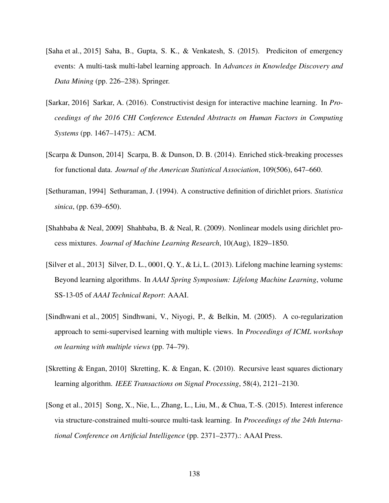- [Saha et al., 2015] Saha, B., Gupta, S. K., & Venkatesh, S. (2015). Prediciton of emergency events: A multi-task multi-label learning approach. In *Advances in Knowledge Discovery and Data Mining* (pp. 226–238). Springer.
- [Sarkar, 2016] Sarkar, A. (2016). Constructivist design for interactive machine learning. In *Proceedings of the 2016 CHI Conference Extended Abstracts on Human Factors in Computing Systems* (pp. 1467–1475).: ACM.
- [Scarpa & Dunson, 2014] Scarpa, B. & Dunson, D. B. (2014). Enriched stick-breaking processes for functional data. *Journal of the American Statistical Association*, 109(506), 647–660.
- [Sethuraman, 1994] Sethuraman, J. (1994). A constructive definition of dirichlet priors. *Statistica sinica*, (pp. 639–650).
- [Shahbaba & Neal, 2009] Shahbaba, B. & Neal, R. (2009). Nonlinear models using dirichlet process mixtures. *Journal of Machine Learning Research*, 10(Aug), 1829–1850.
- [Silver et al., 2013] Silver, D. L., 0001, Q. Y., & Li, L. (2013). Lifelong machine learning systems: Beyond learning algorithms. In *AAAI Spring Symposium: Lifelong Machine Learning*, volume SS-13-05 of *AAAI Technical Report*: AAAI.
- [Sindhwani et al., 2005] Sindhwani, V., Niyogi, P., & Belkin, M. (2005). A co-regularization approach to semi-supervised learning with multiple views. In *Proceedings of ICML workshop on learning with multiple views* (pp. 74–79).
- [Skretting & Engan, 2010] Skretting, K. & Engan, K. (2010). Recursive least squares dictionary learning algorithm. *IEEE Transactions on Signal Processing*, 58(4), 2121–2130.
- [Song et al., 2015] Song, X., Nie, L., Zhang, L., Liu, M., & Chua, T.-S. (2015). Interest inference via structure-constrained multi-source multi-task learning. In *Proceedings of the 24th International Conference on Artificial Intelligence* (pp. 2371–2377).: AAAI Press.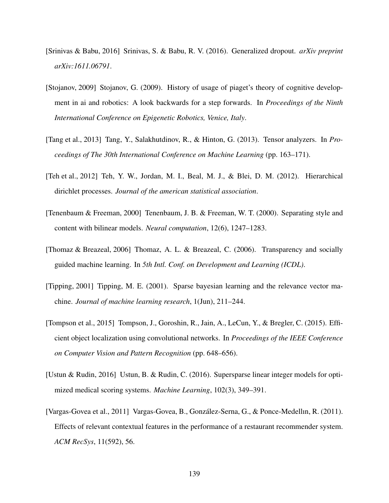- [Srinivas & Babu, 2016] Srinivas, S. & Babu, R. V. (2016). Generalized dropout. *arXiv preprint arXiv:1611.06791*.
- [Stojanov, 2009] Stojanov, G. (2009). History of usage of piaget's theory of cognitive development in ai and robotics: A look backwards for a step forwards. In *Proceedings of the Ninth International Conference on Epigenetic Robotics, Venice, Italy*.
- [Tang et al., 2013] Tang, Y., Salakhutdinov, R., & Hinton, G. (2013). Tensor analyzers. In *Proceedings of The 30th International Conference on Machine Learning* (pp. 163–171).
- [Teh et al., 2012] Teh, Y. W., Jordan, M. I., Beal, M. J., & Blei, D. M. (2012). Hierarchical dirichlet processes. *Journal of the american statistical association*.
- [Tenenbaum & Freeman, 2000] Tenenbaum, J. B. & Freeman, W. T. (2000). Separating style and content with bilinear models. *Neural computation*, 12(6), 1247–1283.
- [Thomaz & Breazeal, 2006] Thomaz, A. L. & Breazeal, C. (2006). Transparency and socially guided machine learning. In *5th Intl. Conf. on Development and Learning (ICDL)*.
- [Tipping, 2001] Tipping, M. E. (2001). Sparse bayesian learning and the relevance vector machine. *Journal of machine learning research*, 1(Jun), 211–244.
- [Tompson et al., 2015] Tompson, J., Goroshin, R., Jain, A., LeCun, Y., & Bregler, C. (2015). Efficient object localization using convolutional networks. In *Proceedings of the IEEE Conference on Computer Vision and Pattern Recognition* (pp. 648–656).
- [Ustun & Rudin, 2016] Ustun, B. & Rudin, C. (2016). Supersparse linear integer models for optimized medical scoring systems. *Machine Learning*, 102(3), 349–391.
- [Vargas-Govea et al., 2011] Vargas-Govea, B., González-Serna, G., & Ponce-Medellın, R. (2011). Effects of relevant contextual features in the performance of a restaurant recommender system. *ACM RecSys*, 11(592), 56.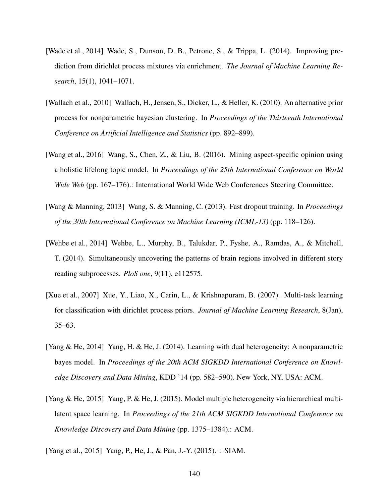- [Wade et al., 2014] Wade, S., Dunson, D. B., Petrone, S., & Trippa, L. (2014). Improving prediction from dirichlet process mixtures via enrichment. *The Journal of Machine Learning Research*, 15(1), 1041–1071.
- [Wallach et al., 2010] Wallach, H., Jensen, S., Dicker, L., & Heller, K. (2010). An alternative prior process for nonparametric bayesian clustering. In *Proceedings of the Thirteenth International Conference on Artificial Intelligence and Statistics* (pp. 892–899).
- [Wang et al., 2016] Wang, S., Chen, Z., & Liu, B. (2016). Mining aspect-specific opinion using a holistic lifelong topic model. In *Proceedings of the 25th International Conference on World Wide Web* (pp. 167–176).: International World Wide Web Conferences Steering Committee.
- [Wang & Manning, 2013] Wang, S. & Manning, C. (2013). Fast dropout training. In *Proceedings of the 30th International Conference on Machine Learning (ICML-13)* (pp. 118–126).
- [Wehbe et al., 2014] Wehbe, L., Murphy, B., Talukdar, P., Fyshe, A., Ramdas, A., & Mitchell, T. (2014). Simultaneously uncovering the patterns of brain regions involved in different story reading subprocesses. *PloS one*, 9(11), e112575.
- [Xue et al., 2007] Xue, Y., Liao, X., Carin, L., & Krishnapuram, B. (2007). Multi-task learning for classification with dirichlet process priors. *Journal of Machine Learning Research*, 8(Jan), 35–63.
- [Yang & He, 2014] Yang, H. & He, J. (2014). Learning with dual heterogeneity: A nonparametric bayes model. In *Proceedings of the 20th ACM SIGKDD International Conference on Knowledge Discovery and Data Mining*, KDD '14 (pp. 582–590). New York, NY, USA: ACM.
- [Yang & He, 2015] Yang, P. & He, J. (2015). Model multiple heterogeneity via hierarchical multilatent space learning. In *Proceedings of the 21th ACM SIGKDD International Conference on Knowledge Discovery and Data Mining* (pp. 1375–1384).: ACM.

[Yang et al., 2015] Yang, P., He, J., & Pan, J.-Y. (2015). : SIAM.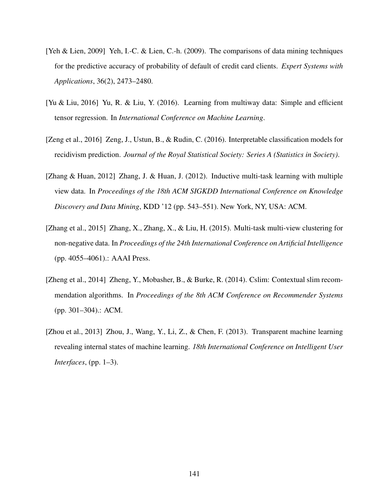- [Yeh & Lien, 2009] Yeh, I.-C. & Lien, C.-h. (2009). The comparisons of data mining techniques for the predictive accuracy of probability of default of credit card clients. *Expert Systems with Applications*, 36(2), 2473–2480.
- [Yu & Liu, 2016] Yu, R. & Liu, Y. (2016). Learning from multiway data: Simple and efficient tensor regression. In *International Conference on Machine Learning*.
- [Zeng et al., 2016] Zeng, J., Ustun, B., & Rudin, C. (2016). Interpretable classification models for recidivism prediction. *Journal of the Royal Statistical Society: Series A (Statistics in Society)*.
- [Zhang & Huan, 2012] Zhang, J. & Huan, J. (2012). Inductive multi-task learning with multiple view data. In *Proceedings of the 18th ACM SIGKDD International Conference on Knowledge Discovery and Data Mining*, KDD '12 (pp. 543–551). New York, NY, USA: ACM.
- [Zhang et al., 2015] Zhang, X., Zhang, X., & Liu, H. (2015). Multi-task multi-view clustering for non-negative data. In *Proceedings of the 24th International Conference on Artificial Intelligence* (pp. 4055–4061).: AAAI Press.
- [Zheng et al., 2014] Zheng, Y., Mobasher, B., & Burke, R. (2014). Cslim: Contextual slim recommendation algorithms. In *Proceedings of the 8th ACM Conference on Recommender Systems* (pp. 301–304).: ACM.
- [Zhou et al., 2013] Zhou, J., Wang, Y., Li, Z., & Chen, F. (2013). Transparent machine learning revealing internal states of machine learning. *18th International Conference on Intelligent User Interfaces*, (pp. 1–3).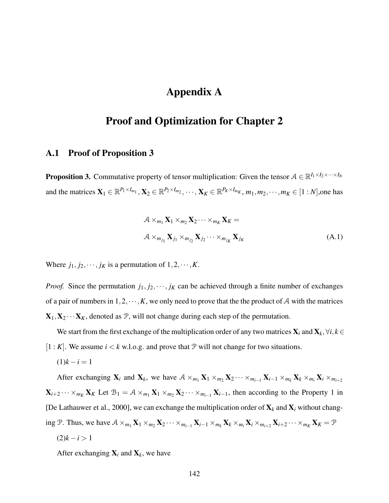## Appendix A

# Proof and Optimization for Chapter 2

#### A.1 Proof of Proposition [3](#page-155-0)

<span id="page-155-0"></span>**Proposition 3.** Commutative property of tensor multiplication: Given the tensor  $A \in \mathbb{R}^{I_1 \times I_2 \times \cdots \times I_N}$ and the matrices  $\mathbf{X}_1 \in \mathbb{R}^{P_1 \times I_{m_1}}, \mathbf{X}_2 \in \mathbb{R}^{P_2 \times I_{m_2}}, \dots, \mathbf{X}_K \in \mathbb{R}^{P_K \times I_{m_K}}, m_1, m_2, \dots, m_K \in [1:N]$ , one has

$$
\mathcal{A} \times_{m_1} \mathbf{X}_1 \times_{m_2} \mathbf{X}_2 \cdots \times_{m_K} \mathbf{X}_K =
$$
\n
$$
\mathcal{A} \times_{m_{j_1}} \mathbf{X}_{j_1} \times_{m_{j_2}} \mathbf{X}_{j_2} \cdots \times_{m_{j_K}} \mathbf{X}_{j_K}
$$
\n(A.1)

Where  $j_1, j_2, \dots, j_K$  is a permutation of  $1, 2, \dots, K$ .

*Proof.* Since the permutation  $j_1, j_2, \dots, j_K$  can be achieved through a finite number of exchanges of a pair of numbers in  $1, 2, \dots, K$ , we only need to prove that the the product of A with the matrices  $X_1, X_2 \cdots X_K$ , denoted as  $\mathcal{P}$ , will not change during each step of the permutation.

We start from the first exchange of the multiplication order of any two matrices  $\mathbf{X}_i$  and  $\mathbf{X}_k$ ,  $\forall i, k \in$  $[1 : K]$ . We assume  $i < k$  w.l.o.g. and prove that P will not change for two situations.

 $(1)k - i = 1$ 

After exchanging  $\mathbf{X}_i$  and  $\mathbf{X}_k$ , we have  $A \times_{m_1} \mathbf{X}_1 \times_{m_2} \mathbf{X}_2 \cdots \times_{m_{i-1}} \mathbf{X}_{i-1} \times_{m_k} \mathbf{X}_k \times_{m_i} \mathbf{X}_i \times_{m_{i+2}}$  $X_{i+2}\cdots \times_{m_K} X_K$  Let  $\mathcal{B}_1 = \mathcal{A} \times_{m_1} X_1 \times_{m_2} X_2 \cdots \times_{m_{i-1}} X_{i-1}$ , then according to the Property 1 in [\[De Lathauwer et al., 2000\]](#page-142-0), we can exchange the multiplication order of  $X_k$  and  $X_i$  without changing P. Thus, we have  $A \times_{m_1} \mathbf{X}_1 \times_{m_2} \mathbf{X}_2 \cdots \times_{m_{i-1}} \mathbf{X}_{i-1} \times_{m_k} \mathbf{X}_k \times_{m_i} \mathbf{X}_i \times_{m_{i+2}} \mathbf{X}_{i+2} \cdots \times_{m_K} \mathbf{X}_K = \mathcal{P}$ 

 $(2)$ *k* − *i* > 1

After exchanging  $X_i$  and  $X_k$ , we have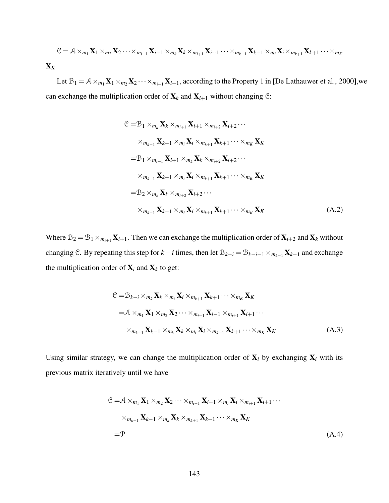$$
C = \mathcal{A} \times_{m_1} \mathbf{X}_1 \times_{m_2} \mathbf{X}_2 \cdots \times_{m_{i-1}} \mathbf{X}_{i-1} \times_{m_k} \mathbf{X}_k \times_{m_{i+1}} \mathbf{X}_{i+1} \cdots \times_{m_{k-1}} \mathbf{X}_{k-1} \times_{m_i} \mathbf{X}_i \times_{m_{k+1}} \mathbf{X}_{k+1} \cdots \times_{m_K}
$$

X*<sup>K</sup>*

Let  $B_1 = A \times_{m_1} \mathbf{X}_1 \times_{m_2} \mathbf{X}_2 \cdots \times_{m_{i-1}} \mathbf{X}_{i-1}$ , according to the Property 1 in [\[De Lathauwer et al., 2000\]](#page-142-0), we can exchange the multiplication order of  $X_k$  and  $X_{i+1}$  without changing  $\mathcal{C}$ :

$$
C = \mathcal{B}_1 \times_{m_k} \mathbf{X}_k \times_{m_{i+1}} \mathbf{X}_{i+1} \times_{m_{i+2}} \mathbf{X}_{i+2} \cdots
$$
  
\n
$$
\times_{m_{k-1}} \mathbf{X}_{k-1} \times_{m_i} \mathbf{X}_i \times_{m_{k+1}} \mathbf{X}_{k+1} \cdots \times_{m_K} \mathbf{X}_K
$$
  
\n
$$
= \mathcal{B}_1 \times_{m_{i+1}} \mathbf{X}_{i+1} \times_{m_k} \mathbf{X}_k \times_{m_{i+2}} \mathbf{X}_{i+2} \cdots
$$
  
\n
$$
\times_{m_{k-1}} \mathbf{X}_{k-1} \times_{m_i} \mathbf{X}_i \times_{m_{k+1}} \mathbf{X}_{k+1} \cdots \times_{m_K} \mathbf{X}_K
$$
  
\n
$$
= \mathcal{B}_2 \times_{m_k} \mathbf{X}_k \times_{m_{i+2}} \mathbf{X}_{i+2} \cdots
$$
  
\n
$$
\times_{m_{k-1}} \mathbf{X}_{k-1} \times_{m_i} \mathbf{X}_i \times_{m_{k+1}} \mathbf{X}_{k+1} \cdots \times_{m_K} \mathbf{X}_K
$$
  
\n(A.2)

Where  $B_2 = B_1 \times_{m_{i+1}} \mathbf{X}_{i+1}$ . Then we can exchange the multiplication order of  $\mathbf{X}_{i+2}$  and  $\mathbf{X}_k$  without changing C. By repeating this step for *k*−*i* times, then let  $B_{k-i} = B_{k-i-1} \times_{m_{k-1}} \mathbf{X}_{k-1}$  and exchange the multiplication order of  $X_i$  and  $X_k$  to get:

$$
C = B_{k-i} \times_{m_k} \mathbf{X}_k \times_{m_i} \mathbf{X}_i \times_{m_{k+1}} \mathbf{X}_{k+1} \cdots \times_{m_K} \mathbf{X}_K
$$
  
=  $A \times_{m_1} \mathbf{X}_1 \times_{m_2} \mathbf{X}_2 \cdots \times_{m_{i-1}} \mathbf{X}_{i-1} \times_{m_{i+1}} \mathbf{X}_{i+1} \cdots$   
 $\times_{m_{k-1}} \mathbf{X}_{k-1} \times_{m_k} \mathbf{X}_k \times_{m_i} \mathbf{X}_i \times_{m_{k+1}} \mathbf{X}_{k+1} \cdots \times_{m_K} \mathbf{X}_K$  (A.3)

Using similar strategy, we can change the multiplication order of  $X_i$  by exchanging  $X_i$  with its previous matrix iteratively until we have

$$
C = \mathcal{A} \times_{m_1} \mathbf{X}_1 \times_{m_2} \mathbf{X}_2 \cdots \times_{m_{i-1}} \mathbf{X}_{i-1} \times_{m_i} \mathbf{X}_i \times_{m_{i+1}} \mathbf{X}_{i+1} \cdots
$$
  
\n
$$
\times_{m_{k-1}} \mathbf{X}_{k-1} \times_{m_k} \mathbf{X}_k \times_{m_{k+1}} \mathbf{X}_{k+1} \cdots \times_{m_K} \mathbf{X}_K
$$
  
\n
$$
= \mathcal{P}
$$
 (A.4)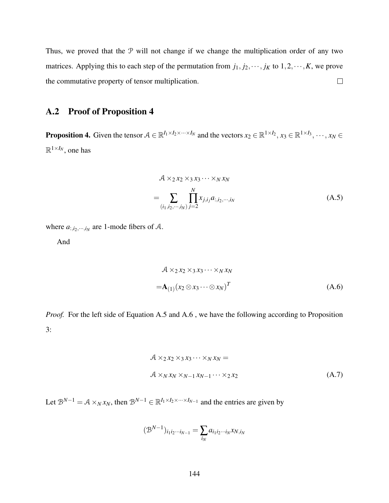Thus, we proved that the  $P$  will not change if we change the multiplication order of any two matrices. Applying this to each step of the permutation from  $j_1, j_2, \dots, j_K$  to  $1, 2, \dots, K$ , we prove the commutative property of tensor multiplication.  $\Box$ 

#### A.2 Proof of Proposition [4](#page-157-0)

<span id="page-157-0"></span>**Proposition 4.** Given the tensor  $A \in \mathbb{R}^{I_1 \times I_2 \times \cdots \times I_N}$  and the vectors  $x_2 \in \mathbb{R}^{1 \times I_2}$ ,  $x_3 \in \mathbb{R}^{1 \times I_3}$ ,  $\cdots$ ,  $x_N \in$  $\mathbb{R}^{1 \times I_N}$ , one has

<span id="page-157-1"></span>
$$
\mathcal{A} \times_2 x_2 \times_3 x_3 \cdots \times_N x_N
$$
\n
$$
= \sum_{(i_1, i_2, \cdots, i_N)} \prod_{j=2}^N x_{j, i_j} a_{:, i_2, \cdots, i_N} \tag{A.5}
$$

where  $a_{:,i_2,\cdots,i_N}$  are 1-mode fibers of A.

And

<span id="page-157-2"></span>
$$
\mathcal{A} \times_2 x_2 \times_3 x_3 \cdots \times_N x_N
$$
  
= $\mathbf{A}_{(1)} (x_2 \otimes x_3 \cdots \otimes x_N)^T$  (A.6)

*Proof.* For the left side of Equation [A.5](#page-157-1) and [A.6](#page-157-2), we have the following according to Proposition [3:](#page-155-0)

$$
A \times_2 x_2 \times_3 x_3 \cdots \times_N x_N =
$$
  

$$
A \times_N x_N \times_{N-1} x_{N-1} \cdots \times_2 x_2
$$
 (A.7)

Let  $\mathbb{B}^{N-1} = \mathcal{A} \times_N \mathcal{X}_N$ , then  $\mathcal{B}^{N-1} \in \mathbb{R}^{I_1 \times I_2 \times \cdots \times I_{N-1}}$  and the entries are given by

$$
(\mathcal{B}^{N-1})_{i_1 i_2 \cdots i_{N-1}} = \sum_{i_N} a_{i_1 i_2 \cdots i_N} x_{N, i_N}
$$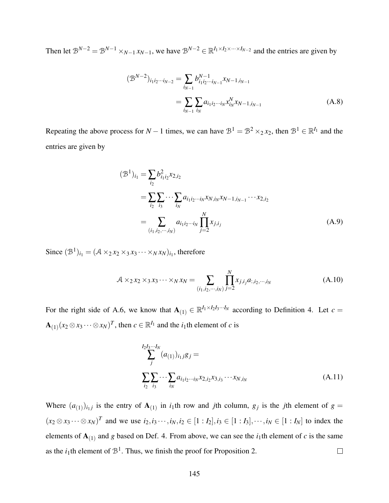Then let  $B^{N-2} = B^{N-1} \times_{N-1} x_{N-1}$ , we have  $B^{N-2} \in \mathbb{R}^{I_1 \times I_2 \times \cdots \times I_{N-2}}$  and the entries are given by

$$
(\mathcal{B}^{N-2})_{i_1 i_2 \cdots i_{N-2}} = \sum_{i_{N-1}} b_{i_1 i_2 \cdots i_{N-1}}^{N-1} x_{N-1, i_{N-1}}
$$
  
= 
$$
\sum_{i_{N-1}} \sum_{i_N} a_{i_1 i_2 \cdots i_N} x_{i_N}^N x_{N-1, i_{N-1}}
$$
 (A.8)

Repeating the above process for *N* − 1 times, we can have  $\mathcal{B}^1 = \mathcal{B}^2 \times_2 x_2$ , then  $\mathcal{B}^1 \in \mathbb{R}^{I_1}$  and the entries are given by

$$
(\mathcal{B}^{1})_{i_{1}} = \sum_{i_{2}} b_{i_{1}i_{2}}^{2} x_{2,i_{2}}
$$
  
= 
$$
\sum_{i_{2}} \sum_{i_{3}} \cdots \sum_{i_{N}} a_{i_{1}i_{2}\cdots i_{N}} x_{N,i_{N}} x_{N-1,i_{N-1}} \cdots x_{2,i_{2}}
$$
  
= 
$$
\sum_{(i_{1},i_{2},\cdots,i_{N})} a_{i_{1}i_{2}\cdots i_{N}} \prod_{j=2}^{N} x_{j,i_{j}}
$$
(A.9)

Since  $(\mathcal{B}^1)_{i_1} = (\mathcal{A} \times_2 x_2 \times_3 x_3 \cdots \times_N x_N)_{i_1}$ , therefore

$$
\mathcal{A} \times_2 x_2 \times_3 x_3 \cdots \times_N x_N = \sum_{(i_1, i_2, \cdots, i_N)} \prod_{j=2}^N x_{j, i_j} a_{:, i_2, \cdots, i_N}
$$
(A.10)

For the right side of [A.6,](#page-157-2) we know that  $A_{(1)} \in \mathbb{R}^{I_1 \times I_2 I_3 \cdots I_N}$  according to Definition 4. Let  $c =$  $\mathbf{A}_{(1)} (x_2 \otimes x_3 \cdots \otimes x_N)^T$ , then  $c \in \mathbb{R}^{I_1}$  and the *i*<sub>1</sub>th element of *c* is

$$
\sum_{j}^{I_2 I_3 \cdots I_N} (a_{(1)})_{i_1 j} g_j = \sum_{i_2 \ i_3} \cdots \sum_{i_N} a_{i_1 i_2 \cdots i_N} x_{2, i_2} x_{3, i_3} \cdots x_{N, i_N}
$$
\n(A.11)

Where  $(a_{(1)})_{i_1 j}$  is the entry of  $A_{(1)}$  in *i*<sub>1</sub>th row and *j*th column,  $g_j$  is the *j*th element of  $g =$  $(x_2 \otimes x_3 \cdots \otimes x_N)^T$  and we use  $i_2, i_3 \cdots, i_N, i_2 \in [1 : I_2], i_3 \in [1 : I_3], \cdots, i_N \in [1 : I_N]$  to index the elements of  $A_{(1)}$  and *g* based on Def. 4. From above, we can see the  $i_1$ th element of *c* is the same as the  $i_1$ th element of  $\mathcal{B}^1$ . Thus, we finish the proof for Proposition 2.  $\Box$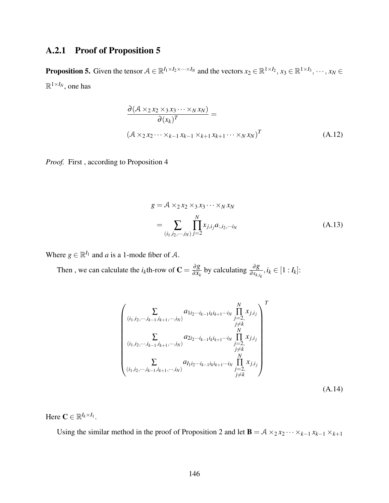### A.2.1 Proof of Proposition [5](#page-159-0)

<span id="page-159-0"></span>**Proposition 5.** Given the tensor  $A \in \mathbb{R}^{I_1 \times I_2 \times \cdots \times I_N}$  and the vectors  $x_2 \in \mathbb{R}^{1 \times I_2}$ ,  $x_3 \in \mathbb{R}^{1 \times I_3}$ ,  $\cdots$ ,  $x_N \in$  $\mathbb{R}^{1 \times I_N}$ , one has

$$
\frac{\partial (\mathcal{A} \times_2 x_2 \times_3 x_3 \cdots \times_N x_N)}{\partial (x_k)^T} =
$$
\n
$$
(\mathcal{A} \times_2 x_2 \cdots \times_{k-1} x_{k-1} \times_{k+1} x_{k+1} \cdots \times_N x_N)^T
$$
\n(A.12)

*Proof.* First , according to Proposition [4](#page-157-0)

$$
g = A \times_2 x_2 \times_3 x_3 \cdots \times_N x_N
$$
  
= 
$$
\sum_{(i_1, i_2, \cdots, i_N)} \prod_{j=2}^N x_{j, i_j} a_{:, i_2, \cdots i_N}
$$
 (A.13)

Where  $g \in \mathbb{R}^{I_1}$  and *a* is a 1-mode fiber of A.

Then, we can calculate the *i<sub>k</sub>*th-row of  $\mathbf{C} = \frac{\partial g}{\partial x}$  $\frac{\partial g}{\partial x_k}$  by calculating  $\frac{\partial g}{\partial x_{k,i_k}}$ ,  $i_k$  ∈ [1 : *I<sub>k</sub>*]:

$$
\begin{pmatrix}\n\sum_{(i_1,i_2,\dots,i_{k-1},i_{k+1},\dots,i_N)} a_{1i_2\cdots i_{k-1}i_ki_{k+1}\cdots i_N} \prod_{\substack{j=2,\\j\neq k}}^N x_{j,i_j} \\
\sum_{(i_1,i_2,\dots,i_{k-1},i_{k+1},\dots,i_N)} a_{2i_2\cdots i_{k-1}i_ki_{k+1}\cdots i_N} \prod_{\substack{j=2,\\j\neq k}}^N x_{j,i_j} \\
\sum_{(i_1,i_2,\dots,i_{k-1},i_{k+1},\dots,i_N)} a_{I_1i_2\cdots i_{k-1}i_ki_{k+1}\cdots i_N} \prod_{\substack{j=2,\\j\neq k}}^N x_{j,i_j}\n\end{pmatrix}^T
$$
\n(A.14)

Here  $\mathbf{C} \in \mathbb{R}^{I_k \times I_1}$ .

Using the similar method in the proof of Proposition 2 and let  $\mathbf{B} = \mathcal{A} \times_2 x_2 \cdots \times_{k-1} x_{k-1} \times_{k+1}$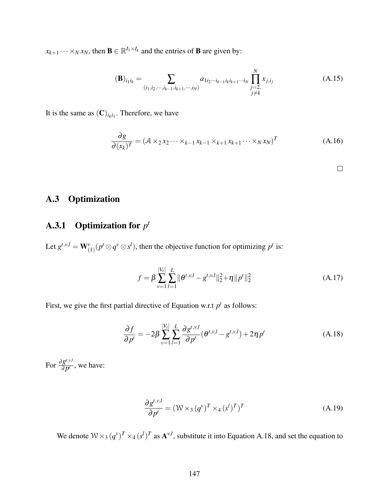$x_{k+1} \cdots \times_N x_N$ , then  $\mathbf{B} \in \mathbb{R}^{I_1 \times I_k}$  and the entries of **B** are given by:

$$
(\mathbf{B})_{i_1 i_k} = \sum_{(i_1, i_2, \cdots, i_{k-1}, i_{k+1}, \cdots, i_N)} a_{1i_2 \cdots i_{k-1} i_k i_{k+1} \cdots i_N} \prod_{\substack{j=2, \\ j \neq k}}^N x_{j, i_j}
$$
(A.15)

It is the same as  $(C)_{i_k i_1}$ . Therefore, we have

$$
\frac{\partial g}{\partial (x_k)^T} = (\mathcal{A} \times_2 x_2 \cdots \times_{k-1} x_{k-1} \times_{k+1} x_{k+1} \cdots \times_N x_N)^T
$$
(A.16)

<span id="page-160-0"></span> $\Box$ 

#### A.3 Optimization

### **A.3.1** Optimization for  $p^t$

Let  $g^{t,v,l} = \mathbf{W}^v_{(1)}(p^t \otimes q^v \otimes s^l)$ , then the objective function for optimizing  $p^t$  is:

$$
f = \beta \sum_{\nu=1}^{|V_t|} \sum_{l=1}^L \|\theta^{t,\nu,l} - g^{t,\nu,l}\|_2^2 + \eta \|p^t\|_2^2
$$
 (A.17)

First, we give the first partial directive of Equation w.r.t  $p<sup>t</sup>$  as follows:

$$
\frac{\partial f}{\partial p^t} = -2\beta \sum_{\nu=1}^{|V_t|} \sum_{l=1}^L \frac{\partial g^{t,\nu,l}}{\partial p^t} (\theta^{t,\nu,l} - g^{t,\nu,l}) + 2\eta p^t \tag{A.18}
$$

For  $\frac{\partial g^{t,v,l}}{\partial p^t}$  $rac{\delta}{\delta p^t}$ , we have:

$$
\frac{\partial g^{t,v,l}}{\partial p^t} = (\mathcal{W} \times_3 (q^v)^T \times_4 (s^l)^T)^T
$$
\n(A.19)

We denote  $W \times_3 (q^v)^T \times_4 (s^l)^T$  as  $\mathbf{A}^{v,l}$ , substitute it into Equation [A.18,](#page-160-0) and set the equation to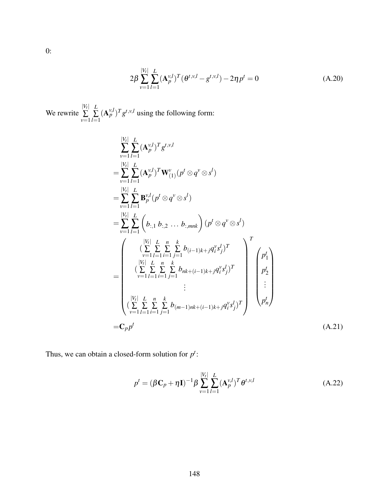$$
2\beta \sum_{\nu=1}^{|V_t|} \sum_{l=1}^L (\mathbf{A}_p^{\nu,l})^T (\theta^{t,\nu,l} - g^{t,\nu,l}) - 2\eta p^t = 0
$$
 (A.20)

We rewrite  $|V_t|$ ∑ *v*=1 *L*  $\sum_{l=1}$  $(\mathbf{A}_p^{\nu,l})^T g^{t,\nu,l}$  using the following form:

$$
\sum_{v=1}^{|V_i|} \sum_{l=1}^{L} (\mathbf{A}_{p}^{v,l})^T g^{t,v,l}
$$
\n
$$
= \sum_{v=1}^{|V_i|} \sum_{l=1}^{L} (\mathbf{A}_{p}^{v,l})^T \mathbf{W}_{(1)}^{v}(p^t \otimes q^v \otimes s^l)
$$
\n
$$
= \sum_{v=1}^{|V_i|} \sum_{l=1}^{L} \mathbf{B}_{p}^{v,l}(p^t \otimes q^v \otimes s^l)
$$
\n
$$
= \sum_{v=1}^{|V_i|} \sum_{l=1}^{L} \left(b_{:,1} b_{:,2} \dots b_{:,mnk}\right) (p^t \otimes q^v \otimes s^l)
$$
\n
$$
= \begin{pmatrix}\n\left(\sum_{v=1}^{|V_i|} \sum_{l=1}^{L} \sum_{i=1}^{n} \sum_{j=1}^{k} b_{(i-1)k+j} q_i^v s_j^l\right)^T \\
\left(\sum_{v=1}^{|V_i|} \sum_{l=1}^{L} \sum_{j=1}^{n} \sum_{j=1}^{k} b_{nk+(i-1)k+j} q_i^v s_j^l\right)^T \\
\vdots \\
\left(\sum_{v=1}^{|V_i|} \sum_{l=1}^{L} \sum_{j=1}^{n} \sum_{j=1}^{k} b_{(m-1)nk+(i-1)k+j} q_i^v s_j^l\right)^T\n\end{pmatrix}^T \begin{pmatrix}p_1^t \\
p_2^t \\
\vdots \\
p_n^t\n\end{pmatrix}
$$
\n
$$
= \mathbf{C}_p p^t
$$
\n(A.21)

Thus, we can obtain a closed-form solution for  $p^t$ :

$$
p^{t} = (\beta \mathbf{C}_p + \eta \mathbf{I})^{-1} \beta \sum_{\nu=1}^{|\mathcal{V}_t|} \sum_{l=1}^{L} (\mathbf{A}_p^{\nu,l})^T \theta^{t,\nu,l}
$$
(A.22)

0: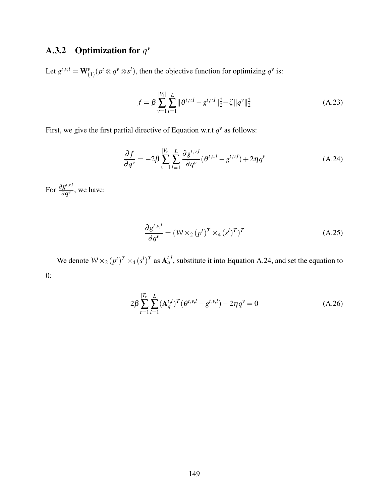### **A.3.2** Optimization for  $q^{\nu}$

Let  $g^{t,v,l} = \mathbf{W}^v_{(1)}(p^t \otimes q^v \otimes s^l)$ , then the objective function for optimizing  $q^v$  is:

<span id="page-162-0"></span>
$$
f = \beta \sum_{\nu=1}^{|V_t|} \sum_{l=1}^L \|\theta^{t,\nu,l} - g^{t,\nu,l}\|_2^2 + \zeta \|q^{\nu}\|_2^2
$$
 (A.23)

First, we give the first partial directive of Equation w.r.t  $q^v$  as follows:

$$
\frac{\partial f}{\partial q^{\nu}} = -2\beta \sum_{\nu=1}^{|V_t|} \sum_{l=1}^{L} \frac{\partial g^{t,\nu,l}}{\partial q^{\nu}} (\theta^{t,\nu,l} - g^{t,\nu,l}) + 2\eta q^{\nu}
$$
\n(A.24)

For  $\frac{\partial g^{t,v,l}}{\partial q^v}$  $\frac{\partial \mathcal{S}^{\prime\prime\prime}}{\partial q^{\nu}}$ , we have:

$$
\frac{\partial g^{t,v,l}}{\partial q^v} = (\mathbf{W} \times_2 (p^t)^T \times_4 (s^l)^T)^T
$$
\n(A.25)

We denote  $W \times_2 (p^t)^T \times_4 (s^t)^T$  as  $A_q^{t,l}$ , substitute it into Equation [A.24,](#page-162-0) and set the equation to 0:

$$
2\beta \sum_{t=1}^{|T_v|} \sum_{l=1}^L (\mathbf{A}_q^{t,l})^T (\theta^{t,v,l} - g^{t,v,l}) - 2\eta q^v = 0
$$
 (A.26)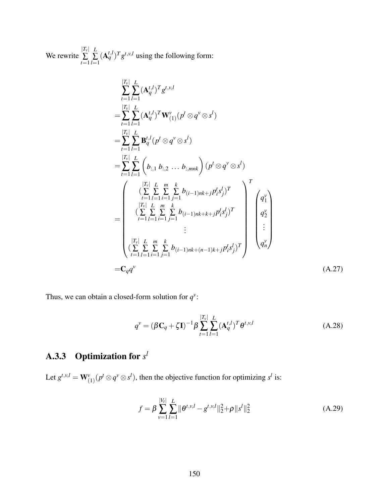We rewrite  $|T_{\nu}|$  $\sum_{t=1}$ *L*  $\sum_{l=1}$  $(\mathbf{A}_q^{t,l})^T g^{t,v,l}$  using the following form:

$$
\sum_{t=1}^{|T_v|} \sum_{l=1}^{L} (\mathbf{A}_q^{t,l})^T g^{t,v,l}
$$
\n
$$
= \sum_{t=1}^{|T_v|} \sum_{l=1}^{L} (\mathbf{A}_q^{t,l})^T \mathbf{W}_{(1)}^v (p^t \otimes q^v \otimes s^l)
$$
\n
$$
= \sum_{t=1}^{|T_v|} \sum_{l=1}^{L} \mathbf{B}_q^{t,l} (p^t \otimes q^v \otimes s^l)
$$
\n
$$
= \sum_{t=1}^{|T_v|} \sum_{l=1}^{L} \left( b_{:,1} b_{:,2} \dots b_{:,mnk} \right) (p^t \otimes q^v \otimes s^l)
$$
\n
$$
= \begin{pmatrix}\n\sum_{t=1}^{|T_v|} \sum_{l=1}^{L} m_k & ( \sum_{l=1}^{|T_v|} \sum_{l=1}^{|T_v|} \sum_{l=1}^{|T_v|} b_{(i-1)nk+j} p_i^t s_j^l)^T \\
\sum_{l=1}^{|T_v|} \sum_{l=1}^{|T_v|} \sum_{l=1}^{|T_v|} \sum_{j=1}^{|T_v|} b_{(i-1)nk+k+j} p_i^t s_j^l)^T \\
\vdots & \vdots \\
\sum_{t=1}^{|T_v|} \sum_{l=1}^{|T_v|} \sum_{l=1}^{|T_v|} \sum_{j=1}^{|T_v|} b_{(i-1)nk+(n-1)k+j} p_i^t s_j^l)^T\n\end{pmatrix}\n\begin{pmatrix}\nq^v \\
q^v \\
q^v \\
q^v \\
q^v \\
q^v\n\end{pmatrix}
$$
\n(A.27)

Thus, we can obtain a closed-form solution for  $q^v$ :

$$
q^{\nu} = (\beta \mathbf{C}_q + \zeta \mathbf{I})^{-1} \beta \sum_{t=1}^{|T_{\nu}|} \sum_{l=1}^{L} (\mathbf{A}_q^{t,l})^T \theta^{t,\nu,l}
$$
(A.28)

### A.3.3 Optimization for *s l*

Let  $g^{t,v,l} = \mathbf{W}^v_{(1)}(p^t \otimes q^v \otimes s^l)$ , then the objective function for optimizing  $s^l$  is:

$$
f = \beta \sum_{\nu=1}^{|V_t|} \sum_{l=1}^L \|\theta^{t,\nu,l} - g^{t,\nu,l}\|_2^2 + \rho \|s^l\|_2^2
$$
 (A.29)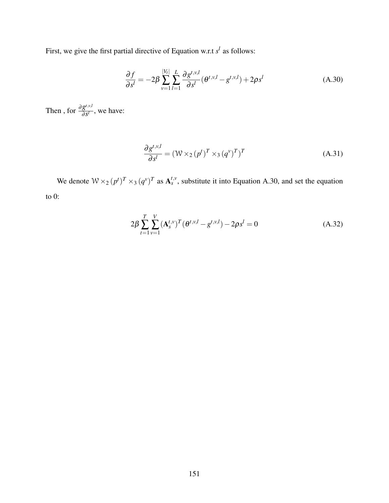First, we give the first partial directive of Equation w.r.t  $s^l$  as follows:

$$
\frac{\partial f}{\partial s^l} = -2\beta \sum_{\nu=1}^{|V_t|} \sum_{l=1}^L \frac{\partial g^{t,\nu,l}}{\partial s^l} (\theta^{t,\nu,l} - g^{t,\nu,l}) + 2\rho s^l \tag{A.30}
$$

Then, for  $\frac{\partial g^{t,v,l}}{\partial s^l}$  $\frac{g}{\partial s^l}$ , we have:

<span id="page-164-0"></span>
$$
\frac{\partial g^{t,v,l}}{\partial s^l} = (\mathcal{W} \times_2 (p^t)^T \times_3 (q^v)^T)^T
$$
\n(A.31)

We denote  $W \times_2 (p^t)^T \times_3 (q^v)^T$  as  $\mathbf{A}_s^{t,v}$ , substitute it into Equation [A.30,](#page-164-0) and set the equation to 0:

$$
2\beta \sum_{t=1}^{T} \sum_{v=1}^{V} (\mathbf{A}_{s}^{t,v})^{T} (\boldsymbol{\theta}^{t,v,l} - g^{t,v,l}) - 2\rho s^{l} = 0
$$
 (A.32)